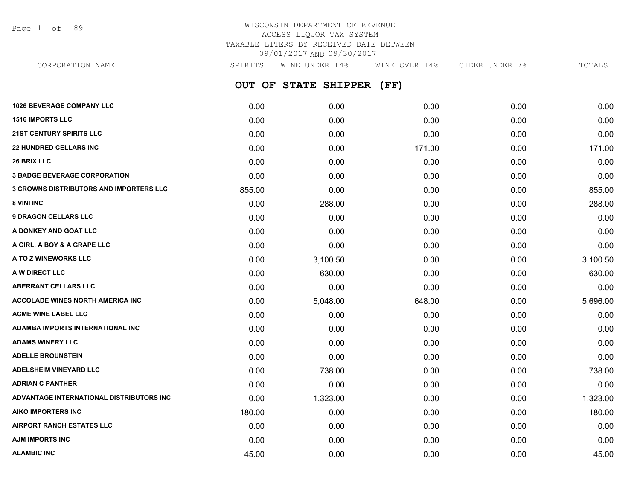Page 1 of 89

## WISCONSIN DEPARTMENT OF REVENUE ACCESS LIQUOR TAX SYSTEM TAXABLE LITERS BY RECEIVED DATE BETWEEN 09/01/2017 AND 09/30/2017

**OUT OF STATE SHIPPER (FF) 1026 BEVERAGE COMPANY LLC** 0.00 0.00 0.00 0.00 0.00 **1516 IMPORTS LLC** 0.00 0.00 0.00 0.00 0.00 **21ST CENTURY SPIRITS LLC** 0.00 0.00 0.00 0.00 0.00 **22 HUNDRED CELLARS INC** 0.00 0.00 171.00 0.00 171.00 **26 BRIX LLC** 0.00 0.00 0.00 0.00 0.00 **3 BADGE BEVERAGE CORPORATION** 0.00 0.00 0.00 0.00 0.00 **3 CROWNS DISTRIBUTORS AND IMPORTERS LLC** 855.00 0.00 0.00 0.00 855.00 **8 VINI INC** 6.00 **288.00 288.00 288.00 0.00 0.00 0.00 0.00 0.00 288.00 9 DRAGON CELLARS LLC** 0.00 0.00 0.00 0.00 0.00 **A DONKEY AND GOAT LLC** 0.00 0.00 0.00 0.00 0.00 **A GIRL, A BOY & A GRAPE LLC** 0.00 0.00 0.00 0.00 0.00 **A TO Z WINEWORKS LLC** 0.00 3,100.50 0.00 0.00 3,100.50 **A W DIRECT LLC** 630.00 0.00 630.00 **ABERRANT CELLARS LLC** 0.00 0.00 0.00 0.00 0.00 **ACCOLADE WINES NORTH AMERICA INC** 0.00 5,048.00 648.00 0.00 5,696.00 **ACME WINE LABEL LLC** 0.00 0.00 0.00 0.00 0.00 **ADAMBA IMPORTS INTERNATIONAL INC** 0.00 0.00 0.00 0.00 0.00 **ADAMS WINERY LLC** 0.00 0.00 0.00 0.00 0.00 **ADELLE BROUNSTEIN** 0.00 0.00 0.00 0.00 0.00 **ADELSHEIM VINEYARD LLC** 0.00 738.00 0.00 0.00 738.00 **ADRIAN C PANTHER** 0.00 0.00 0.00 0.00 0.00 **ADVANTAGE INTERNATIONAL DISTRIBUTORS INC** 0.00 1,323.00 0.00 0.00 1,323.00 **AIKO IMPORTERS INC** 180.00 0.00 0.00 0.00 180.00 **AIRPORT RANCH ESTATES LLC** 0.00 0.00 0.00 0.00 0.00 CORPORATION NAME SPIRITS WINE UNDER 14% WINE OVER 14% CIDER UNDER 7% TOTALS

**AJM IMPORTS INC** 0.00 0.00 0.00 0.00 0.00 **ALAMBIC INC** 45.00 0.00 0.00 0.00 45.00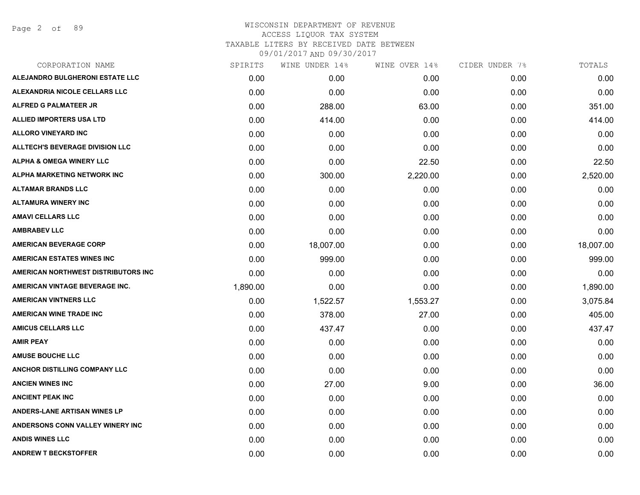Page 2 of 89

| CORPORATION NAME                       | SPIRITS  | WINE UNDER 14% | WINE OVER 14% | CIDER UNDER 7% | TOTALS    |
|----------------------------------------|----------|----------------|---------------|----------------|-----------|
| ALEJANDRO BULGHERONI ESTATE LLC        | 0.00     | 0.00           | 0.00          | 0.00           | 0.00      |
| ALEXANDRIA NICOLE CELLARS LLC          | 0.00     | 0.00           | 0.00          | 0.00           | 0.00      |
| ALFRED G PALMATEER JR                  | 0.00     | 288.00         | 63.00         | 0.00           | 351.00    |
| <b>ALLIED IMPORTERS USA LTD</b>        | 0.00     | 414.00         | 0.00          | 0.00           | 414.00    |
| <b>ALLORO VINEYARD INC</b>             | 0.00     | 0.00           | 0.00          | 0.00           | 0.00      |
| <b>ALLTECH'S BEVERAGE DIVISION LLC</b> | 0.00     | 0.00           | 0.00          | 0.00           | 0.00      |
| <b>ALPHA &amp; OMEGA WINERY LLC</b>    | 0.00     | 0.00           | 22.50         | 0.00           | 22.50     |
| ALPHA MARKETING NETWORK INC            | 0.00     | 300.00         | 2,220.00      | 0.00           | 2,520.00  |
| <b>ALTAMAR BRANDS LLC</b>              | 0.00     | 0.00           | 0.00          | 0.00           | 0.00      |
| <b>ALTAMURA WINERY INC</b>             | 0.00     | 0.00           | 0.00          | 0.00           | 0.00      |
| <b>AMAVI CELLARS LLC</b>               | 0.00     | 0.00           | 0.00          | 0.00           | 0.00      |
| <b>AMBRABEV LLC</b>                    | 0.00     | 0.00           | 0.00          | 0.00           | 0.00      |
| <b>AMERICAN BEVERAGE CORP</b>          | 0.00     | 18,007.00      | 0.00          | 0.00           | 18,007.00 |
| <b>AMERICAN ESTATES WINES INC</b>      | 0.00     | 999.00         | 0.00          | 0.00           | 999.00    |
| AMERICAN NORTHWEST DISTRIBUTORS INC    | 0.00     | 0.00           | 0.00          | 0.00           | 0.00      |
| AMERICAN VINTAGE BEVERAGE INC.         | 1,890.00 | 0.00           | 0.00          | 0.00           | 1,890.00  |
| <b>AMERICAN VINTNERS LLC</b>           | 0.00     | 1,522.57       | 1,553.27      | 0.00           | 3,075.84  |
| <b>AMERICAN WINE TRADE INC</b>         | 0.00     | 378.00         | 27.00         | 0.00           | 405.00    |
| <b>AMICUS CELLARS LLC</b>              | 0.00     | 437.47         | 0.00          | 0.00           | 437.47    |
| <b>AMIR PEAY</b>                       | 0.00     | 0.00           | 0.00          | 0.00           | 0.00      |
| <b>AMUSE BOUCHE LLC</b>                | 0.00     | 0.00           | 0.00          | 0.00           | 0.00      |
| ANCHOR DISTILLING COMPANY LLC          | 0.00     | 0.00           | 0.00          | 0.00           | 0.00      |
| <b>ANCIEN WINES INC</b>                | 0.00     | 27.00          | 9.00          | 0.00           | 36.00     |
| <b>ANCIENT PEAK INC</b>                | 0.00     | 0.00           | 0.00          | 0.00           | 0.00      |
| ANDERS-LANE ARTISAN WINES LP           | 0.00     | 0.00           | 0.00          | 0.00           | 0.00      |
| ANDERSONS CONN VALLEY WINERY INC       | 0.00     | 0.00           | 0.00          | 0.00           | 0.00      |
| <b>ANDIS WINES LLC</b>                 | 0.00     | 0.00           | 0.00          | 0.00           | 0.00      |
| <b>ANDREW T BECKSTOFFER</b>            | 0.00     | 0.00           | 0.00          | 0.00           | 0.00      |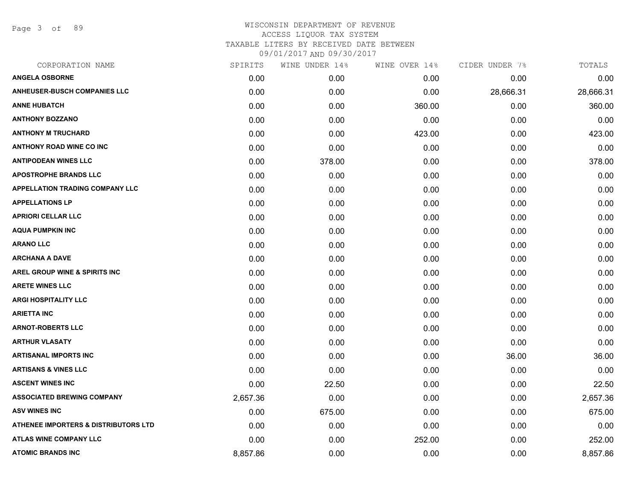Page 3 of 89

| CORPORATION NAME                       | SPIRITS  | WINE UNDER 14% | WINE OVER 14% | CIDER UNDER 7% | TOTALS    |
|----------------------------------------|----------|----------------|---------------|----------------|-----------|
| <b>ANGELA OSBORNE</b>                  | 0.00     | 0.00           | 0.00          | 0.00           | 0.00      |
| <b>ANHEUSER-BUSCH COMPANIES LLC</b>    | 0.00     | 0.00           | 0.00          | 28,666.31      | 28,666.31 |
| <b>ANNE HUBATCH</b>                    | 0.00     | 0.00           | 360.00        | 0.00           | 360.00    |
| <b>ANTHONY BOZZANO</b>                 | 0.00     | 0.00           | 0.00          | 0.00           | 0.00      |
| <b>ANTHONY M TRUCHARD</b>              | 0.00     | 0.00           | 423.00        | 0.00           | 423.00    |
| <b>ANTHONY ROAD WINE CO INC</b>        | 0.00     | 0.00           | 0.00          | 0.00           | 0.00      |
| <b>ANTIPODEAN WINES LLC</b>            | 0.00     | 378.00         | 0.00          | 0.00           | 378.00    |
| <b>APOSTROPHE BRANDS LLC</b>           | 0.00     | 0.00           | 0.00          | 0.00           | 0.00      |
| <b>APPELLATION TRADING COMPANY LLC</b> | 0.00     | 0.00           | 0.00          | 0.00           | 0.00      |
| <b>APPELLATIONS LP</b>                 | 0.00     | 0.00           | 0.00          | 0.00           | 0.00      |
| <b>APRIORI CELLAR LLC</b>              | 0.00     | 0.00           | 0.00          | 0.00           | 0.00      |
| <b>AQUA PUMPKIN INC</b>                | 0.00     | 0.00           | 0.00          | 0.00           | 0.00      |
| <b>ARANO LLC</b>                       | 0.00     | 0.00           | 0.00          | 0.00           | 0.00      |
| <b>ARCHANA A DAVE</b>                  | 0.00     | 0.00           | 0.00          | 0.00           | 0.00      |
| AREL GROUP WINE & SPIRITS INC          | 0.00     | 0.00           | 0.00          | 0.00           | 0.00      |
| <b>ARETE WINES LLC</b>                 | 0.00     | 0.00           | 0.00          | 0.00           | 0.00      |
| <b>ARGI HOSPITALITY LLC</b>            | 0.00     | 0.00           | 0.00          | 0.00           | 0.00      |
| <b>ARIETTA INC</b>                     | 0.00     | 0.00           | 0.00          | 0.00           | 0.00      |
| <b>ARNOT-ROBERTS LLC</b>               | 0.00     | 0.00           | 0.00          | 0.00           | 0.00      |
| <b>ARTHUR VLASATY</b>                  | 0.00     | 0.00           | 0.00          | 0.00           | 0.00      |
| <b>ARTISANAL IMPORTS INC</b>           | 0.00     | 0.00           | 0.00          | 36.00          | 36.00     |
| <b>ARTISANS &amp; VINES LLC</b>        | 0.00     | 0.00           | 0.00          | 0.00           | 0.00      |
| <b>ASCENT WINES INC</b>                | 0.00     | 22.50          | 0.00          | 0.00           | 22.50     |
| <b>ASSOCIATED BREWING COMPANY</b>      | 2,657.36 | 0.00           | 0.00          | 0.00           | 2,657.36  |
| <b>ASV WINES INC</b>                   | 0.00     | 675.00         | 0.00          | 0.00           | 675.00    |
| ATHENEE IMPORTERS & DISTRIBUTORS LTD   | 0.00     | 0.00           | 0.00          | 0.00           | 0.00      |
| <b>ATLAS WINE COMPANY LLC</b>          | 0.00     | 0.00           | 252.00        | 0.00           | 252.00    |
| <b>ATOMIC BRANDS INC</b>               | 8,857.86 | 0.00           | 0.00          | 0.00           | 8,857.86  |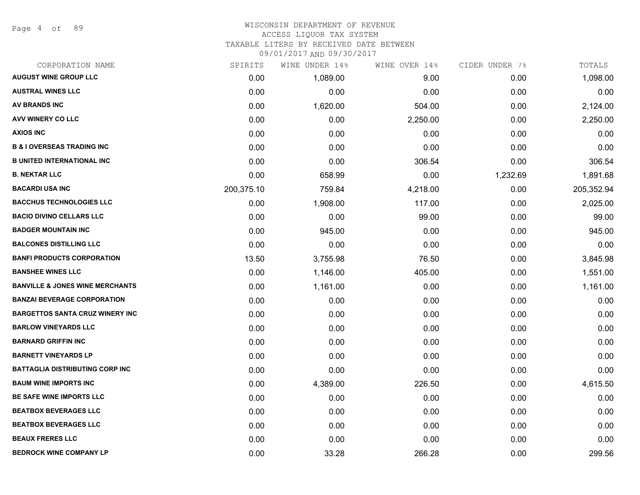Page 4 of 89

#### WISCONSIN DEPARTMENT OF REVENUE ACCESS LIQUOR TAX SYSTEM

TAXABLE LITERS BY RECEIVED DATE BETWEEN

| CORPORATION NAME                           | SPIRITS    | WINE UNDER 14% | WINE OVER 14% | CIDER UNDER 7% | TOTALS     |
|--------------------------------------------|------------|----------------|---------------|----------------|------------|
| <b>AUGUST WINE GROUP LLC</b>               | 0.00       | 1,089.00       | 9.00          | 0.00           | 1,098.00   |
| <b>AUSTRAL WINES LLC</b>                   | 0.00       | 0.00           | 0.00          | 0.00           | 0.00       |
| <b>AV BRANDS INC</b>                       | 0.00       | 1,620.00       | 504.00        | 0.00           | 2,124.00   |
| <b>AVV WINERY CO LLC</b>                   | 0.00       | 0.00           | 2,250.00      | 0.00           | 2,250.00   |
| <b>AXIOS INC</b>                           | 0.00       | 0.00           | 0.00          | 0.00           | 0.00       |
| <b>B &amp; I OVERSEAS TRADING INC</b>      | 0.00       | 0.00           | 0.00          | 0.00           | 0.00       |
| <b>B UNITED INTERNATIONAL INC</b>          | 0.00       | 0.00           | 306.54        | 0.00           | 306.54     |
| <b>B. NEKTAR LLC</b>                       | 0.00       | 658.99         | 0.00          | 1,232.69       | 1,891.68   |
| <b>BACARDI USA INC</b>                     | 200,375.10 | 759.84         | 4,218.00      | 0.00           | 205,352.94 |
| <b>BACCHUS TECHNOLOGIES LLC</b>            | 0.00       | 1,908.00       | 117.00        | 0.00           | 2,025.00   |
| <b>BACIO DIVINO CELLARS LLC</b>            | 0.00       | 0.00           | 99.00         | 0.00           | 99.00      |
| <b>BADGER MOUNTAIN INC</b>                 | 0.00       | 945.00         | 0.00          | 0.00           | 945.00     |
| <b>BALCONES DISTILLING LLC</b>             | 0.00       | 0.00           | 0.00          | 0.00           | 0.00       |
| <b>BANFI PRODUCTS CORPORATION</b>          | 13.50      | 3,755.98       | 76.50         | 0.00           | 3,845.98   |
| <b>BANSHEE WINES LLC</b>                   | 0.00       | 1,146.00       | 405.00        | 0.00           | 1,551.00   |
| <b>BANVILLE &amp; JONES WINE MERCHANTS</b> | 0.00       | 1,161.00       | 0.00          | 0.00           | 1,161.00   |
| <b>BANZAI BEVERAGE CORPORATION</b>         | 0.00       | 0.00           | 0.00          | 0.00           | 0.00       |
| <b>BARGETTOS SANTA CRUZ WINERY INC</b>     | 0.00       | 0.00           | 0.00          | 0.00           | 0.00       |
| <b>BARLOW VINEYARDS LLC</b>                | 0.00       | 0.00           | 0.00          | 0.00           | 0.00       |
| <b>BARNARD GRIFFIN INC</b>                 | 0.00       | 0.00           | 0.00          | 0.00           | 0.00       |
| <b>BARNETT VINEYARDS LP</b>                | 0.00       | 0.00           | 0.00          | 0.00           | 0.00       |
| <b>BATTAGLIA DISTRIBUTING CORP INC</b>     | 0.00       | 0.00           | 0.00          | 0.00           | 0.00       |
| <b>BAUM WINE IMPORTS INC</b>               | 0.00       | 4,389.00       | 226.50        | 0.00           | 4,615.50   |
| BE SAFE WINE IMPORTS LLC                   | 0.00       | 0.00           | 0.00          | 0.00           | 0.00       |
| <b>BEATBOX BEVERAGES LLC</b>               | 0.00       | 0.00           | 0.00          | 0.00           | 0.00       |
| <b>BEATBOX BEVERAGES LLC</b>               | 0.00       | 0.00           | 0.00          | 0.00           | 0.00       |
| <b>BEAUX FRERES LLC</b>                    | 0.00       | 0.00           | 0.00          | 0.00           | 0.00       |
| <b>BEDROCK WINE COMPANY LP</b>             | 0.00       | 33.28          | 266.28        | 0.00           | 299.56     |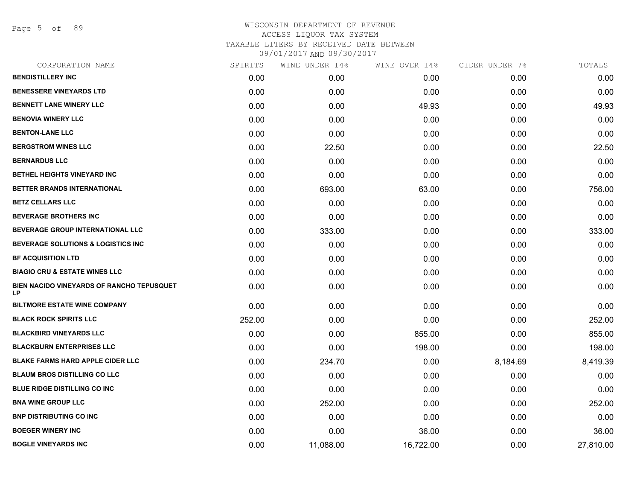Page 5 of 89

| CORPORATION NAME                                | SPIRITS | WINE UNDER 14% | WINE OVER 14% | CIDER UNDER 7% | TOTALS    |
|-------------------------------------------------|---------|----------------|---------------|----------------|-----------|
| <b>BENDISTILLERY INC</b>                        | 0.00    | 0.00           | 0.00          | 0.00           | 0.00      |
| <b>BENESSERE VINEYARDS LTD</b>                  | 0.00    | 0.00           | 0.00          | 0.00           | 0.00      |
| <b>BENNETT LANE WINERY LLC</b>                  | 0.00    | 0.00           | 49.93         | 0.00           | 49.93     |
| <b>BENOVIA WINERY LLC</b>                       | 0.00    | 0.00           | 0.00          | 0.00           | 0.00      |
| <b>BENTON-LANE LLC</b>                          | 0.00    | 0.00           | 0.00          | 0.00           | 0.00      |
| <b>BERGSTROM WINES LLC</b>                      | 0.00    | 22.50          | 0.00          | 0.00           | 22.50     |
| <b>BERNARDUS LLC</b>                            | 0.00    | 0.00           | 0.00          | 0.00           | 0.00      |
| BETHEL HEIGHTS VINEYARD INC                     | 0.00    | 0.00           | 0.00          | 0.00           | 0.00      |
| BETTER BRANDS INTERNATIONAL                     | 0.00    | 693.00         | 63.00         | 0.00           | 756.00    |
| <b>BETZ CELLARS LLC</b>                         | 0.00    | 0.00           | 0.00          | 0.00           | 0.00      |
| <b>BEVERAGE BROTHERS INC</b>                    | 0.00    | 0.00           | 0.00          | 0.00           | 0.00      |
| BEVERAGE GROUP INTERNATIONAL LLC                | 0.00    | 333.00         | 0.00          | 0.00           | 333.00    |
| <b>BEVERAGE SOLUTIONS &amp; LOGISTICS INC</b>   | 0.00    | 0.00           | 0.00          | 0.00           | 0.00      |
| <b>BF ACQUISITION LTD</b>                       | 0.00    | 0.00           | 0.00          | 0.00           | 0.00      |
| <b>BIAGIO CRU &amp; ESTATE WINES LLC</b>        | 0.00    | 0.00           | 0.00          | 0.00           | 0.00      |
| BIEN NACIDO VINEYARDS OF RANCHO TEPUSQUET<br>LP | 0.00    | 0.00           | 0.00          | 0.00           | 0.00      |
| <b>BILTMORE ESTATE WINE COMPANY</b>             | 0.00    | 0.00           | 0.00          | 0.00           | 0.00      |
| <b>BLACK ROCK SPIRITS LLC</b>                   | 252.00  | 0.00           | 0.00          | 0.00           | 252.00    |
| <b>BLACKBIRD VINEYARDS LLC</b>                  | 0.00    | 0.00           | 855.00        | 0.00           | 855.00    |
| <b>BLACKBURN ENTERPRISES LLC</b>                | 0.00    | 0.00           | 198.00        | 0.00           | 198.00    |
| <b>BLAKE FARMS HARD APPLE CIDER LLC</b>         | 0.00    | 234.70         | 0.00          | 8,184.69       | 8,419.39  |
| <b>BLAUM BROS DISTILLING CO LLC</b>             | 0.00    | 0.00           | 0.00          | 0.00           | 0.00      |
| <b>BLUE RIDGE DISTILLING CO INC</b>             | 0.00    | 0.00           | 0.00          | 0.00           | 0.00      |
| <b>BNA WINE GROUP LLC</b>                       | 0.00    | 252.00         | 0.00          | 0.00           | 252.00    |
| <b>BNP DISTRIBUTING CO INC</b>                  | 0.00    | 0.00           | 0.00          | 0.00           | 0.00      |
| <b>BOEGER WINERY INC</b>                        | 0.00    | 0.00           | 36.00         | 0.00           | 36.00     |
| <b>BOGLE VINEYARDS INC</b>                      | 0.00    | 11,088.00      | 16,722.00     | 0.00           | 27,810.00 |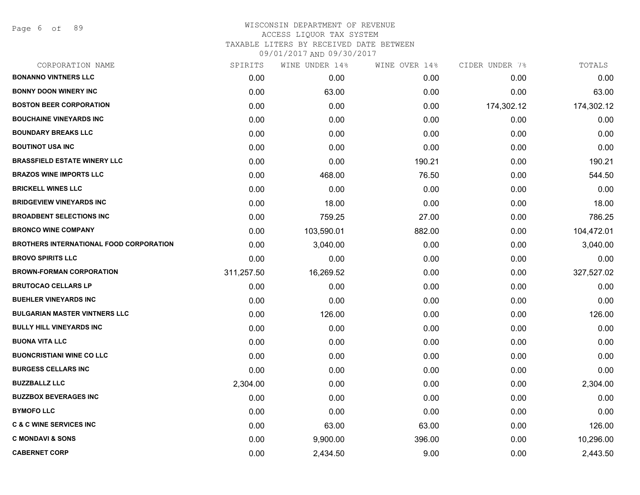Page 6 of 89

| CORPORATION NAME                               | SPIRITS    | WINE UNDER 14% | WINE OVER 14% | CIDER UNDER 7% | TOTALS     |
|------------------------------------------------|------------|----------------|---------------|----------------|------------|
| <b>BONANNO VINTNERS LLC</b>                    | 0.00       | 0.00           | 0.00          | 0.00           | 0.00       |
| <b>BONNY DOON WINERY INC</b>                   | 0.00       | 63.00          | 0.00          | 0.00           | 63.00      |
| <b>BOSTON BEER CORPORATION</b>                 | 0.00       | 0.00           | 0.00          | 174,302.12     | 174,302.12 |
| <b>BOUCHAINE VINEYARDS INC</b>                 | 0.00       | 0.00           | 0.00          | 0.00           | 0.00       |
| <b>BOUNDARY BREAKS LLC</b>                     | 0.00       | 0.00           | 0.00          | 0.00           | 0.00       |
| <b>BOUTINOT USA INC</b>                        | 0.00       | 0.00           | 0.00          | 0.00           | 0.00       |
| <b>BRASSFIELD ESTATE WINERY LLC</b>            | 0.00       | 0.00           | 190.21        | 0.00           | 190.21     |
| <b>BRAZOS WINE IMPORTS LLC</b>                 | 0.00       | 468.00         | 76.50         | 0.00           | 544.50     |
| <b>BRICKELL WINES LLC</b>                      | 0.00       | 0.00           | 0.00          | 0.00           | 0.00       |
| <b>BRIDGEVIEW VINEYARDS INC</b>                | 0.00       | 18.00          | 0.00          | 0.00           | 18.00      |
| <b>BROADBENT SELECTIONS INC</b>                | 0.00       | 759.25         | 27.00         | 0.00           | 786.25     |
| <b>BRONCO WINE COMPANY</b>                     | 0.00       | 103,590.01     | 882.00        | 0.00           | 104,472.01 |
| <b>BROTHERS INTERNATIONAL FOOD CORPORATION</b> | 0.00       | 3,040.00       | 0.00          | 0.00           | 3,040.00   |
| <b>BROVO SPIRITS LLC</b>                       | 0.00       | 0.00           | 0.00          | 0.00           | 0.00       |
| <b>BROWN-FORMAN CORPORATION</b>                | 311,257.50 | 16,269.52      | 0.00          | 0.00           | 327,527.02 |
| <b>BRUTOCAO CELLARS LP</b>                     | 0.00       | 0.00           | 0.00          | 0.00           | 0.00       |
| <b>BUEHLER VINEYARDS INC</b>                   | 0.00       | 0.00           | 0.00          | 0.00           | 0.00       |
| <b>BULGARIAN MASTER VINTNERS LLC</b>           | 0.00       | 126.00         | 0.00          | 0.00           | 126.00     |
| <b>BULLY HILL VINEYARDS INC</b>                | 0.00       | 0.00           | 0.00          | 0.00           | 0.00       |
| <b>BUONA VITA LLC</b>                          | 0.00       | 0.00           | 0.00          | 0.00           | 0.00       |
| <b>BUONCRISTIANI WINE CO LLC</b>               | 0.00       | 0.00           | 0.00          | 0.00           | 0.00       |
| <b>BURGESS CELLARS INC</b>                     | 0.00       | 0.00           | 0.00          | 0.00           | 0.00       |
| <b>BUZZBALLZ LLC</b>                           | 2,304.00   | 0.00           | 0.00          | 0.00           | 2,304.00   |
| <b>BUZZBOX BEVERAGES INC</b>                   | 0.00       | 0.00           | 0.00          | 0.00           | 0.00       |
| <b>BYMOFO LLC</b>                              | 0.00       | 0.00           | 0.00          | 0.00           | 0.00       |
| <b>C &amp; C WINE SERVICES INC</b>             | 0.00       | 63.00          | 63.00         | 0.00           | 126.00     |
| <b>C MONDAVI &amp; SONS</b>                    | 0.00       | 9,900.00       | 396.00        | 0.00           | 10,296.00  |
| <b>CABERNET CORP</b>                           | 0.00       | 2,434.50       | 9.00          | 0.00           | 2,443.50   |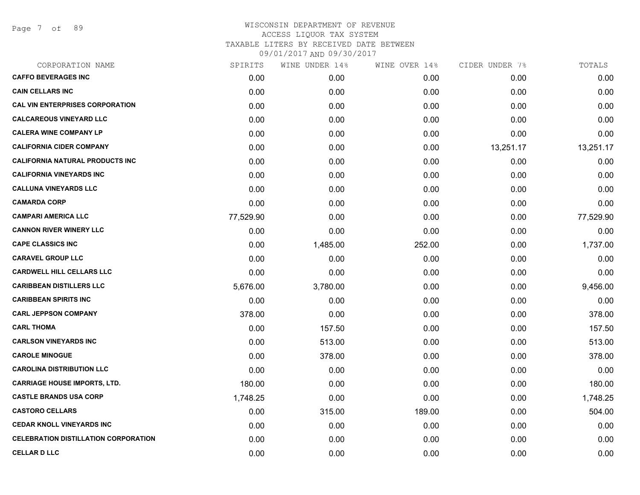Page 7 of 89

| CORPORATION NAME                            | SPIRITS   | WINE UNDER 14% | WINE OVER 14% | CIDER UNDER 7% | TOTALS    |
|---------------------------------------------|-----------|----------------|---------------|----------------|-----------|
| <b>CAFFO BEVERAGES INC</b>                  | 0.00      | 0.00           | 0.00          | 0.00           | 0.00      |
| <b>CAIN CELLARS INC</b>                     | 0.00      | 0.00           | 0.00          | 0.00           | 0.00      |
| <b>CAL VIN ENTERPRISES CORPORATION</b>      | 0.00      | 0.00           | 0.00          | 0.00           | 0.00      |
| <b>CALCAREOUS VINEYARD LLC</b>              | 0.00      | 0.00           | 0.00          | 0.00           | 0.00      |
| <b>CALERA WINE COMPANY LP</b>               | 0.00      | 0.00           | 0.00          | 0.00           | 0.00      |
| <b>CALIFORNIA CIDER COMPANY</b>             | 0.00      | 0.00           | 0.00          | 13,251.17      | 13,251.17 |
| <b>CALIFORNIA NATURAL PRODUCTS INC</b>      | 0.00      | 0.00           | 0.00          | 0.00           | 0.00      |
| <b>CALIFORNIA VINEYARDS INC</b>             | 0.00      | 0.00           | 0.00          | 0.00           | 0.00      |
| <b>CALLUNA VINEYARDS LLC</b>                | 0.00      | 0.00           | 0.00          | 0.00           | 0.00      |
| <b>CAMARDA CORP</b>                         | 0.00      | 0.00           | 0.00          | 0.00           | 0.00      |
| <b>CAMPARI AMERICA LLC</b>                  | 77,529.90 | 0.00           | 0.00          | 0.00           | 77,529.90 |
| <b>CANNON RIVER WINERY LLC</b>              | 0.00      | 0.00           | 0.00          | 0.00           | 0.00      |
| <b>CAPE CLASSICS INC</b>                    | 0.00      | 1,485.00       | 252.00        | 0.00           | 1,737.00  |
| <b>CARAVEL GROUP LLC</b>                    | 0.00      | 0.00           | 0.00          | 0.00           | 0.00      |
| <b>CARDWELL HILL CELLARS LLC</b>            | 0.00      | 0.00           | 0.00          | 0.00           | 0.00      |
| <b>CARIBBEAN DISTILLERS LLC</b>             | 5,676.00  | 3,780.00       | 0.00          | 0.00           | 9,456.00  |
| <b>CARIBBEAN SPIRITS INC</b>                | 0.00      | 0.00           | 0.00          | 0.00           | 0.00      |
| <b>CARL JEPPSON COMPANY</b>                 | 378.00    | 0.00           | 0.00          | 0.00           | 378.00    |
| <b>CARL THOMA</b>                           | 0.00      | 157.50         | 0.00          | 0.00           | 157.50    |
| <b>CARLSON VINEYARDS INC</b>                | 0.00      | 513.00         | 0.00          | 0.00           | 513.00    |
| <b>CAROLE MINOGUE</b>                       | 0.00      | 378.00         | 0.00          | 0.00           | 378.00    |
| <b>CAROLINA DISTRIBUTION LLC</b>            | 0.00      | 0.00           | 0.00          | 0.00           | 0.00      |
| <b>CARRIAGE HOUSE IMPORTS, LTD.</b>         | 180.00    | 0.00           | 0.00          | 0.00           | 180.00    |
| <b>CASTLE BRANDS USA CORP</b>               | 1,748.25  | 0.00           | 0.00          | 0.00           | 1,748.25  |
| <b>CASTORO CELLARS</b>                      | 0.00      | 315.00         | 189.00        | 0.00           | 504.00    |
| <b>CEDAR KNOLL VINEYARDS INC</b>            | 0.00      | 0.00           | 0.00          | 0.00           | 0.00      |
| <b>CELEBRATION DISTILLATION CORPORATION</b> | 0.00      | 0.00           | 0.00          | 0.00           | 0.00      |
| <b>CELLAR D LLC</b>                         | 0.00      | 0.00           | 0.00          | 0.00           | 0.00      |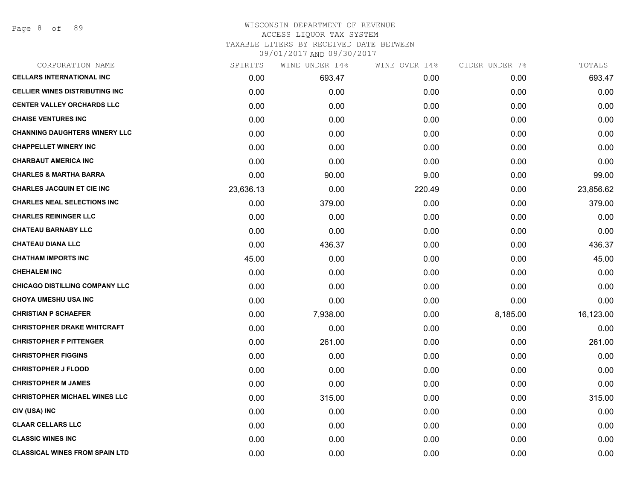| CORPORATION NAME                      | SPIRITS   | WINE UNDER 14% | WINE OVER 14% | CIDER UNDER 7% | TOTALS    |
|---------------------------------------|-----------|----------------|---------------|----------------|-----------|
| <b>CELLARS INTERNATIONAL INC</b>      | 0.00      | 693.47         | 0.00          | 0.00           | 693.47    |
| <b>CELLIER WINES DISTRIBUTING INC</b> | 0.00      | 0.00           | 0.00          | 0.00           | 0.00      |
| <b>CENTER VALLEY ORCHARDS LLC</b>     | 0.00      | 0.00           | 0.00          | 0.00           | 0.00      |
| <b>CHAISE VENTURES INC</b>            | 0.00      | 0.00           | 0.00          | 0.00           | 0.00      |
| <b>CHANNING DAUGHTERS WINERY LLC</b>  | 0.00      | 0.00           | 0.00          | 0.00           | 0.00      |
| <b>CHAPPELLET WINERY INC</b>          | 0.00      | 0.00           | 0.00          | 0.00           | 0.00      |
| <b>CHARBAUT AMERICA INC</b>           | 0.00      | 0.00           | 0.00          | 0.00           | 0.00      |
| <b>CHARLES &amp; MARTHA BARRA</b>     | 0.00      | 90.00          | 9.00          | 0.00           | 99.00     |
| <b>CHARLES JACQUIN ET CIE INC</b>     | 23,636.13 | 0.00           | 220.49        | 0.00           | 23,856.62 |
| <b>CHARLES NEAL SELECTIONS INC</b>    | 0.00      | 379.00         | 0.00          | 0.00           | 379.00    |
| <b>CHARLES REININGER LLC</b>          | 0.00      | 0.00           | 0.00          | 0.00           | 0.00      |
| <b>CHATEAU BARNABY LLC</b>            | 0.00      | 0.00           | 0.00          | 0.00           | 0.00      |
| <b>CHATEAU DIANA LLC</b>              | 0.00      | 436.37         | 0.00          | 0.00           | 436.37    |
| <b>CHATHAM IMPORTS INC</b>            | 45.00     | 0.00           | 0.00          | 0.00           | 45.00     |
| <b>CHEHALEM INC</b>                   | 0.00      | 0.00           | 0.00          | 0.00           | 0.00      |
| <b>CHICAGO DISTILLING COMPANY LLC</b> | 0.00      | 0.00           | 0.00          | 0.00           | 0.00      |
| <b>CHOYA UMESHU USA INC</b>           | 0.00      | 0.00           | 0.00          | 0.00           | 0.00      |
| <b>CHRISTIAN P SCHAEFER</b>           | 0.00      | 7,938.00       | 0.00          | 8,185.00       | 16,123.00 |
| <b>CHRISTOPHER DRAKE WHITCRAFT</b>    | 0.00      | 0.00           | 0.00          | 0.00           | 0.00      |
| <b>CHRISTOPHER F PITTENGER</b>        | 0.00      | 261.00         | 0.00          | 0.00           | 261.00    |
| <b>CHRISTOPHER FIGGINS</b>            | 0.00      | 0.00           | 0.00          | 0.00           | 0.00      |
| <b>CHRISTOPHER J FLOOD</b>            | 0.00      | 0.00           | 0.00          | 0.00           | 0.00      |
| <b>CHRISTOPHER M JAMES</b>            | 0.00      | 0.00           | 0.00          | 0.00           | 0.00      |
| <b>CHRISTOPHER MICHAEL WINES LLC</b>  | 0.00      | 315.00         | 0.00          | 0.00           | 315.00    |
| CIV (USA) INC                         | 0.00      | 0.00           | 0.00          | 0.00           | 0.00      |
| <b>CLAAR CELLARS LLC</b>              | 0.00      | 0.00           | 0.00          | 0.00           | 0.00      |
| <b>CLASSIC WINES INC</b>              | 0.00      | 0.00           | 0.00          | 0.00           | 0.00      |
| <b>CLASSICAL WINES FROM SPAIN LTD</b> | 0.00      | 0.00           | 0.00          | 0.00           | 0.00      |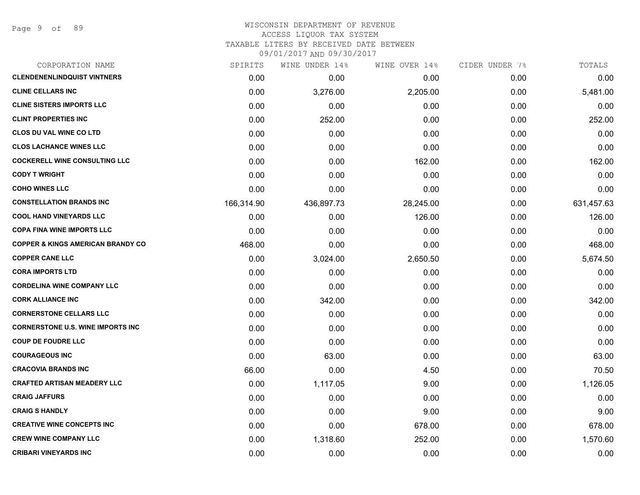Page 9 of 89

#### WISCONSIN DEPARTMENT OF REVENUE ACCESS LIQUOR TAX SYSTEM TAXABLE LITERS BY RECEIVED DATE BETWEEN

| CORPORATION NAME                             | SPIRITS    | WINE UNDER 14% | WINE OVER 14% | CIDER UNDER 7% | TOTALS     |
|----------------------------------------------|------------|----------------|---------------|----------------|------------|
| <b>CLENDENENLINDQUIST VINTNERS</b>           | 0.00       | 0.00           | 0.00          | 0.00           | 0.00       |
| <b>CLINE CELLARS INC</b>                     | 0.00       | 3,276.00       | 2,205.00      | 0.00           | 5,481.00   |
| <b>CLINE SISTERS IMPORTS LLC</b>             | 0.00       | 0.00           | 0.00          | 0.00           | 0.00       |
| <b>CLINT PROPERTIES INC</b>                  | 0.00       | 252.00         | 0.00          | 0.00           | 252.00     |
| <b>CLOS DU VAL WINE CO LTD</b>               | 0.00       | 0.00           | 0.00          | 0.00           | 0.00       |
| <b>CLOS LACHANCE WINES LLC</b>               | 0.00       | 0.00           | 0.00          | 0.00           | 0.00       |
| <b>COCKERELL WINE CONSULTING LLC</b>         | 0.00       | 0.00           | 162.00        | 0.00           | 162.00     |
| <b>CODY T WRIGHT</b>                         | 0.00       | 0.00           | 0.00          | 0.00           | 0.00       |
| <b>COHO WINES LLC</b>                        | 0.00       | 0.00           | 0.00          | 0.00           | 0.00       |
| <b>CONSTELLATION BRANDS INC</b>              | 166,314.90 | 436,897.73     | 28,245.00     | 0.00           | 631,457.63 |
| <b>COOL HAND VINEYARDS LLC</b>               | 0.00       | 0.00           | 126.00        | 0.00           | 126.00     |
| <b>COPA FINA WINE IMPORTS LLC</b>            | 0.00       | 0.00           | 0.00          | 0.00           | 0.00       |
| <b>COPPER &amp; KINGS AMERICAN BRANDY CO</b> | 468.00     | 0.00           | 0.00          | 0.00           | 468.00     |
| <b>COPPER CANE LLC</b>                       | 0.00       | 3,024.00       | 2,650.50      | 0.00           | 5,674.50   |
| <b>CORA IMPORTS LTD</b>                      | 0.00       | 0.00           | 0.00          | 0.00           | 0.00       |
| <b>CORDELINA WINE COMPANY LLC</b>            | 0.00       | 0.00           | 0.00          | 0.00           | 0.00       |
| <b>CORK ALLIANCE INC</b>                     | 0.00       | 342.00         | 0.00          | 0.00           | 342.00     |
| <b>CORNERSTONE CELLARS LLC</b>               | 0.00       | 0.00           | 0.00          | 0.00           | 0.00       |
| <b>CORNERSTONE U.S. WINE IMPORTS INC</b>     | 0.00       | 0.00           | 0.00          | 0.00           | 0.00       |
| <b>COUP DE FOUDRE LLC</b>                    | 0.00       | 0.00           | 0.00          | 0.00           | 0.00       |
| <b>COURAGEOUS INC</b>                        | 0.00       | 63.00          | 0.00          | 0.00           | 63.00      |
| <b>CRACOVIA BRANDS INC</b>                   | 66.00      | 0.00           | 4.50          | 0.00           | 70.50      |
| <b>CRAFTED ARTISAN MEADERY LLC</b>           | 0.00       | 1,117.05       | 9.00          | 0.00           | 1,126.05   |
| <b>CRAIG JAFFURS</b>                         | 0.00       | 0.00           | 0.00          | 0.00           | 0.00       |
| <b>CRAIG S HANDLY</b>                        | 0.00       | 0.00           | 9.00          | 0.00           | 9.00       |
| <b>CREATIVE WINE CONCEPTS INC</b>            | 0.00       | 0.00           | 678.00        | 0.00           | 678.00     |
| <b>CREW WINE COMPANY LLC</b>                 | 0.00       | 1,318.60       | 252.00        | 0.00           | 1,570.60   |
| <b>CRIBARI VINEYARDS INC</b>                 | 0.00       | 0.00           | 0.00          | 0.00           | 0.00       |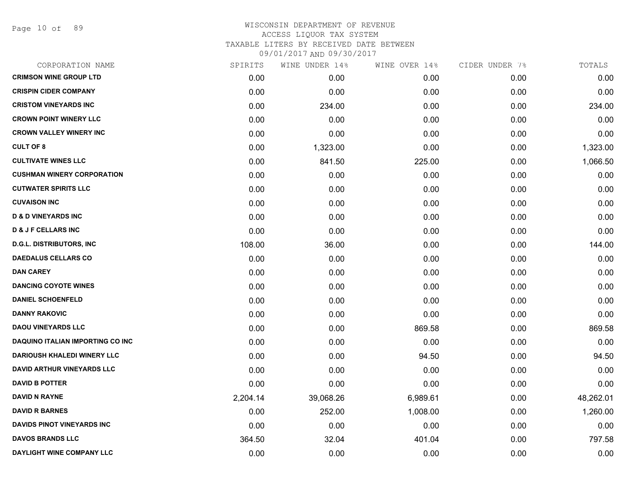Page 10 of 89

| CORPORATION NAME                   | SPIRITS  | WINE UNDER 14% | WINE OVER 14% | CIDER UNDER 7% | TOTALS    |
|------------------------------------|----------|----------------|---------------|----------------|-----------|
| <b>CRIMSON WINE GROUP LTD</b>      | 0.00     | 0.00           | 0.00          | 0.00           | 0.00      |
| <b>CRISPIN CIDER COMPANY</b>       | 0.00     | 0.00           | 0.00          | 0.00           | 0.00      |
| <b>CRISTOM VINEYARDS INC</b>       | 0.00     | 234.00         | 0.00          | 0.00           | 234.00    |
| <b>CROWN POINT WINERY LLC</b>      | 0.00     | 0.00           | 0.00          | 0.00           | 0.00      |
| <b>CROWN VALLEY WINERY INC</b>     | 0.00     | 0.00           | 0.00          | 0.00           | 0.00      |
| <b>CULT OF 8</b>                   | 0.00     | 1,323.00       | 0.00          | 0.00           | 1,323.00  |
| <b>CULTIVATE WINES LLC</b>         | 0.00     | 841.50         | 225.00        | 0.00           | 1,066.50  |
| <b>CUSHMAN WINERY CORPORATION</b>  | 0.00     | 0.00           | 0.00          | 0.00           | 0.00      |
| <b>CUTWATER SPIRITS LLC</b>        | 0.00     | 0.00           | 0.00          | 0.00           | 0.00      |
| <b>CUVAISON INC</b>                | 0.00     | 0.00           | 0.00          | 0.00           | 0.00      |
| <b>D &amp; D VINEYARDS INC</b>     | 0.00     | 0.00           | 0.00          | 0.00           | 0.00      |
| <b>D &amp; J F CELLARS INC</b>     | 0.00     | 0.00           | 0.00          | 0.00           | 0.00      |
| <b>D.G.L. DISTRIBUTORS, INC</b>    | 108.00   | 36.00          | 0.00          | 0.00           | 144.00    |
| <b>DAEDALUS CELLARS CO</b>         | 0.00     | 0.00           | 0.00          | 0.00           | 0.00      |
| <b>DAN CAREY</b>                   | 0.00     | 0.00           | 0.00          | 0.00           | 0.00      |
| <b>DANCING COYOTE WINES</b>        | 0.00     | 0.00           | 0.00          | 0.00           | 0.00      |
| <b>DANIEL SCHOENFELD</b>           | 0.00     | 0.00           | 0.00          | 0.00           | 0.00      |
| <b>DANNY RAKOVIC</b>               | 0.00     | 0.00           | 0.00          | 0.00           | 0.00      |
| <b>DAOU VINEYARDS LLC</b>          | 0.00     | 0.00           | 869.58        | 0.00           | 869.58    |
| DAQUINO ITALIAN IMPORTING CO INC   | 0.00     | 0.00           | 0.00          | 0.00           | 0.00      |
| <b>DARIOUSH KHALEDI WINERY LLC</b> | 0.00     | 0.00           | 94.50         | 0.00           | 94.50     |
| <b>DAVID ARTHUR VINEYARDS LLC</b>  | 0.00     | 0.00           | 0.00          | 0.00           | 0.00      |
| <b>DAVID B POTTER</b>              | 0.00     | 0.00           | 0.00          | 0.00           | 0.00      |
| <b>DAVID N RAYNE</b>               | 2,204.14 | 39,068.26      | 6,989.61      | 0.00           | 48,262.01 |
| <b>DAVID R BARNES</b>              | 0.00     | 252.00         | 1,008.00      | 0.00           | 1,260.00  |
| DAVIDS PINOT VINEYARDS INC         | 0.00     | 0.00           | 0.00          | 0.00           | 0.00      |
| <b>DAVOS BRANDS LLC</b>            | 364.50   | 32.04          | 401.04        | 0.00           | 797.58    |
| DAYLIGHT WINE COMPANY LLC          | 0.00     | 0.00           | 0.00          | 0.00           | 0.00      |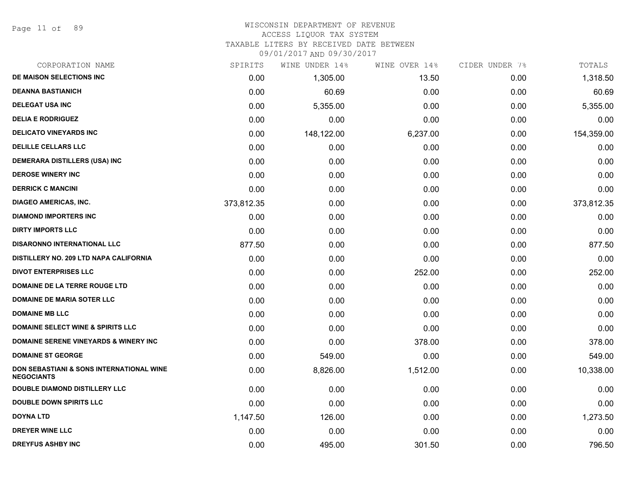Page 11 of 89

#### WISCONSIN DEPARTMENT OF REVENUE ACCESS LIQUOR TAX SYSTEM

TAXABLE LITERS BY RECEIVED DATE BETWEEN

| CORPORATION NAME                                                         | SPIRITS    | WINE UNDER 14% | WINE OVER 14% | CIDER UNDER 7% | TOTALS     |
|--------------------------------------------------------------------------|------------|----------------|---------------|----------------|------------|
| DE MAISON SELECTIONS INC                                                 | 0.00       | 1,305.00       | 13.50         | 0.00           | 1,318.50   |
| <b>DEANNA BASTIANICH</b>                                                 | 0.00       | 60.69          | 0.00          | 0.00           | 60.69      |
| <b>DELEGAT USA INC</b>                                                   | 0.00       | 5,355.00       | 0.00          | 0.00           | 5,355.00   |
| <b>DELIA E RODRIGUEZ</b>                                                 | 0.00       | 0.00           | 0.00          | 0.00           | 0.00       |
| <b>DELICATO VINEYARDS INC</b>                                            | 0.00       | 148,122.00     | 6,237.00      | 0.00           | 154,359.00 |
| <b>DELILLE CELLARS LLC</b>                                               | 0.00       | 0.00           | 0.00          | 0.00           | 0.00       |
| <b>DEMERARA DISTILLERS (USA) INC</b>                                     | 0.00       | 0.00           | 0.00          | 0.00           | 0.00       |
| <b>DEROSE WINERY INC</b>                                                 | 0.00       | 0.00           | 0.00          | 0.00           | 0.00       |
| <b>DERRICK C MANCINI</b>                                                 | 0.00       | 0.00           | 0.00          | 0.00           | 0.00       |
| <b>DIAGEO AMERICAS, INC.</b>                                             | 373,812.35 | 0.00           | 0.00          | 0.00           | 373,812.35 |
| <b>DIAMOND IMPORTERS INC</b>                                             | 0.00       | 0.00           | 0.00          | 0.00           | 0.00       |
| <b>DIRTY IMPORTS LLC</b>                                                 | 0.00       | 0.00           | 0.00          | 0.00           | 0.00       |
| <b>DISARONNO INTERNATIONAL LLC</b>                                       | 877.50     | 0.00           | 0.00          | 0.00           | 877.50     |
| DISTILLERY NO. 209 LTD NAPA CALIFORNIA                                   | 0.00       | 0.00           | 0.00          | 0.00           | 0.00       |
| <b>DIVOT ENTERPRISES LLC</b>                                             | 0.00       | 0.00           | 252.00        | 0.00           | 252.00     |
| DOMAINE DE LA TERRE ROUGE LTD                                            | 0.00       | 0.00           | 0.00          | 0.00           | 0.00       |
| <b>DOMAINE DE MARIA SOTER LLC</b>                                        | 0.00       | 0.00           | 0.00          | 0.00           | 0.00       |
| <b>DOMAINE MB LLC</b>                                                    | 0.00       | 0.00           | 0.00          | 0.00           | 0.00       |
| <b>DOMAINE SELECT WINE &amp; SPIRITS LLC</b>                             | 0.00       | 0.00           | 0.00          | 0.00           | 0.00       |
| <b>DOMAINE SERENE VINEYARDS &amp; WINERY INC</b>                         | 0.00       | 0.00           | 378.00        | 0.00           | 378.00     |
| <b>DOMAINE ST GEORGE</b>                                                 | 0.00       | 549.00         | 0.00          | 0.00           | 549.00     |
| <b>DON SEBASTIANI &amp; SONS INTERNATIONAL WINE</b><br><b>NEGOCIANTS</b> | 0.00       | 8,826.00       | 1,512.00      | 0.00           | 10,338.00  |
| <b>DOUBLE DIAMOND DISTILLERY LLC</b>                                     | 0.00       | 0.00           | 0.00          | 0.00           | 0.00       |
| <b>DOUBLE DOWN SPIRITS LLC</b>                                           | 0.00       | 0.00           | 0.00          | 0.00           | 0.00       |
| <b>DOYNA LTD</b>                                                         | 1,147.50   | 126.00         | 0.00          | 0.00           | 1,273.50   |
| <b>DREYER WINE LLC</b>                                                   | 0.00       | 0.00           | 0.00          | 0.00           | 0.00       |
| <b>DREYFUS ASHBY INC</b>                                                 | 0.00       | 495.00         | 301.50        | 0.00           | 796.50     |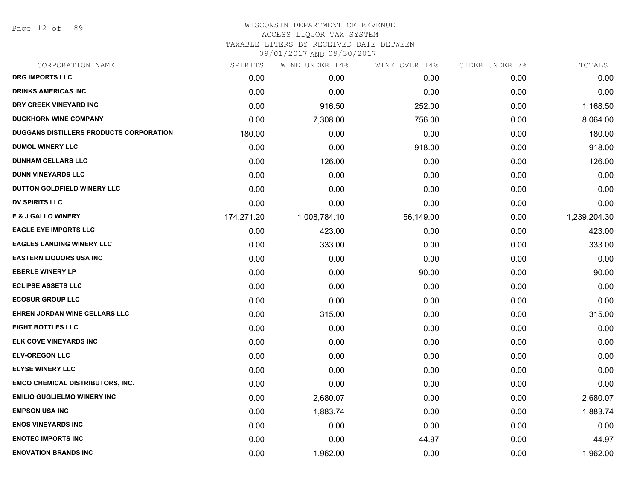Page 12 of 89

## WISCONSIN DEPARTMENT OF REVENUE ACCESS LIQUOR TAX SYSTEM

TAXABLE LITERS BY RECEIVED DATE BETWEEN

| CORPORATION NAME                        | SPIRITS    | WINE UNDER 14% | WINE OVER 14% | CIDER UNDER 7% | TOTALS       |
|-----------------------------------------|------------|----------------|---------------|----------------|--------------|
| <b>DRG IMPORTS LLC</b>                  | 0.00       | 0.00           | 0.00          | 0.00           | 0.00         |
| <b>DRINKS AMERICAS INC</b>              | 0.00       | 0.00           | 0.00          | 0.00           | 0.00         |
| DRY CREEK VINEYARD INC                  | 0.00       | 916.50         | 252.00        | 0.00           | 1,168.50     |
| <b>DUCKHORN WINE COMPANY</b>            | 0.00       | 7,308.00       | 756.00        | 0.00           | 8,064.00     |
| DUGGANS DISTILLERS PRODUCTS CORPORATION | 180.00     | 0.00           | 0.00          | 0.00           | 180.00       |
| <b>DUMOL WINERY LLC</b>                 | 0.00       | 0.00           | 918.00        | 0.00           | 918.00       |
| <b>DUNHAM CELLARS LLC</b>               | 0.00       | 126.00         | 0.00          | 0.00           | 126.00       |
| <b>DUNN VINEYARDS LLC</b>               | 0.00       | 0.00           | 0.00          | 0.00           | 0.00         |
| DUTTON GOLDFIELD WINERY LLC             | 0.00       | 0.00           | 0.00          | 0.00           | 0.00         |
| <b>DV SPIRITS LLC</b>                   | 0.00       | 0.00           | 0.00          | 0.00           | 0.00         |
| <b>E &amp; J GALLO WINERY</b>           | 174,271.20 | 1,008,784.10   | 56,149.00     | 0.00           | 1,239,204.30 |
| <b>EAGLE EYE IMPORTS LLC</b>            | 0.00       | 423.00         | 0.00          | 0.00           | 423.00       |
| <b>EAGLES LANDING WINERY LLC</b>        | 0.00       | 333.00         | 0.00          | 0.00           | 333.00       |
| <b>EASTERN LIQUORS USA INC</b>          | 0.00       | 0.00           | 0.00          | 0.00           | 0.00         |
| <b>EBERLE WINERY LP</b>                 | 0.00       | 0.00           | 90.00         | 0.00           | 90.00        |
| <b>ECLIPSE ASSETS LLC</b>               | 0.00       | 0.00           | 0.00          | 0.00           | 0.00         |
| <b>ECOSUR GROUP LLC</b>                 | 0.00       | 0.00           | 0.00          | 0.00           | 0.00         |
| EHREN JORDAN WINE CELLARS LLC           | 0.00       | 315.00         | 0.00          | 0.00           | 315.00       |
| <b>EIGHT BOTTLES LLC</b>                | 0.00       | 0.00           | 0.00          | 0.00           | 0.00         |
| ELK COVE VINEYARDS INC                  | 0.00       | 0.00           | 0.00          | 0.00           | 0.00         |
| <b>ELV-OREGON LLC</b>                   | 0.00       | 0.00           | 0.00          | 0.00           | 0.00         |
| <b>ELYSE WINERY LLC</b>                 | 0.00       | 0.00           | 0.00          | 0.00           | 0.00         |
| <b>EMCO CHEMICAL DISTRIBUTORS, INC.</b> | 0.00       | 0.00           | 0.00          | 0.00           | 0.00         |
| <b>EMILIO GUGLIELMO WINERY INC</b>      | 0.00       | 2,680.07       | 0.00          | 0.00           | 2,680.07     |
| <b>EMPSON USA INC</b>                   | 0.00       | 1,883.74       | 0.00          | 0.00           | 1,883.74     |
| <b>ENOS VINEYARDS INC</b>               | 0.00       | 0.00           | 0.00          | 0.00           | 0.00         |
| <b>ENOTEC IMPORTS INC</b>               | 0.00       | 0.00           | 44.97         | 0.00           | 44.97        |
| <b>ENOVATION BRANDS INC</b>             | 0.00       | 1,962.00       | 0.00          | 0.00           | 1,962.00     |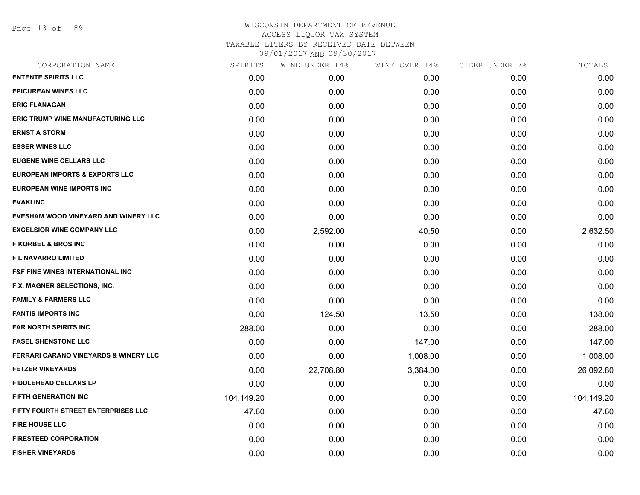Page 13 of 89

| CORPORATION NAME                                 | SPIRITS    | WINE UNDER 14% | WINE OVER 14% | CIDER UNDER 7% | TOTALS     |
|--------------------------------------------------|------------|----------------|---------------|----------------|------------|
| <b>ENTENTE SPIRITS LLC</b>                       | 0.00       | 0.00           | 0.00          | 0.00           | 0.00       |
| <b>EPICUREAN WINES LLC</b>                       | 0.00       | 0.00           | 0.00          | 0.00           | 0.00       |
| <b>ERIC FLANAGAN</b>                             | 0.00       | 0.00           | 0.00          | 0.00           | 0.00       |
| <b>ERIC TRUMP WINE MANUFACTURING LLC</b>         | 0.00       | 0.00           | 0.00          | 0.00           | 0.00       |
| <b>ERNST A STORM</b>                             | 0.00       | 0.00           | 0.00          | 0.00           | 0.00       |
| <b>ESSER WINES LLC</b>                           | 0.00       | 0.00           | 0.00          | 0.00           | 0.00       |
| <b>EUGENE WINE CELLARS LLC</b>                   | 0.00       | 0.00           | 0.00          | 0.00           | 0.00       |
| <b>EUROPEAN IMPORTS &amp; EXPORTS LLC</b>        | 0.00       | 0.00           | 0.00          | 0.00           | 0.00       |
| <b>EUROPEAN WINE IMPORTS INC</b>                 | 0.00       | 0.00           | 0.00          | 0.00           | 0.00       |
| <b>EVAKI INC</b>                                 | 0.00       | 0.00           | 0.00          | 0.00           | 0.00       |
| EVESHAM WOOD VINEYARD AND WINERY LLC             | 0.00       | 0.00           | 0.00          | 0.00           | 0.00       |
| <b>EXCELSIOR WINE COMPANY LLC</b>                | 0.00       | 2,592.00       | 40.50         | 0.00           | 2,632.50   |
| <b>F KORBEL &amp; BROS INC</b>                   | 0.00       | 0.00           | 0.00          | 0.00           | 0.00       |
| <b>FL NAVARRO LIMITED</b>                        | 0.00       | 0.00           | 0.00          | 0.00           | 0.00       |
| <b>F&amp;F FINE WINES INTERNATIONAL INC</b>      | 0.00       | 0.00           | 0.00          | 0.00           | 0.00       |
| F.X. MAGNER SELECTIONS, INC.                     | 0.00       | 0.00           | 0.00          | 0.00           | 0.00       |
| <b>FAMILY &amp; FARMERS LLC</b>                  | 0.00       | 0.00           | 0.00          | 0.00           | 0.00       |
| <b>FANTIS IMPORTS INC</b>                        | 0.00       | 124.50         | 13.50         | 0.00           | 138.00     |
| <b>FAR NORTH SPIRITS INC</b>                     | 288.00     | 0.00           | 0.00          | 0.00           | 288.00     |
| <b>FASEL SHENSTONE LLC</b>                       | 0.00       | 0.00           | 147.00        | 0.00           | 147.00     |
| <b>FERRARI CARANO VINEYARDS &amp; WINERY LLC</b> | 0.00       | 0.00           | 1,008.00      | 0.00           | 1,008.00   |
| <b>FETZER VINEYARDS</b>                          | 0.00       | 22,708.80      | 3,384.00      | 0.00           | 26,092.80  |
| <b>FIDDLEHEAD CELLARS LP</b>                     | 0.00       | 0.00           | 0.00          | 0.00           | 0.00       |
| <b>FIFTH GENERATION INC</b>                      | 104,149.20 | 0.00           | 0.00          | 0.00           | 104,149.20 |
| FIFTY FOURTH STREET ENTERPRISES LLC              | 47.60      | 0.00           | 0.00          | 0.00           | 47.60      |
| <b>FIRE HOUSE LLC</b>                            | 0.00       | 0.00           | 0.00          | 0.00           | 0.00       |
| <b>FIRESTEED CORPORATION</b>                     | 0.00       | 0.00           | 0.00          | 0.00           | 0.00       |
| <b>FISHER VINEYARDS</b>                          | 0.00       | 0.00           | 0.00          | 0.00           | 0.00       |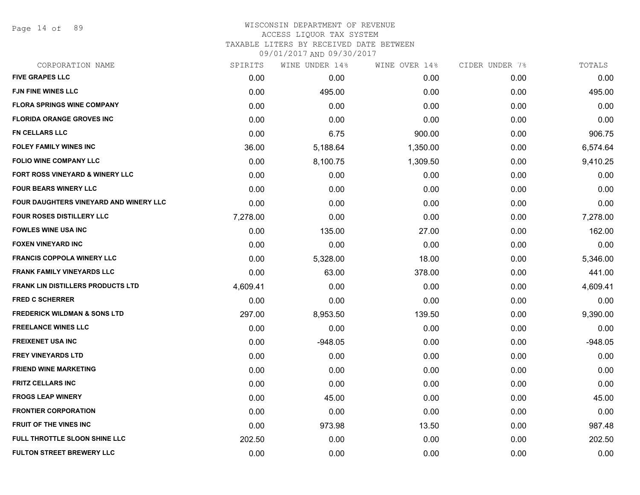Page 14 of 89

## WISCONSIN DEPARTMENT OF REVENUE ACCESS LIQUOR TAX SYSTEM TAXABLE LITERS BY RECEIVED DATE BETWEEN

| CORPORATION NAME                              | SPIRITS  | WINE UNDER 14% | WINE OVER 14% | CIDER UNDER 7% | TOTALS    |
|-----------------------------------------------|----------|----------------|---------------|----------------|-----------|
| <b>FIVE GRAPES LLC</b>                        | 0.00     | 0.00           | 0.00          | 0.00           | 0.00      |
| <b>FJN FINE WINES LLC</b>                     | 0.00     | 495.00         | 0.00          | 0.00           | 495.00    |
| <b>FLORA SPRINGS WINE COMPANY</b>             | 0.00     | 0.00           | 0.00          | 0.00           | 0.00      |
| <b>FLORIDA ORANGE GROVES INC</b>              | 0.00     | 0.00           | 0.00          | 0.00           | 0.00      |
| <b>FN CELLARS LLC</b>                         | 0.00     | 6.75           | 900.00        | 0.00           | 906.75    |
| FOLEY FAMILY WINES INC                        | 36.00    | 5,188.64       | 1,350.00      | 0.00           | 6,574.64  |
| <b>FOLIO WINE COMPANY LLC</b>                 | 0.00     | 8,100.75       | 1,309.50      | 0.00           | 9,410.25  |
| FORT ROSS VINEYARD & WINERY LLC               | 0.00     | 0.00           | 0.00          | 0.00           | 0.00      |
| <b>FOUR BEARS WINERY LLC</b>                  | 0.00     | 0.00           | 0.00          | 0.00           | 0.00      |
| <b>FOUR DAUGHTERS VINEYARD AND WINERY LLC</b> | 0.00     | 0.00           | 0.00          | 0.00           | 0.00      |
| <b>FOUR ROSES DISTILLERY LLC</b>              | 7,278.00 | 0.00           | 0.00          | 0.00           | 7,278.00  |
| <b>FOWLES WINE USA INC</b>                    | 0.00     | 135.00         | 27.00         | 0.00           | 162.00    |
| <b>FOXEN VINEYARD INC</b>                     | 0.00     | 0.00           | 0.00          | 0.00           | 0.00      |
| <b>FRANCIS COPPOLA WINERY LLC</b>             | 0.00     | 5,328.00       | 18.00         | 0.00           | 5,346.00  |
| <b>FRANK FAMILY VINEYARDS LLC</b>             | 0.00     | 63.00          | 378.00        | 0.00           | 441.00    |
| <b>FRANK LIN DISTILLERS PRODUCTS LTD</b>      | 4,609.41 | 0.00           | 0.00          | 0.00           | 4,609.41  |
| <b>FRED C SCHERRER</b>                        | 0.00     | 0.00           | 0.00          | 0.00           | 0.00      |
| <b>FREDERICK WILDMAN &amp; SONS LTD</b>       | 297.00   | 8,953.50       | 139.50        | 0.00           | 9,390.00  |
| <b>FREELANCE WINES LLC</b>                    | 0.00     | 0.00           | 0.00          | 0.00           | 0.00      |
| <b>FREIXENET USA INC</b>                      | 0.00     | $-948.05$      | 0.00          | 0.00           | $-948.05$ |
| <b>FREY VINEYARDS LTD</b>                     | 0.00     | 0.00           | 0.00          | 0.00           | 0.00      |
| <b>FRIEND WINE MARKETING</b>                  | 0.00     | 0.00           | 0.00          | 0.00           | 0.00      |
| <b>FRITZ CELLARS INC</b>                      | 0.00     | 0.00           | 0.00          | 0.00           | 0.00      |
| <b>FROGS LEAP WINERY</b>                      | 0.00     | 45.00          | 0.00          | 0.00           | 45.00     |
| <b>FRONTIER CORPORATION</b>                   | 0.00     | 0.00           | 0.00          | 0.00           | 0.00      |
| <b>FRUIT OF THE VINES INC</b>                 | 0.00     | 973.98         | 13.50         | 0.00           | 987.48    |
| FULL THROTTLE SLOON SHINE LLC                 | 202.50   | 0.00           | 0.00          | 0.00           | 202.50    |
| <b>FULTON STREET BREWERY LLC</b>              | 0.00     | 0.00           | 0.00          | 0.00           | 0.00      |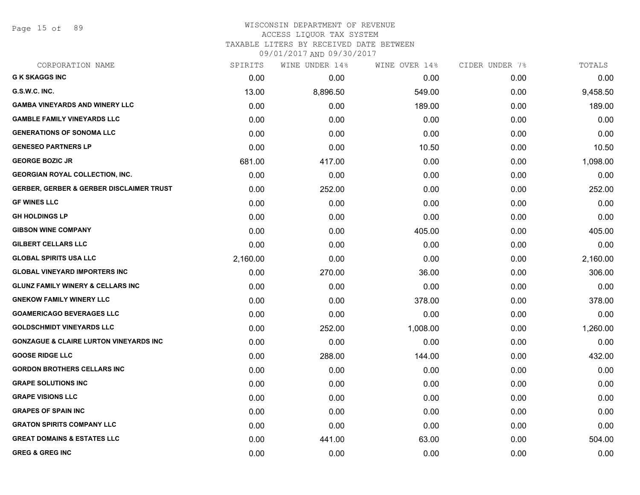Page 15 of 89

# WISCONSIN DEPARTMENT OF REVENUE ACCESS LIQUOR TAX SYSTEM TAXABLE LITERS BY RECEIVED DATE BETWEEN

| CORPORATION NAME                                    | SPIRITS  | WINE UNDER 14% | WINE OVER 14% | CIDER UNDER 7% | TOTALS   |
|-----------------------------------------------------|----------|----------------|---------------|----------------|----------|
| <b>G K SKAGGS INC</b>                               | 0.00     | 0.00           | 0.00          | 0.00           | 0.00     |
| G.S.W.C. INC.                                       | 13.00    | 8,896.50       | 549.00        | 0.00           | 9,458.50 |
| <b>GAMBA VINEYARDS AND WINERY LLC</b>               | 0.00     | 0.00           | 189.00        | 0.00           | 189.00   |
| <b>GAMBLE FAMILY VINEYARDS LLC</b>                  | 0.00     | 0.00           | 0.00          | 0.00           | 0.00     |
| <b>GENERATIONS OF SONOMA LLC</b>                    | 0.00     | 0.00           | 0.00          | 0.00           | 0.00     |
| <b>GENESEO PARTNERS LP</b>                          | 0.00     | 0.00           | 10.50         | 0.00           | 10.50    |
| <b>GEORGE BOZIC JR</b>                              | 681.00   | 417.00         | 0.00          | 0.00           | 1,098.00 |
| <b>GEORGIAN ROYAL COLLECTION, INC.</b>              | 0.00     | 0.00           | 0.00          | 0.00           | 0.00     |
| <b>GERBER, GERBER &amp; GERBER DISCLAIMER TRUST</b> | 0.00     | 252.00         | 0.00          | 0.00           | 252.00   |
| <b>GF WINES LLC</b>                                 | 0.00     | 0.00           | 0.00          | 0.00           | 0.00     |
| <b>GH HOLDINGS LP</b>                               | 0.00     | 0.00           | 0.00          | 0.00           | 0.00     |
| <b>GIBSON WINE COMPANY</b>                          | 0.00     | 0.00           | 405.00        | 0.00           | 405.00   |
| <b>GILBERT CELLARS LLC</b>                          | 0.00     | 0.00           | 0.00          | 0.00           | 0.00     |
| <b>GLOBAL SPIRITS USA LLC</b>                       | 2,160.00 | 0.00           | 0.00          | 0.00           | 2,160.00 |
| <b>GLOBAL VINEYARD IMPORTERS INC</b>                | 0.00     | 270.00         | 36.00         | 0.00           | 306.00   |
| <b>GLUNZ FAMILY WINERY &amp; CELLARS INC</b>        | 0.00     | 0.00           | 0.00          | 0.00           | 0.00     |
| <b>GNEKOW FAMILY WINERY LLC</b>                     | 0.00     | 0.00           | 378.00        | 0.00           | 378.00   |
| <b>GOAMERICAGO BEVERAGES LLC</b>                    | 0.00     | 0.00           | 0.00          | 0.00           | 0.00     |
| <b>GOLDSCHMIDT VINEYARDS LLC</b>                    | 0.00     | 252.00         | 1,008.00      | 0.00           | 1,260.00 |
| <b>GONZAGUE &amp; CLAIRE LURTON VINEYARDS INC</b>   | 0.00     | 0.00           | 0.00          | 0.00           | 0.00     |
| <b>GOOSE RIDGE LLC</b>                              | 0.00     | 288.00         | 144.00        | 0.00           | 432.00   |
| <b>GORDON BROTHERS CELLARS INC</b>                  | 0.00     | 0.00           | 0.00          | 0.00           | 0.00     |
| <b>GRAPE SOLUTIONS INC</b>                          | 0.00     | 0.00           | 0.00          | 0.00           | 0.00     |
| <b>GRAPE VISIONS LLC</b>                            | 0.00     | 0.00           | 0.00          | 0.00           | 0.00     |
| <b>GRAPES OF SPAIN INC</b>                          | 0.00     | 0.00           | 0.00          | 0.00           | 0.00     |
| <b>GRATON SPIRITS COMPANY LLC</b>                   | 0.00     | 0.00           | 0.00          | 0.00           | 0.00     |
| <b>GREAT DOMAINS &amp; ESTATES LLC</b>              | 0.00     | 441.00         | 63.00         | 0.00           | 504.00   |
| <b>GREG &amp; GREG INC</b>                          | 0.00     | 0.00           | 0.00          | 0.00           | 0.00     |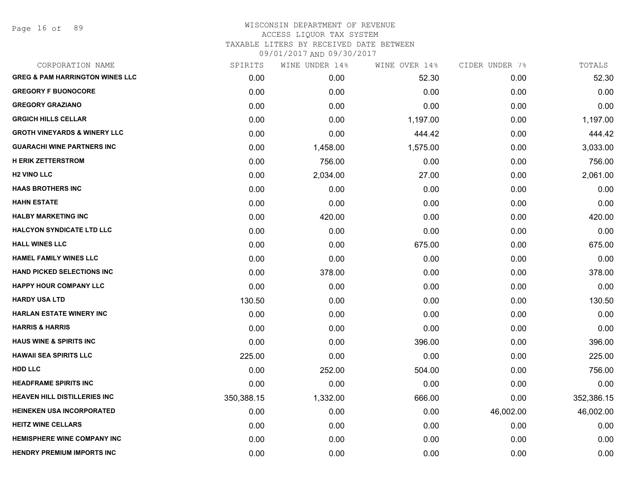Page 16 of 89

| CORPORATION NAME                           | SPIRITS    | WINE UNDER 14% | WINE OVER 14% | CIDER UNDER 7% | TOTALS     |
|--------------------------------------------|------------|----------------|---------------|----------------|------------|
| <b>GREG &amp; PAM HARRINGTON WINES LLC</b> | 0.00       | 0.00           | 52.30         | 0.00           | 52.30      |
| <b>GREGORY F BUONOCORE</b>                 | 0.00       | 0.00           | 0.00          | 0.00           | 0.00       |
| <b>GREGORY GRAZIANO</b>                    | 0.00       | 0.00           | 0.00          | 0.00           | 0.00       |
| <b>GRGICH HILLS CELLAR</b>                 | 0.00       | 0.00           | 1,197.00      | 0.00           | 1,197.00   |
| <b>GROTH VINEYARDS &amp; WINERY LLC</b>    | 0.00       | 0.00           | 444.42        | 0.00           | 444.42     |
| <b>GUARACHI WINE PARTNERS INC</b>          | 0.00       | 1,458.00       | 1,575.00      | 0.00           | 3,033.00   |
| <b>H ERIK ZETTERSTROM</b>                  | 0.00       | 756.00         | 0.00          | 0.00           | 756.00     |
| <b>H2 VINO LLC</b>                         | 0.00       | 2,034.00       | 27.00         | 0.00           | 2,061.00   |
| <b>HAAS BROTHERS INC</b>                   | 0.00       | 0.00           | 0.00          | 0.00           | 0.00       |
| <b>HAHN ESTATE</b>                         | 0.00       | 0.00           | 0.00          | 0.00           | 0.00       |
| <b>HALBY MARKETING INC</b>                 | 0.00       | 420.00         | 0.00          | 0.00           | 420.00     |
| <b>HALCYON SYNDICATE LTD LLC</b>           | 0.00       | 0.00           | 0.00          | 0.00           | 0.00       |
| <b>HALL WINES LLC</b>                      | 0.00       | 0.00           | 675.00        | 0.00           | 675.00     |
| <b>HAMEL FAMILY WINES LLC</b>              | 0.00       | 0.00           | 0.00          | 0.00           | 0.00       |
| <b>HAND PICKED SELECTIONS INC</b>          | 0.00       | 378.00         | 0.00          | 0.00           | 378.00     |
| <b>HAPPY HOUR COMPANY LLC</b>              | 0.00       | 0.00           | 0.00          | 0.00           | 0.00       |
| <b>HARDY USA LTD</b>                       | 130.50     | 0.00           | 0.00          | 0.00           | 130.50     |
| <b>HARLAN ESTATE WINERY INC</b>            | 0.00       | 0.00           | 0.00          | 0.00           | 0.00       |
| <b>HARRIS &amp; HARRIS</b>                 | 0.00       | 0.00           | 0.00          | 0.00           | 0.00       |
| <b>HAUS WINE &amp; SPIRITS INC</b>         | 0.00       | 0.00           | 396.00        | 0.00           | 396.00     |
| <b>HAWAII SEA SPIRITS LLC</b>              | 225.00     | 0.00           | 0.00          | 0.00           | 225.00     |
| <b>HDD LLC</b>                             | 0.00       | 252.00         | 504.00        | 0.00           | 756.00     |
| <b>HEADFRAME SPIRITS INC</b>               | 0.00       | 0.00           | 0.00          | 0.00           | 0.00       |
| <b>HEAVEN HILL DISTILLERIES INC</b>        | 350,388.15 | 1,332.00       | 666.00        | 0.00           | 352,386.15 |
| <b>HEINEKEN USA INCORPORATED</b>           | 0.00       | 0.00           | 0.00          | 46,002.00      | 46,002.00  |
| <b>HEITZ WINE CELLARS</b>                  | 0.00       | 0.00           | 0.00          | 0.00           | 0.00       |
| <b>HEMISPHERE WINE COMPANY INC</b>         | 0.00       | 0.00           | 0.00          | 0.00           | 0.00       |
| <b>HENDRY PREMIUM IMPORTS INC</b>          | 0.00       | 0.00           | 0.00          | 0.00           | 0.00       |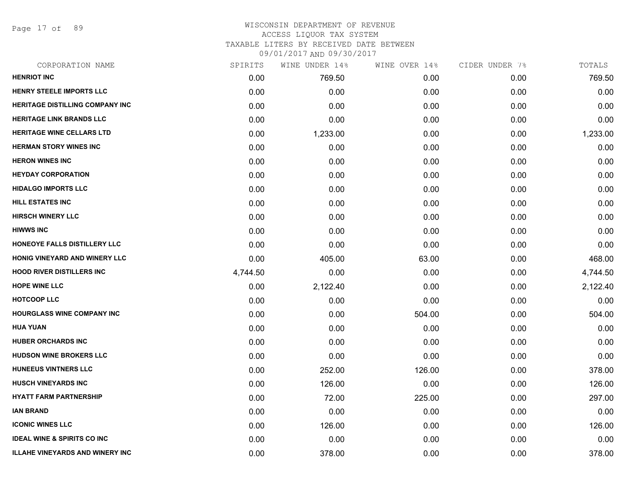Page 17 of 89

### WISCONSIN DEPARTMENT OF REVENUE ACCESS LIQUOR TAX SYSTEM TAXABLE LITERS BY RECEIVED DATE BETWEEN

| CORPORATION NAME                       | SPIRITS  | WINE UNDER 14% | WINE OVER 14% | CIDER UNDER 7% | TOTALS   |
|----------------------------------------|----------|----------------|---------------|----------------|----------|
| <b>HENRIOT INC</b>                     | 0.00     | 769.50         | 0.00          | 0.00           | 769.50   |
| <b>HENRY STEELE IMPORTS LLC</b>        | 0.00     | 0.00           | 0.00          | 0.00           | 0.00     |
| <b>HERITAGE DISTILLING COMPANY INC</b> | 0.00     | 0.00           | 0.00          | 0.00           | 0.00     |
| <b>HERITAGE LINK BRANDS LLC</b>        | 0.00     | 0.00           | 0.00          | 0.00           | 0.00     |
| HERITAGE WINE CELLARS LTD              | 0.00     | 1,233.00       | 0.00          | 0.00           | 1,233.00 |
| <b>HERMAN STORY WINES INC</b>          | 0.00     | 0.00           | 0.00          | 0.00           | 0.00     |
| <b>HERON WINES INC</b>                 | 0.00     | 0.00           | 0.00          | 0.00           | 0.00     |
| <b>HEYDAY CORPORATION</b>              | 0.00     | 0.00           | 0.00          | 0.00           | 0.00     |
| <b>HIDALGO IMPORTS LLC</b>             | 0.00     | 0.00           | 0.00          | 0.00           | 0.00     |
| <b>HILL ESTATES INC</b>                | 0.00     | 0.00           | 0.00          | 0.00           | 0.00     |
| <b>HIRSCH WINERY LLC</b>               | 0.00     | 0.00           | 0.00          | 0.00           | 0.00     |
| <b>HIWWS INC</b>                       | 0.00     | 0.00           | 0.00          | 0.00           | 0.00     |
| HONEOYE FALLS DISTILLERY LLC           | 0.00     | 0.00           | 0.00          | 0.00           | 0.00     |
| HONIG VINEYARD AND WINERY LLC          | 0.00     | 405.00         | 63.00         | 0.00           | 468.00   |
| <b>HOOD RIVER DISTILLERS INC</b>       | 4,744.50 | 0.00           | 0.00          | 0.00           | 4,744.50 |
| <b>HOPE WINE LLC</b>                   | 0.00     | 2,122.40       | 0.00          | 0.00           | 2,122.40 |
| <b>HOTCOOP LLC</b>                     | 0.00     | 0.00           | 0.00          | 0.00           | 0.00     |
| <b>HOURGLASS WINE COMPANY INC</b>      | 0.00     | 0.00           | 504.00        | 0.00           | 504.00   |
| <b>HUA YUAN</b>                        | 0.00     | 0.00           | 0.00          | 0.00           | 0.00     |
| <b>HUBER ORCHARDS INC</b>              | 0.00     | 0.00           | 0.00          | 0.00           | 0.00     |
| <b>HUDSON WINE BROKERS LLC</b>         | 0.00     | 0.00           | 0.00          | 0.00           | 0.00     |
| <b>HUNEEUS VINTNERS LLC</b>            | 0.00     | 252.00         | 126.00        | 0.00           | 378.00   |
| <b>HUSCH VINEYARDS INC</b>             | 0.00     | 126.00         | 0.00          | 0.00           | 126.00   |
| <b>HYATT FARM PARTNERSHIP</b>          | 0.00     | 72.00          | 225.00        | 0.00           | 297.00   |
| <b>IAN BRAND</b>                       | 0.00     | 0.00           | 0.00          | 0.00           | 0.00     |
| <b>ICONIC WINES LLC</b>                | 0.00     | 126.00         | 0.00          | 0.00           | 126.00   |
| <b>IDEAL WINE &amp; SPIRITS CO INC</b> | 0.00     | 0.00           | 0.00          | 0.00           | 0.00     |
| <b>ILLAHE VINEYARDS AND WINERY INC</b> | 0.00     | 378.00         | 0.00          | 0.00           | 378.00   |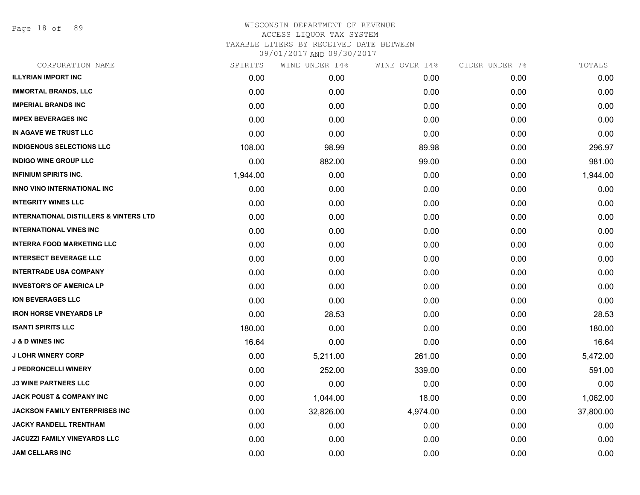Page 18 of 89

| CORPORATION NAME                                  | SPIRITS  | WINE UNDER 14% | WINE OVER 14% | CIDER UNDER 7% | TOTALS    |
|---------------------------------------------------|----------|----------------|---------------|----------------|-----------|
| <b>ILLYRIAN IMPORT INC</b>                        | 0.00     | 0.00           | 0.00          | 0.00           | 0.00      |
| <b>IMMORTAL BRANDS, LLC</b>                       | 0.00     | 0.00           | 0.00          | 0.00           | 0.00      |
| <b>IMPERIAL BRANDS INC</b>                        | 0.00     | 0.00           | 0.00          | 0.00           | 0.00      |
| <b>IMPEX BEVERAGES INC</b>                        | 0.00     | 0.00           | 0.00          | 0.00           | 0.00      |
| IN AGAVE WE TRUST LLC                             | 0.00     | 0.00           | 0.00          | 0.00           | 0.00      |
| <b>INDIGENOUS SELECTIONS LLC</b>                  | 108.00   | 98.99          | 89.98         | 0.00           | 296.97    |
| <b>INDIGO WINE GROUP LLC</b>                      | 0.00     | 882.00         | 99.00         | 0.00           | 981.00    |
| <b>INFINIUM SPIRITS INC.</b>                      | 1,944.00 | 0.00           | 0.00          | 0.00           | 1,944.00  |
| INNO VINO INTERNATIONAL INC                       | 0.00     | 0.00           | 0.00          | 0.00           | 0.00      |
| <b>INTEGRITY WINES LLC</b>                        | 0.00     | 0.00           | 0.00          | 0.00           | 0.00      |
| <b>INTERNATIONAL DISTILLERS &amp; VINTERS LTD</b> | 0.00     | 0.00           | 0.00          | 0.00           | 0.00      |
| <b>INTERNATIONAL VINES INC</b>                    | 0.00     | 0.00           | 0.00          | 0.00           | 0.00      |
| <b>INTERRA FOOD MARKETING LLC</b>                 | 0.00     | 0.00           | 0.00          | 0.00           | 0.00      |
| <b>INTERSECT BEVERAGE LLC</b>                     | 0.00     | 0.00           | 0.00          | 0.00           | 0.00      |
| <b>INTERTRADE USA COMPANY</b>                     | 0.00     | 0.00           | 0.00          | 0.00           | 0.00      |
| <b>INVESTOR'S OF AMERICA LP</b>                   | 0.00     | 0.00           | 0.00          | 0.00           | 0.00      |
| <b>ION BEVERAGES LLC</b>                          | 0.00     | 0.00           | 0.00          | 0.00           | 0.00      |
| <b>IRON HORSE VINEYARDS LP</b>                    | 0.00     | 28.53          | 0.00          | 0.00           | 28.53     |
| <b>ISANTI SPIRITS LLC</b>                         | 180.00   | 0.00           | 0.00          | 0.00           | 180.00    |
| <b>J &amp; D WINES INC</b>                        | 16.64    | 0.00           | 0.00          | 0.00           | 16.64     |
| <b>J LOHR WINERY CORP</b>                         | 0.00     | 5,211.00       | 261.00        | 0.00           | 5,472.00  |
| <b>J PEDRONCELLI WINERY</b>                       | 0.00     | 252.00         | 339.00        | 0.00           | 591.00    |
| <b>J3 WINE PARTNERS LLC</b>                       | 0.00     | 0.00           | 0.00          | 0.00           | 0.00      |
| <b>JACK POUST &amp; COMPANY INC</b>               | 0.00     | 1,044.00       | 18.00         | 0.00           | 1,062.00  |
| JACKSON FAMILY ENTERPRISES INC                    | 0.00     | 32,826.00      | 4,974.00      | 0.00           | 37,800.00 |
| <b>JACKY RANDELL TRENTHAM</b>                     | 0.00     | 0.00           | 0.00          | 0.00           | 0.00      |
| <b>JACUZZI FAMILY VINEYARDS LLC</b>               | 0.00     | 0.00           | 0.00          | 0.00           | 0.00      |
| <b>JAM CELLARS INC</b>                            | 0.00     | 0.00           | 0.00          | 0.00           | 0.00      |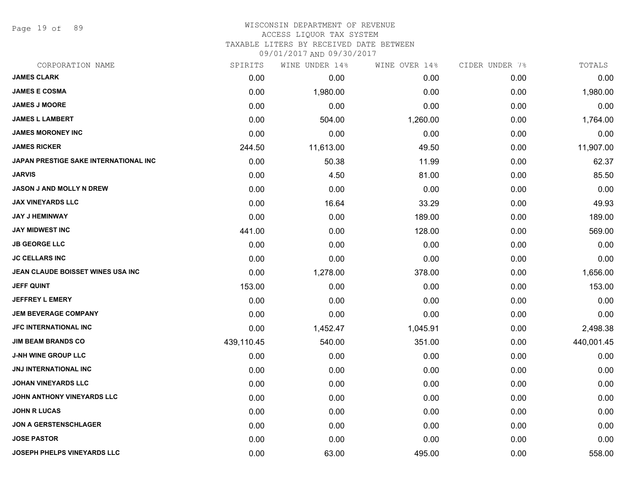Page 19 of 89

#### WISCONSIN DEPARTMENT OF REVENUE ACCESS LIQUOR TAX SYSTEM

TAXABLE LITERS BY RECEIVED DATE BETWEEN

| CORPORATION NAME                      | SPIRITS    | WINE UNDER 14% | WINE OVER 14% | CIDER UNDER 7% | TOTALS     |
|---------------------------------------|------------|----------------|---------------|----------------|------------|
| <b>JAMES CLARK</b>                    | 0.00       | 0.00           | 0.00          | 0.00           | 0.00       |
| <b>JAMES E COSMA</b>                  | 0.00       | 1,980.00       | 0.00          | 0.00           | 1,980.00   |
| <b>JAMES J MOORE</b>                  | 0.00       | 0.00           | 0.00          | 0.00           | 0.00       |
| <b>JAMES L LAMBERT</b>                | 0.00       | 504.00         | 1,260.00      | 0.00           | 1,764.00   |
| <b>JAMES MORONEY INC</b>              | 0.00       | 0.00           | 0.00          | 0.00           | 0.00       |
| <b>JAMES RICKER</b>                   | 244.50     | 11,613.00      | 49.50         | 0.00           | 11,907.00  |
| JAPAN PRESTIGE SAKE INTERNATIONAL INC | 0.00       | 50.38          | 11.99         | 0.00           | 62.37      |
| <b>JARVIS</b>                         | 0.00       | 4.50           | 81.00         | 0.00           | 85.50      |
| <b>JASON J AND MOLLY N DREW</b>       | 0.00       | 0.00           | 0.00          | 0.00           | 0.00       |
| <b>JAX VINEYARDS LLC</b>              | 0.00       | 16.64          | 33.29         | 0.00           | 49.93      |
| <b>JAY J HEMINWAY</b>                 | 0.00       | 0.00           | 189.00        | 0.00           | 189.00     |
| <b>JAY MIDWEST INC</b>                | 441.00     | 0.00           | 128.00        | 0.00           | 569.00     |
| <b>JB GEORGE LLC</b>                  | 0.00       | 0.00           | 0.00          | 0.00           | 0.00       |
| <b>JC CELLARS INC</b>                 | 0.00       | 0.00           | 0.00          | 0.00           | 0.00       |
| JEAN CLAUDE BOISSET WINES USA INC     | 0.00       | 1,278.00       | 378.00        | 0.00           | 1,656.00   |
| <b>JEFF QUINT</b>                     | 153.00     | 0.00           | 0.00          | 0.00           | 153.00     |
| <b>JEFFREY L EMERY</b>                | 0.00       | 0.00           | 0.00          | 0.00           | 0.00       |
| <b>JEM BEVERAGE COMPANY</b>           | 0.00       | 0.00           | 0.00          | 0.00           | 0.00       |
| <b>JFC INTERNATIONAL INC</b>          | 0.00       | 1,452.47       | 1,045.91      | 0.00           | 2,498.38   |
| <b>JIM BEAM BRANDS CO</b>             | 439,110.45 | 540.00         | 351.00        | 0.00           | 440,001.45 |
| <b>J-NH WINE GROUP LLC</b>            | 0.00       | 0.00           | 0.00          | 0.00           | 0.00       |
| JNJ INTERNATIONAL INC                 | 0.00       | 0.00           | 0.00          | 0.00           | 0.00       |
| <b>JOHAN VINEYARDS LLC</b>            | 0.00       | 0.00           | 0.00          | 0.00           | 0.00       |
| <b>JOHN ANTHONY VINEYARDS LLC</b>     | 0.00       | 0.00           | 0.00          | 0.00           | 0.00       |
| <b>JOHN R LUCAS</b>                   | 0.00       | 0.00           | 0.00          | 0.00           | 0.00       |
| <b>JON A GERSTENSCHLAGER</b>          | 0.00       | 0.00           | 0.00          | 0.00           | 0.00       |
| <b>JOSE PASTOR</b>                    | 0.00       | 0.00           | 0.00          | 0.00           | 0.00       |
| JOSEPH PHELPS VINEYARDS LLC           | 0.00       | 63.00          | 495.00        | 0.00           | 558.00     |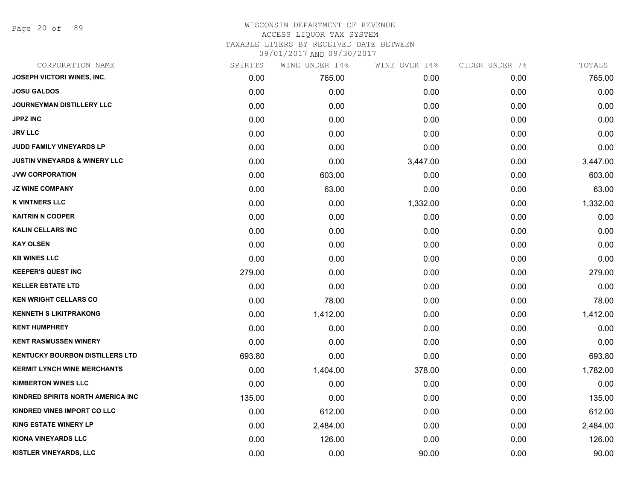Page 20 of 89

| CORPORATION NAME                         | SPIRITS | WINE UNDER 14% | WINE OVER 14% | CIDER UNDER 7% | TOTALS   |
|------------------------------------------|---------|----------------|---------------|----------------|----------|
| <b>JOSEPH VICTORI WINES, INC.</b>        | 0.00    | 765.00         | 0.00          | 0.00           | 765.00   |
| <b>JOSU GALDOS</b>                       | 0.00    | 0.00           | 0.00          | 0.00           | 0.00     |
| JOURNEYMAN DISTILLERY LLC                | 0.00    | 0.00           | 0.00          | 0.00           | 0.00     |
| <b>JPPZ INC</b>                          | 0.00    | 0.00           | 0.00          | 0.00           | 0.00     |
| <b>JRV LLC</b>                           | 0.00    | 0.00           | 0.00          | 0.00           | 0.00     |
| JUDD FAMILY VINEYARDS LP                 | 0.00    | 0.00           | 0.00          | 0.00           | 0.00     |
| <b>JUSTIN VINEYARDS &amp; WINERY LLC</b> | 0.00    | 0.00           | 3,447.00      | 0.00           | 3,447.00 |
| <b>JVW CORPORATION</b>                   | 0.00    | 603.00         | 0.00          | 0.00           | 603.00   |
| <b>JZ WINE COMPANY</b>                   | 0.00    | 63.00          | 0.00          | 0.00           | 63.00    |
| <b>K VINTNERS LLC</b>                    | 0.00    | 0.00           | 1,332.00      | 0.00           | 1,332.00 |
| <b>KAITRIN N COOPER</b>                  | 0.00    | 0.00           | 0.00          | 0.00           | 0.00     |
| <b>KALIN CELLARS INC</b>                 | 0.00    | 0.00           | 0.00          | 0.00           | 0.00     |
| <b>KAY OLSEN</b>                         | 0.00    | 0.00           | 0.00          | 0.00           | 0.00     |
| <b>KB WINES LLC</b>                      | 0.00    | 0.00           | 0.00          | 0.00           | 0.00     |
| <b>KEEPER'S QUEST INC</b>                | 279.00  | 0.00           | 0.00          | 0.00           | 279.00   |
| <b>KELLER ESTATE LTD</b>                 | 0.00    | 0.00           | 0.00          | 0.00           | 0.00     |
| <b>KEN WRIGHT CELLARS CO</b>             | 0.00    | 78.00          | 0.00          | 0.00           | 78.00    |
| <b>KENNETH S LIKITPRAKONG</b>            | 0.00    | 1,412.00       | 0.00          | 0.00           | 1,412.00 |
| <b>KENT HUMPHREY</b>                     | 0.00    | 0.00           | 0.00          | 0.00           | 0.00     |
| <b>KENT RASMUSSEN WINERY</b>             | 0.00    | 0.00           | 0.00          | 0.00           | 0.00     |
| <b>KENTUCKY BOURBON DISTILLERS LTD</b>   | 693.80  | 0.00           | 0.00          | 0.00           | 693.80   |
| <b>KERMIT LYNCH WINE MERCHANTS</b>       | 0.00    | 1,404.00       | 378.00        | 0.00           | 1,782.00 |
| <b>KIMBERTON WINES LLC</b>               | 0.00    | 0.00           | 0.00          | 0.00           | 0.00     |
| KINDRED SPIRITS NORTH AMERICA INC        | 135.00  | 0.00           | 0.00          | 0.00           | 135.00   |
| <b>KINDRED VINES IMPORT CO LLC</b>       | 0.00    | 612.00         | 0.00          | 0.00           | 612.00   |
| <b>KING ESTATE WINERY LP</b>             | 0.00    | 2,484.00       | 0.00          | 0.00           | 2,484.00 |
| <b>KIONA VINEYARDS LLC</b>               | 0.00    | 126.00         | 0.00          | 0.00           | 126.00   |
| KISTLER VINEYARDS, LLC                   | 0.00    | 0.00           | 90.00         | 0.00           | 90.00    |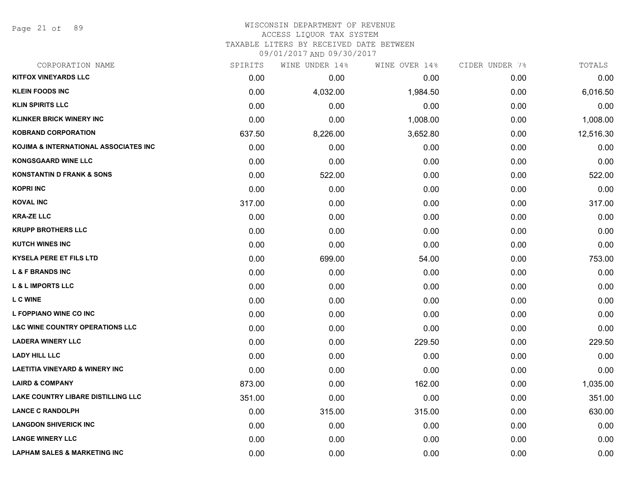Page 21 of 89

# WISCONSIN DEPARTMENT OF REVENUE ACCESS LIQUOR TAX SYSTEM

TAXABLE LITERS BY RECEIVED DATE BETWEEN

| CORPORATION NAME                           | SPIRITS | WINE UNDER 14% | WINE OVER 14% | CIDER UNDER 7% | TOTALS    |
|--------------------------------------------|---------|----------------|---------------|----------------|-----------|
| <b>KITFOX VINEYARDS LLC</b>                | 0.00    | 0.00           | 0.00          | 0.00           | 0.00      |
| <b>KLEIN FOODS INC</b>                     | 0.00    | 4,032.00       | 1,984.50      | 0.00           | 6,016.50  |
| <b>KLIN SPIRITS LLC</b>                    | 0.00    | 0.00           | 0.00          | 0.00           | 0.00      |
| <b>KLINKER BRICK WINERY INC</b>            | 0.00    | 0.00           | 1,008.00      | 0.00           | 1,008.00  |
| <b>KOBRAND CORPORATION</b>                 | 637.50  | 8,226.00       | 3,652.80      | 0.00           | 12,516.30 |
| KOJIMA & INTERNATIONAL ASSOCIATES INC      | 0.00    | 0.00           | 0.00          | 0.00           | 0.00      |
| <b>KONGSGAARD WINE LLC</b>                 | 0.00    | 0.00           | 0.00          | 0.00           | 0.00      |
| <b>KONSTANTIN D FRANK &amp; SONS</b>       | 0.00    | 522.00         | 0.00          | 0.00           | 522.00    |
| <b>KOPRI INC</b>                           | 0.00    | 0.00           | 0.00          | 0.00           | 0.00      |
| <b>KOVAL INC</b>                           | 317.00  | 0.00           | 0.00          | 0.00           | 317.00    |
| <b>KRA-ZE LLC</b>                          | 0.00    | 0.00           | 0.00          | 0.00           | 0.00      |
| <b>KRUPP BROTHERS LLC</b>                  | 0.00    | 0.00           | 0.00          | 0.00           | 0.00      |
| <b>KUTCH WINES INC</b>                     | 0.00    | 0.00           | 0.00          | 0.00           | 0.00      |
| <b>KYSELA PERE ET FILS LTD</b>             | 0.00    | 699.00         | 54.00         | 0.00           | 753.00    |
| <b>L &amp; F BRANDS INC</b>                | 0.00    | 0.00           | 0.00          | 0.00           | 0.00      |
| <b>L &amp; L IMPORTS LLC</b>               | 0.00    | 0.00           | 0.00          | 0.00           | 0.00      |
| L C WINE                                   | 0.00    | 0.00           | 0.00          | 0.00           | 0.00      |
| L FOPPIANO WINE CO INC                     | 0.00    | 0.00           | 0.00          | 0.00           | 0.00      |
| <b>L&amp;C WINE COUNTRY OPERATIONS LLC</b> | 0.00    | 0.00           | 0.00          | 0.00           | 0.00      |
| <b>LADERA WINERY LLC</b>                   | 0.00    | 0.00           | 229.50        | 0.00           | 229.50    |
| <b>LADY HILL LLC</b>                       | 0.00    | 0.00           | 0.00          | 0.00           | 0.00      |
| <b>LAETITIA VINEYARD &amp; WINERY INC</b>  | 0.00    | 0.00           | 0.00          | 0.00           | 0.00      |
| <b>LAIRD &amp; COMPANY</b>                 | 873.00  | 0.00           | 162.00        | 0.00           | 1,035.00  |
| LAKE COUNTRY LIBARE DISTILLING LLC         | 351.00  | 0.00           | 0.00          | 0.00           | 351.00    |
| <b>LANCE C RANDOLPH</b>                    | 0.00    | 315.00         | 315.00        | 0.00           | 630.00    |
| <b>LANGDON SHIVERICK INC</b>               | 0.00    | 0.00           | 0.00          | 0.00           | 0.00      |
| <b>LANGE WINERY LLC</b>                    | 0.00    | 0.00           | 0.00          | 0.00           | 0.00      |
| <b>LAPHAM SALES &amp; MARKETING INC</b>    | 0.00    | 0.00           | 0.00          | 0.00           | 0.00      |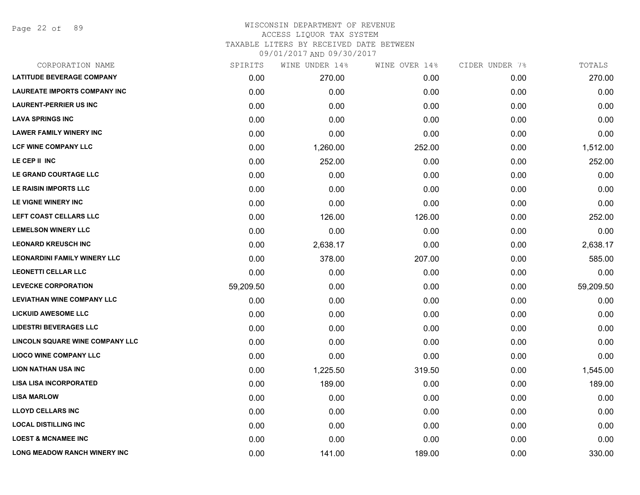Page 22 of 89

| CORPORATION NAME                    | SPIRITS   | WINE UNDER 14% | WINE OVER 14% | CIDER UNDER 7% | TOTALS    |
|-------------------------------------|-----------|----------------|---------------|----------------|-----------|
| <b>LATITUDE BEVERAGE COMPANY</b>    | 0.00      | 270.00         | 0.00          | 0.00           | 270.00    |
| <b>LAUREATE IMPORTS COMPANY INC</b> | 0.00      | 0.00           | 0.00          | 0.00           | 0.00      |
| <b>LAURENT-PERRIER US INC</b>       | 0.00      | 0.00           | 0.00          | 0.00           | 0.00      |
| <b>LAVA SPRINGS INC</b>             | 0.00      | 0.00           | 0.00          | 0.00           | 0.00      |
| <b>LAWER FAMILY WINERY INC</b>      | 0.00      | 0.00           | 0.00          | 0.00           | 0.00      |
| <b>LCF WINE COMPANY LLC</b>         | 0.00      | 1,260.00       | 252.00        | 0.00           | 1,512.00  |
| LE CEP II INC                       | 0.00      | 252.00         | 0.00          | 0.00           | 252.00    |
| LE GRAND COURTAGE LLC               | 0.00      | 0.00           | 0.00          | 0.00           | 0.00      |
| LE RAISIN IMPORTS LLC               | 0.00      | 0.00           | 0.00          | 0.00           | 0.00      |
| LE VIGNE WINERY INC                 | 0.00      | 0.00           | 0.00          | 0.00           | 0.00      |
| LEFT COAST CELLARS LLC              | 0.00      | 126.00         | 126.00        | 0.00           | 252.00    |
| <b>LEMELSON WINERY LLC</b>          | 0.00      | 0.00           | 0.00          | 0.00           | 0.00      |
| <b>LEONARD KREUSCH INC</b>          | 0.00      | 2,638.17       | 0.00          | 0.00           | 2,638.17  |
| <b>LEONARDINI FAMILY WINERY LLC</b> | 0.00      | 378.00         | 207.00        | 0.00           | 585.00    |
| <b>LEONETTI CELLAR LLC</b>          | 0.00      | 0.00           | 0.00          | 0.00           | 0.00      |
| <b>LEVECKE CORPORATION</b>          | 59,209.50 | 0.00           | 0.00          | 0.00           | 59,209.50 |
| <b>LEVIATHAN WINE COMPANY LLC</b>   | 0.00      | 0.00           | 0.00          | 0.00           | 0.00      |
| <b>LICKUID AWESOME LLC</b>          | 0.00      | 0.00           | 0.00          | 0.00           | 0.00      |
| <b>LIDESTRI BEVERAGES LLC</b>       | 0.00      | 0.00           | 0.00          | 0.00           | 0.00      |
| LINCOLN SQUARE WINE COMPANY LLC     | 0.00      | 0.00           | 0.00          | 0.00           | 0.00      |
| <b>LIOCO WINE COMPANY LLC</b>       | 0.00      | 0.00           | 0.00          | 0.00           | 0.00      |
| <b>LION NATHAN USA INC</b>          | 0.00      | 1,225.50       | 319.50        | 0.00           | 1,545.00  |
| <b>LISA LISA INCORPORATED</b>       | 0.00      | 189.00         | 0.00          | 0.00           | 189.00    |
| <b>LISA MARLOW</b>                  | 0.00      | 0.00           | 0.00          | 0.00           | 0.00      |
| <b>LLOYD CELLARS INC</b>            | 0.00      | 0.00           | 0.00          | 0.00           | 0.00      |
| <b>LOCAL DISTILLING INC</b>         | 0.00      | 0.00           | 0.00          | 0.00           | 0.00      |
| <b>LOEST &amp; MCNAMEE INC</b>      | 0.00      | 0.00           | 0.00          | 0.00           | 0.00      |
| <b>LONG MEADOW RANCH WINERY INC</b> | 0.00      | 141.00         | 189.00        | 0.00           | 330.00    |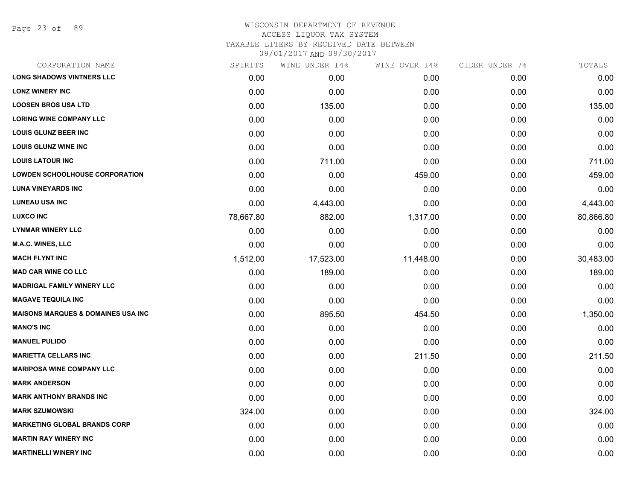Page 23 of 89

| CORPORATION NAME                              | SPIRITS   | WINE UNDER 14% | WINE OVER 14% | CIDER UNDER 7% | TOTALS    |
|-----------------------------------------------|-----------|----------------|---------------|----------------|-----------|
| <b>LONG SHADOWS VINTNERS LLC</b>              | 0.00      | 0.00           | 0.00          | 0.00           | 0.00      |
| <b>LONZ WINERY INC</b>                        | 0.00      | 0.00           | 0.00          | 0.00           | 0.00      |
| <b>LOOSEN BROS USA LTD</b>                    | 0.00      | 135.00         | 0.00          | 0.00           | 135.00    |
| <b>LORING WINE COMPANY LLC</b>                | 0.00      | 0.00           | 0.00          | 0.00           | 0.00      |
| <b>LOUIS GLUNZ BEER INC</b>                   | 0.00      | 0.00           | 0.00          | 0.00           | 0.00      |
| <b>LOUIS GLUNZ WINE INC</b>                   | 0.00      | 0.00           | 0.00          | 0.00           | 0.00      |
| <b>LOUIS LATOUR INC</b>                       | 0.00      | 711.00         | 0.00          | 0.00           | 711.00    |
| <b>LOWDEN SCHOOLHOUSE CORPORATION</b>         | 0.00      | 0.00           | 459.00        | 0.00           | 459.00    |
| <b>LUNA VINEYARDS INC</b>                     | 0.00      | 0.00           | 0.00          | 0.00           | 0.00      |
| <b>LUNEAU USA INC</b>                         | 0.00      | 4,443.00       | 0.00          | 0.00           | 4,443.00  |
| <b>LUXCO INC</b>                              | 78,667.80 | 882.00         | 1,317.00      | 0.00           | 80,866.80 |
| <b>LYNMAR WINERY LLC</b>                      | 0.00      | 0.00           | 0.00          | 0.00           | 0.00      |
| M.A.C. WINES, LLC                             | 0.00      | 0.00           | 0.00          | 0.00           | 0.00      |
| <b>MACH FLYNT INC</b>                         | 1,512.00  | 17,523.00      | 11,448.00     | 0.00           | 30,483.00 |
| <b>MAD CAR WINE CO LLC</b>                    | 0.00      | 189.00         | 0.00          | 0.00           | 189.00    |
| <b>MADRIGAL FAMILY WINERY LLC</b>             | 0.00      | 0.00           | 0.00          | 0.00           | 0.00      |
| <b>MAGAVE TEQUILA INC</b>                     | 0.00      | 0.00           | 0.00          | 0.00           | 0.00      |
| <b>MAISONS MARQUES &amp; DOMAINES USA INC</b> | 0.00      | 895.50         | 454.50        | 0.00           | 1,350.00  |
| <b>MANO'S INC</b>                             | 0.00      | 0.00           | 0.00          | 0.00           | 0.00      |
| <b>MANUEL PULIDO</b>                          | 0.00      | 0.00           | 0.00          | 0.00           | 0.00      |
| <b>MARIETTA CELLARS INC</b>                   | 0.00      | 0.00           | 211.50        | 0.00           | 211.50    |
| <b>MARIPOSA WINE COMPANY LLC</b>              | 0.00      | 0.00           | 0.00          | 0.00           | 0.00      |
| <b>MARK ANDERSON</b>                          | 0.00      | 0.00           | 0.00          | 0.00           | 0.00      |
| <b>MARK ANTHONY BRANDS INC</b>                | 0.00      | 0.00           | 0.00          | 0.00           | 0.00      |
| <b>MARK SZUMOWSKI</b>                         | 324.00    | 0.00           | 0.00          | 0.00           | 324.00    |
| <b>MARKETING GLOBAL BRANDS CORP</b>           | 0.00      | 0.00           | 0.00          | 0.00           | 0.00      |
| <b>MARTIN RAY WINERY INC</b>                  | 0.00      | 0.00           | 0.00          | 0.00           | 0.00      |
| <b>MARTINELLI WINERY INC</b>                  | 0.00      | 0.00           | 0.00          | 0.00           | 0.00      |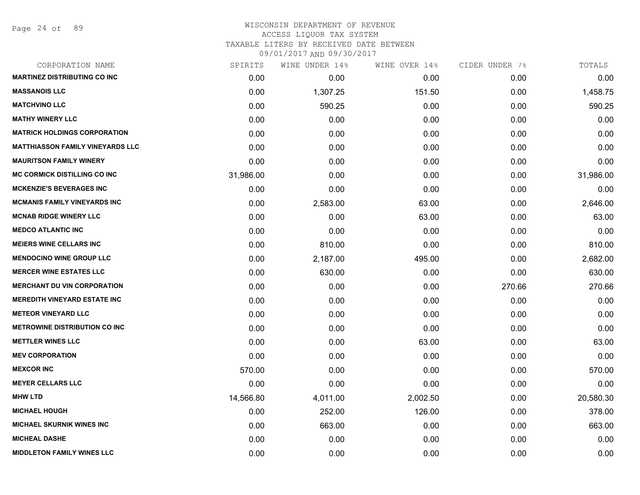Page 24 of 89

# WISCONSIN DEPARTMENT OF REVENUE ACCESS LIQUOR TAX SYSTEM

TAXABLE LITERS BY RECEIVED DATE BETWEEN

| CORPORATION NAME                        | SPIRITS   | WINE UNDER 14% | WINE OVER 14% | CIDER UNDER 7% | TOTALS    |
|-----------------------------------------|-----------|----------------|---------------|----------------|-----------|
| <b>MARTINEZ DISTRIBUTING CO INC</b>     | 0.00      | 0.00           | 0.00          | 0.00           | 0.00      |
| <b>MASSANOIS LLC</b>                    | 0.00      | 1,307.25       | 151.50        | 0.00           | 1,458.75  |
| <b>MATCHVINO LLC</b>                    | 0.00      | 590.25         | 0.00          | 0.00           | 590.25    |
| <b>MATHY WINERY LLC</b>                 | 0.00      | 0.00           | 0.00          | 0.00           | 0.00      |
| <b>MATRICK HOLDINGS CORPORATION</b>     | 0.00      | 0.00           | 0.00          | 0.00           | 0.00      |
| <b>MATTHIASSON FAMILY VINEYARDS LLC</b> | 0.00      | 0.00           | 0.00          | 0.00           | 0.00      |
| <b>MAURITSON FAMILY WINERY</b>          | 0.00      | 0.00           | 0.00          | 0.00           | 0.00      |
| <b>MC CORMICK DISTILLING CO INC</b>     | 31,986.00 | 0.00           | 0.00          | 0.00           | 31,986.00 |
| <b>MCKENZIE'S BEVERAGES INC</b>         | 0.00      | 0.00           | 0.00          | 0.00           | 0.00      |
| <b>MCMANIS FAMILY VINEYARDS INC</b>     | 0.00      | 2,583.00       | 63.00         | 0.00           | 2,646.00  |
| <b>MCNAB RIDGE WINERY LLC</b>           | 0.00      | 0.00           | 63.00         | 0.00           | 63.00     |
| <b>MEDCO ATLANTIC INC</b>               | 0.00      | 0.00           | 0.00          | 0.00           | 0.00      |
| <b>MEIERS WINE CELLARS INC</b>          | 0.00      | 810.00         | 0.00          | 0.00           | 810.00    |
| <b>MENDOCINO WINE GROUP LLC</b>         | 0.00      | 2,187.00       | 495.00        | 0.00           | 2,682.00  |
| <b>MERCER WINE ESTATES LLC</b>          | 0.00      | 630.00         | 0.00          | 0.00           | 630.00    |
| <b>MERCHANT DU VIN CORPORATION</b>      | 0.00      | 0.00           | 0.00          | 270.66         | 270.66    |
| <b>MEREDITH VINEYARD ESTATE INC</b>     | 0.00      | 0.00           | 0.00          | 0.00           | 0.00      |
| <b>METEOR VINEYARD LLC</b>              | 0.00      | 0.00           | 0.00          | 0.00           | 0.00      |
| <b>METROWINE DISTRIBUTION CO INC</b>    | 0.00      | 0.00           | 0.00          | 0.00           | 0.00      |
| <b>METTLER WINES LLC</b>                | 0.00      | 0.00           | 63.00         | 0.00           | 63.00     |
| <b>MEV CORPORATION</b>                  | 0.00      | 0.00           | 0.00          | 0.00           | 0.00      |
| <b>MEXCOR INC</b>                       | 570.00    | 0.00           | 0.00          | 0.00           | 570.00    |
| <b>MEYER CELLARS LLC</b>                | 0.00      | 0.00           | 0.00          | 0.00           | 0.00      |
| <b>MHW LTD</b>                          | 14,566.80 | 4,011.00       | 2,002.50      | 0.00           | 20,580.30 |
| <b>MICHAEL HOUGH</b>                    | 0.00      | 252.00         | 126.00        | 0.00           | 378.00    |
| <b>MICHAEL SKURNIK WINES INC</b>        | 0.00      | 663.00         | 0.00          | 0.00           | 663.00    |
| <b>MICHEAL DASHE</b>                    | 0.00      | 0.00           | 0.00          | 0.00           | 0.00      |
| <b>MIDDLETON FAMILY WINES LLC</b>       | 0.00      | 0.00           | 0.00          | 0.00           | 0.00      |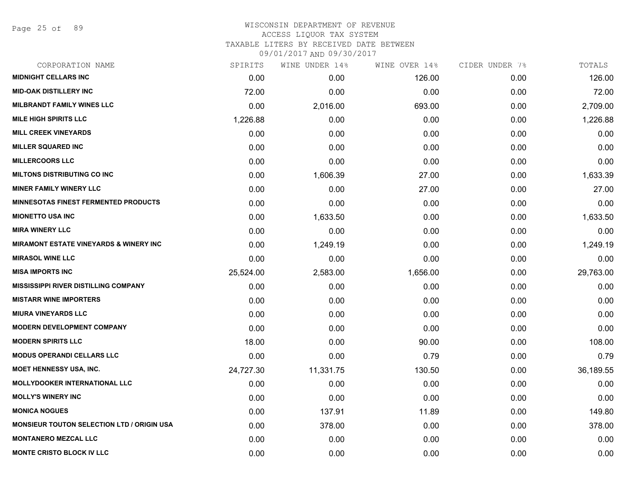Page 25 of 89

## WISCONSIN DEPARTMENT OF REVENUE ACCESS LIQUOR TAX SYSTEM TAXABLE LITERS BY RECEIVED DATE BETWEEN

| CORPORATION NAME                                  | SPIRITS   | WINE UNDER 14% | WINE OVER 14% | CIDER UNDER 7% | TOTALS    |
|---------------------------------------------------|-----------|----------------|---------------|----------------|-----------|
| <b>MIDNIGHT CELLARS INC</b>                       | 0.00      | 0.00           | 126.00        | 0.00           | 126.00    |
| <b>MID-OAK DISTILLERY INC</b>                     | 72.00     | 0.00           | 0.00          | 0.00           | 72.00     |
| <b>MILBRANDT FAMILY WINES LLC</b>                 | 0.00      | 2,016.00       | 693.00        | 0.00           | 2,709.00  |
| <b>MILE HIGH SPIRITS LLC</b>                      | 1,226.88  | 0.00           | 0.00          | 0.00           | 1,226.88  |
| <b>MILL CREEK VINEYARDS</b>                       | 0.00      | 0.00           | 0.00          | 0.00           | 0.00      |
| <b>MILLER SQUARED INC</b>                         | 0.00      | 0.00           | 0.00          | 0.00           | 0.00      |
| <b>MILLERCOORS LLC</b>                            | 0.00      | 0.00           | 0.00          | 0.00           | 0.00      |
| <b>MILTONS DISTRIBUTING CO INC</b>                | 0.00      | 1,606.39       | 27.00         | 0.00           | 1,633.39  |
| <b>MINER FAMILY WINERY LLC</b>                    | 0.00      | 0.00           | 27.00         | 0.00           | 27.00     |
| <b>MINNESOTAS FINEST FERMENTED PRODUCTS</b>       | 0.00      | 0.00           | 0.00          | 0.00           | 0.00      |
| <b>MIONETTO USA INC</b>                           | 0.00      | 1,633.50       | 0.00          | 0.00           | 1,633.50  |
| <b>MIRA WINERY LLC</b>                            | 0.00      | 0.00           | 0.00          | 0.00           | 0.00      |
| <b>MIRAMONT ESTATE VINEYARDS &amp; WINERY INC</b> | 0.00      | 1,249.19       | 0.00          | 0.00           | 1,249.19  |
| <b>MIRASOL WINE LLC</b>                           | 0.00      | 0.00           | 0.00          | 0.00           | 0.00      |
| <b>MISA IMPORTS INC</b>                           | 25,524.00 | 2,583.00       | 1,656.00      | 0.00           | 29,763.00 |
| <b>MISSISSIPPI RIVER DISTILLING COMPANY</b>       | 0.00      | 0.00           | 0.00          | 0.00           | 0.00      |
| <b>MISTARR WINE IMPORTERS</b>                     | 0.00      | 0.00           | 0.00          | 0.00           | 0.00      |
| <b>MIURA VINEYARDS LLC</b>                        | 0.00      | 0.00           | 0.00          | 0.00           | 0.00      |
| <b>MODERN DEVELOPMENT COMPANY</b>                 | 0.00      | 0.00           | 0.00          | 0.00           | 0.00      |
| <b>MODERN SPIRITS LLC</b>                         | 18.00     | 0.00           | 90.00         | 0.00           | 108.00    |
| <b>MODUS OPERANDI CELLARS LLC</b>                 | 0.00      | 0.00           | 0.79          | 0.00           | 0.79      |
| <b>MOET HENNESSY USA, INC.</b>                    | 24,727.30 | 11,331.75      | 130.50        | 0.00           | 36,189.55 |
| <b>MOLLYDOOKER INTERNATIONAL LLC</b>              | 0.00      | 0.00           | 0.00          | 0.00           | 0.00      |
| <b>MOLLY'S WINERY INC</b>                         | 0.00      | 0.00           | 0.00          | 0.00           | 0.00      |
| <b>MONICA NOGUES</b>                              | 0.00      | 137.91         | 11.89         | 0.00           | 149.80    |
| <b>MONSIEUR TOUTON SELECTION LTD / ORIGIN USA</b> | 0.00      | 378.00         | 0.00          | 0.00           | 378.00    |
| <b>MONTANERO MEZCAL LLC</b>                       | 0.00      | 0.00           | 0.00          | 0.00           | 0.00      |
| <b>MONTE CRISTO BLOCK IV LLC</b>                  | 0.00      | 0.00           | 0.00          | 0.00           | 0.00      |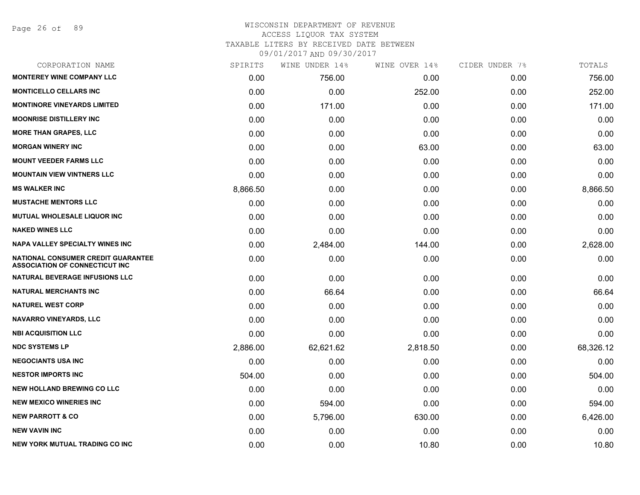Page 26 of 89

## WISCONSIN DEPARTMENT OF REVENUE ACCESS LIQUOR TAX SYSTEM TAXABLE LITERS BY RECEIVED DATE BETWEEN

| CORPORATION NAME                                                            | SPIRITS  | WINE UNDER 14% | WINE OVER 14% | CIDER UNDER 7% | TOTALS    |
|-----------------------------------------------------------------------------|----------|----------------|---------------|----------------|-----------|
| <b>MONTEREY WINE COMPANY LLC</b>                                            | 0.00     | 756.00         | 0.00          | 0.00           | 756.00    |
| <b>MONTICELLO CELLARS INC</b>                                               | 0.00     | 0.00           | 252.00        | 0.00           | 252.00    |
| <b>MONTINORE VINEYARDS LIMITED</b>                                          | 0.00     | 171.00         | 0.00          | 0.00           | 171.00    |
| <b>MOONRISE DISTILLERY INC</b>                                              | 0.00     | 0.00           | 0.00          | 0.00           | 0.00      |
| <b>MORE THAN GRAPES, LLC</b>                                                | 0.00     | 0.00           | 0.00          | 0.00           | 0.00      |
| <b>MORGAN WINERY INC</b>                                                    | 0.00     | 0.00           | 63.00         | 0.00           | 63.00     |
| <b>MOUNT VEEDER FARMS LLC</b>                                               | 0.00     | 0.00           | 0.00          | 0.00           | 0.00      |
| <b>MOUNTAIN VIEW VINTNERS LLC</b>                                           | 0.00     | 0.00           | 0.00          | 0.00           | 0.00      |
| <b>MS WALKER INC</b>                                                        | 8,866.50 | 0.00           | 0.00          | 0.00           | 8,866.50  |
| <b>MUSTACHE MENTORS LLC</b>                                                 | 0.00     | 0.00           | 0.00          | 0.00           | 0.00      |
| MUTUAL WHOLESALE LIQUOR INC                                                 | 0.00     | 0.00           | 0.00          | 0.00           | 0.00      |
| <b>NAKED WINES LLC</b>                                                      | 0.00     | 0.00           | 0.00          | 0.00           | 0.00      |
| <b>NAPA VALLEY SPECIALTY WINES INC</b>                                      | 0.00     | 2,484.00       | 144.00        | 0.00           | 2,628.00  |
| NATIONAL CONSUMER CREDIT GUARANTEE<br><b>ASSOCIATION OF CONNECTICUT INC</b> | 0.00     | 0.00           | 0.00          | 0.00           | 0.00      |
| <b>NATURAL BEVERAGE INFUSIONS LLC</b>                                       | 0.00     | 0.00           | 0.00          | 0.00           | 0.00      |
| <b>NATURAL MERCHANTS INC</b>                                                | 0.00     | 66.64          | 0.00          | 0.00           | 66.64     |
| <b>NATUREL WEST CORP</b>                                                    | 0.00     | 0.00           | 0.00          | 0.00           | 0.00      |
| <b>NAVARRO VINEYARDS, LLC</b>                                               | 0.00     | 0.00           | 0.00          | 0.00           | 0.00      |
| <b>NBI ACQUISITION LLC</b>                                                  | 0.00     | 0.00           | 0.00          | 0.00           | 0.00      |
| <b>NDC SYSTEMS LP</b>                                                       | 2,886.00 | 62,621.62      | 2,818.50      | 0.00           | 68,326.12 |
| <b>NEGOCIANTS USA INC</b>                                                   | 0.00     | 0.00           | 0.00          | 0.00           | 0.00      |
| <b>NESTOR IMPORTS INC</b>                                                   | 504.00   | 0.00           | 0.00          | 0.00           | 504.00    |
| <b>NEW HOLLAND BREWING CO LLC</b>                                           | 0.00     | 0.00           | 0.00          | 0.00           | 0.00      |
| <b>NEW MEXICO WINERIES INC</b>                                              | 0.00     | 594.00         | 0.00          | 0.00           | 594.00    |
| <b>NEW PARROTT &amp; CO</b>                                                 | 0.00     | 5,796.00       | 630.00        | 0.00           | 6,426.00  |
| <b>NEW VAVIN INC</b>                                                        | 0.00     | 0.00           | 0.00          | 0.00           | 0.00      |
| NEW YORK MUTUAL TRADING CO INC                                              | 0.00     | 0.00           | 10.80         | 0.00           | 10.80     |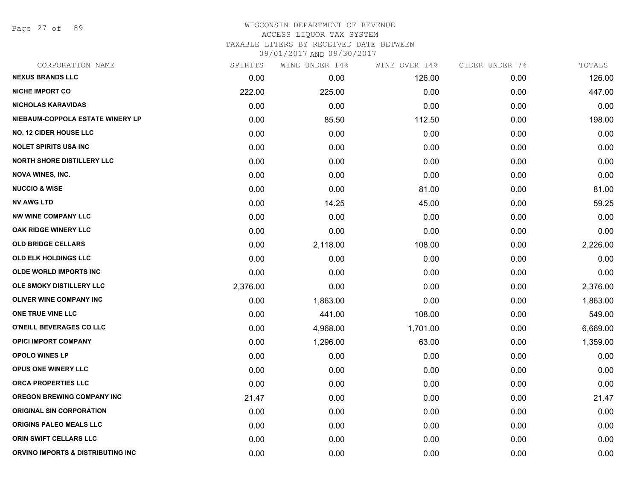Page 27 of 89

| CORPORATION NAME                  | SPIRITS  | WINE UNDER 14% | WINE OVER 14% | CIDER UNDER 7% | TOTALS   |
|-----------------------------------|----------|----------------|---------------|----------------|----------|
| <b>NEXUS BRANDS LLC</b>           | 0.00     | 0.00           | 126.00        | 0.00           | 126.00   |
| <b>NICHE IMPORT CO</b>            | 222.00   | 225.00         | 0.00          | 0.00           | 447.00   |
| <b>NICHOLAS KARAVIDAS</b>         | 0.00     | 0.00           | 0.00          | 0.00           | 0.00     |
| NIEBAUM-COPPOLA ESTATE WINERY LP  | 0.00     | 85.50          | 112.50        | 0.00           | 198.00   |
| <b>NO. 12 CIDER HOUSE LLC</b>     | 0.00     | 0.00           | 0.00          | 0.00           | 0.00     |
| <b>NOLET SPIRITS USA INC</b>      | 0.00     | 0.00           | 0.00          | 0.00           | 0.00     |
| <b>NORTH SHORE DISTILLERY LLC</b> | 0.00     | 0.00           | 0.00          | 0.00           | 0.00     |
| <b>NOVA WINES, INC.</b>           | 0.00     | 0.00           | 0.00          | 0.00           | 0.00     |
| <b>NUCCIO &amp; WISE</b>          | 0.00     | 0.00           | 81.00         | 0.00           | 81.00    |
| <b>NV AWG LTD</b>                 | 0.00     | 14.25          | 45.00         | 0.00           | 59.25    |
| <b>NW WINE COMPANY LLC</b>        | 0.00     | 0.00           | 0.00          | 0.00           | 0.00     |
| OAK RIDGE WINERY LLC              | 0.00     | 0.00           | 0.00          | 0.00           | 0.00     |
| <b>OLD BRIDGE CELLARS</b>         | 0.00     | 2,118.00       | 108.00        | 0.00           | 2,226.00 |
| <b>OLD ELK HOLDINGS LLC</b>       | 0.00     | 0.00           | 0.00          | 0.00           | 0.00     |
| <b>OLDE WORLD IMPORTS INC</b>     | 0.00     | 0.00           | 0.00          | 0.00           | 0.00     |
| OLE SMOKY DISTILLERY LLC          | 2,376.00 | 0.00           | 0.00          | 0.00           | 2,376.00 |
| <b>OLIVER WINE COMPANY INC</b>    | 0.00     | 1,863.00       | 0.00          | 0.00           | 1,863.00 |
| ONE TRUE VINE LLC                 | 0.00     | 441.00         | 108.00        | 0.00           | 549.00   |
| O'NEILL BEVERAGES CO LLC          | 0.00     | 4,968.00       | 1,701.00      | 0.00           | 6,669.00 |
| <b>OPICI IMPORT COMPANY</b>       | 0.00     | 1,296.00       | 63.00         | 0.00           | 1,359.00 |
| <b>OPOLO WINES LP</b>             | 0.00     | 0.00           | 0.00          | 0.00           | 0.00     |
| OPUS ONE WINERY LLC               | 0.00     | 0.00           | 0.00          | 0.00           | 0.00     |
| <b>ORCA PROPERTIES LLC</b>        | 0.00     | 0.00           | 0.00          | 0.00           | 0.00     |
| <b>OREGON BREWING COMPANY INC</b> | 21.47    | 0.00           | 0.00          | 0.00           | 21.47    |
| <b>ORIGINAL SIN CORPORATION</b>   | 0.00     | 0.00           | 0.00          | 0.00           | 0.00     |
| ORIGINS PALEO MEALS LLC           | 0.00     | 0.00           | 0.00          | 0.00           | 0.00     |
| <b>ORIN SWIFT CELLARS LLC</b>     | 0.00     | 0.00           | 0.00          | 0.00           | 0.00     |
| ORVINO IMPORTS & DISTRIBUTING INC | 0.00     | 0.00           | 0.00          | 0.00           | 0.00     |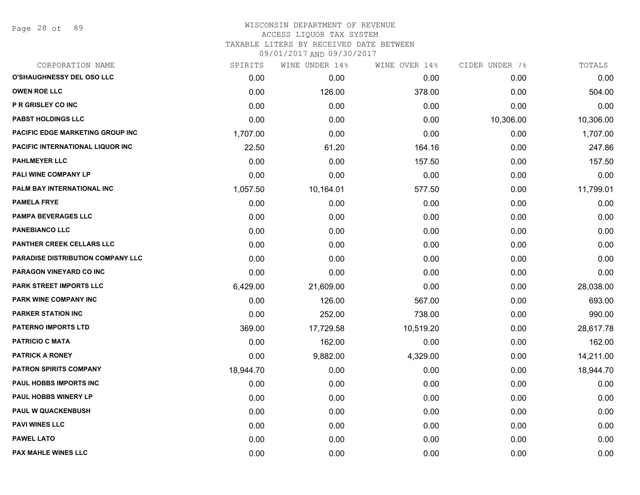## WISCONSIN DEPARTMENT OF REVENUE ACCESS LIQUOR TAX SYSTEM TAXABLE LITERS BY RECEIVED DATE BETWEEN

| CORPORATION NAME                         | SPIRITS   | WINE UNDER 14% | WINE OVER 14% | CIDER UNDER 7% | TOTALS    |
|------------------------------------------|-----------|----------------|---------------|----------------|-----------|
| O'SHAUGHNESSY DEL OSO LLC                | 0.00      | 0.00           | 0.00          | 0.00           | 0.00      |
| <b>OWEN ROE LLC</b>                      | 0.00      | 126.00         | 378.00        | 0.00           | 504.00    |
| P R GRISLEY CO INC                       | 0.00      | 0.00           | 0.00          | 0.00           | 0.00      |
| <b>PABST HOLDINGS LLC</b>                | 0.00      | 0.00           | 0.00          | 10,306.00      | 10,306.00 |
| PACIFIC EDGE MARKETING GROUP INC         | 1,707.00  | 0.00           | 0.00          | 0.00           | 1,707.00  |
| PACIFIC INTERNATIONAL LIQUOR INC         | 22.50     | 61.20          | 164.16        | 0.00           | 247.86    |
| <b>PAHLMEYER LLC</b>                     | 0.00      | 0.00           | 157.50        | 0.00           | 157.50    |
| PALI WINE COMPANY LP                     | 0.00      | 0.00           | 0.00          | 0.00           | 0.00      |
| PALM BAY INTERNATIONAL INC               | 1,057.50  | 10,164.01      | 577.50        | 0.00           | 11,799.01 |
| <b>PAMELA FRYE</b>                       | 0.00      | 0.00           | 0.00          | 0.00           | 0.00      |
| <b>PAMPA BEVERAGES LLC</b>               | 0.00      | 0.00           | 0.00          | 0.00           | 0.00      |
| <b>PANEBIANCO LLC</b>                    | 0.00      | 0.00           | 0.00          | 0.00           | 0.00      |
| PANTHER CREEK CELLARS LLC                | 0.00      | 0.00           | 0.00          | 0.00           | 0.00      |
| <b>PARADISE DISTRIBUTION COMPANY LLC</b> | 0.00      | 0.00           | 0.00          | 0.00           | 0.00      |
| PARAGON VINEYARD CO INC                  | 0.00      | 0.00           | 0.00          | 0.00           | 0.00      |
| PARK STREET IMPORTS LLC                  | 6,429.00  | 21,609.00      | 0.00          | 0.00           | 28,038.00 |
| PARK WINE COMPANY INC                    | 0.00      | 126.00         | 567.00        | 0.00           | 693.00    |
| <b>PARKER STATION INC</b>                | 0.00      | 252.00         | 738.00        | 0.00           | 990.00    |
| PATERNO IMPORTS LTD                      | 369.00    | 17,729.58      | 10,519.20     | 0.00           | 28,617.78 |
| <b>PATRICIO C MATA</b>                   | 0.00      | 162.00         | 0.00          | 0.00           | 162.00    |
| <b>PATRICK A RONEY</b>                   | 0.00      | 9,882.00       | 4,329.00      | 0.00           | 14,211.00 |
| <b>PATRON SPIRITS COMPANY</b>            | 18,944.70 | 0.00           | 0.00          | 0.00           | 18,944.70 |
| PAUL HOBBS IMPORTS INC                   | 0.00      | 0.00           | 0.00          | 0.00           | 0.00      |
| <b>PAUL HOBBS WINERY LP</b>              | 0.00      | 0.00           | 0.00          | 0.00           | 0.00      |
| <b>PAUL W QUACKENBUSH</b>                | 0.00      | 0.00           | 0.00          | 0.00           | 0.00      |
| <b>PAVI WINES LLC</b>                    | 0.00      | 0.00           | 0.00          | 0.00           | 0.00      |
| PAWEL LATO                               | 0.00      | 0.00           | 0.00          | 0.00           | 0.00      |
| <b>PAX MAHLE WINES LLC</b>               | 0.00      | 0.00           | 0.00          | 0.00           | 0.00      |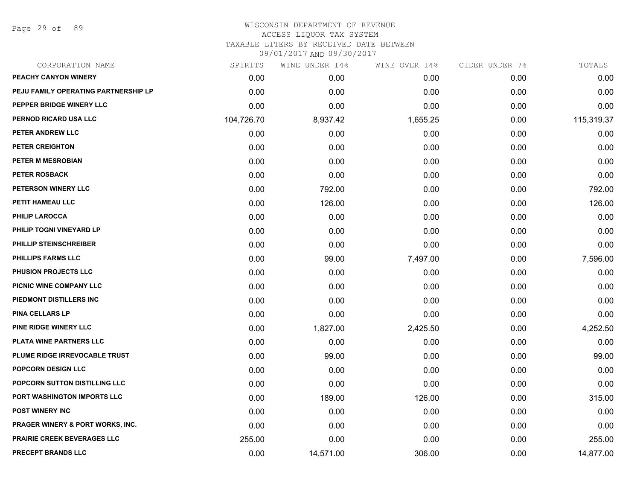Page 29 of 89

| CORPORATION NAME                            | SPIRITS    | WINE UNDER 14% | WINE OVER 14% | CIDER UNDER 7% | TOTALS     |
|---------------------------------------------|------------|----------------|---------------|----------------|------------|
| PEACHY CANYON WINERY                        | 0.00       | 0.00           | 0.00          | 0.00           | 0.00       |
| PEJU FAMILY OPERATING PARTNERSHIP LP        | 0.00       | 0.00           | 0.00          | 0.00           | 0.00       |
| PEPPER BRIDGE WINERY LLC                    | 0.00       | 0.00           | 0.00          | 0.00           | 0.00       |
| PERNOD RICARD USA LLC                       | 104,726.70 | 8,937.42       | 1,655.25      | 0.00           | 115,319.37 |
| PETER ANDREW LLC                            | 0.00       | 0.00           | 0.00          | 0.00           | 0.00       |
| PETER CREIGHTON                             | 0.00       | 0.00           | 0.00          | 0.00           | 0.00       |
| PETER M MESROBIAN                           | 0.00       | 0.00           | 0.00          | 0.00           | 0.00       |
| <b>PETER ROSBACK</b>                        | 0.00       | 0.00           | 0.00          | 0.00           | 0.00       |
| PETERSON WINERY LLC                         | 0.00       | 792.00         | 0.00          | 0.00           | 792.00     |
| PETIT HAMEAU LLC                            | 0.00       | 126.00         | 0.00          | 0.00           | 126.00     |
| <b>PHILIP LAROCCA</b>                       | 0.00       | 0.00           | 0.00          | 0.00           | 0.00       |
| PHILIP TOGNI VINEYARD LP                    | 0.00       | 0.00           | 0.00          | 0.00           | 0.00       |
| PHILLIP STEINSCHREIBER                      | 0.00       | 0.00           | 0.00          | 0.00           | 0.00       |
| <b>PHILLIPS FARMS LLC</b>                   | 0.00       | 99.00          | 7,497.00      | 0.00           | 7,596.00   |
| <b>PHUSION PROJECTS LLC</b>                 | 0.00       | 0.00           | 0.00          | 0.00           | 0.00       |
| PICNIC WINE COMPANY LLC                     | 0.00       | 0.00           | 0.00          | 0.00           | 0.00       |
| PIEDMONT DISTILLERS INC                     | 0.00       | 0.00           | 0.00          | 0.00           | 0.00       |
| <b>PINA CELLARS LP</b>                      | 0.00       | 0.00           | 0.00          | 0.00           | 0.00       |
| PINE RIDGE WINERY LLC                       | 0.00       | 1,827.00       | 2,425.50      | 0.00           | 4,252.50   |
| PLATA WINE PARTNERS LLC                     | 0.00       | 0.00           | 0.00          | 0.00           | 0.00       |
| PLUME RIDGE IRREVOCABLE TRUST               | 0.00       | 99.00          | 0.00          | 0.00           | 99.00      |
| POPCORN DESIGN LLC                          | 0.00       | 0.00           | 0.00          | 0.00           | 0.00       |
| POPCORN SUTTON DISTILLING LLC               | 0.00       | 0.00           | 0.00          | 0.00           | 0.00       |
| PORT WASHINGTON IMPORTS LLC                 | 0.00       | 189.00         | 126.00        | 0.00           | 315.00     |
| <b>POST WINERY INC</b>                      | 0.00       | 0.00           | 0.00          | 0.00           | 0.00       |
| <b>PRAGER WINERY &amp; PORT WORKS, INC.</b> | 0.00       | 0.00           | 0.00          | 0.00           | 0.00       |
| <b>PRAIRIE CREEK BEVERAGES LLC</b>          | 255.00     | 0.00           | 0.00          | 0.00           | 255.00     |
| <b>PRECEPT BRANDS LLC</b>                   | 0.00       | 14,571.00      | 306.00        | 0.00           | 14,877.00  |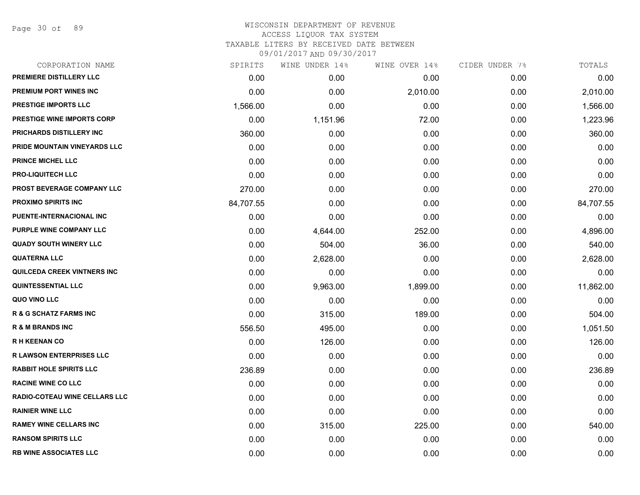Page 30 of 89

| CORPORATION NAME                   | SPIRITS   | WINE UNDER 14% | WINE OVER 14% | CIDER UNDER 7% | TOTALS    |
|------------------------------------|-----------|----------------|---------------|----------------|-----------|
| PREMIERE DISTILLERY LLC            | 0.00      | 0.00           | 0.00          | 0.00           | 0.00      |
| <b>PREMIUM PORT WINES INC</b>      | 0.00      | 0.00           | 2,010.00      | 0.00           | 2,010.00  |
| PRESTIGE IMPORTS LLC               | 1,566.00  | 0.00           | 0.00          | 0.00           | 1,566.00  |
| <b>PRESTIGE WINE IMPORTS CORP</b>  | 0.00      | 1,151.96       | 72.00         | 0.00           | 1,223.96  |
| PRICHARDS DISTILLERY INC           | 360.00    | 0.00           | 0.00          | 0.00           | 360.00    |
| PRIDE MOUNTAIN VINEYARDS LLC       | 0.00      | 0.00           | 0.00          | 0.00           | 0.00      |
| <b>PRINCE MICHEL LLC</b>           | 0.00      | 0.00           | 0.00          | 0.00           | 0.00      |
| <b>PRO-LIQUITECH LLC</b>           | 0.00      | 0.00           | 0.00          | 0.00           | 0.00      |
| PROST BEVERAGE COMPANY LLC         | 270.00    | 0.00           | 0.00          | 0.00           | 270.00    |
| PROXIMO SPIRITS INC                | 84,707.55 | 0.00           | 0.00          | 0.00           | 84,707.55 |
| PUENTE-INTERNACIONAL INC           | 0.00      | 0.00           | 0.00          | 0.00           | 0.00      |
| PURPLE WINE COMPANY LLC            | 0.00      | 4,644.00       | 252.00        | 0.00           | 4,896.00  |
| <b>QUADY SOUTH WINERY LLC</b>      | 0.00      | 504.00         | 36.00         | 0.00           | 540.00    |
| <b>QUATERNA LLC</b>                | 0.00      | 2,628.00       | 0.00          | 0.00           | 2,628.00  |
| <b>QUILCEDA CREEK VINTNERS INC</b> | 0.00      | 0.00           | 0.00          | 0.00           | 0.00      |
| <b>QUINTESSENTIAL LLC</b>          | 0.00      | 9,963.00       | 1,899.00      | 0.00           | 11,862.00 |
| QUO VINO LLC                       | 0.00      | 0.00           | 0.00          | 0.00           | 0.00      |
| <b>R &amp; G SCHATZ FARMS INC</b>  | 0.00      | 315.00         | 189.00        | 0.00           | 504.00    |
| <b>R &amp; M BRANDS INC</b>        | 556.50    | 495.00         | 0.00          | 0.00           | 1,051.50  |
| <b>RH KEENAN CO</b>                | 0.00      | 126.00         | 0.00          | 0.00           | 126.00    |
| <b>R LAWSON ENTERPRISES LLC</b>    | 0.00      | 0.00           | 0.00          | 0.00           | 0.00      |
| <b>RABBIT HOLE SPIRITS LLC</b>     | 236.89    | 0.00           | 0.00          | 0.00           | 236.89    |
| <b>RACINE WINE CO LLC</b>          | 0.00      | 0.00           | 0.00          | 0.00           | 0.00      |
| RADIO-COTEAU WINE CELLARS LLC      | 0.00      | 0.00           | 0.00          | 0.00           | 0.00      |
| <b>RAINIER WINE LLC</b>            | 0.00      | 0.00           | 0.00          | 0.00           | 0.00      |
| <b>RAMEY WINE CELLARS INC</b>      | 0.00      | 315.00         | 225.00        | 0.00           | 540.00    |
| <b>RANSOM SPIRITS LLC</b>          | 0.00      | 0.00           | 0.00          | 0.00           | 0.00      |
| <b>RB WINE ASSOCIATES LLC</b>      | 0.00      | 0.00           | 0.00          | 0.00           | 0.00      |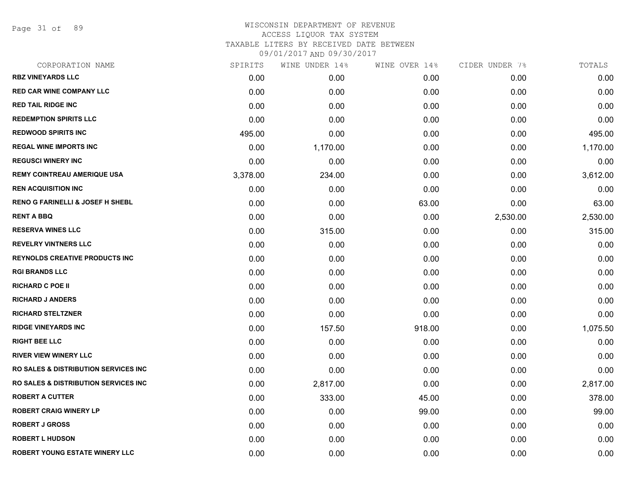Page 31 of 89

| CORPORATION NAME                                 | SPIRITS  | WINE UNDER 14% | WINE OVER 14% | CIDER UNDER 7% | TOTALS   |
|--------------------------------------------------|----------|----------------|---------------|----------------|----------|
| <b>RBZ VINEYARDS LLC</b>                         | 0.00     | 0.00           | 0.00          | 0.00           | 0.00     |
| <b>RED CAR WINE COMPANY LLC</b>                  | 0.00     | 0.00           | 0.00          | 0.00           | 0.00     |
| <b>RED TAIL RIDGE INC</b>                        | 0.00     | 0.00           | 0.00          | 0.00           | 0.00     |
| <b>REDEMPTION SPIRITS LLC</b>                    | 0.00     | 0.00           | 0.00          | 0.00           | 0.00     |
| <b>REDWOOD SPIRITS INC</b>                       | 495.00   | 0.00           | 0.00          | 0.00           | 495.00   |
| <b>REGAL WINE IMPORTS INC</b>                    | 0.00     | 1,170.00       | 0.00          | 0.00           | 1,170.00 |
| <b>REGUSCI WINERY INC</b>                        | 0.00     | 0.00           | 0.00          | 0.00           | 0.00     |
| <b>REMY COINTREAU AMERIQUE USA</b>               | 3,378.00 | 234.00         | 0.00          | 0.00           | 3,612.00 |
| <b>REN ACQUISITION INC</b>                       | 0.00     | 0.00           | 0.00          | 0.00           | 0.00     |
| <b>RENO G FARINELLI &amp; JOSEF H SHEBL</b>      | 0.00     | 0.00           | 63.00         | 0.00           | 63.00    |
| <b>RENT A BBQ</b>                                | 0.00     | 0.00           | 0.00          | 2,530.00       | 2,530.00 |
| <b>RESERVA WINES LLC</b>                         | 0.00     | 315.00         | 0.00          | 0.00           | 315.00   |
| <b>REVELRY VINTNERS LLC</b>                      | 0.00     | 0.00           | 0.00          | 0.00           | 0.00     |
| <b>REYNOLDS CREATIVE PRODUCTS INC</b>            | 0.00     | 0.00           | 0.00          | 0.00           | 0.00     |
| <b>RGI BRANDS LLC</b>                            | 0.00     | 0.00           | 0.00          | 0.00           | 0.00     |
| <b>RICHARD C POE II</b>                          | 0.00     | 0.00           | 0.00          | 0.00           | 0.00     |
| <b>RICHARD J ANDERS</b>                          | 0.00     | 0.00           | 0.00          | 0.00           | 0.00     |
| <b>RICHARD STELTZNER</b>                         | 0.00     | 0.00           | 0.00          | 0.00           | 0.00     |
| <b>RIDGE VINEYARDS INC</b>                       | 0.00     | 157.50         | 918.00        | 0.00           | 1,075.50 |
| <b>RIGHT BEE LLC</b>                             | 0.00     | 0.00           | 0.00          | 0.00           | 0.00     |
| <b>RIVER VIEW WINERY LLC</b>                     | 0.00     | 0.00           | 0.00          | 0.00           | 0.00     |
| <b>RO SALES &amp; DISTRIBUTION SERVICES INC</b>  | 0.00     | 0.00           | 0.00          | 0.00           | 0.00     |
| <b>RO SALES &amp; DISTRIBUTION SERVICES INC.</b> | 0.00     | 2,817.00       | 0.00          | 0.00           | 2,817.00 |
| <b>ROBERT A CUTTER</b>                           | 0.00     | 333.00         | 45.00         | 0.00           | 378.00   |
| <b>ROBERT CRAIG WINERY LP</b>                    | 0.00     | 0.00           | 99.00         | 0.00           | 99.00    |
| <b>ROBERT J GROSS</b>                            | 0.00     | 0.00           | 0.00          | 0.00           | 0.00     |
| <b>ROBERT L HUDSON</b>                           | 0.00     | 0.00           | 0.00          | 0.00           | 0.00     |
| ROBERT YOUNG ESTATE WINERY LLC                   | 0.00     | 0.00           | 0.00          | 0.00           | 0.00     |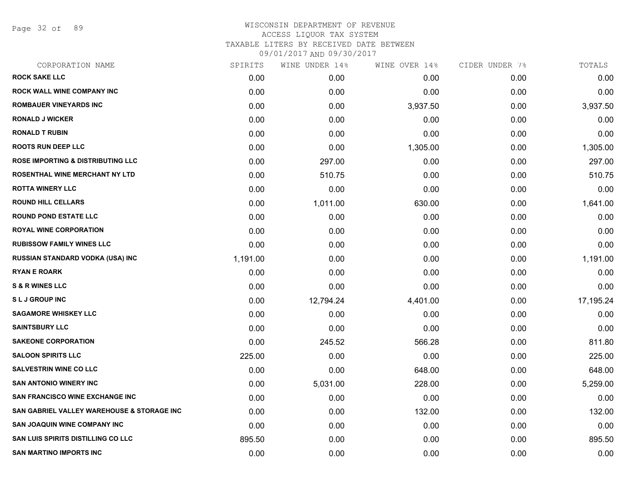Page 32 of 89

| 0.00<br>0.00<br>3,937.50<br>0.00<br>0.00<br>1,305.00<br>0.00<br>0.00<br>0.00 | 0.00<br>0.00<br>0.00<br>0.00<br>0.00<br>0.00<br>0.00<br>0.00 | 0.00<br>0.00<br>3,937.50<br>0.00<br>0.00<br>1,305.00<br>297.00<br>510.75 |
|------------------------------------------------------------------------------|--------------------------------------------------------------|--------------------------------------------------------------------------|
|                                                                              |                                                              |                                                                          |
|                                                                              |                                                              |                                                                          |
|                                                                              |                                                              |                                                                          |
|                                                                              |                                                              |                                                                          |
|                                                                              |                                                              |                                                                          |
|                                                                              |                                                              |                                                                          |
|                                                                              |                                                              |                                                                          |
|                                                                              |                                                              |                                                                          |
|                                                                              |                                                              | 0.00                                                                     |
| 630.00                                                                       | 0.00                                                         | 1,641.00                                                                 |
| 0.00                                                                         | 0.00                                                         | 0.00                                                                     |
| 0.00                                                                         | 0.00                                                         | 0.00                                                                     |
| 0.00                                                                         | 0.00                                                         | 0.00                                                                     |
| 0.00                                                                         | 0.00                                                         | 1,191.00                                                                 |
| 0.00                                                                         | 0.00                                                         | 0.00                                                                     |
| 0.00                                                                         | 0.00                                                         | 0.00                                                                     |
| 4,401.00                                                                     | 0.00                                                         | 17,195.24                                                                |
| 0.00                                                                         | 0.00                                                         | 0.00                                                                     |
| 0.00                                                                         | 0.00                                                         | 0.00                                                                     |
| 566.28                                                                       | 0.00                                                         | 811.80                                                                   |
| 0.00                                                                         | 0.00                                                         | 225.00                                                                   |
| 648.00                                                                       | 0.00                                                         | 648.00                                                                   |
| 228.00                                                                       | 0.00                                                         | 5,259.00                                                                 |
| 0.00                                                                         | 0.00                                                         | 0.00                                                                     |
| 132.00                                                                       | 0.00                                                         | 132.00                                                                   |
| 0.00                                                                         | 0.00                                                         | 0.00                                                                     |
| 0.00                                                                         | 0.00                                                         | 895.50                                                                   |
| 0.00                                                                         | 0.00                                                         | 0.00                                                                     |
|                                                                              |                                                              | 0.00                                                                     |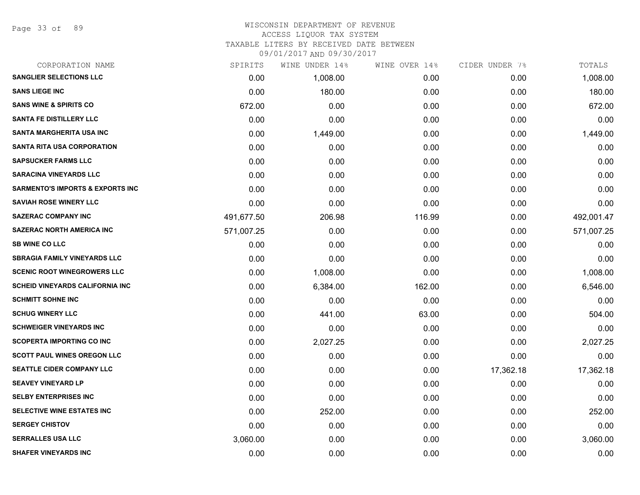Page 33 of 89

#### WISCONSIN DEPARTMENT OF REVENUE ACCESS LIQUOR TAX SYSTEM TAXABLE LITERS BY RECEIVED DATE BETWEEN

| CORPORATION NAME                            | SPIRITS    | WINE UNDER 14% | WINE OVER 14% | CIDER UNDER 7% | TOTALS     |
|---------------------------------------------|------------|----------------|---------------|----------------|------------|
| <b>SANGLIER SELECTIONS LLC</b>              | 0.00       | 1,008.00       | 0.00          | 0.00           | 1,008.00   |
| <b>SANS LIEGE INC</b>                       | 0.00       | 180.00         | 0.00          | 0.00           | 180.00     |
| <b>SANS WINE &amp; SPIRITS CO</b>           | 672.00     | 0.00           | 0.00          | 0.00           | 672.00     |
| <b>SANTA FE DISTILLERY LLC</b>              | 0.00       | 0.00           | 0.00          | 0.00           | 0.00       |
| SANTA MARGHERITA USA INC                    | 0.00       | 1,449.00       | 0.00          | 0.00           | 1,449.00   |
| <b>SANTA RITA USA CORPORATION</b>           | 0.00       | 0.00           | 0.00          | 0.00           | 0.00       |
| <b>SAPSUCKER FARMS LLC</b>                  | 0.00       | 0.00           | 0.00          | 0.00           | 0.00       |
| <b>SARACINA VINEYARDS LLC</b>               | 0.00       | 0.00           | 0.00          | 0.00           | 0.00       |
| <b>SARMENTO'S IMPORTS &amp; EXPORTS INC</b> | 0.00       | 0.00           | 0.00          | 0.00           | 0.00       |
| <b>SAVIAH ROSE WINERY LLC</b>               | 0.00       | 0.00           | 0.00          | 0.00           | 0.00       |
| <b>SAZERAC COMPANY INC</b>                  | 491,677.50 | 206.98         | 116.99        | 0.00           | 492,001.47 |
| <b>SAZERAC NORTH AMERICA INC</b>            | 571,007.25 | 0.00           | 0.00          | 0.00           | 571,007.25 |
| <b>SB WINE CO LLC</b>                       | 0.00       | 0.00           | 0.00          | 0.00           | 0.00       |
| <b>SBRAGIA FAMILY VINEYARDS LLC</b>         | 0.00       | 0.00           | 0.00          | 0.00           | 0.00       |
| <b>SCENIC ROOT WINEGROWERS LLC</b>          | 0.00       | 1,008.00       | 0.00          | 0.00           | 1,008.00   |
| <b>SCHEID VINEYARDS CALIFORNIA INC</b>      | 0.00       | 6,384.00       | 162.00        | 0.00           | 6,546.00   |
| <b>SCHMITT SOHNE INC</b>                    | 0.00       | 0.00           | 0.00          | 0.00           | 0.00       |
| <b>SCHUG WINERY LLC</b>                     | 0.00       | 441.00         | 63.00         | 0.00           | 504.00     |
| <b>SCHWEIGER VINEYARDS INC</b>              | 0.00       | 0.00           | 0.00          | 0.00           | 0.00       |
| <b>SCOPERTA IMPORTING CO INC</b>            | 0.00       | 2,027.25       | 0.00          | 0.00           | 2,027.25   |
| <b>SCOTT PAUL WINES OREGON LLC</b>          | 0.00       | 0.00           | 0.00          | 0.00           | 0.00       |
| SEATTLE CIDER COMPANY LLC                   | 0.00       | 0.00           | 0.00          | 17,362.18      | 17,362.18  |
| <b>SEAVEY VINEYARD LP</b>                   | 0.00       | 0.00           | 0.00          | 0.00           | 0.00       |
| <b>SELBY ENTERPRISES INC</b>                | 0.00       | 0.00           | 0.00          | 0.00           | 0.00       |
| SELECTIVE WINE ESTATES INC                  | 0.00       | 252.00         | 0.00          | 0.00           | 252.00     |
| <b>SERGEY CHISTOV</b>                       | 0.00       | 0.00           | 0.00          | 0.00           | 0.00       |
| <b>SERRALLES USA LLC</b>                    | 3,060.00   | 0.00           | 0.00          | 0.00           | 3,060.00   |
| <b>SHAFER VINEYARDS INC</b>                 | 0.00       | 0.00           | 0.00          | 0.00           | 0.00       |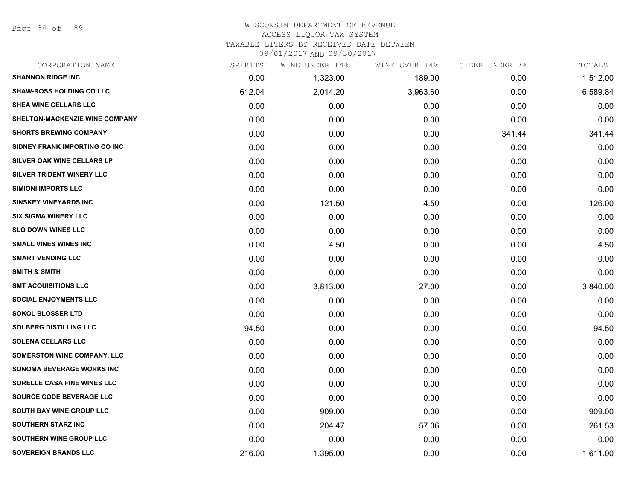Page 34 of 89

#### WISCONSIN DEPARTMENT OF REVENUE ACCESS LIQUOR TAX SYSTEM TAXABLE LITERS BY RECEIVED DATE BETWEEN

| CORPORATION NAME                      | SPIRITS | WINE UNDER 14% | WINE OVER 14% | CIDER UNDER 7% | TOTALS   |
|---------------------------------------|---------|----------------|---------------|----------------|----------|
| <b>SHANNON RIDGE INC</b>              | 0.00    | 1,323.00       | 189.00        | 0.00           | 1,512.00 |
| <b>SHAW-ROSS HOLDING CO LLC</b>       | 612.04  | 2,014.20       | 3,963.60      | 0.00           | 6,589.84 |
| SHEA WINE CELLARS LLC                 | 0.00    | 0.00           | 0.00          | 0.00           | 0.00     |
| <b>SHELTON-MACKENZIE WINE COMPANY</b> | 0.00    | 0.00           | 0.00          | 0.00           | 0.00     |
| <b>SHORTS BREWING COMPANY</b>         | 0.00    | 0.00           | 0.00          | 341.44         | 341.44   |
| SIDNEY FRANK IMPORTING CO INC         | 0.00    | 0.00           | 0.00          | 0.00           | 0.00     |
| SILVER OAK WINE CELLARS LP            | 0.00    | 0.00           | 0.00          | 0.00           | 0.00     |
| <b>SILVER TRIDENT WINERY LLC</b>      | 0.00    | 0.00           | 0.00          | 0.00           | 0.00     |
| <b>SIMIONI IMPORTS LLC</b>            | 0.00    | 0.00           | 0.00          | 0.00           | 0.00     |
| <b>SINSKEY VINEYARDS INC</b>          | 0.00    | 121.50         | 4.50          | 0.00           | 126.00   |
| <b>SIX SIGMA WINERY LLC</b>           | 0.00    | 0.00           | 0.00          | 0.00           | 0.00     |
| <b>SLO DOWN WINES LLC</b>             | 0.00    | 0.00           | 0.00          | 0.00           | 0.00     |
| <b>SMALL VINES WINES INC</b>          | 0.00    | 4.50           | 0.00          | 0.00           | 4.50     |
| <b>SMART VENDING LLC</b>              | 0.00    | 0.00           | 0.00          | 0.00           | 0.00     |
| <b>SMITH &amp; SMITH</b>              | 0.00    | 0.00           | 0.00          | 0.00           | 0.00     |
| <b>SMT ACQUISITIONS LLC</b>           | 0.00    | 3,813.00       | 27.00         | 0.00           | 3,840.00 |
| <b>SOCIAL ENJOYMENTS LLC</b>          | 0.00    | 0.00           | 0.00          | 0.00           | 0.00     |
| <b>SOKOL BLOSSER LTD</b>              | 0.00    | 0.00           | 0.00          | 0.00           | 0.00     |
| <b>SOLBERG DISTILLING LLC</b>         | 94.50   | 0.00           | 0.00          | 0.00           | 94.50    |
| <b>SOLENA CELLARS LLC</b>             | 0.00    | 0.00           | 0.00          | 0.00           | 0.00     |
| <b>SOMERSTON WINE COMPANY, LLC</b>    | 0.00    | 0.00           | 0.00          | 0.00           | 0.00     |
| <b>SONOMA BEVERAGE WORKS INC</b>      | 0.00    | 0.00           | 0.00          | 0.00           | 0.00     |
| SORELLE CASA FINE WINES LLC           | 0.00    | 0.00           | 0.00          | 0.00           | 0.00     |
| SOURCE CODE BEVERAGE LLC              | 0.00    | 0.00           | 0.00          | 0.00           | 0.00     |
| <b>SOUTH BAY WINE GROUP LLC</b>       | 0.00    | 909.00         | 0.00          | 0.00           | 909.00   |
| <b>SOUTHERN STARZ INC</b>             | 0.00    | 204.47         | 57.06         | 0.00           | 261.53   |
| SOUTHERN WINE GROUP LLC               | 0.00    | 0.00           | 0.00          | 0.00           | 0.00     |
| <b>SOVEREIGN BRANDS LLC</b>           | 216.00  | 1,395.00       | 0.00          | 0.00           | 1,611.00 |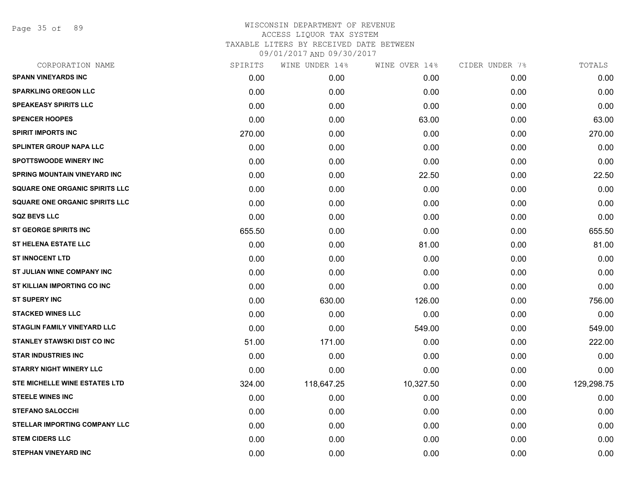Page 35 of 89

| CORPORATION NAME                      | SPIRITS | WINE UNDER 14% | WINE OVER 14% | CIDER UNDER 7% | TOTALS     |
|---------------------------------------|---------|----------------|---------------|----------------|------------|
| <b>SPANN VINEYARDS INC</b>            | 0.00    | 0.00           | 0.00          | 0.00           | 0.00       |
| <b>SPARKLING OREGON LLC</b>           | 0.00    | 0.00           | 0.00          | 0.00           | 0.00       |
| <b>SPEAKEASY SPIRITS LLC</b>          | 0.00    | 0.00           | 0.00          | 0.00           | 0.00       |
| <b>SPENCER HOOPES</b>                 | 0.00    | 0.00           | 63.00         | 0.00           | 63.00      |
| <b>SPIRIT IMPORTS INC</b>             | 270.00  | 0.00           | 0.00          | 0.00           | 270.00     |
| <b>SPLINTER GROUP NAPA LLC</b>        | 0.00    | 0.00           | 0.00          | 0.00           | 0.00       |
| <b>SPOTTSWOODE WINERY INC</b>         | 0.00    | 0.00           | 0.00          | 0.00           | 0.00       |
| <b>SPRING MOUNTAIN VINEYARD INC</b>   | 0.00    | 0.00           | 22.50         | 0.00           | 22.50      |
| <b>SQUARE ONE ORGANIC SPIRITS LLC</b> | 0.00    | 0.00           | 0.00          | 0.00           | 0.00       |
| <b>SQUARE ONE ORGANIC SPIRITS LLC</b> | 0.00    | 0.00           | 0.00          | 0.00           | 0.00       |
| <b>SQZ BEVS LLC</b>                   | 0.00    | 0.00           | 0.00          | 0.00           | 0.00       |
| <b>ST GEORGE SPIRITS INC</b>          | 655.50  | 0.00           | 0.00          | 0.00           | 655.50     |
| ST HELENA ESTATE LLC                  | 0.00    | 0.00           | 81.00         | 0.00           | 81.00      |
| <b>ST INNOCENT LTD</b>                | 0.00    | 0.00           | 0.00          | 0.00           | 0.00       |
| ST JULIAN WINE COMPANY INC            | 0.00    | 0.00           | 0.00          | 0.00           | 0.00       |
| ST KILLIAN IMPORTING CO INC           | 0.00    | 0.00           | 0.00          | 0.00           | 0.00       |
| <b>ST SUPERY INC</b>                  | 0.00    | 630.00         | 126.00        | 0.00           | 756.00     |
| <b>STACKED WINES LLC</b>              | 0.00    | 0.00           | 0.00          | 0.00           | 0.00       |
| <b>STAGLIN FAMILY VINEYARD LLC</b>    | 0.00    | 0.00           | 549.00        | 0.00           | 549.00     |
| <b>STANLEY STAWSKI DIST CO INC</b>    | 51.00   | 171.00         | 0.00          | 0.00           | 222.00     |
| <b>STAR INDUSTRIES INC</b>            | 0.00    | 0.00           | 0.00          | 0.00           | 0.00       |
| <b>STARRY NIGHT WINERY LLC</b>        | 0.00    | 0.00           | 0.00          | 0.00           | 0.00       |
| STE MICHELLE WINE ESTATES LTD         | 324.00  | 118,647.25     | 10,327.50     | 0.00           | 129,298.75 |
| <b>STEELE WINES INC</b>               | 0.00    | 0.00           | 0.00          | 0.00           | 0.00       |
| <b>STEFANO SALOCCHI</b>               | 0.00    | 0.00           | 0.00          | 0.00           | 0.00       |
| STELLAR IMPORTING COMPANY LLC         | 0.00    | 0.00           | 0.00          | 0.00           | 0.00       |
| <b>STEM CIDERS LLC</b>                | 0.00    | 0.00           | 0.00          | 0.00           | 0.00       |
| <b>STEPHAN VINEYARD INC</b>           | 0.00    | 0.00           | 0.00          | 0.00           | 0.00       |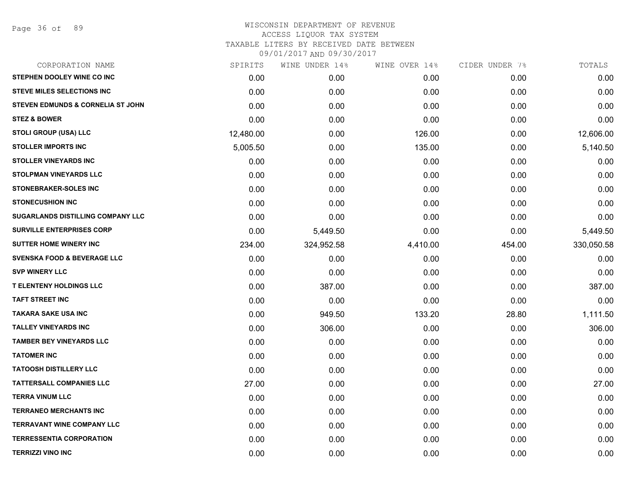| STEPHEN DOOLEY WINE CO INC<br>0.00<br>0.00<br>0.00<br>0.00<br><b>STEVE MILES SELECTIONS INC</b><br>0.00<br>0.00<br>0.00<br>0.00<br><b>STEVEN EDMUNDS &amp; CORNELIA ST JOHN</b><br>0.00<br>0.00<br>0.00<br>0.00<br><b>STEZ &amp; BOWER</b><br>0.00<br>0.00<br>0.00<br>0.00<br><b>STOLI GROUP (USA) LLC</b><br>12,480.00<br>0.00<br>126.00<br>0.00<br><b>STOLLER IMPORTS INC</b><br>5,005.50<br>0.00<br>135.00<br>0.00<br><b>STOLLER VINEYARDS INC</b><br>0.00<br>0.00<br>0.00<br>0.00<br><b>STOLPMAN VINEYARDS LLC</b><br>0.00<br>0.00<br>0.00<br>0.00<br><b>STONEBRAKER-SOLES INC</b><br>0.00<br>0.00<br>0.00<br>0.00<br><b>STONECUSHION INC</b><br>0.00<br>0.00<br>0.00<br>0.00<br><b>SUGARLANDS DISTILLING COMPANY LLC</b><br>0.00<br>0.00<br>0.00<br>0.00<br>SURVILLE ENTERPRISES CORP<br>0.00<br>5,449.50<br>0.00<br>0.00<br><b>SUTTER HOME WINERY INC</b><br>234.00<br>324,952.58<br>4,410.00<br>454.00<br><b>SVENSKA FOOD &amp; BEVERAGE LLC</b><br>0.00<br>0.00<br>0.00<br>0.00<br><b>SVP WINERY LLC</b><br>0.00<br>0.00<br>0.00<br>0.00<br><b>T ELENTENY HOLDINGS LLC</b><br>0.00<br>387.00<br>0.00<br>0.00<br><b>TAFT STREET INC</b><br>0.00<br>0.00<br>0.00<br>0.00<br>TAKARA SAKE USA INC<br>0.00<br>949.50<br>133.20<br>28.80<br><b>TALLEY VINEYARDS INC</b><br>0.00<br>306.00<br>0.00<br>0.00<br><b>TAMBER BEY VINEYARDS LLC</b><br>0.00<br>0.00<br>0.00<br>0.00<br><b>TATOMER INC</b><br>0.00<br>0.00<br>0.00<br>0.00<br><b>TATOOSH DISTILLERY LLC</b><br>0.00<br>0.00<br>0.00<br>0.00<br><b>TATTERSALL COMPANIES LLC</b><br>27.00<br>0.00<br>0.00<br>0.00<br><b>TERRA VINUM LLC</b><br>0.00<br>0.00<br>0.00<br>0.00<br><b>TERRANEO MERCHANTS INC</b><br>0.00<br>0.00<br>0.00<br>0.00<br><b>TERRAVANT WINE COMPANY LLC</b><br>0.00<br>0.00<br>0.00<br>0.00<br><b>TERRESSENTIA CORPORATION</b><br>0.00<br>0.00<br>0.00<br>0.00<br><b>TERRIZZI VINO INC</b> | WINE OVER 14%<br>CIDER UNDER 7%<br>TOTALS | WINE UNDER 14% | SPIRITS | CORPORATION NAME |
|--------------------------------------------------------------------------------------------------------------------------------------------------------------------------------------------------------------------------------------------------------------------------------------------------------------------------------------------------------------------------------------------------------------------------------------------------------------------------------------------------------------------------------------------------------------------------------------------------------------------------------------------------------------------------------------------------------------------------------------------------------------------------------------------------------------------------------------------------------------------------------------------------------------------------------------------------------------------------------------------------------------------------------------------------------------------------------------------------------------------------------------------------------------------------------------------------------------------------------------------------------------------------------------------------------------------------------------------------------------------------------------------------------------------------------------------------------------------------------------------------------------------------------------------------------------------------------------------------------------------------------------------------------------------------------------------------------------------------------------------------------------------------------------------------------------------------------------------------------------------------|-------------------------------------------|----------------|---------|------------------|
|                                                                                                                                                                                                                                                                                                                                                                                                                                                                                                                                                                                                                                                                                                                                                                                                                                                                                                                                                                                                                                                                                                                                                                                                                                                                                                                                                                                                                                                                                                                                                                                                                                                                                                                                                                                                                                                                          | 0.00                                      |                |         |                  |
|                                                                                                                                                                                                                                                                                                                                                                                                                                                                                                                                                                                                                                                                                                                                                                                                                                                                                                                                                                                                                                                                                                                                                                                                                                                                                                                                                                                                                                                                                                                                                                                                                                                                                                                                                                                                                                                                          | 0.00                                      |                |         |                  |
|                                                                                                                                                                                                                                                                                                                                                                                                                                                                                                                                                                                                                                                                                                                                                                                                                                                                                                                                                                                                                                                                                                                                                                                                                                                                                                                                                                                                                                                                                                                                                                                                                                                                                                                                                                                                                                                                          | 0.00                                      |                |         |                  |
|                                                                                                                                                                                                                                                                                                                                                                                                                                                                                                                                                                                                                                                                                                                                                                                                                                                                                                                                                                                                                                                                                                                                                                                                                                                                                                                                                                                                                                                                                                                                                                                                                                                                                                                                                                                                                                                                          | 0.00                                      |                |         |                  |
|                                                                                                                                                                                                                                                                                                                                                                                                                                                                                                                                                                                                                                                                                                                                                                                                                                                                                                                                                                                                                                                                                                                                                                                                                                                                                                                                                                                                                                                                                                                                                                                                                                                                                                                                                                                                                                                                          | 12,606.00                                 |                |         |                  |
|                                                                                                                                                                                                                                                                                                                                                                                                                                                                                                                                                                                                                                                                                                                                                                                                                                                                                                                                                                                                                                                                                                                                                                                                                                                                                                                                                                                                                                                                                                                                                                                                                                                                                                                                                                                                                                                                          | 5,140.50                                  |                |         |                  |
|                                                                                                                                                                                                                                                                                                                                                                                                                                                                                                                                                                                                                                                                                                                                                                                                                                                                                                                                                                                                                                                                                                                                                                                                                                                                                                                                                                                                                                                                                                                                                                                                                                                                                                                                                                                                                                                                          | 0.00                                      |                |         |                  |
|                                                                                                                                                                                                                                                                                                                                                                                                                                                                                                                                                                                                                                                                                                                                                                                                                                                                                                                                                                                                                                                                                                                                                                                                                                                                                                                                                                                                                                                                                                                                                                                                                                                                                                                                                                                                                                                                          | 0.00                                      |                |         |                  |
|                                                                                                                                                                                                                                                                                                                                                                                                                                                                                                                                                                                                                                                                                                                                                                                                                                                                                                                                                                                                                                                                                                                                                                                                                                                                                                                                                                                                                                                                                                                                                                                                                                                                                                                                                                                                                                                                          | 0.00                                      |                |         |                  |
|                                                                                                                                                                                                                                                                                                                                                                                                                                                                                                                                                                                                                                                                                                                                                                                                                                                                                                                                                                                                                                                                                                                                                                                                                                                                                                                                                                                                                                                                                                                                                                                                                                                                                                                                                                                                                                                                          | 0.00                                      |                |         |                  |
|                                                                                                                                                                                                                                                                                                                                                                                                                                                                                                                                                                                                                                                                                                                                                                                                                                                                                                                                                                                                                                                                                                                                                                                                                                                                                                                                                                                                                                                                                                                                                                                                                                                                                                                                                                                                                                                                          | 0.00                                      |                |         |                  |
|                                                                                                                                                                                                                                                                                                                                                                                                                                                                                                                                                                                                                                                                                                                                                                                                                                                                                                                                                                                                                                                                                                                                                                                                                                                                                                                                                                                                                                                                                                                                                                                                                                                                                                                                                                                                                                                                          | 5,449.50                                  |                |         |                  |
|                                                                                                                                                                                                                                                                                                                                                                                                                                                                                                                                                                                                                                                                                                                                                                                                                                                                                                                                                                                                                                                                                                                                                                                                                                                                                                                                                                                                                                                                                                                                                                                                                                                                                                                                                                                                                                                                          | 330,050.58                                |                |         |                  |
|                                                                                                                                                                                                                                                                                                                                                                                                                                                                                                                                                                                                                                                                                                                                                                                                                                                                                                                                                                                                                                                                                                                                                                                                                                                                                                                                                                                                                                                                                                                                                                                                                                                                                                                                                                                                                                                                          | 0.00                                      |                |         |                  |
|                                                                                                                                                                                                                                                                                                                                                                                                                                                                                                                                                                                                                                                                                                                                                                                                                                                                                                                                                                                                                                                                                                                                                                                                                                                                                                                                                                                                                                                                                                                                                                                                                                                                                                                                                                                                                                                                          | 0.00                                      |                |         |                  |
|                                                                                                                                                                                                                                                                                                                                                                                                                                                                                                                                                                                                                                                                                                                                                                                                                                                                                                                                                                                                                                                                                                                                                                                                                                                                                                                                                                                                                                                                                                                                                                                                                                                                                                                                                                                                                                                                          | 387.00                                    |                |         |                  |
|                                                                                                                                                                                                                                                                                                                                                                                                                                                                                                                                                                                                                                                                                                                                                                                                                                                                                                                                                                                                                                                                                                                                                                                                                                                                                                                                                                                                                                                                                                                                                                                                                                                                                                                                                                                                                                                                          | 0.00                                      |                |         |                  |
|                                                                                                                                                                                                                                                                                                                                                                                                                                                                                                                                                                                                                                                                                                                                                                                                                                                                                                                                                                                                                                                                                                                                                                                                                                                                                                                                                                                                                                                                                                                                                                                                                                                                                                                                                                                                                                                                          | 1,111.50                                  |                |         |                  |
|                                                                                                                                                                                                                                                                                                                                                                                                                                                                                                                                                                                                                                                                                                                                                                                                                                                                                                                                                                                                                                                                                                                                                                                                                                                                                                                                                                                                                                                                                                                                                                                                                                                                                                                                                                                                                                                                          | 306.00                                    |                |         |                  |
|                                                                                                                                                                                                                                                                                                                                                                                                                                                                                                                                                                                                                                                                                                                                                                                                                                                                                                                                                                                                                                                                                                                                                                                                                                                                                                                                                                                                                                                                                                                                                                                                                                                                                                                                                                                                                                                                          | 0.00                                      |                |         |                  |
|                                                                                                                                                                                                                                                                                                                                                                                                                                                                                                                                                                                                                                                                                                                                                                                                                                                                                                                                                                                                                                                                                                                                                                                                                                                                                                                                                                                                                                                                                                                                                                                                                                                                                                                                                                                                                                                                          | 0.00                                      |                |         |                  |
|                                                                                                                                                                                                                                                                                                                                                                                                                                                                                                                                                                                                                                                                                                                                                                                                                                                                                                                                                                                                                                                                                                                                                                                                                                                                                                                                                                                                                                                                                                                                                                                                                                                                                                                                                                                                                                                                          | 0.00                                      |                |         |                  |
|                                                                                                                                                                                                                                                                                                                                                                                                                                                                                                                                                                                                                                                                                                                                                                                                                                                                                                                                                                                                                                                                                                                                                                                                                                                                                                                                                                                                                                                                                                                                                                                                                                                                                                                                                                                                                                                                          | 27.00                                     |                |         |                  |
|                                                                                                                                                                                                                                                                                                                                                                                                                                                                                                                                                                                                                                                                                                                                                                                                                                                                                                                                                                                                                                                                                                                                                                                                                                                                                                                                                                                                                                                                                                                                                                                                                                                                                                                                                                                                                                                                          | 0.00                                      |                |         |                  |
|                                                                                                                                                                                                                                                                                                                                                                                                                                                                                                                                                                                                                                                                                                                                                                                                                                                                                                                                                                                                                                                                                                                                                                                                                                                                                                                                                                                                                                                                                                                                                                                                                                                                                                                                                                                                                                                                          | 0.00                                      |                |         |                  |
|                                                                                                                                                                                                                                                                                                                                                                                                                                                                                                                                                                                                                                                                                                                                                                                                                                                                                                                                                                                                                                                                                                                                                                                                                                                                                                                                                                                                                                                                                                                                                                                                                                                                                                                                                                                                                                                                          | 0.00                                      |                |         |                  |
|                                                                                                                                                                                                                                                                                                                                                                                                                                                                                                                                                                                                                                                                                                                                                                                                                                                                                                                                                                                                                                                                                                                                                                                                                                                                                                                                                                                                                                                                                                                                                                                                                                                                                                                                                                                                                                                                          | 0.00                                      |                |         |                  |
|                                                                                                                                                                                                                                                                                                                                                                                                                                                                                                                                                                                                                                                                                                                                                                                                                                                                                                                                                                                                                                                                                                                                                                                                                                                                                                                                                                                                                                                                                                                                                                                                                                                                                                                                                                                                                                                                          | 0.00<br>0.00<br>0.00                      | 0.00           | 0.00    |                  |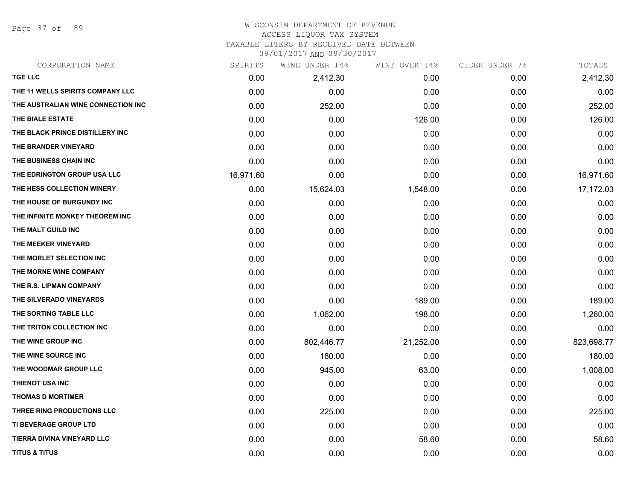Page 37 of 89

### WISCONSIN DEPARTMENT OF REVENUE ACCESS LIQUOR TAX SYSTEM

TAXABLE LITERS BY RECEIVED DATE BETWEEN

| CORPORATION NAME                   | SPIRITS   | WINE UNDER 14% | WINE OVER 14% | CIDER UNDER 7% | TOTALS     |
|------------------------------------|-----------|----------------|---------------|----------------|------------|
| <b>TGE LLC</b>                     | 0.00      | 2,412.30       | 0.00          | 0.00           | 2,412.30   |
| THE 11 WELLS SPIRITS COMPANY LLC   | 0.00      | 0.00           | 0.00          | 0.00           | 0.00       |
| THE AUSTRALIAN WINE CONNECTION INC | 0.00      | 252.00         | 0.00          | 0.00           | 252.00     |
| THE BIALE ESTATE                   | 0.00      | 0.00           | 126.00        | 0.00           | 126.00     |
| THE BLACK PRINCE DISTILLERY INC    | 0.00      | 0.00           | 0.00          | 0.00           | 0.00       |
| THE BRANDER VINEYARD               | 0.00      | 0.00           | 0.00          | 0.00           | 0.00       |
| THE BUSINESS CHAIN INC             | 0.00      | 0.00           | 0.00          | 0.00           | 0.00       |
| THE EDRINGTON GROUP USA LLC        | 16,971.60 | 0.00           | 0.00          | 0.00           | 16,971.60  |
| THE HESS COLLECTION WINERY         | 0.00      | 15,624.03      | 1,548.00      | 0.00           | 17,172.03  |
| THE HOUSE OF BURGUNDY INC          | 0.00      | 0.00           | 0.00          | 0.00           | 0.00       |
| THE INFINITE MONKEY THEOREM INC    | 0.00      | 0.00           | 0.00          | 0.00           | 0.00       |
| THE MALT GUILD INC                 | 0.00      | 0.00           | 0.00          | 0.00           | 0.00       |
| THE MEEKER VINEYARD                | 0.00      | 0.00           | 0.00          | 0.00           | 0.00       |
| THE MORLET SELECTION INC           | 0.00      | 0.00           | 0.00          | 0.00           | 0.00       |
| THE MORNE WINE COMPANY             | 0.00      | 0.00           | 0.00          | 0.00           | 0.00       |
| THE R.S. LIPMAN COMPANY            | 0.00      | 0.00           | 0.00          | 0.00           | 0.00       |
| THE SILVERADO VINEYARDS            | 0.00      | 0.00           | 189.00        | 0.00           | 189.00     |
| THE SORTING TABLE LLC              | 0.00      | 1,062.00       | 198.00        | 0.00           | 1,260.00   |
| THE TRITON COLLECTION INC          | 0.00      | 0.00           | 0.00          | 0.00           | 0.00       |
| THE WINE GROUP INC                 | 0.00      | 802,446.77     | 21,252.00     | 0.00           | 823,698.77 |
| THE WINE SOURCE INC                | 0.00      | 180.00         | 0.00          | 0.00           | 180.00     |
| THE WOODMAR GROUP LLC              | 0.00      | 945.00         | 63.00         | 0.00           | 1,008.00   |
| <b>THIENOT USA INC</b>             | 0.00      | 0.00           | 0.00          | 0.00           | 0.00       |
| <b>THOMAS D MORTIMER</b>           | 0.00      | 0.00           | 0.00          | 0.00           | 0.00       |
| THREE RING PRODUCTIONS LLC         | 0.00      | 225.00         | 0.00          | 0.00           | 225.00     |
| <b>TI BEVERAGE GROUP LTD</b>       | 0.00      | 0.00           | 0.00          | 0.00           | 0.00       |
| TIERRA DIVINA VINEYARD LLC         | 0.00      | 0.00           | 58.60         | 0.00           | 58.60      |
| <b>TITUS &amp; TITUS</b>           | 0.00      | 0.00           | 0.00          | 0.00           | 0.00       |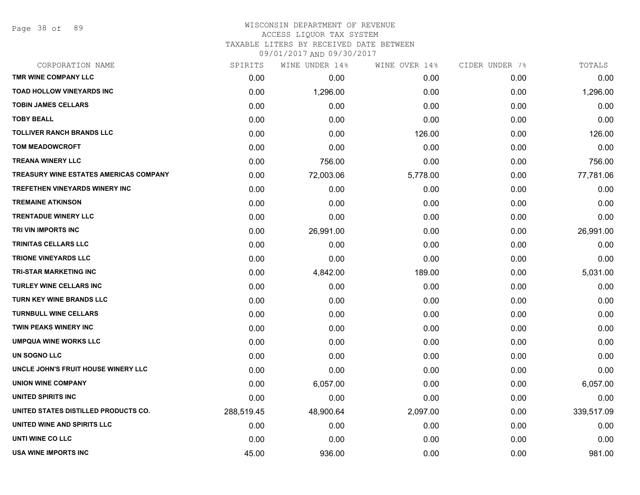Page 38 of 89

# WISCONSIN DEPARTMENT OF REVENUE ACCESS LIQUOR TAX SYSTEM

TAXABLE LITERS BY RECEIVED DATE BETWEEN

| CORPORATION NAME                              | SPIRITS    | WINE UNDER 14% | WINE OVER 14% | CIDER UNDER 7% | TOTALS     |
|-----------------------------------------------|------------|----------------|---------------|----------------|------------|
| TMR WINE COMPANY LLC                          | 0.00       | 0.00           | 0.00          | 0.00           | 0.00       |
| <b>TOAD HOLLOW VINEYARDS INC</b>              | 0.00       | 1,296.00       | 0.00          | 0.00           | 1,296.00   |
| <b>TOBIN JAMES CELLARS</b>                    | 0.00       | 0.00           | 0.00          | 0.00           | 0.00       |
| <b>TOBY BEALL</b>                             | 0.00       | 0.00           | 0.00          | 0.00           | 0.00       |
| <b>TOLLIVER RANCH BRANDS LLC</b>              | 0.00       | 0.00           | 126.00        | 0.00           | 126.00     |
| <b>TOM MEADOWCROFT</b>                        | 0.00       | 0.00           | 0.00          | 0.00           | 0.00       |
| <b>TREANA WINERY LLC</b>                      | 0.00       | 756.00         | 0.00          | 0.00           | 756.00     |
| <b>TREASURY WINE ESTATES AMERICAS COMPANY</b> | 0.00       | 72,003.06      | 5,778.00      | 0.00           | 77,781.06  |
| TREFETHEN VINEYARDS WINERY INC                | 0.00       | 0.00           | 0.00          | 0.00           | 0.00       |
| <b>TREMAINE ATKINSON</b>                      | 0.00       | 0.00           | 0.00          | 0.00           | 0.00       |
| <b>TRENTADUE WINERY LLC</b>                   | 0.00       | 0.00           | 0.00          | 0.00           | 0.00       |
| TRI VIN IMPORTS INC                           | 0.00       | 26,991.00      | 0.00          | 0.00           | 26,991.00  |
| <b>TRINITAS CELLARS LLC</b>                   | 0.00       | 0.00           | 0.00          | 0.00           | 0.00       |
| <b>TRIONE VINEYARDS LLC</b>                   | 0.00       | 0.00           | 0.00          | 0.00           | 0.00       |
| <b>TRI-STAR MARKETING INC</b>                 | 0.00       | 4,842.00       | 189.00        | 0.00           | 5,031.00   |
| <b>TURLEY WINE CELLARS INC</b>                | 0.00       | 0.00           | 0.00          | 0.00           | 0.00       |
| TURN KEY WINE BRANDS LLC                      | 0.00       | 0.00           | 0.00          | 0.00           | 0.00       |
| <b>TURNBULL WINE CELLARS</b>                  | 0.00       | 0.00           | 0.00          | 0.00           | 0.00       |
| TWIN PEAKS WINERY INC                         | 0.00       | 0.00           | 0.00          | 0.00           | 0.00       |
| <b>UMPQUA WINE WORKS LLC</b>                  | 0.00       | 0.00           | 0.00          | 0.00           | 0.00       |
| <b>UN SOGNO LLC</b>                           | 0.00       | 0.00           | 0.00          | 0.00           | 0.00       |
| UNCLE JOHN'S FRUIT HOUSE WINERY LLC           | 0.00       | 0.00           | 0.00          | 0.00           | 0.00       |
| <b>UNION WINE COMPANY</b>                     | 0.00       | 6,057.00       | 0.00          | 0.00           | 6,057.00   |
| UNITED SPIRITS INC                            | 0.00       | 0.00           | 0.00          | 0.00           | 0.00       |
| UNITED STATES DISTILLED PRODUCTS CO.          | 288,519.45 | 48,900.64      | 2,097.00      | 0.00           | 339,517.09 |
| UNITED WINE AND SPIRITS LLC                   | 0.00       | 0.00           | 0.00          | 0.00           | 0.00       |
| UNTI WINE CO LLC                              | 0.00       | 0.00           | 0.00          | 0.00           | 0.00       |
| USA WINE IMPORTS INC                          | 45.00      | 936.00         | 0.00          | 0.00           | 981.00     |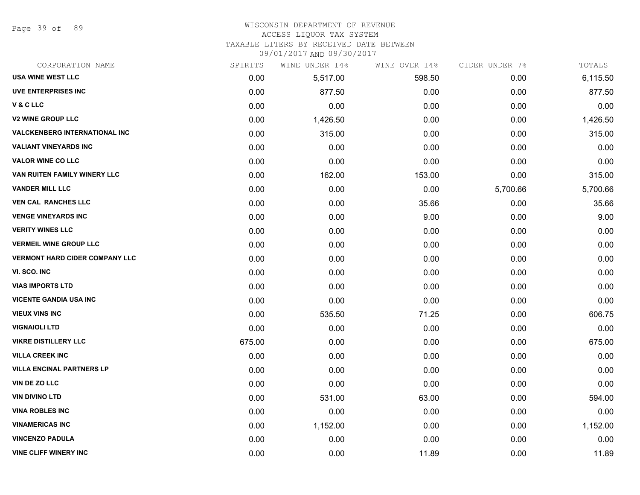Page 39 of 89

### WISCONSIN DEPARTMENT OF REVENUE

### ACCESS LIQUOR TAX SYSTEM

TAXABLE LITERS BY RECEIVED DATE BETWEEN

| CORPORATION NAME                      | SPIRITS | WINE UNDER 14% | WINE OVER 14% | CIDER UNDER 7% | TOTALS   |
|---------------------------------------|---------|----------------|---------------|----------------|----------|
| <b>USA WINE WEST LLC</b>              | 0.00    | 5,517.00       | 598.50        | 0.00           | 6,115.50 |
| <b>UVE ENTERPRISES INC</b>            | 0.00    | 877.50         | 0.00          | 0.00           | 877.50   |
| V & C LLC                             | 0.00    | 0.00           | 0.00          | 0.00           | 0.00     |
| <b>V2 WINE GROUP LLC</b>              | 0.00    | 1,426.50       | 0.00          | 0.00           | 1,426.50 |
| <b>VALCKENBERG INTERNATIONAL INC</b>  | 0.00    | 315.00         | 0.00          | 0.00           | 315.00   |
| <b>VALIANT VINEYARDS INC</b>          | 0.00    | 0.00           | 0.00          | 0.00           | 0.00     |
| <b>VALOR WINE CO LLC</b>              | 0.00    | 0.00           | 0.00          | 0.00           | 0.00     |
| VAN RUITEN FAMILY WINERY LLC          | 0.00    | 162.00         | 153.00        | 0.00           | 315.00   |
| <b>VANDER MILL LLC</b>                | 0.00    | 0.00           | 0.00          | 5,700.66       | 5,700.66 |
| <b>VEN CAL RANCHES LLC</b>            | 0.00    | 0.00           | 35.66         | 0.00           | 35.66    |
| <b>VENGE VINEYARDS INC</b>            | 0.00    | 0.00           | 9.00          | 0.00           | 9.00     |
| <b>VERITY WINES LLC</b>               | 0.00    | 0.00           | 0.00          | 0.00           | 0.00     |
| <b>VERMEIL WINE GROUP LLC</b>         | 0.00    | 0.00           | 0.00          | 0.00           | 0.00     |
| <b>VERMONT HARD CIDER COMPANY LLC</b> | 0.00    | 0.00           | 0.00          | 0.00           | 0.00     |
| VI. SCO. INC                          | 0.00    | 0.00           | 0.00          | 0.00           | 0.00     |
| <b>VIAS IMPORTS LTD</b>               | 0.00    | 0.00           | 0.00          | 0.00           | 0.00     |
| <b>VICENTE GANDIA USA INC</b>         | 0.00    | 0.00           | 0.00          | 0.00           | 0.00     |
| <b>VIEUX VINS INC</b>                 | 0.00    | 535.50         | 71.25         | 0.00           | 606.75   |
| <b>VIGNAIOLI LTD</b>                  | 0.00    | 0.00           | 0.00          | 0.00           | 0.00     |
| <b>VIKRE DISTILLERY LLC</b>           | 675.00  | 0.00           | 0.00          | 0.00           | 675.00   |
| <b>VILLA CREEK INC</b>                | 0.00    | 0.00           | 0.00          | 0.00           | 0.00     |
| <b>VILLA ENCINAL PARTNERS LP</b>      | 0.00    | 0.00           | 0.00          | 0.00           | 0.00     |
| VIN DE ZO LLC                         | 0.00    | 0.00           | 0.00          | 0.00           | 0.00     |
| <b>VIN DIVINO LTD</b>                 | 0.00    | 531.00         | 63.00         | 0.00           | 594.00   |
| <b>VINA ROBLES INC</b>                | 0.00    | 0.00           | 0.00          | 0.00           | 0.00     |
| <b>VINAMERICAS INC</b>                | 0.00    | 1,152.00       | 0.00          | 0.00           | 1,152.00 |
| <b>VINCENZO PADULA</b>                | 0.00    | 0.00           | 0.00          | 0.00           | 0.00     |
| <b>VINE CLIFF WINERY INC</b>          | 0.00    | 0.00           | 11.89         | 0.00           | 11.89    |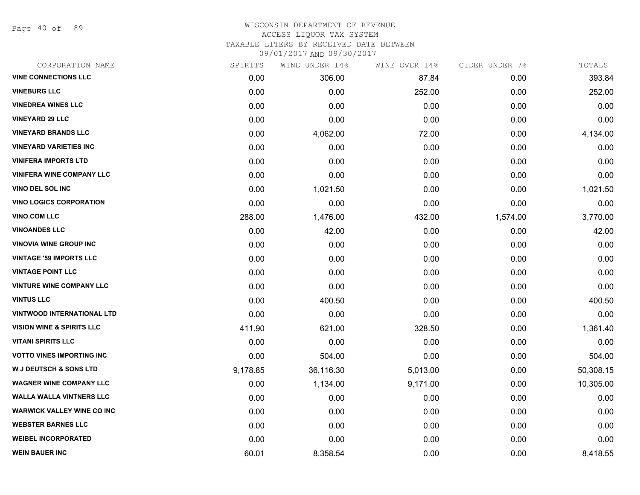Page 40 of 89

### WISCONSIN DEPARTMENT OF REVENUE ACCESS LIQUOR TAX SYSTEM TAXABLE LITERS BY RECEIVED DATE BETWEEN

| CORPORATION NAME                     | SPIRITS  | WINE UNDER 14% | WINE OVER 14% | CIDER UNDER 7% | TOTALS    |
|--------------------------------------|----------|----------------|---------------|----------------|-----------|
| <b>VINE CONNECTIONS LLC</b>          | 0.00     | 306.00         | 87.84         | 0.00           | 393.84    |
| <b>VINEBURG LLC</b>                  | 0.00     | 0.00           | 252.00        | 0.00           | 252.00    |
| <b>VINEDREA WINES LLC</b>            | 0.00     | 0.00           | 0.00          | 0.00           | 0.00      |
| <b>VINEYARD 29 LLC</b>               | 0.00     | 0.00           | 0.00          | 0.00           | 0.00      |
| <b>VINEYARD BRANDS LLC</b>           | 0.00     | 4,062.00       | 72.00         | 0.00           | 4,134.00  |
| <b>VINEYARD VARIETIES INC</b>        | 0.00     | 0.00           | 0.00          | 0.00           | 0.00      |
| <b>VINIFERA IMPORTS LTD</b>          | 0.00     | 0.00           | 0.00          | 0.00           | 0.00      |
| <b>VINIFERA WINE COMPANY LLC</b>     | 0.00     | 0.00           | 0.00          | 0.00           | 0.00      |
| <b>VINO DEL SOL INC</b>              | 0.00     | 1,021.50       | 0.00          | 0.00           | 1,021.50  |
| <b>VINO LOGICS CORPORATION</b>       | 0.00     | 0.00           | 0.00          | 0.00           | 0.00      |
| <b>VINO.COM LLC</b>                  | 288.00   | 1,476.00       | 432.00        | 1,574.00       | 3,770.00  |
| <b>VINOANDES LLC</b>                 | 0.00     | 42.00          | 0.00          | 0.00           | 42.00     |
| <b>VINOVIA WINE GROUP INC</b>        | 0.00     | 0.00           | 0.00          | 0.00           | 0.00      |
| <b>VINTAGE '59 IMPORTS LLC</b>       | 0.00     | 0.00           | 0.00          | 0.00           | 0.00      |
| <b>VINTAGE POINT LLC</b>             | 0.00     | 0.00           | 0.00          | 0.00           | 0.00      |
| <b>VINTURE WINE COMPANY LLC</b>      | 0.00     | 0.00           | 0.00          | 0.00           | 0.00      |
| <b>VINTUS LLC</b>                    | 0.00     | 400.50         | 0.00          | 0.00           | 400.50    |
| <b>VINTWOOD INTERNATIONAL LTD</b>    | 0.00     | 0.00           | 0.00          | 0.00           | 0.00      |
| <b>VISION WINE &amp; SPIRITS LLC</b> | 411.90   | 621.00         | 328.50        | 0.00           | 1,361.40  |
| <b>VITANI SPIRITS LLC</b>            | 0.00     | 0.00           | 0.00          | 0.00           | 0.00      |
| <b>VOTTO VINES IMPORTING INC</b>     | 0.00     | 504.00         | 0.00          | 0.00           | 504.00    |
| <b>W J DEUTSCH &amp; SONS LTD</b>    | 9,178.85 | 36,116.30      | 5,013.00      | 0.00           | 50,308.15 |
| <b>WAGNER WINE COMPANY LLC</b>       | 0.00     | 1,134.00       | 9,171.00      | 0.00           | 10,305.00 |
| <b>WALLA WALLA VINTNERS LLC</b>      | 0.00     | 0.00           | 0.00          | 0.00           | 0.00      |
| <b>WARWICK VALLEY WINE CO INC</b>    | 0.00     | 0.00           | 0.00          | 0.00           | 0.00      |
| <b>WEBSTER BARNES LLC</b>            | 0.00     | 0.00           | 0.00          | 0.00           | 0.00      |
| <b>WEIBEL INCORPORATED</b>           | 0.00     | 0.00           | 0.00          | 0.00           | 0.00      |
| <b>WEIN BAUER INC</b>                | 60.01    | 8,358.54       | 0.00          | 0.00           | 8,418.55  |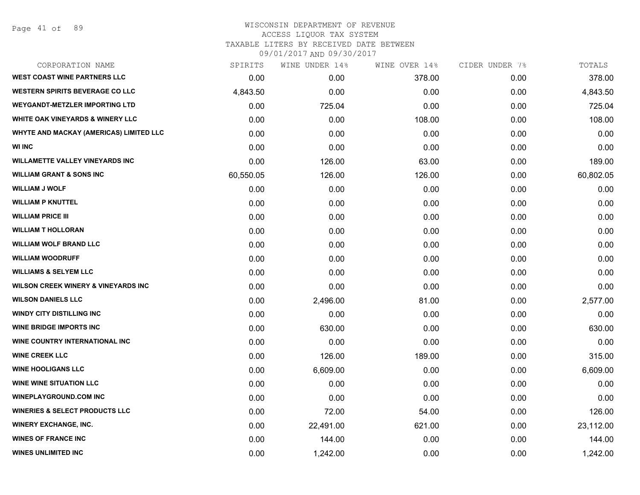Page 41 of 89

### WISCONSIN DEPARTMENT OF REVENUE ACCESS LIQUOR TAX SYSTEM TAXABLE LITERS BY RECEIVED DATE BETWEEN

| CORPORATION NAME                               | SPIRITS   | WINE UNDER 14% | WINE OVER 14% | CIDER UNDER 7% | TOTALS    |
|------------------------------------------------|-----------|----------------|---------------|----------------|-----------|
| <b>WEST COAST WINE PARTNERS LLC</b>            | 0.00      | 0.00           | 378.00        | 0.00           | 378.00    |
| <b>WESTERN SPIRITS BEVERAGE CO LLC</b>         | 4,843.50  | 0.00           | 0.00          | 0.00           | 4,843.50  |
| <b>WEYGANDT-METZLER IMPORTING LTD</b>          | 0.00      | 725.04         | 0.00          | 0.00           | 725.04    |
| <b>WHITE OAK VINEYARDS &amp; WINERY LLC</b>    | 0.00      | 0.00           | 108.00        | 0.00           | 108.00    |
| WHYTE AND MACKAY (AMERICAS) LIMITED LLC        | 0.00      | 0.00           | 0.00          | 0.00           | 0.00      |
| <b>WI INC</b>                                  | 0.00      | 0.00           | 0.00          | 0.00           | 0.00      |
| <b>WILLAMETTE VALLEY VINEYARDS INC</b>         | 0.00      | 126.00         | 63.00         | 0.00           | 189.00    |
| <b>WILLIAM GRANT &amp; SONS INC</b>            | 60,550.05 | 126.00         | 126.00        | 0.00           | 60,802.05 |
| <b>WILLIAM J WOLF</b>                          | 0.00      | 0.00           | 0.00          | 0.00           | 0.00      |
| <b>WILLIAM P KNUTTEL</b>                       | 0.00      | 0.00           | 0.00          | 0.00           | 0.00      |
| <b>WILLIAM PRICE III</b>                       | 0.00      | 0.00           | 0.00          | 0.00           | 0.00      |
| <b>WILLIAM T HOLLORAN</b>                      | 0.00      | 0.00           | 0.00          | 0.00           | 0.00      |
| <b>WILLIAM WOLF BRAND LLC</b>                  | 0.00      | 0.00           | 0.00          | 0.00           | 0.00      |
| <b>WILLIAM WOODRUFF</b>                        | 0.00      | 0.00           | 0.00          | 0.00           | 0.00      |
| <b>WILLIAMS &amp; SELYEM LLC</b>               | 0.00      | 0.00           | 0.00          | 0.00           | 0.00      |
| <b>WILSON CREEK WINERY &amp; VINEYARDS INC</b> | 0.00      | 0.00           | 0.00          | 0.00           | 0.00      |
| <b>WILSON DANIELS LLC</b>                      | 0.00      | 2,496.00       | 81.00         | 0.00           | 2,577.00  |
| <b>WINDY CITY DISTILLING INC</b>               | 0.00      | 0.00           | 0.00          | 0.00           | 0.00      |
| <b>WINE BRIDGE IMPORTS INC</b>                 | 0.00      | 630.00         | 0.00          | 0.00           | 630.00    |
| WINE COUNTRY INTERNATIONAL INC                 | 0.00      | 0.00           | 0.00          | 0.00           | 0.00      |
| <b>WINE CREEK LLC</b>                          | 0.00      | 126.00         | 189.00        | 0.00           | 315.00    |
| <b>WINE HOOLIGANS LLC</b>                      | 0.00      | 6,609.00       | 0.00          | 0.00           | 6,609.00  |
| <b>WINE WINE SITUATION LLC</b>                 | 0.00      | 0.00           | 0.00          | 0.00           | 0.00      |
| <b>WINEPLAYGROUND.COM INC</b>                  | 0.00      | 0.00           | 0.00          | 0.00           | 0.00      |
| <b>WINERIES &amp; SELECT PRODUCTS LLC</b>      | 0.00      | 72.00          | 54.00         | 0.00           | 126.00    |
| <b>WINERY EXCHANGE, INC.</b>                   | 0.00      | 22,491.00      | 621.00        | 0.00           | 23,112.00 |
| <b>WINES OF FRANCE INC</b>                     | 0.00      | 144.00         | 0.00          | 0.00           | 144.00    |
| <b>WINES UNLIMITED INC</b>                     | 0.00      | 1,242.00       | 0.00          | 0.00           | 1,242.00  |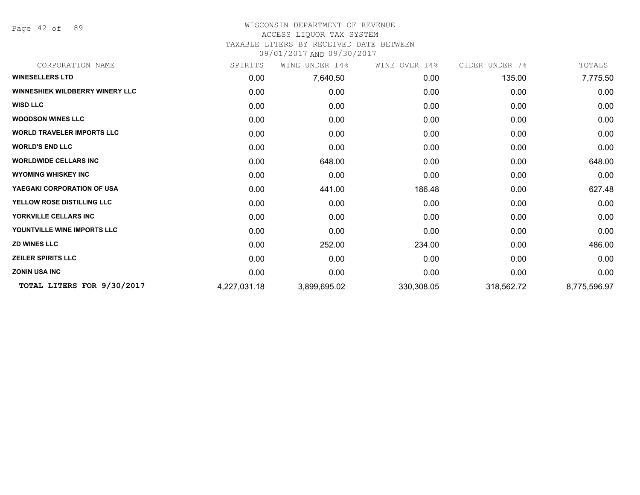Page 42 of 89

### WISCONSIN DEPARTMENT OF REVENUE ACCESS LIQUOR TAX SYSTEM

# TAXABLE LITERS BY RECEIVED DATE BETWEEN

| CORPORATION NAME                       | SPIRITS      | WINE UNDER 14% | WINE OVER 14% | CIDER UNDER 7% | TOTALS       |
|----------------------------------------|--------------|----------------|---------------|----------------|--------------|
| <b>WINESELLERS LTD</b>                 | 0.00         | 7,640.50       | 0.00          | 135.00         | 7,775.50     |
| <b>WINNESHIEK WILDBERRY WINERY LLC</b> | 0.00         | 0.00           | 0.00          | 0.00           | 0.00         |
| <b>WISD LLC</b>                        | 0.00         | 0.00           | 0.00          | 0.00           | 0.00         |
| <b>WOODSON WINES LLC</b>               | 0.00         | 0.00           | 0.00          | 0.00           | 0.00         |
| <b>WORLD TRAVELER IMPORTS LLC</b>      | 0.00         | 0.00           | 0.00          | 0.00           | 0.00         |
| <b>WORLD'S END LLC</b>                 | 0.00         | 0.00           | 0.00          | 0.00           | 0.00         |
| <b>WORLDWIDE CELLARS INC</b>           | 0.00         | 648.00         | 0.00          | 0.00           | 648.00       |
| <b>WYOMING WHISKEY INC</b>             | 0.00         | 0.00           | 0.00          | 0.00           | 0.00         |
| YAEGAKI CORPORATION OF USA             | 0.00         | 441.00         | 186.48        | 0.00           | 627.48       |
| YELLOW ROSE DISTILLING LLC             | 0.00         | 0.00           | 0.00          | 0.00           | 0.00         |
| YORKVILLE CELLARS INC                  | 0.00         | 0.00           | 0.00          | 0.00           | 0.00         |
| YOUNTVILLE WINE IMPORTS LLC            | 0.00         | 0.00           | 0.00          | 0.00           | 0.00         |
| <b>ZD WINES LLC</b>                    | 0.00         | 252.00         | 234.00        | 0.00           | 486.00       |
| <b>ZEILER SPIRITS LLC</b>              | 0.00         | 0.00           | 0.00          | 0.00           | 0.00         |
| <b>ZONIN USA INC</b>                   | 0.00         | 0.00           | 0.00          | 0.00           | 0.00         |
| TOTAL LITERS FOR 9/30/2017             | 4,227,031.18 | 3,899,695.02   | 330,308.05    | 318,562.72     | 8,775,596.97 |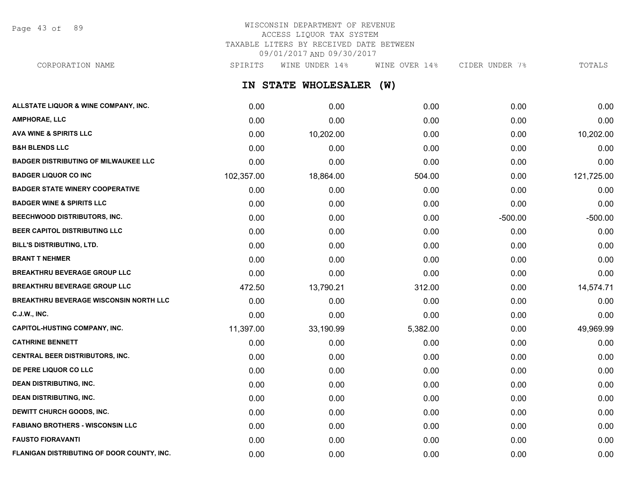Page 43 of 89

# WISCONSIN DEPARTMENT OF REVENUE ACCESS LIQUOR TAX SYSTEM TAXABLE LITERS BY RECEIVED DATE BETWEEN 09/01/2017 AND 09/30/2017

**IN STATE WHOLESALER (W) ALLSTATE LIQUOR & WINE COMPANY, INC.** 0.00 0.00 0.00 0.00 0.00 **AMPHORAE, LLC** 0.00 0.00 0.00 0.00 0.00 **AVA WINE & SPIRITS LLC** 0.00 10,202.00 0.00 0.00 10,202.00 **B&H BLENDS LLC** 0.00 0.00 0.00 0.00 0.00 **BADGER DISTRIBUTING OF MILWAUKEE LLC** 0.00 0.00 0.00 0.00 0.00 **BADGER LIQUOR CO INC** 102,357.00 18,864.00 504.00 0.00 121,725.00 **BADGER STATE WINERY COOPERATIVE** 0.00 0.00 0.00 0.00 0.00 **BADGER WINE & SPIRITS LLC** 0.00 0.00 0.00 0.00 0.00 CORPORATION NAME SPIRITS WINE UNDER 14% WINE OVER 14% CIDER UNDER 7% TOTALS

| BEECHWOOD DISTRIBUTORS, INC.               | 0.00      | 0.00      | 0.00     | $-500.00$ | $-500.00$ |
|--------------------------------------------|-----------|-----------|----------|-----------|-----------|
| <b>BEER CAPITOL DISTRIBUTING LLC</b>       | 0.00      | 0.00      | 0.00     | 0.00      | 0.00      |
| BILL'S DISTRIBUTING, LTD.                  | 0.00      | 0.00      | 0.00     | 0.00      | 0.00      |
| <b>BRANT T NEHMER</b>                      | 0.00      | 0.00      | 0.00     | 0.00      | 0.00      |
| <b>BREAKTHRU BEVERAGE GROUP LLC</b>        | 0.00      | 0.00      | 0.00     | 0.00      | 0.00      |
| <b>BREAKTHRU BEVERAGE GROUP LLC</b>        | 472.50    | 13,790.21 | 312.00   | 0.00      | 14,574.71 |
| BREAKTHRU BEVERAGE WISCONSIN NORTH LLC     | 0.00      | 0.00      | 0.00     | 0.00      | 0.00      |
| C.J.W., INC.                               | 0.00      | 0.00      | 0.00     | 0.00      | 0.00      |
| CAPITOL-HUSTING COMPANY, INC.              | 11,397.00 | 33,190.99 | 5,382.00 | 0.00      | 49,969.99 |
| <b>CATHRINE BENNETT</b>                    | 0.00      | 0.00      | 0.00     | 0.00      | 0.00      |
| <b>CENTRAL BEER DISTRIBUTORS, INC.</b>     | 0.00      | 0.00      | 0.00     | 0.00      | 0.00      |
| DE PERE LIQUOR CO LLC                      | 0.00      | 0.00      | 0.00     | 0.00      | 0.00      |
| DEAN DISTRIBUTING, INC.                    | 0.00      | 0.00      | 0.00     | 0.00      | 0.00      |
| <b>DEAN DISTRIBUTING, INC.</b>             | 0.00      | 0.00      | 0.00     | 0.00      | 0.00      |
| <b>DEWITT CHURCH GOODS, INC.</b>           | 0.00      | 0.00      | 0.00     | 0.00      | 0.00      |
| <b>FABIANO BROTHERS - WISCONSIN LLC</b>    | 0.00      | 0.00      | 0.00     | 0.00      | 0.00      |
| <b>FAUSTO FIORAVANTI</b>                   | 0.00      | 0.00      | 0.00     | 0.00      | 0.00      |
| FLANIGAN DISTRIBUTING OF DOOR COUNTY, INC. | 0.00      | 0.00      | 0.00     | 0.00      | 0.00      |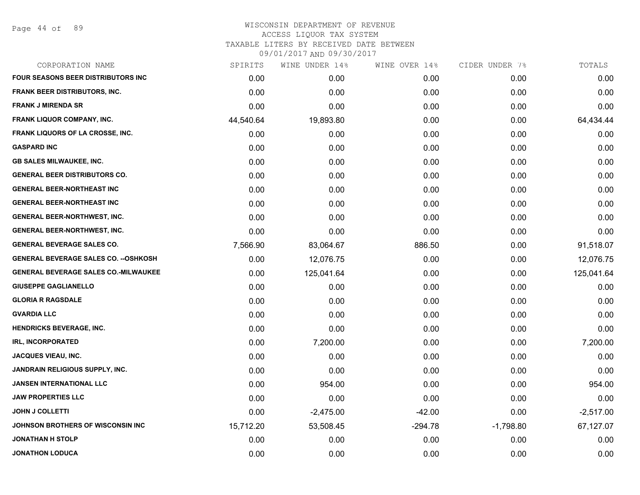Page 44 of 89

| CORPORATION NAME                             | SPIRITS   | WINE UNDER 14% | WINE OVER 14% | CIDER UNDER 7% | TOTALS      |
|----------------------------------------------|-----------|----------------|---------------|----------------|-------------|
| <b>FOUR SEASONS BEER DISTRIBUTORS INC.</b>   | 0.00      | 0.00           | 0.00          | 0.00           | 0.00        |
| <b>FRANK BEER DISTRIBUTORS, INC.</b>         | 0.00      | 0.00           | 0.00          | 0.00           | 0.00        |
| <b>FRANK J MIRENDA SR</b>                    | 0.00      | 0.00           | 0.00          | 0.00           | 0.00        |
| <b>FRANK LIQUOR COMPANY, INC.</b>            | 44,540.64 | 19,893.80      | 0.00          | 0.00           | 64,434.44   |
| FRANK LIQUORS OF LA CROSSE, INC.             | 0.00      | 0.00           | 0.00          | 0.00           | 0.00        |
| <b>GASPARD INC</b>                           | 0.00      | 0.00           | 0.00          | 0.00           | 0.00        |
| <b>GB SALES MILWAUKEE, INC.</b>              | 0.00      | 0.00           | 0.00          | 0.00           | 0.00        |
| <b>GENERAL BEER DISTRIBUTORS CO.</b>         | 0.00      | 0.00           | 0.00          | 0.00           | 0.00        |
| <b>GENERAL BEER-NORTHEAST INC</b>            | 0.00      | 0.00           | 0.00          | 0.00           | 0.00        |
| <b>GENERAL BEER-NORTHEAST INC</b>            | 0.00      | 0.00           | 0.00          | 0.00           | 0.00        |
| <b>GENERAL BEER-NORTHWEST, INC.</b>          | 0.00      | 0.00           | 0.00          | 0.00           | 0.00        |
| <b>GENERAL BEER-NORTHWEST, INC.</b>          | 0.00      | 0.00           | 0.00          | 0.00           | 0.00        |
| <b>GENERAL BEVERAGE SALES CO.</b>            | 7,566.90  | 83,064.67      | 886.50        | 0.00           | 91,518.07   |
| <b>GENERAL BEVERAGE SALES CO. -- OSHKOSH</b> | 0.00      | 12,076.75      | 0.00          | 0.00           | 12,076.75   |
| <b>GENERAL BEVERAGE SALES CO.-MILWAUKEE</b>  | 0.00      | 125,041.64     | 0.00          | 0.00           | 125,041.64  |
| <b>GIUSEPPE GAGLIANELLO</b>                  | 0.00      | 0.00           | 0.00          | 0.00           | 0.00        |
| <b>GLORIA R RAGSDALE</b>                     | 0.00      | 0.00           | 0.00          | 0.00           | 0.00        |
| <b>GVARDIA LLC</b>                           | 0.00      | 0.00           | 0.00          | 0.00           | 0.00        |
| <b>HENDRICKS BEVERAGE, INC.</b>              | 0.00      | 0.00           | 0.00          | 0.00           | 0.00        |
| IRL, INCORPORATED                            | 0.00      | 7,200.00       | 0.00          | 0.00           | 7,200.00    |
| <b>JACQUES VIEAU, INC.</b>                   | 0.00      | 0.00           | 0.00          | 0.00           | 0.00        |
| JANDRAIN RELIGIOUS SUPPLY, INC.              | 0.00      | 0.00           | 0.00          | 0.00           | 0.00        |
| <b>JANSEN INTERNATIONAL LLC</b>              | 0.00      | 954.00         | 0.00          | 0.00           | 954.00      |
| <b>JAW PROPERTIES LLC</b>                    | 0.00      | 0.00           | 0.00          | 0.00           | 0.00        |
| <b>JOHN J COLLETTI</b>                       | 0.00      | $-2,475.00$    | $-42.00$      | 0.00           | $-2,517.00$ |
| JOHNSON BROTHERS OF WISCONSIN INC            | 15,712.20 | 53,508.45      | $-294.78$     | $-1,798.80$    | 67,127.07   |
| <b>JONATHAN H STOLP</b>                      | 0.00      | 0.00           | 0.00          | 0.00           | 0.00        |
| <b>JONATHON LODUCA</b>                       | 0.00      | 0.00           | 0.00          | 0.00           | 0.00        |
|                                              |           |                |               |                |             |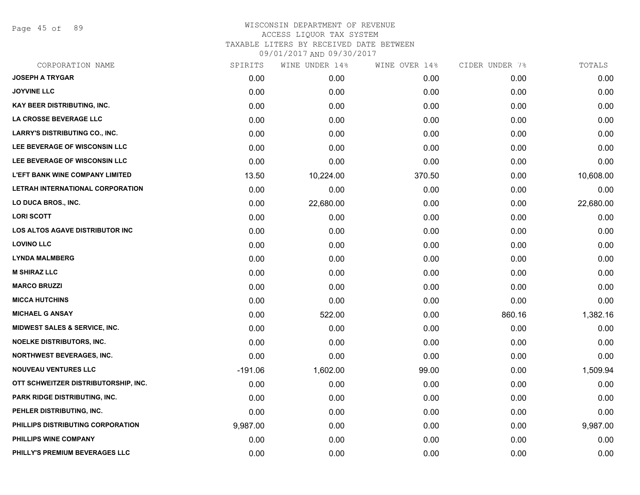Page 45 of 89

| CORPORATION NAME                       | SPIRITS   | WINE UNDER 14% | WINE OVER 14% | CIDER UNDER 7% | TOTALS    |
|----------------------------------------|-----------|----------------|---------------|----------------|-----------|
| <b>JOSEPH A TRYGAR</b>                 | 0.00      | 0.00           | 0.00          | 0.00           | 0.00      |
| <b>JOYVINE LLC</b>                     | 0.00      | 0.00           | 0.00          | 0.00           | 0.00      |
| KAY BEER DISTRIBUTING, INC.            | 0.00      | 0.00           | 0.00          | 0.00           | 0.00      |
| <b>LA CROSSE BEVERAGE LLC</b>          | 0.00      | 0.00           | 0.00          | 0.00           | 0.00      |
| <b>LARRY'S DISTRIBUTING CO., INC.</b>  | 0.00      | 0.00           | 0.00          | 0.00           | 0.00      |
| LEE BEVERAGE OF WISCONSIN LLC          | 0.00      | 0.00           | 0.00          | 0.00           | 0.00      |
| LEE BEVERAGE OF WISCONSIN LLC          | 0.00      | 0.00           | 0.00          | 0.00           | 0.00      |
| <b>L'EFT BANK WINE COMPANY LIMITED</b> | 13.50     | 10,224.00      | 370.50        | 0.00           | 10,608.00 |
| LETRAH INTERNATIONAL CORPORATION       | 0.00      | 0.00           | 0.00          | 0.00           | 0.00      |
| LO DUCA BROS., INC.                    | 0.00      | 22,680.00      | 0.00          | 0.00           | 22,680.00 |
| <b>LORI SCOTT</b>                      | 0.00      | 0.00           | 0.00          | 0.00           | 0.00      |
| LOS ALTOS AGAVE DISTRIBUTOR INC        | 0.00      | 0.00           | 0.00          | 0.00           | 0.00      |
| <b>LOVINO LLC</b>                      | 0.00      | 0.00           | 0.00          | 0.00           | 0.00      |
| <b>LYNDA MALMBERG</b>                  | 0.00      | 0.00           | 0.00          | 0.00           | 0.00      |
| <b>M SHIRAZ LLC</b>                    | 0.00      | 0.00           | 0.00          | 0.00           | 0.00      |
| <b>MARCO BRUZZI</b>                    | 0.00      | 0.00           | 0.00          | 0.00           | 0.00      |
| <b>MICCA HUTCHINS</b>                  | 0.00      | 0.00           | 0.00          | 0.00           | 0.00      |
| <b>MICHAEL G ANSAY</b>                 | 0.00      | 522.00         | 0.00          | 860.16         | 1,382.16  |
| MIDWEST SALES & SERVICE, INC.          | 0.00      | 0.00           | 0.00          | 0.00           | 0.00      |
| <b>NOELKE DISTRIBUTORS, INC.</b>       | 0.00      | 0.00           | 0.00          | 0.00           | 0.00      |
| <b>NORTHWEST BEVERAGES, INC.</b>       | 0.00      | 0.00           | 0.00          | 0.00           | 0.00      |
| <b>NOUVEAU VENTURES LLC</b>            | $-191.06$ | 1,602.00       | 99.00         | 0.00           | 1,509.94  |
| OTT SCHWEITZER DISTRIBUTORSHIP, INC.   | 0.00      | 0.00           | 0.00          | 0.00           | 0.00      |
| PARK RIDGE DISTRIBUTING, INC.          | 0.00      | 0.00           | 0.00          | 0.00           | 0.00      |
| PEHLER DISTRIBUTING, INC.              | 0.00      | 0.00           | 0.00          | 0.00           | 0.00      |
| PHILLIPS DISTRIBUTING CORPORATION      | 9,987.00  | 0.00           | 0.00          | 0.00           | 9,987.00  |
| PHILLIPS WINE COMPANY                  | 0.00      | 0.00           | 0.00          | 0.00           | 0.00      |
| PHILLY'S PREMIUM BEVERAGES LLC         | 0.00      | 0.00           | 0.00          | 0.00           | 0.00      |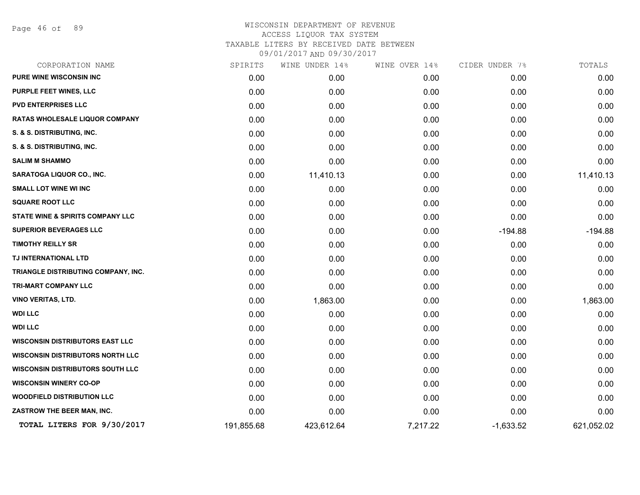Page 46 of 89

| CORPORATION NAME                            | SPIRITS    | WINE UNDER 14% | WINE OVER 14% | CIDER UNDER 7% | TOTALS     |
|---------------------------------------------|------------|----------------|---------------|----------------|------------|
| PURE WINE WISCONSIN INC                     | 0.00       | 0.00           | 0.00          | 0.00           | 0.00       |
| PURPLE FEET WINES, LLC                      | 0.00       | 0.00           | 0.00          | 0.00           | 0.00       |
| <b>PVD ENTERPRISES LLC</b>                  | 0.00       | 0.00           | 0.00          | 0.00           | 0.00       |
| RATAS WHOLESALE LIQUOR COMPANY              | 0.00       | 0.00           | 0.00          | 0.00           | 0.00       |
| S. & S. DISTRIBUTING, INC.                  | 0.00       | 0.00           | 0.00          | 0.00           | 0.00       |
| S. & S. DISTRIBUTING, INC.                  | 0.00       | 0.00           | 0.00          | 0.00           | 0.00       |
| <b>SALIM M SHAMMO</b>                       | 0.00       | 0.00           | 0.00          | 0.00           | 0.00       |
| <b>SARATOGA LIQUOR CO., INC.</b>            | 0.00       | 11,410.13      | 0.00          | 0.00           | 11,410.13  |
| <b>SMALL LOT WINE WI INC</b>                | 0.00       | 0.00           | 0.00          | 0.00           | 0.00       |
| <b>SQUARE ROOT LLC</b>                      | 0.00       | 0.00           | 0.00          | 0.00           | 0.00       |
| <b>STATE WINE &amp; SPIRITS COMPANY LLC</b> | 0.00       | 0.00           | 0.00          | 0.00           | 0.00       |
| <b>SUPERIOR BEVERAGES LLC</b>               | 0.00       | 0.00           | 0.00          | $-194.88$      | $-194.88$  |
| <b>TIMOTHY REILLY SR</b>                    | 0.00       | 0.00           | 0.00          | 0.00           | 0.00       |
| TJ INTERNATIONAL LTD                        | 0.00       | 0.00           | 0.00          | 0.00           | 0.00       |
| TRIANGLE DISTRIBUTING COMPANY, INC.         | 0.00       | 0.00           | 0.00          | 0.00           | 0.00       |
| <b>TRI-MART COMPANY LLC</b>                 | 0.00       | 0.00           | 0.00          | 0.00           | 0.00       |
| <b>VINO VERITAS, LTD.</b>                   | 0.00       | 1,863.00       | 0.00          | 0.00           | 1,863.00   |
| <b>WDI LLC</b>                              | 0.00       | 0.00           | 0.00          | 0.00           | 0.00       |
| <b>WDI LLC</b>                              | 0.00       | 0.00           | 0.00          | 0.00           | 0.00       |
| <b>WISCONSIN DISTRIBUTORS EAST LLC</b>      | 0.00       | 0.00           | 0.00          | 0.00           | 0.00       |
| <b>WISCONSIN DISTRIBUTORS NORTH LLC</b>     | 0.00       | 0.00           | 0.00          | 0.00           | 0.00       |
| <b>WISCONSIN DISTRIBUTORS SOUTH LLC</b>     | 0.00       | 0.00           | 0.00          | 0.00           | 0.00       |
| <b>WISCONSIN WINERY CO-OP</b>               | 0.00       | 0.00           | 0.00          | 0.00           | 0.00       |
| <b>WOODFIELD DISTRIBUTION LLC</b>           | 0.00       | 0.00           | 0.00          | 0.00           | 0.00       |
| ZASTROW THE BEER MAN, INC.                  | 0.00       | 0.00           | 0.00          | 0.00           | 0.00       |
| TOTAL LITERS FOR 9/30/2017                  | 191,855.68 | 423,612.64     | 7,217.22      | $-1,633.52$    | 621,052.02 |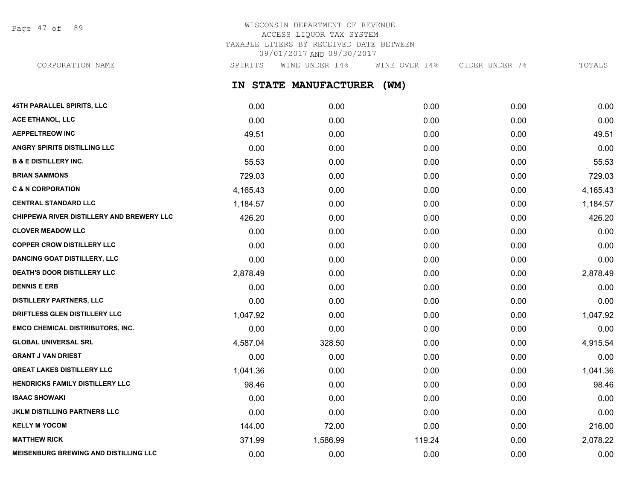Page 47 of 89

# WISCONSIN DEPARTMENT OF REVENUE ACCESS LIQUOR TAX SYSTEM TAXABLE LITERS BY RECEIVED DATE BETWEEN 09/01/2017 AND 09/30/2017

CORPORATION NAME SPIRITS WINE UNDER 14% WINE OVER 14% CIDER UNDER 7% TOTALS

**IN STATE MANUFACTURER (WM)**

| <b>45TH PARALLEL SPIRITS, LLC</b>            | 0.00     | 0.00     | 0.00   | 0.00 | 0.00     |
|----------------------------------------------|----------|----------|--------|------|----------|
| ACE ETHANOL, LLC                             | 0.00     | 0.00     | 0.00   | 0.00 | 0.00     |
| <b>AEPPELTREOW INC</b>                       | 49.51    | 0.00     | 0.00   | 0.00 | 49.51    |
| <b>ANGRY SPIRITS DISTILLING LLC</b>          | 0.00     | 0.00     | 0.00   | 0.00 | 0.00     |
| <b>B &amp; E DISTILLERY INC.</b>             | 55.53    | 0.00     | 0.00   | 0.00 | 55.53    |
| <b>BRIAN SAMMONS</b>                         | 729.03   | 0.00     | 0.00   | 0.00 | 729.03   |
| <b>C &amp; N CORPORATION</b>                 | 4,165.43 | 0.00     | 0.00   | 0.00 | 4,165.43 |
| <b>CENTRAL STANDARD LLC</b>                  | 1,184.57 | 0.00     | 0.00   | 0.00 | 1,184.57 |
| CHIPPEWA RIVER DISTILLERY AND BREWERY LLC    | 426.20   | 0.00     | 0.00   | 0.00 | 426.20   |
| <b>CLOVER MEADOW LLC</b>                     | 0.00     | 0.00     | 0.00   | 0.00 | 0.00     |
| <b>COPPER CROW DISTILLERY LLC</b>            | 0.00     | 0.00     | 0.00   | 0.00 | 0.00     |
| <b>DANCING GOAT DISTILLERY, LLC</b>          | 0.00     | 0.00     | 0.00   | 0.00 | 0.00     |
| <b>DEATH'S DOOR DISTILLERY LLC</b>           | 2,878.49 | 0.00     | 0.00   | 0.00 | 2,878.49 |
| <b>DENNIS E ERB</b>                          | 0.00     | 0.00     | 0.00   | 0.00 | 0.00     |
| <b>DISTILLERY PARTNERS, LLC</b>              | 0.00     | 0.00     | 0.00   | 0.00 | 0.00     |
| DRIFTLESS GLEN DISTILLERY LLC                | 1,047.92 | 0.00     | 0.00   | 0.00 | 1,047.92 |
| <b>EMCO CHEMICAL DISTRIBUTORS, INC.</b>      | 0.00     | 0.00     | 0.00   | 0.00 | 0.00     |
| <b>GLOBAL UNIVERSAL SRL</b>                  | 4,587.04 | 328.50   | 0.00   | 0.00 | 4,915.54 |
| <b>GRANT J VAN DRIEST</b>                    | 0.00     | 0.00     | 0.00   | 0.00 | 0.00     |
| <b>GREAT LAKES DISTILLERY LLC</b>            | 1,041.36 | 0.00     | 0.00   | 0.00 | 1,041.36 |
| HENDRICKS FAMILY DISTILLERY LLC              | 98.46    | 0.00     | 0.00   | 0.00 | 98.46    |
| <b>ISAAC SHOWAKI</b>                         | 0.00     | 0.00     | 0.00   | 0.00 | 0.00     |
| <b>JKLM DISTILLING PARTNERS LLC</b>          | 0.00     | 0.00     | 0.00   | 0.00 | 0.00     |
| <b>KELLY M YOCOM</b>                         | 144.00   | 72.00    | 0.00   | 0.00 | 216.00   |
| <b>MATTHEW RICK</b>                          | 371.99   | 1,586.99 | 119.24 | 0.00 | 2,078.22 |
| <b>MEISENBURG BREWING AND DISTILLING LLC</b> | 0.00     | 0.00     | 0.00   | 0.00 | 0.00     |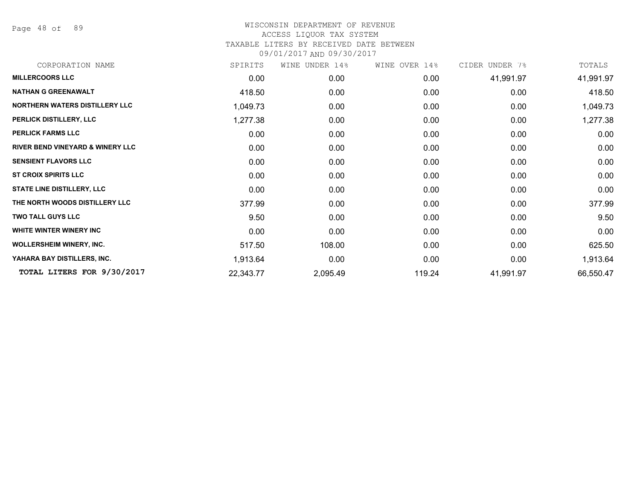Page 48 of 89

| CORPORATION NAME                            | SPIRITS   | WINE UNDER 14% | WINE OVER 14% | CIDER UNDER 7% | TOTALS    |
|---------------------------------------------|-----------|----------------|---------------|----------------|-----------|
| <b>MILLERCOORS LLC</b>                      | 0.00      | 0.00           | 0.00          | 41,991.97      | 41,991.97 |
| <b>NATHAN G GREENAWALT</b>                  | 418.50    | 0.00           | 0.00          | 0.00           | 418.50    |
| NORTHERN WATERS DISTILLERY LLC              | 1,049.73  | 0.00           | 0.00          | 0.00           | 1,049.73  |
| PERLICK DISTILLERY, LLC                     | 1,277.38  | 0.00           | 0.00          | 0.00           | 1,277.38  |
| <b>PERLICK FARMS LLC</b>                    | 0.00      | 0.00           | 0.00          | 0.00           | 0.00      |
| <b>RIVER BEND VINEYARD &amp; WINERY LLC</b> | 0.00      | 0.00           | 0.00          | 0.00           | 0.00      |
| <b>SENSIENT FLAVORS LLC</b>                 | 0.00      | 0.00           | 0.00          | 0.00           | 0.00      |
| <b>ST CROIX SPIRITS LLC</b>                 | 0.00      | 0.00           | 0.00          | 0.00           | 0.00      |
| <b>STATE LINE DISTILLERY, LLC</b>           | 0.00      | 0.00           | 0.00          | 0.00           | 0.00      |
| THE NORTH WOODS DISTILLERY LLC              | 377.99    | 0.00           | 0.00          | 0.00           | 377.99    |
| <b>TWO TALL GUYS LLC</b>                    | 9.50      | 0.00           | 0.00          | 0.00           | 9.50      |
| WHITE WINTER WINERY INC                     | 0.00      | 0.00           | 0.00          | 0.00           | 0.00      |
| <b>WOLLERSHEIM WINERY, INC.</b>             | 517.50    | 108.00         | 0.00          | 0.00           | 625.50    |
| YAHARA BAY DISTILLERS, INC.                 | 1,913.64  | 0.00           | 0.00          | 0.00           | 1,913.64  |
| TOTAL LITERS FOR 9/30/2017                  | 22,343.77 | 2,095.49       | 119.24        | 41,991.97      | 66,550.47 |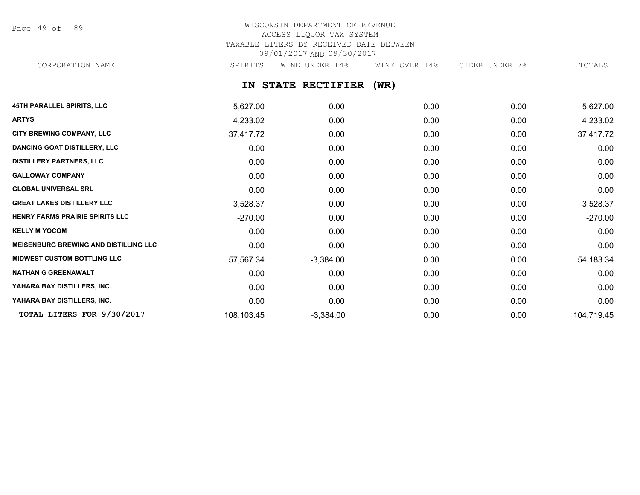Page 49 of 89

# WISCONSIN DEPARTMENT OF REVENUE ACCESS LIQUOR TAX SYSTEM TAXABLE LITERS BY RECEIVED DATE BETWEEN 09/01/2017 AND 09/30/2017

CORPORATION NAME SPIRITS WINE UNDER 14% WINE OVER 14% CIDER UNDER 7% TOTALS

**IN STATE RECTIFIER (WR)**

| <b>45TH PARALLEL SPIRITS, LLC</b>            | 5,627.00   | 0.00        | 0.00 | 0.00 | 5,627.00    |
|----------------------------------------------|------------|-------------|------|------|-------------|
| <b>ARTYS</b>                                 | 4,233.02   | 0.00        | 0.00 | 0.00 | 4,233.02    |
| <b>CITY BREWING COMPANY, LLC</b>             | 37,417.72  | 0.00        | 0.00 | 0.00 | 37,417.72   |
| <b>DANCING GOAT DISTILLERY, LLC</b>          | 0.00       | 0.00        | 0.00 | 0.00 | 0.00        |
| <b>DISTILLERY PARTNERS, LLC</b>              | 0.00       | 0.00        | 0.00 | 0.00 | 0.00        |
| <b>GALLOWAY COMPANY</b>                      | 0.00       | 0.00        | 0.00 | 0.00 | 0.00        |
| <b>GLOBAL UNIVERSAL SRL</b>                  | 0.00       | 0.00        | 0.00 | 0.00 | 0.00        |
| <b>GREAT LAKES DISTILLERY LLC</b>            | 3,528.37   | 0.00        | 0.00 | 0.00 | 3,528.37    |
| HENRY FARMS PRAIRIE SPIRITS LLC              | $-270.00$  | 0.00        | 0.00 | 0.00 | $-270.00$   |
| <b>KELLY M YOCOM</b>                         | 0.00       | 0.00        | 0.00 | 0.00 | 0.00        |
| <b>MEISENBURG BREWING AND DISTILLING LLC</b> | 0.00       | 0.00        | 0.00 | 0.00 | 0.00        |
| <b>MIDWEST CUSTOM BOTTLING LLC</b>           | 57,567.34  | $-3,384.00$ | 0.00 | 0.00 | 54, 183. 34 |
| <b>NATHAN G GREENAWALT</b>                   | 0.00       | 0.00        | 0.00 | 0.00 | 0.00        |
| YAHARA BAY DISTILLERS, INC.                  | 0.00       | 0.00        | 0.00 | 0.00 | 0.00        |
| YAHARA BAY DISTILLERS, INC.                  | 0.00       | 0.00        | 0.00 | 0.00 | 0.00        |
| TOTAL LITERS FOR 9/30/2017                   | 108,103.45 | $-3,384.00$ | 0.00 | 0.00 | 104,719.45  |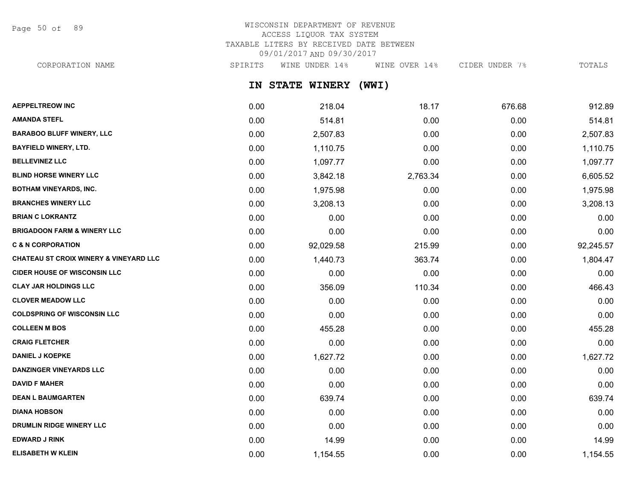Page 50 of 89

# WISCONSIN DEPARTMENT OF REVENUE ACCESS LIQUOR TAX SYSTEM TAXABLE LITERS BY RECEIVED DATE BETWEEN 09/01/2017 AND 09/30/2017

**IN STATE WINERY (WWI) AEPPELTREOW INC** 0.00 218.04 18.17 676.68 912.89 **AMANDA STEFL** 0.00 514.81 0.00 0.00 514.81 **BARABOO BLUFF WINERY, LLC** 2,507.83 0.00 2,507.83 0.00 0.00 2,507.83 **BAYFIELD WINERY, LTD.** 0.00 1,110.75 0.00 0.00 1,110.75 **BELLEVINEZ LLC** 0.00 1,097.77 0.00 0.00 1,097.77 CORPORATION NAME SPIRITS WINE UNDER 14% WINE OVER 14% CIDER UNDER 7% TOTALS

| DELLEVINEZ LLV                                    | <b>U.UU</b> | 1,097.77  | <b>U.UU</b> | <b>U.UU</b> | 1,097.77  |
|---------------------------------------------------|-------------|-----------|-------------|-------------|-----------|
| <b>BLIND HORSE WINERY LLC</b>                     | 0.00        | 3,842.18  | 2,763.34    | 0.00        | 6,605.52  |
| <b>BOTHAM VINEYARDS, INC.</b>                     | 0.00        | 1,975.98  | 0.00        | 0.00        | 1,975.98  |
| <b>BRANCHES WINERY LLC</b>                        | 0.00        | 3,208.13  | 0.00        | 0.00        | 3,208.13  |
| <b>BRIAN C LOKRANTZ</b>                           | 0.00        | 0.00      | 0.00        | 0.00        | 0.00      |
| <b>BRIGADOON FARM &amp; WINERY LLC</b>            | 0.00        | 0.00      | 0.00        | 0.00        | 0.00      |
| <b>C &amp; N CORPORATION</b>                      | 0.00        | 92,029.58 | 215.99      | 0.00        | 92,245.57 |
| <b>CHATEAU ST CROIX WINERY &amp; VINEYARD LLC</b> | 0.00        | 1,440.73  | 363.74      | 0.00        | 1,804.47  |
| <b>CIDER HOUSE OF WISCONSIN LLC</b>               | 0.00        | 0.00      | 0.00        | 0.00        | 0.00      |
| <b>CLAY JAR HOLDINGS LLC</b>                      | 0.00        | 356.09    | 110.34      | 0.00        | 466.43    |
| <b>CLOVER MEADOW LLC</b>                          | 0.00        | 0.00      | 0.00        | 0.00        | 0.00      |
| <b>COLDSPRING OF WISCONSIN LLC</b>                | 0.00        | 0.00      | 0.00        | 0.00        | 0.00      |
| <b>COLLEEN M BOS</b>                              | 0.00        | 455.28    | 0.00        | 0.00        | 455.28    |
| <b>CRAIG FLETCHER</b>                             | 0.00        | 0.00      | 0.00        | 0.00        | 0.00      |
| <b>DANIEL J KOEPKE</b>                            | 0.00        | 1,627.72  | 0.00        | 0.00        | 1,627.72  |
| <b>DANZINGER VINEYARDS LLC</b>                    | 0.00        | 0.00      | 0.00        | 0.00        | 0.00      |
| <b>DAVID F MAHER</b>                              | 0.00        | 0.00      | 0.00        | 0.00        | 0.00      |
| <b>DEAN L BAUMGARTEN</b>                          | 0.00        | 639.74    | 0.00        | 0.00        | 639.74    |
| <b>DIANA HOBSON</b>                               | 0.00        | 0.00      | 0.00        | 0.00        | 0.00      |
| <b>DRUMLIN RIDGE WINERY LLC</b>                   | 0.00        | 0.00      | 0.00        | 0.00        | 0.00      |
| <b>EDWARD J RINK</b>                              | 0.00        | 14.99     | 0.00        | 0.00        | 14.99     |
| <b>ELISABETH W KLEIN</b>                          | 0.00        | 1,154.55  | 0.00        | 0.00        | 1,154.55  |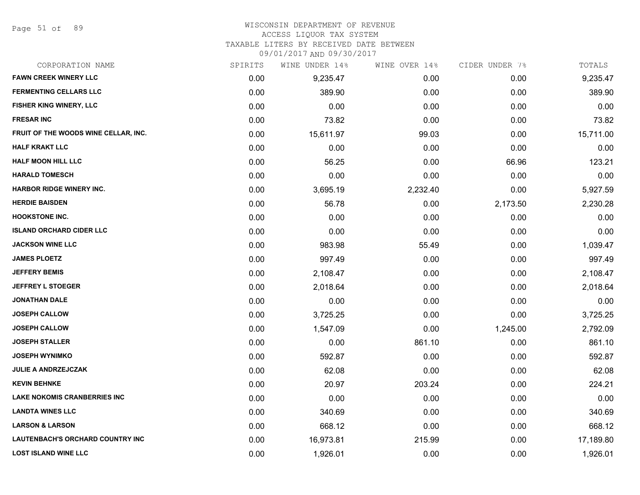Page 51 of 89

### WISCONSIN DEPARTMENT OF REVENUE

### ACCESS LIQUOR TAX SYSTEM

TAXABLE LITERS BY RECEIVED DATE BETWEEN

| CORPORATION NAME                     | SPIRITS | WINE UNDER 14% | WINE OVER 14% | CIDER UNDER 7% | TOTALS    |
|--------------------------------------|---------|----------------|---------------|----------------|-----------|
| <b>FAWN CREEK WINERY LLC</b>         | 0.00    | 9,235.47       | 0.00          | 0.00           | 9,235.47  |
| <b>FERMENTING CELLARS LLC</b>        | 0.00    | 389.90         | 0.00          | 0.00           | 389.90    |
| FISHER KING WINERY, LLC              | 0.00    | 0.00           | 0.00          | 0.00           | 0.00      |
| <b>FRESAR INC</b>                    | 0.00    | 73.82          | 0.00          | 0.00           | 73.82     |
| FRUIT OF THE WOODS WINE CELLAR, INC. | 0.00    | 15,611.97      | 99.03         | 0.00           | 15,711.00 |
| <b>HALF KRAKT LLC</b>                | 0.00    | 0.00           | 0.00          | 0.00           | 0.00      |
| <b>HALF MOON HILL LLC</b>            | 0.00    | 56.25          | 0.00          | 66.96          | 123.21    |
| <b>HARALD TOMESCH</b>                | 0.00    | 0.00           | 0.00          | 0.00           | 0.00      |
| <b>HARBOR RIDGE WINERY INC.</b>      | 0.00    | 3,695.19       | 2,232.40      | 0.00           | 5,927.59  |
| <b>HERDIE BAISDEN</b>                | 0.00    | 56.78          | 0.00          | 2,173.50       | 2,230.28  |
| <b>HOOKSTONE INC.</b>                | 0.00    | 0.00           | 0.00          | 0.00           | 0.00      |
| <b>ISLAND ORCHARD CIDER LLC</b>      | 0.00    | 0.00           | 0.00          | 0.00           | 0.00      |
| <b>JACKSON WINE LLC</b>              | 0.00    | 983.98         | 55.49         | 0.00           | 1,039.47  |
| <b>JAMES PLOETZ</b>                  | 0.00    | 997.49         | 0.00          | 0.00           | 997.49    |
| <b>JEFFERY BEMIS</b>                 | 0.00    | 2,108.47       | 0.00          | 0.00           | 2,108.47  |
| <b>JEFFREY L STOEGER</b>             | 0.00    | 2,018.64       | 0.00          | 0.00           | 2,018.64  |
| <b>JONATHAN DALE</b>                 | 0.00    | 0.00           | 0.00          | 0.00           | 0.00      |
| <b>JOSEPH CALLOW</b>                 | 0.00    | 3,725.25       | 0.00          | 0.00           | 3,725.25  |
| <b>JOSEPH CALLOW</b>                 | 0.00    | 1,547.09       | 0.00          | 1,245.00       | 2,792.09  |
| <b>JOSEPH STALLER</b>                | 0.00    | 0.00           | 861.10        | 0.00           | 861.10    |
| <b>JOSEPH WYNIMKO</b>                | 0.00    | 592.87         | 0.00          | 0.00           | 592.87    |
| <b>JULIE A ANDRZEJCZAK</b>           | 0.00    | 62.08          | 0.00          | 0.00           | 62.08     |
| <b>KEVIN BEHNKE</b>                  | 0.00    | 20.97          | 203.24        | 0.00           | 224.21    |
| <b>LAKE NOKOMIS CRANBERRIES INC</b>  | 0.00    | 0.00           | 0.00          | 0.00           | 0.00      |
| <b>LANDTA WINES LLC</b>              | 0.00    | 340.69         | 0.00          | 0.00           | 340.69    |
| <b>LARSON &amp; LARSON</b>           | 0.00    | 668.12         | 0.00          | 0.00           | 668.12    |
| LAUTENBACH'S ORCHARD COUNTRY INC     | 0.00    | 16,973.81      | 215.99        | 0.00           | 17,189.80 |
| <b>LOST ISLAND WINE LLC</b>          | 0.00    | 1,926.01       | 0.00          | 0.00           | 1,926.01  |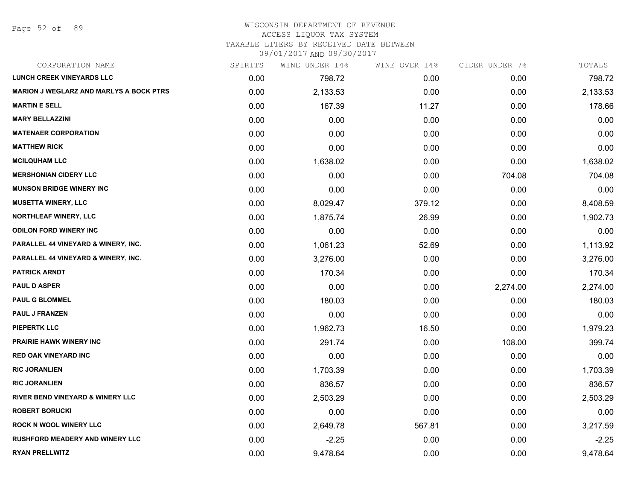### WISCONSIN DEPARTMENT OF REVENUE ACCESS LIQUOR TAX SYSTEM

TAXABLE LITERS BY RECEIVED DATE BETWEEN

| CORPORATION NAME                               | SPIRITS | WINE UNDER 14% | WINE OVER 14% | CIDER UNDER 7% | TOTALS   |
|------------------------------------------------|---------|----------------|---------------|----------------|----------|
| <b>LUNCH CREEK VINEYARDS LLC</b>               | 0.00    | 798.72         | 0.00          | 0.00           | 798.72   |
| <b>MARION J WEGLARZ AND MARLYS A BOCK PTRS</b> | 0.00    | 2,133.53       | 0.00          | 0.00           | 2,133.53 |
| <b>MARTIN E SELL</b>                           | 0.00    | 167.39         | 11.27         | 0.00           | 178.66   |
| <b>MARY BELLAZZINI</b>                         | 0.00    | 0.00           | 0.00          | 0.00           | 0.00     |
| <b>MATENAER CORPORATION</b>                    | 0.00    | 0.00           | 0.00          | 0.00           | 0.00     |
| <b>MATTHEW RICK</b>                            | 0.00    | 0.00           | 0.00          | 0.00           | 0.00     |
| <b>MCILQUHAM LLC</b>                           | 0.00    | 1,638.02       | 0.00          | 0.00           | 1,638.02 |
| <b>MERSHONIAN CIDERY LLC</b>                   | 0.00    | 0.00           | 0.00          | 704.08         | 704.08   |
| <b>MUNSON BRIDGE WINERY INC</b>                | 0.00    | 0.00           | 0.00          | 0.00           | 0.00     |
| <b>MUSETTA WINERY, LLC</b>                     | 0.00    | 8,029.47       | 379.12        | 0.00           | 8,408.59 |
| <b>NORTHLEAF WINERY, LLC</b>                   | 0.00    | 1,875.74       | 26.99         | 0.00           | 1,902.73 |
| <b>ODILON FORD WINERY INC</b>                  | 0.00    | 0.00           | 0.00          | 0.00           | 0.00     |
| PARALLEL 44 VINEYARD & WINERY, INC.            | 0.00    | 1,061.23       | 52.69         | 0.00           | 1,113.92 |
| <b>PARALLEL 44 VINEYARD &amp; WINERY, INC.</b> | 0.00    | 3,276.00       | 0.00          | 0.00           | 3,276.00 |
| <b>PATRICK ARNDT</b>                           | 0.00    | 170.34         | 0.00          | 0.00           | 170.34   |
| <b>PAUL D ASPER</b>                            | 0.00    | 0.00           | 0.00          | 2,274.00       | 2,274.00 |
| <b>PAUL G BLOMMEL</b>                          | 0.00    | 180.03         | 0.00          | 0.00           | 180.03   |
| <b>PAUL J FRANZEN</b>                          | 0.00    | 0.00           | 0.00          | 0.00           | 0.00     |
| <b>PIEPERTK LLC</b>                            | 0.00    | 1,962.73       | 16.50         | 0.00           | 1,979.23 |
| <b>PRAIRIE HAWK WINERY INC</b>                 | 0.00    | 291.74         | 0.00          | 108.00         | 399.74   |
| <b>RED OAK VINEYARD INC</b>                    | 0.00    | 0.00           | 0.00          | 0.00           | 0.00     |
| <b>RIC JORANLIEN</b>                           | 0.00    | 1,703.39       | 0.00          | 0.00           | 1,703.39 |
| <b>RIC JORANLIEN</b>                           | 0.00    | 836.57         | 0.00          | 0.00           | 836.57   |
| <b>RIVER BEND VINEYARD &amp; WINERY LLC</b>    | 0.00    | 2,503.29       | 0.00          | 0.00           | 2,503.29 |
| <b>ROBERT BORUCKI</b>                          | 0.00    | 0.00           | 0.00          | 0.00           | 0.00     |
| <b>ROCK N WOOL WINERY LLC</b>                  | 0.00    | 2,649.78       | 567.81        | 0.00           | 3,217.59 |
| <b>RUSHFORD MEADERY AND WINERY LLC</b>         | 0.00    | $-2.25$        | 0.00          | 0.00           | $-2.25$  |
| <b>RYAN PRELLWITZ</b>                          | 0.00    | 9,478.64       | 0.00          | 0.00           | 9,478.64 |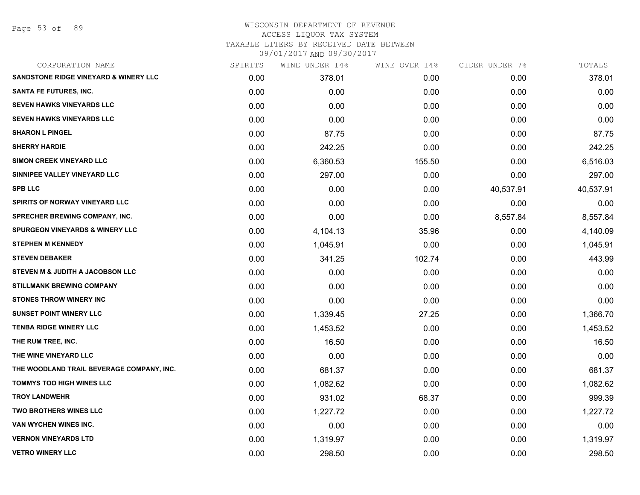Page 53 of 89

| CORPORATION NAME                           | SPIRITS | WINE UNDER 14% | WINE OVER 14% | CIDER UNDER 7% | TOTALS    |
|--------------------------------------------|---------|----------------|---------------|----------------|-----------|
| SANDSTONE RIDGE VINEYARD & WINERY LLC      | 0.00    | 378.01         | 0.00          | 0.00           | 378.01    |
| SANTA FE FUTURES, INC.                     | 0.00    | 0.00           | 0.00          | 0.00           | 0.00      |
| <b>SEVEN HAWKS VINEYARDS LLC</b>           | 0.00    | 0.00           | 0.00          | 0.00           | 0.00      |
| <b>SEVEN HAWKS VINEYARDS LLC</b>           | 0.00    | 0.00           | 0.00          | 0.00           | 0.00      |
| <b>SHARON L PINGEL</b>                     | 0.00    | 87.75          | 0.00          | 0.00           | 87.75     |
| <b>SHERRY HARDIE</b>                       | 0.00    | 242.25         | 0.00          | 0.00           | 242.25    |
| SIMON CREEK VINEYARD LLC                   | 0.00    | 6,360.53       | 155.50        | 0.00           | 6,516.03  |
| SINNIPEE VALLEY VINEYARD LLC               | 0.00    | 297.00         | 0.00          | 0.00           | 297.00    |
| <b>SPB LLC</b>                             | 0.00    | 0.00           | 0.00          | 40,537.91      | 40,537.91 |
| <b>SPIRITS OF NORWAY VINEYARD LLC</b>      | 0.00    | 0.00           | 0.00          | 0.00           | 0.00      |
| <b>SPRECHER BREWING COMPANY, INC.</b>      | 0.00    | 0.00           | 0.00          | 8,557.84       | 8,557.84  |
| <b>SPURGEON VINEYARDS &amp; WINERY LLC</b> | 0.00    | 4,104.13       | 35.96         | 0.00           | 4,140.09  |
| <b>STEPHEN M KENNEDY</b>                   | 0.00    | 1,045.91       | 0.00          | 0.00           | 1,045.91  |
| <b>STEVEN DEBAKER</b>                      | 0.00    | 341.25         | 102.74        | 0.00           | 443.99    |
| STEVEN M & JUDITH A JACOBSON LLC           | 0.00    | 0.00           | 0.00          | 0.00           | 0.00      |
| <b>STILLMANK BREWING COMPANY</b>           | 0.00    | 0.00           | 0.00          | 0.00           | 0.00      |
| <b>STONES THROW WINERY INC</b>             | 0.00    | 0.00           | 0.00          | 0.00           | 0.00      |
| <b>SUNSET POINT WINERY LLC</b>             | 0.00    | 1,339.45       | 27.25         | 0.00           | 1,366.70  |
| <b>TENBA RIDGE WINERY LLC</b>              | 0.00    | 1,453.52       | 0.00          | 0.00           | 1,453.52  |
| THE RUM TREE, INC.                         | 0.00    | 16.50          | 0.00          | 0.00           | 16.50     |
| THE WINE VINEYARD LLC                      | 0.00    | 0.00           | 0.00          | 0.00           | 0.00      |
| THE WOODLAND TRAIL BEVERAGE COMPANY, INC.  | 0.00    | 681.37         | 0.00          | 0.00           | 681.37    |
| <b>TOMMYS TOO HIGH WINES LLC</b>           | 0.00    | 1,082.62       | 0.00          | 0.00           | 1,082.62  |
| <b>TROY LANDWEHR</b>                       | 0.00    | 931.02         | 68.37         | 0.00           | 999.39    |
| <b>TWO BROTHERS WINES LLC</b>              | 0.00    | 1,227.72       | 0.00          | 0.00           | 1,227.72  |
| VAN WYCHEN WINES INC.                      | 0.00    | 0.00           | 0.00          | 0.00           | 0.00      |
| <b>VERNON VINEYARDS LTD</b>                | 0.00    | 1,319.97       | 0.00          | 0.00           | 1,319.97  |
| <b>VETRO WINERY LLC</b>                    | 0.00    | 298.50         | 0.00          | 0.00           | 298.50    |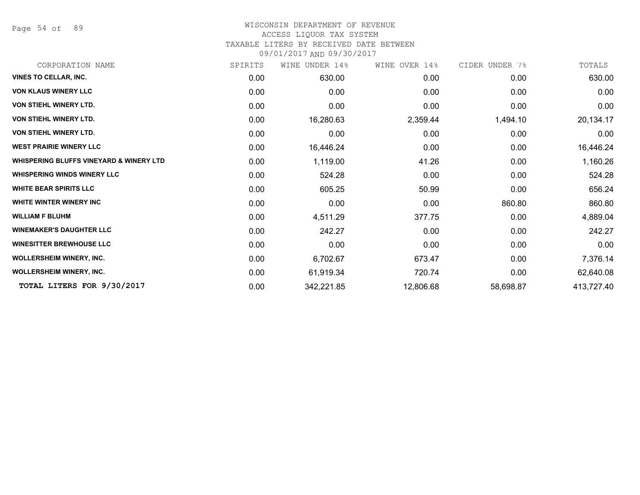Page 54 of 89

# WISCONSIN DEPARTMENT OF REVENUE

# ACCESS LIQUOR TAX SYSTEM

TAXABLE LITERS BY RECEIVED DATE BETWEEN

| SPIRITS | UNDER 14%<br>WINE | WINE OVER 14% | CIDER UNDER 7% | TOTALS     |
|---------|-------------------|---------------|----------------|------------|
| 0.00    | 630.00            | 0.00          | 0.00           | 630.00     |
| 0.00    | 0.00              | 0.00          | 0.00           | 0.00       |
| 0.00    | 0.00              | 0.00          | 0.00           | 0.00       |
| 0.00    | 16,280.63         | 2,359.44      | 1,494.10       | 20,134.17  |
| 0.00    | 0.00              | 0.00          | 0.00           | 0.00       |
| 0.00    | 16,446.24         | 0.00          | 0.00           | 16,446.24  |
| 0.00    | 1,119.00          | 41.26         | 0.00           | 1,160.26   |
| 0.00    | 524.28            | 0.00          | 0.00           | 524.28     |
| 0.00    | 605.25            | 50.99         | 0.00           | 656.24     |
| 0.00    | 0.00              | 0.00          | 860.80         | 860.80     |
| 0.00    | 4,511.29          | 377.75        | 0.00           | 4,889.04   |
| 0.00    | 242.27            | 0.00          | 0.00           | 242.27     |
| 0.00    | 0.00              | 0.00          | 0.00           | 0.00       |
| 0.00    | 6,702.67          | 673.47        | 0.00           | 7,376.14   |
| 0.00    | 61,919.34         | 720.74        | 0.00           | 62,640.08  |
| 0.00    | 342,221.85        | 12,806.68     | 58,698.87      | 413,727.40 |
|         |                   |               |                |            |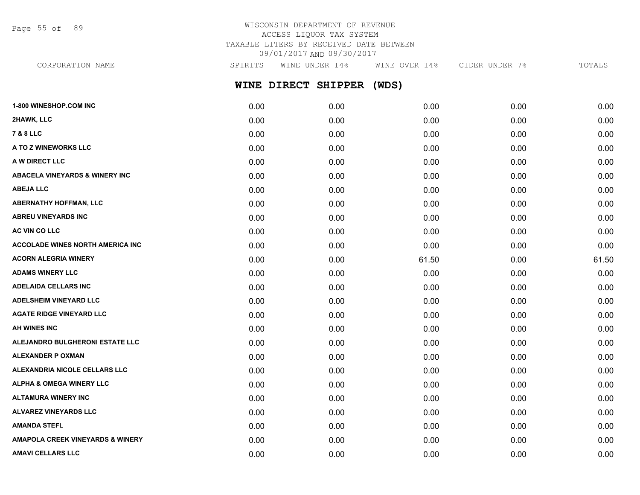Page 55 of 89

## WISCONSIN DEPARTMENT OF REVENUE ACCESS LIQUOR TAX SYSTEM TAXABLE LITERS BY RECEIVED DATE BETWEEN 09/01/2017 AND 09/30/2017

**WINE DIRECT SHIPPER (WDS) 1-800 WINESHOP.COM INC** 0.00 0.00 0.00 0.00 0.00 **2HAWK, LLC** 0.00 0.00 0.00 0.00 0.00 **7 & 8 LLC** 0.00 0.00 0.00 0.00 0.00 **A TO Z WINEWORKS LLC** 0.00 0.00 0.00 0.00 0.00 **A W DIRECT LLC** 0.00 0.00 0.00 0.00 0.00 CORPORATION NAME SPIRITS WINE UNDER 14% WINE OVER 14% CIDER UNDER 7% TOTALS

**ABACELA VINEYARDS & WINERY INC** 0.00 0.00 0.00 0.00 0.00 **ABEJA LLC** 0.00 0.00 0.00 0.00 0.00 **ABERNATHY HOFFMAN, LLC** 0.00 0.00 0.00 0.00 0.00 **ABREU VINEYARDS INC** 0.00 0.00 0.00 0.00 0.00 **AC VIN CO LLC** 0.00 0.00 0.00 0.00 0.00 **ACCOLADE WINES NORTH AMERICA INC** 0.00 0.00 0.00 0.00 0.00 **ACORN ALEGRIA WINERY** 0.00 0.00 61.50 0.00 61.50 **ADAMS WINERY LLC** 0.00 0.00 0.00 0.00 0.00 **ADELAIDA CELLARS INC** 0.00 0.00 0.00 0.00 0.00 **ADELSHEIM VINEYARD LLC** 0.00 0.00 0.00 0.00 0.00 **AGATE RIDGE VINEYARD LLC** 0.00 0.00 0.00 0.00 0.00 **AH WINES INC** 0.00 0.00 0.00 0.00 0.00 **ALEJANDRO BULGHERONI ESTATE LLC** 0.00 0.00 0.00 0.00 0.00 **ALEXANDER P OXMAN** 0.00 0.00 0.00 0.00 0.00 **ALEXANDRIA NICOLE CELLARS LLC** 0.00 0.00 0.00 0.00 0.00 **ALPHA & OMEGA WINERY LLC** 0.00 0.00 0.00 0.00 0.00 **ALTAMURA WINERY INC** 0.00 0.00 0.00 0.00 0.00 **ALVAREZ VINEYARDS LLC** 0.00 0.00 0.00 0.00 0.00 **AMANDA STEFL** 0.00 0.00 0.00 0.00 0.00 **AMAPOLA CREEK VINEYARDS & WINERY** 0.00 0.00 0.00 0.00 0.00

**AMAVI CELLARS LLC** 0.00 0.00 0.00 0.00 0.00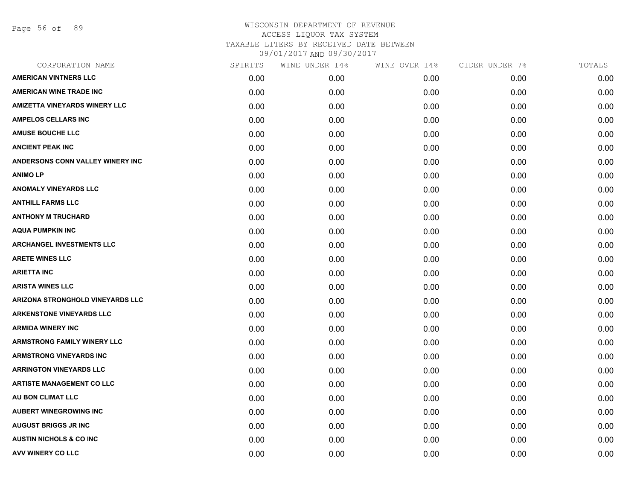Page 56 of 89

| CORPORATION NAME                        | SPIRITS | WINE UNDER 14% | WINE OVER 14% | CIDER UNDER 7% | TOTALS |
|-----------------------------------------|---------|----------------|---------------|----------------|--------|
| <b>AMERICAN VINTNERS LLC</b>            | 0.00    | 0.00           | 0.00          | 0.00           | 0.00   |
| <b>AMERICAN WINE TRADE INC</b>          | 0.00    | 0.00           | 0.00          | 0.00           | 0.00   |
| <b>AMIZETTA VINEYARDS WINERY LLC</b>    | 0.00    | 0.00           | 0.00          | 0.00           | 0.00   |
| <b>AMPELOS CELLARS INC</b>              | 0.00    | 0.00           | 0.00          | 0.00           | 0.00   |
| <b>AMUSE BOUCHE LLC</b>                 | 0.00    | 0.00           | 0.00          | 0.00           | 0.00   |
| <b>ANCIENT PEAK INC</b>                 | 0.00    | 0.00           | 0.00          | 0.00           | 0.00   |
| ANDERSONS CONN VALLEY WINERY INC        | 0.00    | 0.00           | 0.00          | 0.00           | 0.00   |
| <b>ANIMOLP</b>                          | 0.00    | 0.00           | 0.00          | 0.00           | 0.00   |
| ANOMALY VINEYARDS LLC                   | 0.00    | 0.00           | 0.00          | 0.00           | 0.00   |
| <b>ANTHILL FARMS LLC</b>                | 0.00    | 0.00           | 0.00          | 0.00           | 0.00   |
| <b>ANTHONY M TRUCHARD</b>               | 0.00    | 0.00           | 0.00          | 0.00           | 0.00   |
| <b>AQUA PUMPKIN INC</b>                 | 0.00    | 0.00           | 0.00          | 0.00           | 0.00   |
| <b>ARCHANGEL INVESTMENTS LLC</b>        | 0.00    | 0.00           | 0.00          | 0.00           | 0.00   |
| <b>ARETE WINES LLC</b>                  | 0.00    | 0.00           | 0.00          | 0.00           | 0.00   |
| <b>ARIETTA INC</b>                      | 0.00    | 0.00           | 0.00          | 0.00           | 0.00   |
| <b>ARISTA WINES LLC</b>                 | 0.00    | 0.00           | 0.00          | 0.00           | 0.00   |
| <b>ARIZONA STRONGHOLD VINEYARDS LLC</b> | 0.00    | 0.00           | 0.00          | 0.00           | 0.00   |
| <b>ARKENSTONE VINEYARDS LLC</b>         | 0.00    | 0.00           | 0.00          | 0.00           | 0.00   |
| <b>ARMIDA WINERY INC</b>                | 0.00    | 0.00           | 0.00          | 0.00           | 0.00   |
| <b>ARMSTRONG FAMILY WINERY LLC</b>      | 0.00    | 0.00           | 0.00          | 0.00           | 0.00   |
| <b>ARMSTRONG VINEYARDS INC</b>          | 0.00    | 0.00           | 0.00          | 0.00           | 0.00   |
| <b>ARRINGTON VINEYARDS LLC</b>          | 0.00    | 0.00           | 0.00          | 0.00           | 0.00   |
| <b>ARTISTE MANAGEMENT CO LLC</b>        | 0.00    | 0.00           | 0.00          | 0.00           | 0.00   |
| AU BON CLIMAT LLC                       | 0.00    | 0.00           | 0.00          | 0.00           | 0.00   |
| <b>AUBERT WINEGROWING INC</b>           | 0.00    | 0.00           | 0.00          | 0.00           | 0.00   |
| <b>AUGUST BRIGGS JR INC</b>             | 0.00    | 0.00           | 0.00          | 0.00           | 0.00   |
| <b>AUSTIN NICHOLS &amp; CO INC.</b>     | 0.00    | 0.00           | 0.00          | 0.00           | 0.00   |
| AVV WINERY CO LLC                       | 0.00    | 0.00           | 0.00          | 0.00           | 0.00   |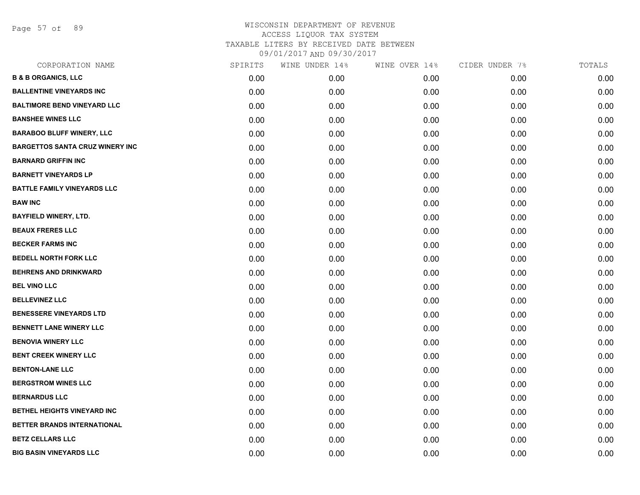Page 57 of 89

| CORPORATION NAME                       | SPIRITS | WINE UNDER 14% | WINE OVER 14% | CIDER UNDER 7% | TOTALS |
|----------------------------------------|---------|----------------|---------------|----------------|--------|
| <b>B &amp; B ORGANICS, LLC</b>         | 0.00    | 0.00           | 0.00          | 0.00           | 0.00   |
| <b>BALLENTINE VINEYARDS INC</b>        | 0.00    | 0.00           | 0.00          | 0.00           | 0.00   |
| <b>BALTIMORE BEND VINEYARD LLC</b>     | 0.00    | 0.00           | 0.00          | 0.00           | 0.00   |
| <b>BANSHEE WINES LLC</b>               | 0.00    | 0.00           | 0.00          | 0.00           | 0.00   |
| <b>BARABOO BLUFF WINERY, LLC</b>       | 0.00    | 0.00           | 0.00          | 0.00           | 0.00   |
| <b>BARGETTOS SANTA CRUZ WINERY INC</b> | 0.00    | 0.00           | 0.00          | 0.00           | 0.00   |
| <b>BARNARD GRIFFIN INC</b>             | 0.00    | 0.00           | 0.00          | 0.00           | 0.00   |
| <b>BARNETT VINEYARDS LP</b>            | 0.00    | 0.00           | 0.00          | 0.00           | 0.00   |
| <b>BATTLE FAMILY VINEYARDS LLC</b>     | 0.00    | 0.00           | 0.00          | 0.00           | 0.00   |
| <b>BAW INC</b>                         | 0.00    | 0.00           | 0.00          | 0.00           | 0.00   |
| <b>BAYFIELD WINERY, LTD.</b>           | 0.00    | 0.00           | 0.00          | 0.00           | 0.00   |
| <b>BEAUX FRERES LLC</b>                | 0.00    | 0.00           | 0.00          | 0.00           | 0.00   |
| <b>BECKER FARMS INC</b>                | 0.00    | 0.00           | 0.00          | 0.00           | 0.00   |
| <b>BEDELL NORTH FORK LLC</b>           | 0.00    | 0.00           | 0.00          | 0.00           | 0.00   |
| <b>BEHRENS AND DRINKWARD</b>           | 0.00    | 0.00           | 0.00          | 0.00           | 0.00   |
| <b>BEL VINO LLC</b>                    | 0.00    | 0.00           | 0.00          | 0.00           | 0.00   |
| <b>BELLEVINEZ LLC</b>                  | 0.00    | 0.00           | 0.00          | 0.00           | 0.00   |
| <b>BENESSERE VINEYARDS LTD</b>         | 0.00    | 0.00           | 0.00          | 0.00           | 0.00   |
| <b>BENNETT LANE WINERY LLC</b>         | 0.00    | 0.00           | 0.00          | 0.00           | 0.00   |
| <b>BENOVIA WINERY LLC</b>              | 0.00    | 0.00           | 0.00          | 0.00           | 0.00   |
| <b>BENT CREEK WINERY LLC</b>           | 0.00    | 0.00           | 0.00          | 0.00           | 0.00   |
| <b>BENTON-LANE LLC</b>                 | 0.00    | 0.00           | 0.00          | 0.00           | 0.00   |
| <b>BERGSTROM WINES LLC</b>             | 0.00    | 0.00           | 0.00          | 0.00           | 0.00   |
| <b>BERNARDUS LLC</b>                   | 0.00    | 0.00           | 0.00          | 0.00           | 0.00   |
| BETHEL HEIGHTS VINEYARD INC            | 0.00    | 0.00           | 0.00          | 0.00           | 0.00   |
| BETTER BRANDS INTERNATIONAL            | 0.00    | 0.00           | 0.00          | 0.00           | 0.00   |
| <b>BETZ CELLARS LLC</b>                | 0.00    | 0.00           | 0.00          | 0.00           | 0.00   |
| <b>BIG BASIN VINEYARDS LLC</b>         | 0.00    | 0.00           | 0.00          | 0.00           | 0.00   |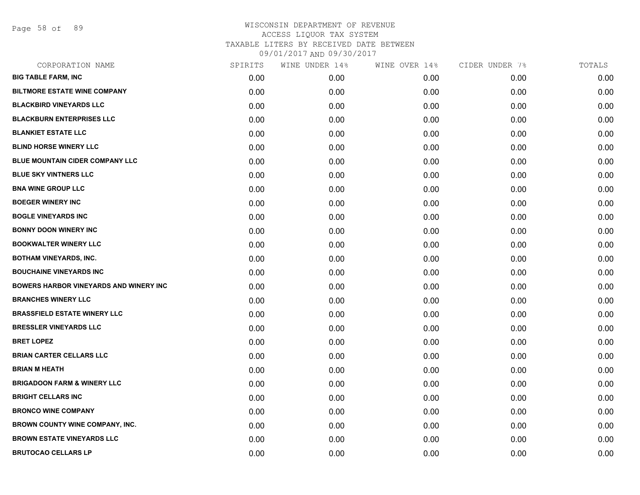Page 58 of 89

| CORPORATION NAME                              | SPIRITS | WINE UNDER 14% | WINE OVER 14% | CIDER UNDER 7% | TOTALS |
|-----------------------------------------------|---------|----------------|---------------|----------------|--------|
| <b>BIG TABLE FARM, INC</b>                    | 0.00    | 0.00           | 0.00          | 0.00           | 0.00   |
| <b>BILTMORE ESTATE WINE COMPANY</b>           | 0.00    | 0.00           | 0.00          | 0.00           | 0.00   |
| <b>BLACKBIRD VINEYARDS LLC</b>                | 0.00    | 0.00           | 0.00          | 0.00           | 0.00   |
| <b>BLACKBURN ENTERPRISES LLC</b>              | 0.00    | 0.00           | 0.00          | 0.00           | 0.00   |
| <b>BLANKIET ESTATE LLC</b>                    | 0.00    | 0.00           | 0.00          | 0.00           | 0.00   |
| <b>BLIND HORSE WINERY LLC</b>                 | 0.00    | 0.00           | 0.00          | 0.00           | 0.00   |
| BLUE MOUNTAIN CIDER COMPANY LLC               | 0.00    | 0.00           | 0.00          | 0.00           | 0.00   |
| <b>BLUE SKY VINTNERS LLC</b>                  | 0.00    | 0.00           | 0.00          | 0.00           | 0.00   |
| <b>BNA WINE GROUP LLC</b>                     | 0.00    | 0.00           | 0.00          | 0.00           | 0.00   |
| <b>BOEGER WINERY INC</b>                      | 0.00    | 0.00           | 0.00          | 0.00           | 0.00   |
| <b>BOGLE VINEYARDS INC</b>                    | 0.00    | 0.00           | 0.00          | 0.00           | 0.00   |
| <b>BONNY DOON WINERY INC</b>                  | 0.00    | 0.00           | 0.00          | 0.00           | 0.00   |
| <b>BOOKWALTER WINERY LLC</b>                  | 0.00    | 0.00           | 0.00          | 0.00           | 0.00   |
| <b>BOTHAM VINEYARDS, INC.</b>                 | 0.00    | 0.00           | 0.00          | 0.00           | 0.00   |
| <b>BOUCHAINE VINEYARDS INC.</b>               | 0.00    | 0.00           | 0.00          | 0.00           | 0.00   |
| <b>BOWERS HARBOR VINEYARDS AND WINERY INC</b> | 0.00    | 0.00           | 0.00          | 0.00           | 0.00   |
| <b>BRANCHES WINERY LLC</b>                    | 0.00    | 0.00           | 0.00          | 0.00           | 0.00   |
| <b>BRASSFIELD ESTATE WINERY LLC</b>           | 0.00    | 0.00           | 0.00          | 0.00           | 0.00   |
| <b>BRESSLER VINEYARDS LLC</b>                 | 0.00    | 0.00           | 0.00          | 0.00           | 0.00   |
| <b>BRET LOPEZ</b>                             | 0.00    | 0.00           | 0.00          | 0.00           | 0.00   |
| <b>BRIAN CARTER CELLARS LLC</b>               | 0.00    | 0.00           | 0.00          | 0.00           | 0.00   |
| <b>BRIAN M HEATH</b>                          | 0.00    | 0.00           | 0.00          | 0.00           | 0.00   |
| <b>BRIGADOON FARM &amp; WINERY LLC</b>        | 0.00    | 0.00           | 0.00          | 0.00           | 0.00   |
| <b>BRIGHT CELLARS INC</b>                     | 0.00    | 0.00           | 0.00          | 0.00           | 0.00   |
| <b>BRONCO WINE COMPANY</b>                    | 0.00    | 0.00           | 0.00          | 0.00           | 0.00   |
| <b>BROWN COUNTY WINE COMPANY, INC.</b>        | 0.00    | 0.00           | 0.00          | 0.00           | 0.00   |
| <b>BROWN ESTATE VINEYARDS LLC</b>             | 0.00    | 0.00           | 0.00          | 0.00           | 0.00   |
| <b>BRUTOCAO CELLARS LP</b>                    | 0.00    | 0.00           | 0.00          | 0.00           | 0.00   |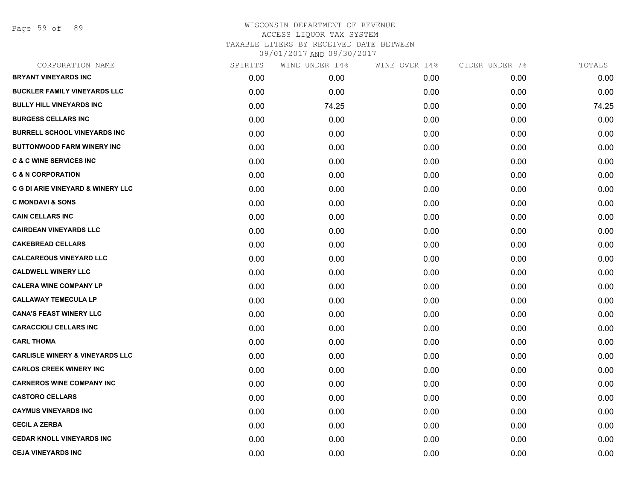Page 59 of 89

|      | WINE UNDER 14% |      | CIDER UNDER 7% | TOTALS |
|------|----------------|------|----------------|--------|
| 0.00 | 0.00           | 0.00 | 0.00           | 0.00   |
| 0.00 | 0.00           | 0.00 | 0.00           | 0.00   |
| 0.00 | 74.25          | 0.00 | 0.00           | 74.25  |
| 0.00 | 0.00           | 0.00 | 0.00           | 0.00   |
| 0.00 | 0.00           | 0.00 | 0.00           | 0.00   |
| 0.00 | 0.00           | 0.00 | 0.00           | 0.00   |
| 0.00 | 0.00           | 0.00 | 0.00           | 0.00   |
| 0.00 | 0.00           | 0.00 | 0.00           | 0.00   |
| 0.00 | 0.00           | 0.00 | 0.00           | 0.00   |
| 0.00 | 0.00           | 0.00 | 0.00           | 0.00   |
| 0.00 | 0.00           | 0.00 | 0.00           | 0.00   |
| 0.00 | 0.00           | 0.00 | 0.00           | 0.00   |
| 0.00 | 0.00           | 0.00 | 0.00           | 0.00   |
| 0.00 | 0.00           | 0.00 | 0.00           | 0.00   |
| 0.00 | 0.00           | 0.00 | 0.00           | 0.00   |
| 0.00 | 0.00           | 0.00 | 0.00           | 0.00   |
| 0.00 | 0.00           | 0.00 | 0.00           | 0.00   |
| 0.00 | 0.00           | 0.00 | 0.00           | 0.00   |
| 0.00 | 0.00           | 0.00 | 0.00           | 0.00   |
| 0.00 | 0.00           | 0.00 | 0.00           | 0.00   |
| 0.00 | 0.00           | 0.00 | 0.00           | 0.00   |
| 0.00 | 0.00           | 0.00 | 0.00           | 0.00   |
| 0.00 | 0.00           | 0.00 | 0.00           | 0.00   |
| 0.00 | 0.00           | 0.00 | 0.00           | 0.00   |
| 0.00 | 0.00           | 0.00 | 0.00           | 0.00   |
| 0.00 | 0.00           | 0.00 | 0.00           | 0.00   |
| 0.00 | 0.00           | 0.00 | 0.00           | 0.00   |
| 0.00 | 0.00           | 0.00 | 0.00           | 0.00   |
|      | SPIRITS        |      | WINE OVER 14%  |        |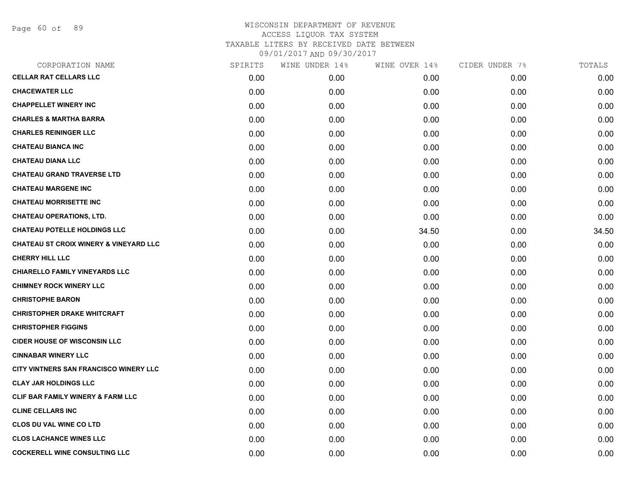Page 60 of 89

| CORPORATION NAME                                  | SPIRITS | WINE UNDER 14% | WINE OVER 14% | CIDER UNDER 7% | TOTALS |
|---------------------------------------------------|---------|----------------|---------------|----------------|--------|
| <b>CELLAR RAT CELLARS LLC</b>                     | 0.00    | 0.00           | 0.00          | 0.00           | 0.00   |
| <b>CHACEWATER LLC</b>                             | 0.00    | 0.00           | 0.00          | 0.00           | 0.00   |
| <b>CHAPPELLET WINERY INC</b>                      | 0.00    | 0.00           | 0.00          | 0.00           | 0.00   |
| <b>CHARLES &amp; MARTHA BARRA</b>                 | 0.00    | 0.00           | 0.00          | 0.00           | 0.00   |
| <b>CHARLES REININGER LLC</b>                      | 0.00    | 0.00           | 0.00          | 0.00           | 0.00   |
| <b>CHATEAU BIANCA INC</b>                         | 0.00    | 0.00           | 0.00          | 0.00           | 0.00   |
| <b>CHATEAU DIANA LLC</b>                          | 0.00    | 0.00           | 0.00          | 0.00           | 0.00   |
| <b>CHATEAU GRAND TRAVERSE LTD</b>                 | 0.00    | 0.00           | 0.00          | 0.00           | 0.00   |
| <b>CHATEAU MARGENE INC</b>                        | 0.00    | 0.00           | 0.00          | 0.00           | 0.00   |
| <b>CHATEAU MORRISETTE INC</b>                     | 0.00    | 0.00           | 0.00          | 0.00           | 0.00   |
| <b>CHATEAU OPERATIONS, LTD.</b>                   | 0.00    | 0.00           | 0.00          | 0.00           | 0.00   |
| <b>CHATEAU POTELLE HOLDINGS LLC</b>               | 0.00    | 0.00           | 34.50         | 0.00           | 34.50  |
| <b>CHATEAU ST CROIX WINERY &amp; VINEYARD LLC</b> | 0.00    | 0.00           | 0.00          | 0.00           | 0.00   |
| <b>CHERRY HILL LLC</b>                            | 0.00    | 0.00           | 0.00          | 0.00           | 0.00   |
| <b>CHIARELLO FAMILY VINEYARDS LLC</b>             | 0.00    | 0.00           | 0.00          | 0.00           | 0.00   |
| <b>CHIMNEY ROCK WINERY LLC</b>                    | 0.00    | 0.00           | 0.00          | 0.00           | 0.00   |
| <b>CHRISTOPHE BARON</b>                           | 0.00    | 0.00           | 0.00          | 0.00           | 0.00   |
| <b>CHRISTOPHER DRAKE WHITCRAFT</b>                | 0.00    | 0.00           | 0.00          | 0.00           | 0.00   |
| <b>CHRISTOPHER FIGGINS</b>                        | 0.00    | 0.00           | 0.00          | 0.00           | 0.00   |
| <b>CIDER HOUSE OF WISCONSIN LLC</b>               | 0.00    | 0.00           | 0.00          | 0.00           | 0.00   |
| <b>CINNABAR WINERY LLC</b>                        | 0.00    | 0.00           | 0.00          | 0.00           | 0.00   |
| CITY VINTNERS SAN FRANCISCO WINERY LLC            | 0.00    | 0.00           | 0.00          | 0.00           | 0.00   |
| <b>CLAY JAR HOLDINGS LLC</b>                      | 0.00    | 0.00           | 0.00          | 0.00           | 0.00   |
| CLIF BAR FAMILY WINERY & FARM LLC                 | 0.00    | 0.00           | 0.00          | 0.00           | 0.00   |
| <b>CLINE CELLARS INC</b>                          | 0.00    | 0.00           | 0.00          | 0.00           | 0.00   |
| <b>CLOS DU VAL WINE CO LTD</b>                    | 0.00    | 0.00           | 0.00          | 0.00           | 0.00   |
| <b>CLOS LACHANCE WINES LLC</b>                    | 0.00    | 0.00           | 0.00          | 0.00           | 0.00   |
| <b>COCKERELL WINE CONSULTING LLC</b>              | 0.00    | 0.00           | 0.00          | 0.00           | 0.00   |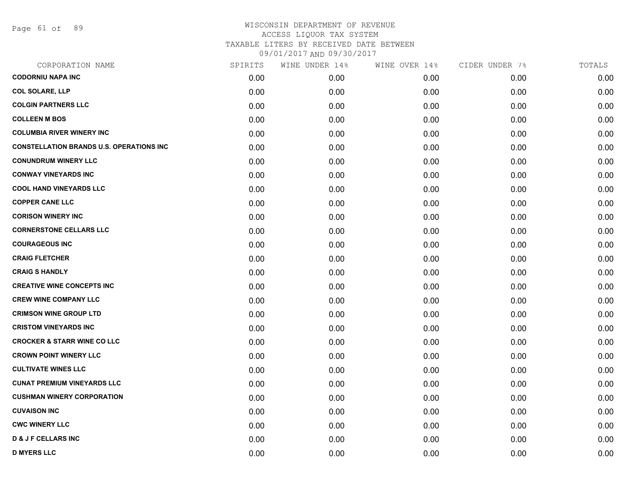Page 61 of 89

## WISCONSIN DEPARTMENT OF REVENUE ACCESS LIQUOR TAX SYSTEM TAXABLE LITERS BY RECEIVED DATE BETWEEN

| CORPORATION NAME                                 | SPIRITS | WINE UNDER 14% | WINE OVER 14% | CIDER UNDER 7% | TOTALS |
|--------------------------------------------------|---------|----------------|---------------|----------------|--------|
| <b>CODORNIU NAPA INC</b>                         | 0.00    | 0.00           | 0.00          | 0.00           | 0.00   |
| <b>COL SOLARE, LLP</b>                           | 0.00    | 0.00           | 0.00          | 0.00           | 0.00   |
| <b>COLGIN PARTNERS LLC</b>                       | 0.00    | 0.00           | 0.00          | 0.00           | 0.00   |
| <b>COLLEEN M BOS</b>                             | 0.00    | 0.00           | 0.00          | 0.00           | 0.00   |
| <b>COLUMBIA RIVER WINERY INC</b>                 | 0.00    | 0.00           | 0.00          | 0.00           | 0.00   |
| <b>CONSTELLATION BRANDS U.S. OPERATIONS INC.</b> | 0.00    | 0.00           | 0.00          | 0.00           | 0.00   |
| <b>CONUNDRUM WINERY LLC</b>                      | 0.00    | 0.00           | 0.00          | 0.00           | 0.00   |
| <b>CONWAY VINEYARDS INC</b>                      | 0.00    | 0.00           | 0.00          | 0.00           | 0.00   |
| <b>COOL HAND VINEYARDS LLC</b>                   | 0.00    | 0.00           | 0.00          | 0.00           | 0.00   |
| <b>COPPER CANE LLC</b>                           | 0.00    | 0.00           | 0.00          | 0.00           | 0.00   |
| <b>CORISON WINERY INC</b>                        | 0.00    | 0.00           | 0.00          | 0.00           | 0.00   |
| <b>CORNERSTONE CELLARS LLC</b>                   | 0.00    | 0.00           | 0.00          | 0.00           | 0.00   |
| <b>COURAGEOUS INC</b>                            | 0.00    | 0.00           | 0.00          | 0.00           | 0.00   |
| <b>CRAIG FLETCHER</b>                            | 0.00    | 0.00           | 0.00          | 0.00           | 0.00   |
| <b>CRAIG S HANDLY</b>                            | 0.00    | 0.00           | 0.00          | 0.00           | 0.00   |
| <b>CREATIVE WINE CONCEPTS INC</b>                | 0.00    | 0.00           | 0.00          | 0.00           | 0.00   |
| <b>CREW WINE COMPANY LLC</b>                     | 0.00    | 0.00           | 0.00          | 0.00           | 0.00   |
| <b>CRIMSON WINE GROUP LTD</b>                    | 0.00    | 0.00           | 0.00          | 0.00           | 0.00   |
| <b>CRISTOM VINEYARDS INC</b>                     | 0.00    | 0.00           | 0.00          | 0.00           | 0.00   |
| <b>CROCKER &amp; STARR WINE CO LLC</b>           | 0.00    | 0.00           | 0.00          | 0.00           | 0.00   |
| <b>CROWN POINT WINERY LLC</b>                    | 0.00    | 0.00           | 0.00          | 0.00           | 0.00   |
| <b>CULTIVATE WINES LLC</b>                       | 0.00    | 0.00           | 0.00          | 0.00           | 0.00   |
| <b>CUNAT PREMIUM VINEYARDS LLC</b>               | 0.00    | 0.00           | 0.00          | 0.00           | 0.00   |
| <b>CUSHMAN WINERY CORPORATION</b>                | 0.00    | 0.00           | 0.00          | 0.00           | 0.00   |
| <b>CUVAISON INC</b>                              | 0.00    | 0.00           | 0.00          | 0.00           | 0.00   |
| <b>CWC WINERY LLC</b>                            | 0.00    | 0.00           | 0.00          | 0.00           | 0.00   |
| <b>D &amp; J F CELLARS INC</b>                   | 0.00    | 0.00           | 0.00          | 0.00           | 0.00   |
| <b>D MYERS LLC</b>                               | 0.00    | 0.00           | 0.00          | 0.00           | 0.00   |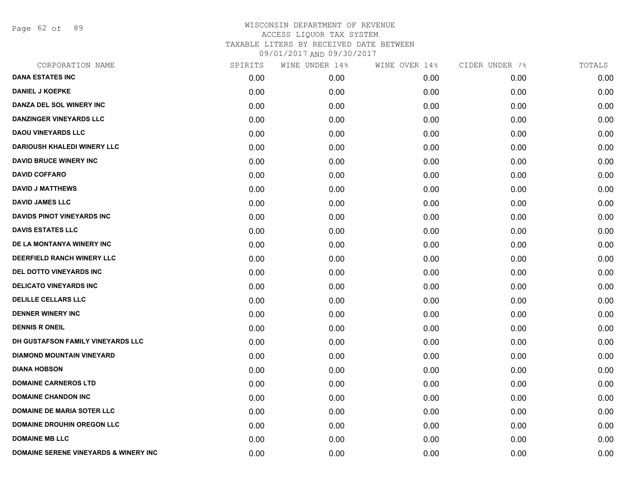Page 62 of 89

| CORPORATION NAME                                 | SPIRITS | WINE UNDER 14% | WINE OVER 14% | CIDER UNDER 7% | TOTALS |
|--------------------------------------------------|---------|----------------|---------------|----------------|--------|
| <b>DANA ESTATES INC</b>                          | 0.00    | 0.00           | 0.00          | 0.00           | 0.00   |
| <b>DANIEL J KOEPKE</b>                           | 0.00    | 0.00           | 0.00          | 0.00           | 0.00   |
| DANZA DEL SOL WINERY INC                         | 0.00    | 0.00           | 0.00          | 0.00           | 0.00   |
| <b>DANZINGER VINEYARDS LLC</b>                   | 0.00    | 0.00           | 0.00          | 0.00           | 0.00   |
| <b>DAOU VINEYARDS LLC</b>                        | 0.00    | 0.00           | 0.00          | 0.00           | 0.00   |
| <b>DARIOUSH KHALEDI WINERY LLC</b>               | 0.00    | 0.00           | 0.00          | 0.00           | 0.00   |
| <b>DAVID BRUCE WINERY INC</b>                    | 0.00    | 0.00           | 0.00          | 0.00           | 0.00   |
| <b>DAVID COFFARO</b>                             | 0.00    | 0.00           | 0.00          | 0.00           | 0.00   |
| <b>DAVID J MATTHEWS</b>                          | 0.00    | 0.00           | 0.00          | 0.00           | 0.00   |
| <b>DAVID JAMES LLC</b>                           | 0.00    | 0.00           | 0.00          | 0.00           | 0.00   |
| <b>DAVIDS PINOT VINEYARDS INC</b>                | 0.00    | 0.00           | 0.00          | 0.00           | 0.00   |
| <b>DAVIS ESTATES LLC</b>                         | 0.00    | 0.00           | 0.00          | 0.00           | 0.00   |
| DE LA MONTANYA WINERY INC                        | 0.00    | 0.00           | 0.00          | 0.00           | 0.00   |
| DEERFIELD RANCH WINERY LLC                       | 0.00    | 0.00           | 0.00          | 0.00           | 0.00   |
| DEL DOTTO VINEYARDS INC                          | 0.00    | 0.00           | 0.00          | 0.00           | 0.00   |
| <b>DELICATO VINEYARDS INC</b>                    | 0.00    | 0.00           | 0.00          | 0.00           | 0.00   |
| <b>DELILLE CELLARS LLC</b>                       | 0.00    | 0.00           | 0.00          | 0.00           | 0.00   |
| <b>DENNER WINERY INC</b>                         | 0.00    | 0.00           | 0.00          | 0.00           | 0.00   |
| <b>DENNIS R ONEIL</b>                            | 0.00    | 0.00           | 0.00          | 0.00           | 0.00   |
| DH GUSTAFSON FAMILY VINEYARDS LLC                | 0.00    | 0.00           | 0.00          | 0.00           | 0.00   |
| <b>DIAMOND MOUNTAIN VINEYARD</b>                 | 0.00    | 0.00           | 0.00          | 0.00           | 0.00   |
| <b>DIANA HOBSON</b>                              | 0.00    | 0.00           | 0.00          | 0.00           | 0.00   |
| <b>DOMAINE CARNEROS LTD</b>                      | 0.00    | 0.00           | 0.00          | 0.00           | 0.00   |
| <b>DOMAINE CHANDON INC</b>                       | 0.00    | 0.00           | 0.00          | 0.00           | 0.00   |
| <b>DOMAINE DE MARIA SOTER LLC</b>                | 0.00    | 0.00           | 0.00          | 0.00           | 0.00   |
| <b>DOMAINE DROUHIN OREGON LLC</b>                | 0.00    | 0.00           | 0.00          | 0.00           | 0.00   |
| <b>DOMAINE MB LLC</b>                            | 0.00    | 0.00           | 0.00          | 0.00           | 0.00   |
| <b>DOMAINE SERENE VINEYARDS &amp; WINERY INC</b> | 0.00    | 0.00           | 0.00          | 0.00           | 0.00   |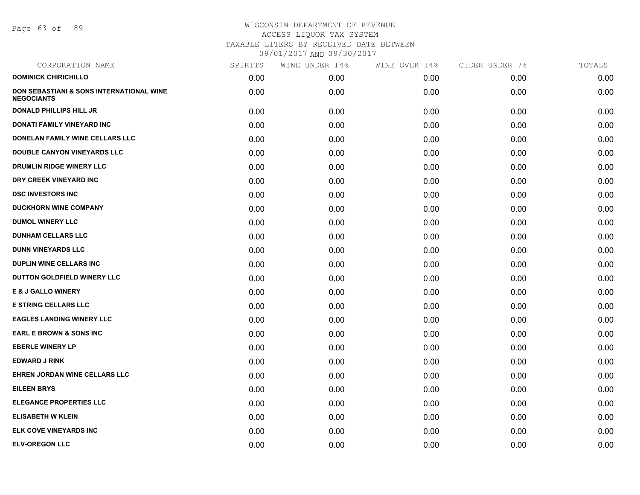Page 63 of 89

| CORPORATION NAME                                              | SPIRITS | WINE UNDER 14% | WINE OVER 14% | CIDER UNDER 7% | TOTALS |
|---------------------------------------------------------------|---------|----------------|---------------|----------------|--------|
| <b>DOMINICK CHIRICHILLO</b>                                   | 0.00    | 0.00           | 0.00          | 0.00           | 0.00   |
| DON SEBASTIANI & SONS INTERNATIONAL WINE<br><b>NEGOCIANTS</b> | 0.00    | 0.00           | 0.00          | 0.00           | 0.00   |
| <b>DONALD PHILLIPS HILL JR</b>                                | 0.00    | 0.00           | 0.00          | 0.00           | 0.00   |
| <b>DONATI FAMILY VINEYARD INC</b>                             | 0.00    | 0.00           | 0.00          | 0.00           | 0.00   |
| DONELAN FAMILY WINE CELLARS LLC                               | 0.00    | 0.00           | 0.00          | 0.00           | 0.00   |
| DOUBLE CANYON VINEYARDS LLC                                   | 0.00    | 0.00           | 0.00          | 0.00           | 0.00   |
| DRUMLIN RIDGE WINERY LLC                                      | 0.00    | 0.00           | 0.00          | 0.00           | 0.00   |
| DRY CREEK VINEYARD INC                                        | 0.00    | 0.00           | 0.00          | 0.00           | 0.00   |
| <b>DSC INVESTORS INC</b>                                      | 0.00    | 0.00           | 0.00          | 0.00           | 0.00   |
| <b>DUCKHORN WINE COMPANY</b>                                  | 0.00    | 0.00           | 0.00          | 0.00           | 0.00   |
| <b>DUMOL WINERY LLC</b>                                       | 0.00    | 0.00           | 0.00          | 0.00           | 0.00   |
| <b>DUNHAM CELLARS LLC</b>                                     | 0.00    | 0.00           | 0.00          | 0.00           | 0.00   |
| <b>DUNN VINEYARDS LLC</b>                                     | 0.00    | 0.00           | 0.00          | 0.00           | 0.00   |
| <b>DUPLIN WINE CELLARS INC</b>                                | 0.00    | 0.00           | 0.00          | 0.00           | 0.00   |
| DUTTON GOLDFIELD WINERY LLC                                   | 0.00    | 0.00           | 0.00          | 0.00           | 0.00   |
| <b>E &amp; J GALLO WINERY</b>                                 | 0.00    | 0.00           | 0.00          | 0.00           | 0.00   |
| <b>E STRING CELLARS LLC</b>                                   | 0.00    | 0.00           | 0.00          | 0.00           | 0.00   |
| <b>EAGLES LANDING WINERY LLC</b>                              | 0.00    | 0.00           | 0.00          | 0.00           | 0.00   |
| <b>EARL E BROWN &amp; SONS INC</b>                            | 0.00    | 0.00           | 0.00          | 0.00           | 0.00   |
| <b>EBERLE WINERY LP</b>                                       | 0.00    | 0.00           | 0.00          | 0.00           | 0.00   |
| <b>EDWARD J RINK</b>                                          | 0.00    | 0.00           | 0.00          | 0.00           | 0.00   |
| EHREN JORDAN WINE CELLARS LLC                                 | 0.00    | 0.00           | 0.00          | 0.00           | 0.00   |
| <b>EILEEN BRYS</b>                                            | 0.00    | 0.00           | 0.00          | 0.00           | 0.00   |
| <b>ELEGANCE PROPERTIES LLC</b>                                | 0.00    | 0.00           | 0.00          | 0.00           | 0.00   |
| <b>ELISABETH W KLEIN</b>                                      | 0.00    | 0.00           | 0.00          | 0.00           | 0.00   |
| <b>ELK COVE VINEYARDS INC</b>                                 | 0.00    | 0.00           | 0.00          | 0.00           | 0.00   |
| <b>ELV-OREGON LLC</b>                                         | 0.00    | 0.00           | 0.00          | 0.00           | 0.00   |
|                                                               |         |                |               |                |        |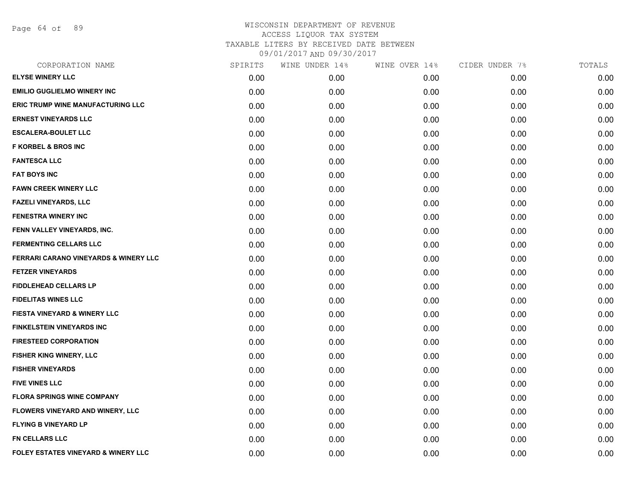Page 64 of 89

| CORPORATION NAME                               | SPIRITS | WINE UNDER 14% | WINE OVER 14% | CIDER UNDER 7% | TOTALS |
|------------------------------------------------|---------|----------------|---------------|----------------|--------|
| <b>ELYSE WINERY LLC</b>                        | 0.00    | 0.00           | 0.00          | 0.00           | 0.00   |
| <b>EMILIO GUGLIELMO WINERY INC</b>             | 0.00    | 0.00           | 0.00          | 0.00           | 0.00   |
| ERIC TRUMP WINE MANUFACTURING LLC              | 0.00    | 0.00           | 0.00          | 0.00           | 0.00   |
| <b>ERNEST VINEYARDS LLC</b>                    | 0.00    | 0.00           | 0.00          | 0.00           | 0.00   |
| <b>ESCALERA-BOULET LLC</b>                     | 0.00    | 0.00           | 0.00          | 0.00           | 0.00   |
| <b>F KORBEL &amp; BROS INC</b>                 | 0.00    | 0.00           | 0.00          | 0.00           | 0.00   |
| <b>FANTESCA LLC</b>                            | 0.00    | 0.00           | 0.00          | 0.00           | 0.00   |
| <b>FAT BOYS INC</b>                            | 0.00    | 0.00           | 0.00          | 0.00           | 0.00   |
| <b>FAWN CREEK WINERY LLC</b>                   | 0.00    | 0.00           | 0.00          | 0.00           | 0.00   |
| <b>FAZELI VINEYARDS, LLC</b>                   | 0.00    | 0.00           | 0.00          | 0.00           | 0.00   |
| <b>FENESTRA WINERY INC</b>                     | 0.00    | 0.00           | 0.00          | 0.00           | 0.00   |
| FENN VALLEY VINEYARDS, INC.                    | 0.00    | 0.00           | 0.00          | 0.00           | 0.00   |
| <b>FERMENTING CELLARS LLC</b>                  | 0.00    | 0.00           | 0.00          | 0.00           | 0.00   |
| FERRARI CARANO VINEYARDS & WINERY LLC          | 0.00    | 0.00           | 0.00          | 0.00           | 0.00   |
| <b>FETZER VINEYARDS</b>                        | 0.00    | 0.00           | 0.00          | 0.00           | 0.00   |
| <b>FIDDLEHEAD CELLARS LP</b>                   | 0.00    | 0.00           | 0.00          | 0.00           | 0.00   |
| <b>FIDELITAS WINES LLC</b>                     | 0.00    | 0.00           | 0.00          | 0.00           | 0.00   |
| FIESTA VINEYARD & WINERY LLC                   | 0.00    | 0.00           | 0.00          | 0.00           | 0.00   |
| <b>FINKELSTEIN VINEYARDS INC</b>               | 0.00    | 0.00           | 0.00          | 0.00           | 0.00   |
| <b>FIRESTEED CORPORATION</b>                   | 0.00    | 0.00           | 0.00          | 0.00           | 0.00   |
| FISHER KING WINERY, LLC                        | 0.00    | 0.00           | 0.00          | 0.00           | 0.00   |
| <b>FISHER VINEYARDS</b>                        | 0.00    | 0.00           | 0.00          | 0.00           | 0.00   |
| <b>FIVE VINES LLC</b>                          | 0.00    | 0.00           | 0.00          | 0.00           | 0.00   |
| <b>FLORA SPRINGS WINE COMPANY</b>              | 0.00    | 0.00           | 0.00          | 0.00           | 0.00   |
| FLOWERS VINEYARD AND WINERY, LLC               | 0.00    | 0.00           | 0.00          | 0.00           | 0.00   |
| <b>FLYING B VINEYARD LP</b>                    | 0.00    | 0.00           | 0.00          | 0.00           | 0.00   |
| <b>FN CELLARS LLC</b>                          | 0.00    | 0.00           | 0.00          | 0.00           | 0.00   |
| <b>FOLEY ESTATES VINEYARD &amp; WINERY LLC</b> | 0.00    | 0.00           | 0.00          | 0.00           | 0.00   |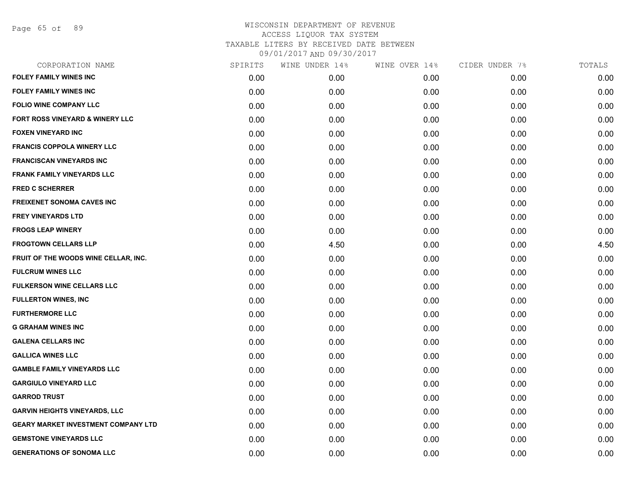Page 65 of 89

| CORPORATION NAME                           | SPIRITS | WINE UNDER 14% | WINE OVER 14% | CIDER UNDER 7% | TOTALS |
|--------------------------------------------|---------|----------------|---------------|----------------|--------|
| <b>FOLEY FAMILY WINES INC</b>              | 0.00    | 0.00           | 0.00          | 0.00           | 0.00   |
| <b>FOLEY FAMILY WINES INC</b>              | 0.00    | 0.00           | 0.00          | 0.00           | 0.00   |
| FOLIO WINE COMPANY LLC                     | 0.00    | 0.00           | 0.00          | 0.00           | 0.00   |
| FORT ROSS VINEYARD & WINERY LLC            | 0.00    | 0.00           | 0.00          | 0.00           | 0.00   |
| <b>FOXEN VINEYARD INC</b>                  | 0.00    | 0.00           | 0.00          | 0.00           | 0.00   |
| <b>FRANCIS COPPOLA WINERY LLC</b>          | 0.00    | 0.00           | 0.00          | 0.00           | 0.00   |
| <b>FRANCISCAN VINEYARDS INC</b>            | 0.00    | 0.00           | 0.00          | 0.00           | 0.00   |
| <b>FRANK FAMILY VINEYARDS LLC</b>          | 0.00    | 0.00           | 0.00          | 0.00           | 0.00   |
| FRED C SCHERRER                            | 0.00    | 0.00           | 0.00          | 0.00           | 0.00   |
| <b>FREIXENET SONOMA CAVES INC</b>          | 0.00    | 0.00           | 0.00          | 0.00           | 0.00   |
| <b>FREY VINEYARDS LTD</b>                  | 0.00    | 0.00           | 0.00          | 0.00           | 0.00   |
| <b>FROGS LEAP WINERY</b>                   | 0.00    | 0.00           | 0.00          | 0.00           | 0.00   |
| <b>FROGTOWN CELLARS LLP</b>                | 0.00    | 4.50           | 0.00          | 0.00           | 4.50   |
| FRUIT OF THE WOODS WINE CELLAR, INC.       | 0.00    | 0.00           | 0.00          | 0.00           | 0.00   |
| <b>FULCRUM WINES LLC</b>                   | 0.00    | 0.00           | 0.00          | 0.00           | 0.00   |
| FULKERSON WINE CELLARS LLC                 | 0.00    | 0.00           | 0.00          | 0.00           | 0.00   |
| <b>FULLERTON WINES, INC</b>                | 0.00    | 0.00           | 0.00          | 0.00           | 0.00   |
| <b>FURTHERMORE LLC</b>                     | 0.00    | 0.00           | 0.00          | 0.00           | 0.00   |
| <b>G GRAHAM WINES INC</b>                  | 0.00    | 0.00           | 0.00          | 0.00           | 0.00   |
| <b>GALENA CELLARS INC</b>                  | 0.00    | 0.00           | 0.00          | 0.00           | 0.00   |
| <b>GALLICA WINES LLC</b>                   | 0.00    | 0.00           | 0.00          | 0.00           | 0.00   |
| <b>GAMBLE FAMILY VINEYARDS LLC</b>         | 0.00    | 0.00           | 0.00          | 0.00           | 0.00   |
| <b>GARGIULO VINEYARD LLC</b>               | 0.00    | 0.00           | 0.00          | 0.00           | 0.00   |
| <b>GARROD TRUST</b>                        | 0.00    | 0.00           | 0.00          | 0.00           | 0.00   |
| <b>GARVIN HEIGHTS VINEYARDS, LLC</b>       | 0.00    | 0.00           | 0.00          | 0.00           | 0.00   |
| <b>GEARY MARKET INVESTMENT COMPANY LTD</b> | 0.00    | 0.00           | 0.00          | 0.00           | 0.00   |
| <b>GEMSTONE VINEYARDS LLC</b>              | 0.00    | 0.00           | 0.00          | 0.00           | 0.00   |
| <b>GENERATIONS OF SONOMA LLC</b>           | 0.00    | 0.00           | 0.00          | 0.00           | 0.00   |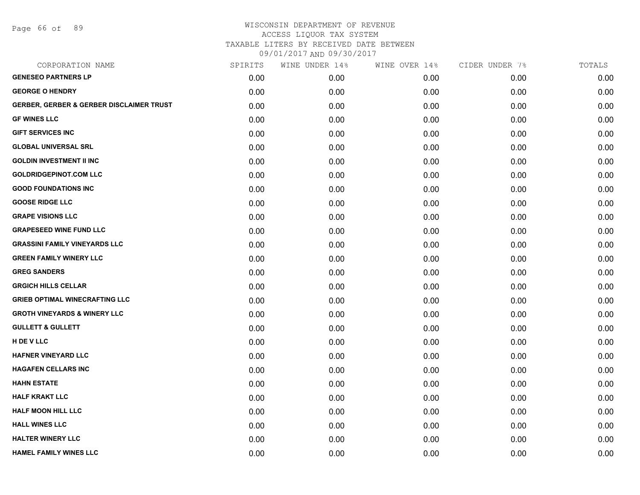Page 66 of 89

| CORPORATION NAME                         | SPIRITS | WINE UNDER 14% | WINE OVER 14% | CIDER UNDER 7% | TOTALS |
|------------------------------------------|---------|----------------|---------------|----------------|--------|
| <b>GENESEO PARTNERS LP</b>               | 0.00    | 0.00           | 0.00          | 0.00           | 0.00   |
| <b>GEORGE O HENDRY</b>                   | 0.00    | 0.00           | 0.00          | 0.00           | 0.00   |
| GERBER, GERBER & GERBER DISCLAIMER TRUST | 0.00    | 0.00           | 0.00          | 0.00           | 0.00   |
| <b>GF WINES LLC</b>                      | 0.00    | 0.00           | 0.00          | 0.00           | 0.00   |
| <b>GIFT SERVICES INC</b>                 | 0.00    | 0.00           | 0.00          | 0.00           | 0.00   |
| <b>GLOBAL UNIVERSAL SRL</b>              | 0.00    | 0.00           | 0.00          | 0.00           | 0.00   |
| <b>GOLDIN INVESTMENT II INC</b>          | 0.00    | 0.00           | 0.00          | 0.00           | 0.00   |
| <b>GOLDRIDGEPINOT.COM LLC</b>            | 0.00    | 0.00           | 0.00          | 0.00           | 0.00   |
| <b>GOOD FOUNDATIONS INC</b>              | 0.00    | 0.00           | 0.00          | 0.00           | 0.00   |
| <b>GOOSE RIDGE LLC</b>                   | 0.00    | 0.00           | 0.00          | 0.00           | 0.00   |
| <b>GRAPE VISIONS LLC</b>                 | 0.00    | 0.00           | 0.00          | 0.00           | 0.00   |
| <b>GRAPESEED WINE FUND LLC</b>           | 0.00    | 0.00           | 0.00          | 0.00           | 0.00   |
| <b>GRASSINI FAMILY VINEYARDS LLC</b>     | 0.00    | 0.00           | 0.00          | 0.00           | 0.00   |
| <b>GREEN FAMILY WINERY LLC</b>           | 0.00    | 0.00           | 0.00          | 0.00           | 0.00   |
| <b>GREG SANDERS</b>                      | 0.00    | 0.00           | 0.00          | 0.00           | 0.00   |
| <b>GRGICH HILLS CELLAR</b>               | 0.00    | 0.00           | 0.00          | 0.00           | 0.00   |
| <b>GRIEB OPTIMAL WINECRAFTING LLC</b>    | 0.00    | 0.00           | 0.00          | 0.00           | 0.00   |
| <b>GROTH VINEYARDS &amp; WINERY LLC</b>  | 0.00    | 0.00           | 0.00          | 0.00           | 0.00   |
| <b>GULLETT &amp; GULLETT</b>             | 0.00    | 0.00           | 0.00          | 0.00           | 0.00   |
| H DE V LLC                               | 0.00    | 0.00           | 0.00          | 0.00           | 0.00   |
| <b>HAFNER VINEYARD LLC</b>               | 0.00    | 0.00           | 0.00          | 0.00           | 0.00   |
| <b>HAGAFEN CELLARS INC</b>               | 0.00    | 0.00           | 0.00          | 0.00           | 0.00   |
| <b>HAHN ESTATE</b>                       | 0.00    | 0.00           | 0.00          | 0.00           | 0.00   |
| <b>HALF KRAKT LLC</b>                    | 0.00    | 0.00           | 0.00          | 0.00           | 0.00   |
| <b>HALF MOON HILL LLC</b>                | 0.00    | 0.00           | 0.00          | 0.00           | 0.00   |
| <b>HALL WINES LLC</b>                    | 0.00    | 0.00           | 0.00          | 0.00           | 0.00   |
| <b>HALTER WINERY LLC</b>                 | 0.00    | 0.00           | 0.00          | 0.00           | 0.00   |
| <b>HAMEL FAMILY WINES LLC</b>            | 0.00    | 0.00           | 0.00          | 0.00           | 0.00   |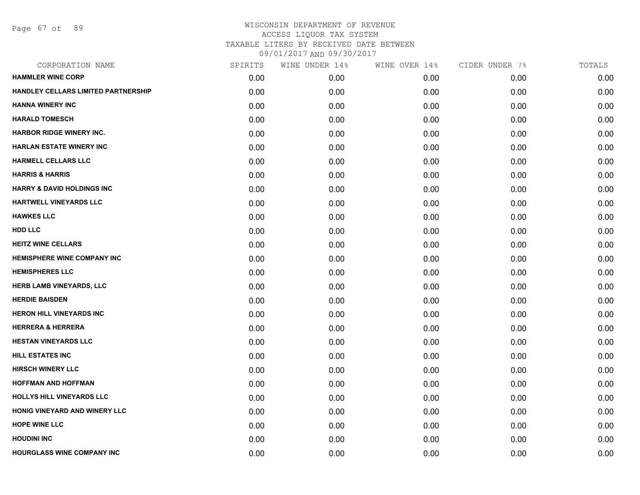Page 67 of 89

| CORPORATION NAME                      | SPIRITS | WINE UNDER 14% | WINE OVER 14% | CIDER UNDER 7% | TOTALS |
|---------------------------------------|---------|----------------|---------------|----------------|--------|
| <b>HAMMLER WINE CORP</b>              | 0.00    | 0.00           | 0.00          | 0.00           | 0.00   |
| HANDLEY CELLARS LIMITED PARTNERSHIP   | 0.00    | 0.00           | 0.00          | 0.00           | 0.00   |
| <b>HANNA WINERY INC</b>               | 0.00    | 0.00           | 0.00          | 0.00           | 0.00   |
| <b>HARALD TOMESCH</b>                 | 0.00    | 0.00           | 0.00          | 0.00           | 0.00   |
| <b>HARBOR RIDGE WINERY INC.</b>       | 0.00    | 0.00           | 0.00          | 0.00           | 0.00   |
| <b>HARLAN ESTATE WINERY INC</b>       | 0.00    | 0.00           | 0.00          | 0.00           | 0.00   |
| <b>HARMELL CELLARS LLC</b>            | 0.00    | 0.00           | 0.00          | 0.00           | 0.00   |
| <b>HARRIS &amp; HARRIS</b>            | 0.00    | 0.00           | 0.00          | 0.00           | 0.00   |
| <b>HARRY &amp; DAVID HOLDINGS INC</b> | 0.00    | 0.00           | 0.00          | 0.00           | 0.00   |
| <b>HARTWELL VINEYARDS LLC</b>         | 0.00    | 0.00           | 0.00          | 0.00           | 0.00   |
| <b>HAWKES LLC</b>                     | 0.00    | 0.00           | 0.00          | 0.00           | 0.00   |
| <b>HDD LLC</b>                        | 0.00    | 0.00           | 0.00          | 0.00           | 0.00   |
| <b>HEITZ WINE CELLARS</b>             | 0.00    | 0.00           | 0.00          | 0.00           | 0.00   |
| <b>HEMISPHERE WINE COMPANY INC</b>    | 0.00    | 0.00           | 0.00          | 0.00           | 0.00   |
| <b>HEMISPHERES LLC</b>                | 0.00    | 0.00           | 0.00          | 0.00           | 0.00   |
| <b>HERB LAMB VINEYARDS, LLC</b>       | 0.00    | 0.00           | 0.00          | 0.00           | 0.00   |
| <b>HERDIE BAISDEN</b>                 | 0.00    | 0.00           | 0.00          | 0.00           | 0.00   |
| <b>HERON HILL VINEYARDS INC</b>       | 0.00    | 0.00           | 0.00          | 0.00           | 0.00   |
| <b>HERRERA &amp; HERRERA</b>          | 0.00    | 0.00           | 0.00          | 0.00           | 0.00   |
| <b>HESTAN VINEYARDS LLC</b>           | 0.00    | 0.00           | 0.00          | 0.00           | 0.00   |
| <b>HILL ESTATES INC</b>               | 0.00    | 0.00           | 0.00          | 0.00           | 0.00   |
| <b>HIRSCH WINERY LLC</b>              | 0.00    | 0.00           | 0.00          | 0.00           | 0.00   |
| <b>HOFFMAN AND HOFFMAN</b>            | 0.00    | 0.00           | 0.00          | 0.00           | 0.00   |
| <b>HOLLYS HILL VINEYARDS LLC</b>      | 0.00    | 0.00           | 0.00          | 0.00           | 0.00   |
| HONIG VINEYARD AND WINERY LLC         | 0.00    | 0.00           | 0.00          | 0.00           | 0.00   |
| <b>HOPE WINE LLC</b>                  | 0.00    | 0.00           | 0.00          | 0.00           | 0.00   |
| <b>HOUDINI INC</b>                    | 0.00    | 0.00           | 0.00          | 0.00           | 0.00   |
| <b>HOURGLASS WINE COMPANY INC</b>     | 0.00    | 0.00           | 0.00          | 0.00           | 0.00   |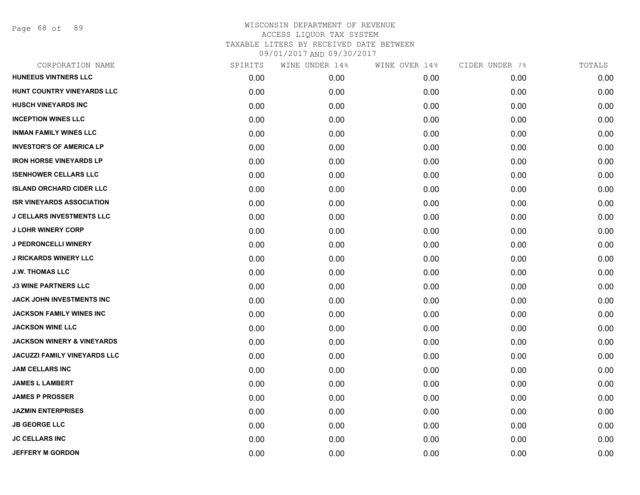Page 68 of 89

| CORPORATION NAME                      | SPIRITS | WINE UNDER 14% | WINE OVER 14% | CIDER UNDER 7% | TOTALS |
|---------------------------------------|---------|----------------|---------------|----------------|--------|
| <b>HUNEEUS VINTNERS LLC</b>           | 0.00    | 0.00           | 0.00          | 0.00           | 0.00   |
| HUNT COUNTRY VINEYARDS LLC            | 0.00    | 0.00           | 0.00          | 0.00           | 0.00   |
| <b>HUSCH VINEYARDS INC</b>            | 0.00    | 0.00           | 0.00          | 0.00           | 0.00   |
| <b>INCEPTION WINES LLC</b>            | 0.00    | 0.00           | 0.00          | 0.00           | 0.00   |
| <b>INMAN FAMILY WINES LLC</b>         | 0.00    | 0.00           | 0.00          | 0.00           | 0.00   |
| <b>INVESTOR'S OF AMERICA LP</b>       | 0.00    | 0.00           | 0.00          | 0.00           | 0.00   |
| <b>IRON HORSE VINEYARDS LP</b>        | 0.00    | 0.00           | 0.00          | 0.00           | 0.00   |
| <b>ISENHOWER CELLARS LLC</b>          | 0.00    | 0.00           | 0.00          | 0.00           | 0.00   |
| <b>ISLAND ORCHARD CIDER LLC</b>       | 0.00    | 0.00           | 0.00          | 0.00           | 0.00   |
| <b>ISR VINEYARDS ASSOCIATION</b>      | 0.00    | 0.00           | 0.00          | 0.00           | 0.00   |
| <b>J CELLARS INVESTMENTS LLC</b>      | 0.00    | 0.00           | 0.00          | 0.00           | 0.00   |
| <b>J LOHR WINERY CORP</b>             | 0.00    | 0.00           | 0.00          | 0.00           | 0.00   |
| <b>J PEDRONCELLI WINERY</b>           | 0.00    | 0.00           | 0.00          | 0.00           | 0.00   |
| <b>J RICKARDS WINERY LLC</b>          | 0.00    | 0.00           | 0.00          | 0.00           | 0.00   |
| <b>J.W. THOMAS LLC</b>                | 0.00    | 0.00           | 0.00          | 0.00           | 0.00   |
| <b>J3 WINE PARTNERS LLC</b>           | 0.00    | 0.00           | 0.00          | 0.00           | 0.00   |
| JACK JOHN INVESTMENTS INC             | 0.00    | 0.00           | 0.00          | 0.00           | 0.00   |
| JACKSON FAMILY WINES INC              | 0.00    | 0.00           | 0.00          | 0.00           | 0.00   |
| <b>JACKSON WINE LLC</b>               | 0.00    | 0.00           | 0.00          | 0.00           | 0.00   |
| <b>JACKSON WINERY &amp; VINEYARDS</b> | 0.00    | 0.00           | 0.00          | 0.00           | 0.00   |
| JACUZZI FAMILY VINEYARDS LLC          | 0.00    | 0.00           | 0.00          | 0.00           | 0.00   |
| <b>JAM CELLARS INC</b>                | 0.00    | 0.00           | 0.00          | 0.00           | 0.00   |
| <b>JAMES L LAMBERT</b>                | 0.00    | 0.00           | 0.00          | 0.00           | 0.00   |
| <b>JAMES P PROSSER</b>                | 0.00    | 0.00           | 0.00          | 0.00           | 0.00   |
| <b>JAZMIN ENTERPRISES</b>             | 0.00    | 0.00           | 0.00          | 0.00           | 0.00   |
| <b>JB GEORGE LLC</b>                  | 0.00    | 0.00           | 0.00          | 0.00           | 0.00   |
| <b>JC CELLARS INC</b>                 | 0.00    | 0.00           | 0.00          | 0.00           | 0.00   |
| <b>JEFFERY M GORDON</b>               | 0.00    | 0.00           | 0.00          | 0.00           | 0.00   |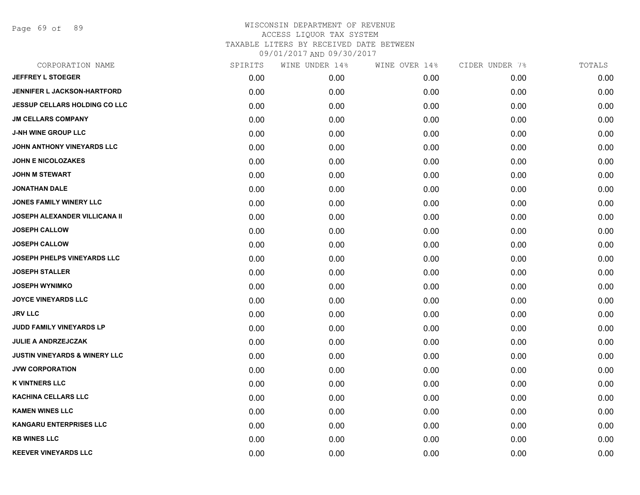Page 69 of 89

| CORPORATION NAME                         | SPIRITS | WINE UNDER 14% | WINE OVER 14% | CIDER UNDER 7% | TOTALS |
|------------------------------------------|---------|----------------|---------------|----------------|--------|
| <b>JEFFREY L STOEGER</b>                 | 0.00    | 0.00           | 0.00          | 0.00           | 0.00   |
| <b>JENNIFER L JACKSON-HARTFORD</b>       | 0.00    | 0.00           | 0.00          | 0.00           | 0.00   |
| <b>JESSUP CELLARS HOLDING CO LLC</b>     | 0.00    | 0.00           | 0.00          | 0.00           | 0.00   |
| <b>JM CELLARS COMPANY</b>                | 0.00    | 0.00           | 0.00          | 0.00           | 0.00   |
| <b>J-NH WINE GROUP LLC</b>               | 0.00    | 0.00           | 0.00          | 0.00           | 0.00   |
| JOHN ANTHONY VINEYARDS LLC               | 0.00    | 0.00           | 0.00          | 0.00           | 0.00   |
| <b>JOHN E NICOLOZAKES</b>                | 0.00    | 0.00           | 0.00          | 0.00           | 0.00   |
| <b>JOHN M STEWART</b>                    | 0.00    | 0.00           | 0.00          | 0.00           | 0.00   |
| <b>JONATHAN DALE</b>                     | 0.00    | 0.00           | 0.00          | 0.00           | 0.00   |
| <b>JONES FAMILY WINERY LLC</b>           | 0.00    | 0.00           | 0.00          | 0.00           | 0.00   |
| <b>JOSEPH ALEXANDER VILLICANA II</b>     | 0.00    | 0.00           | 0.00          | 0.00           | 0.00   |
| <b>JOSEPH CALLOW</b>                     | 0.00    | 0.00           | 0.00          | 0.00           | 0.00   |
| <b>JOSEPH CALLOW</b>                     | 0.00    | 0.00           | 0.00          | 0.00           | 0.00   |
| JOSEPH PHELPS VINEYARDS LLC              | 0.00    | 0.00           | 0.00          | 0.00           | 0.00   |
| <b>JOSEPH STALLER</b>                    | 0.00    | 0.00           | 0.00          | 0.00           | 0.00   |
| <b>JOSEPH WYNIMKO</b>                    | 0.00    | 0.00           | 0.00          | 0.00           | 0.00   |
| <b>JOYCE VINEYARDS LLC</b>               | 0.00    | 0.00           | 0.00          | 0.00           | 0.00   |
| <b>JRV LLC</b>                           | 0.00    | 0.00           | 0.00          | 0.00           | 0.00   |
| JUDD FAMILY VINEYARDS LP                 | 0.00    | 0.00           | 0.00          | 0.00           | 0.00   |
| <b>JULIE A ANDRZEJCZAK</b>               | 0.00    | 0.00           | 0.00          | 0.00           | 0.00   |
| <b>JUSTIN VINEYARDS &amp; WINERY LLC</b> | 0.00    | 0.00           | 0.00          | 0.00           | 0.00   |
| <b>JVW CORPORATION</b>                   | 0.00    | 0.00           | 0.00          | 0.00           | 0.00   |
| <b>K VINTNERS LLC</b>                    | 0.00    | 0.00           | 0.00          | 0.00           | 0.00   |
| <b>KACHINA CELLARS LLC</b>               | 0.00    | 0.00           | 0.00          | 0.00           | 0.00   |
| <b>KAMEN WINES LLC</b>                   | 0.00    | 0.00           | 0.00          | 0.00           | 0.00   |
| <b>KANGARU ENTERPRISES LLC</b>           | 0.00    | 0.00           | 0.00          | 0.00           | 0.00   |
| <b>KB WINES LLC</b>                      | 0.00    | 0.00           | 0.00          | 0.00           | 0.00   |
| <b>KEEVER VINEYARDS LLC</b>              | 0.00    | 0.00           | 0.00          | 0.00           | 0.00   |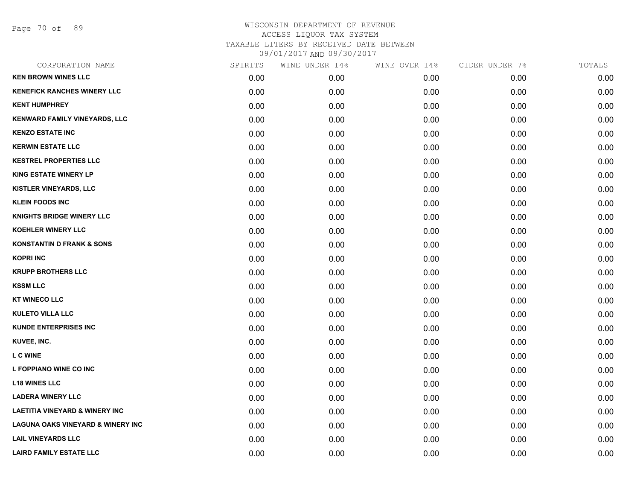Page 70 of 89

| CORPORATION NAME                             | SPIRITS | WINE UNDER 14% | WINE OVER 14% | CIDER UNDER 7% | TOTALS |
|----------------------------------------------|---------|----------------|---------------|----------------|--------|
| <b>KEN BROWN WINES LLC</b>                   | 0.00    | 0.00           | 0.00          | 0.00           | 0.00   |
| <b>KENEFICK RANCHES WINERY LLC</b>           | 0.00    | 0.00           | 0.00          | 0.00           | 0.00   |
| <b>KENT HUMPHREY</b>                         | 0.00    | 0.00           | 0.00          | 0.00           | 0.00   |
| <b>KENWARD FAMILY VINEYARDS, LLC</b>         | 0.00    | 0.00           | 0.00          | 0.00           | 0.00   |
| <b>KENZO ESTATE INC</b>                      | 0.00    | 0.00           | 0.00          | 0.00           | 0.00   |
| <b>KERWIN ESTATE LLC</b>                     | 0.00    | 0.00           | 0.00          | 0.00           | 0.00   |
| <b>KESTREL PROPERTIES LLC</b>                | 0.00    | 0.00           | 0.00          | 0.00           | 0.00   |
| <b>KING ESTATE WINERY LP</b>                 | 0.00    | 0.00           | 0.00          | 0.00           | 0.00   |
| KISTLER VINEYARDS, LLC                       | 0.00    | 0.00           | 0.00          | 0.00           | 0.00   |
| <b>KLEIN FOODS INC</b>                       | 0.00    | 0.00           | 0.00          | 0.00           | 0.00   |
| <b>KNIGHTS BRIDGE WINERY LLC</b>             | 0.00    | 0.00           | 0.00          | 0.00           | 0.00   |
| <b>KOEHLER WINERY LLC</b>                    | 0.00    | 0.00           | 0.00          | 0.00           | 0.00   |
| <b>KONSTANTIN D FRANK &amp; SONS</b>         | 0.00    | 0.00           | 0.00          | 0.00           | 0.00   |
| <b>KOPRI INC</b>                             | 0.00    | 0.00           | 0.00          | 0.00           | 0.00   |
| <b>KRUPP BROTHERS LLC</b>                    | 0.00    | 0.00           | 0.00          | 0.00           | 0.00   |
| <b>KSSM LLC</b>                              | 0.00    | 0.00           | 0.00          | 0.00           | 0.00   |
| <b>KT WINECO LLC</b>                         | 0.00    | 0.00           | 0.00          | 0.00           | 0.00   |
| <b>KULETO VILLA LLC</b>                      | 0.00    | 0.00           | 0.00          | 0.00           | 0.00   |
| <b>KUNDE ENTERPRISES INC</b>                 | 0.00    | 0.00           | 0.00          | 0.00           | 0.00   |
| KUVEE, INC.                                  | 0.00    | 0.00           | 0.00          | 0.00           | 0.00   |
| <b>L C WINE</b>                              | 0.00    | 0.00           | 0.00          | 0.00           | 0.00   |
| L FOPPIANO WINE CO INC                       | 0.00    | 0.00           | 0.00          | 0.00           | 0.00   |
| <b>L18 WINES LLC</b>                         | 0.00    | 0.00           | 0.00          | 0.00           | 0.00   |
| <b>LADERA WINERY LLC</b>                     | 0.00    | 0.00           | 0.00          | 0.00           | 0.00   |
| <b>LAETITIA VINEYARD &amp; WINERY INC</b>    | 0.00    | 0.00           | 0.00          | 0.00           | 0.00   |
| <b>LAGUNA OAKS VINEYARD &amp; WINERY INC</b> | 0.00    | 0.00           | 0.00          | 0.00           | 0.00   |
| <b>LAIL VINEYARDS LLC</b>                    | 0.00    | 0.00           | 0.00          | 0.00           | 0.00   |
| <b>LAIRD FAMILY ESTATE LLC</b>               | 0.00    | 0.00           | 0.00          | 0.00           | 0.00   |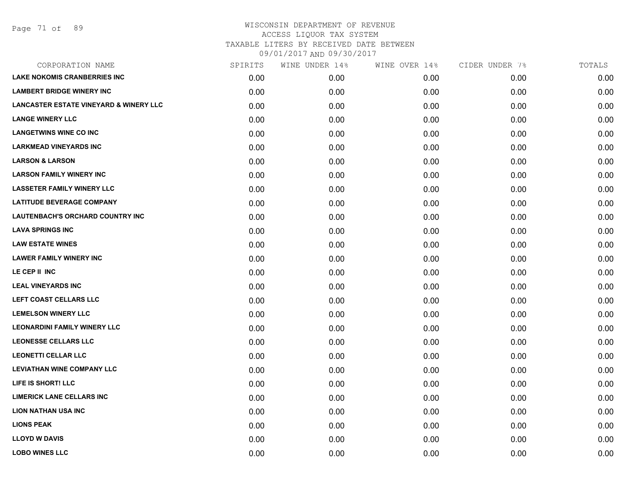| CORPORATION NAME                                  | SPIRITS | WINE UNDER 14% | WINE OVER 14% | CIDER UNDER 7% | TOTALS |
|---------------------------------------------------|---------|----------------|---------------|----------------|--------|
| <b>LAKE NOKOMIS CRANBERRIES INC</b>               | 0.00    | 0.00           | 0.00          | 0.00           | 0.00   |
| <b>LAMBERT BRIDGE WINERY INC</b>                  | 0.00    | 0.00           | 0.00          | 0.00           | 0.00   |
| <b>LANCASTER ESTATE VINEYARD &amp; WINERY LLC</b> | 0.00    | 0.00           | 0.00          | 0.00           | 0.00   |
| <b>LANGE WINERY LLC</b>                           | 0.00    | 0.00           | 0.00          | 0.00           | 0.00   |
| <b>LANGETWINS WINE CO INC</b>                     | 0.00    | 0.00           | 0.00          | 0.00           | 0.00   |
| <b>LARKMEAD VINEYARDS INC</b>                     | 0.00    | 0.00           | 0.00          | 0.00           | 0.00   |
| <b>LARSON &amp; LARSON</b>                        | 0.00    | 0.00           | 0.00          | 0.00           | 0.00   |
| <b>LARSON FAMILY WINERY INC</b>                   | 0.00    | 0.00           | 0.00          | 0.00           | 0.00   |
| <b>LASSETER FAMILY WINERY LLC</b>                 | 0.00    | 0.00           | 0.00          | 0.00           | 0.00   |
| <b>LATITUDE BEVERAGE COMPANY</b>                  | 0.00    | 0.00           | 0.00          | 0.00           | 0.00   |
| LAUTENBACH'S ORCHARD COUNTRY INC                  | 0.00    | 0.00           | 0.00          | 0.00           | 0.00   |
| <b>LAVA SPRINGS INC</b>                           | 0.00    | 0.00           | 0.00          | 0.00           | 0.00   |
| <b>LAW ESTATE WINES</b>                           | 0.00    | 0.00           | 0.00          | 0.00           | 0.00   |
| <b>LAWER FAMILY WINERY INC</b>                    | 0.00    | 0.00           | 0.00          | 0.00           | 0.00   |
| LE CEP II INC                                     | 0.00    | 0.00           | 0.00          | 0.00           | 0.00   |
| <b>LEAL VINEYARDS INC</b>                         | 0.00    | 0.00           | 0.00          | 0.00           | 0.00   |
| LEFT COAST CELLARS LLC                            | 0.00    | 0.00           | 0.00          | 0.00           | 0.00   |
| <b>LEMELSON WINERY LLC</b>                        | 0.00    | 0.00           | 0.00          | 0.00           | 0.00   |
| <b>LEONARDINI FAMILY WINERY LLC</b>               | 0.00    | 0.00           | 0.00          | 0.00           | 0.00   |
| <b>LEONESSE CELLARS LLC</b>                       | 0.00    | 0.00           | 0.00          | 0.00           | 0.00   |
| <b>LEONETTI CELLAR LLC</b>                        | 0.00    | 0.00           | 0.00          | 0.00           | 0.00   |
| <b>LEVIATHAN WINE COMPANY LLC</b>                 | 0.00    | 0.00           | 0.00          | 0.00           | 0.00   |
| LIFE IS SHORT! LLC                                | 0.00    | 0.00           | 0.00          | 0.00           | 0.00   |
| <b>LIMERICK LANE CELLARS INC</b>                  | 0.00    | 0.00           | 0.00          | 0.00           | 0.00   |
| <b>LION NATHAN USA INC</b>                        | 0.00    | 0.00           | 0.00          | 0.00           | 0.00   |
| <b>LIONS PEAK</b>                                 | 0.00    | 0.00           | 0.00          | 0.00           | 0.00   |
| <b>LLOYD W DAVIS</b>                              | 0.00    | 0.00           | 0.00          | 0.00           | 0.00   |
| <b>LOBO WINES LLC</b>                             | 0.00    | 0.00           | 0.00          | 0.00           | 0.00   |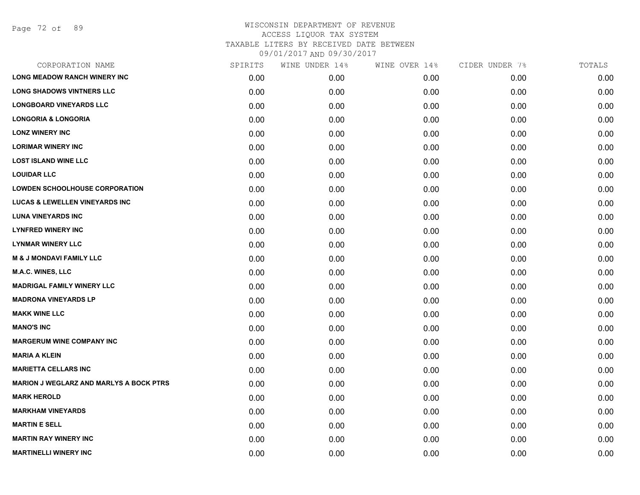Page 72 of 89

| CORPORATION NAME                               | SPIRITS | WINE UNDER 14% | WINE OVER 14% | CIDER UNDER 7% | TOTALS |
|------------------------------------------------|---------|----------------|---------------|----------------|--------|
| <b>LONG MEADOW RANCH WINERY INC</b>            | 0.00    | 0.00           | 0.00          | 0.00           | 0.00   |
| <b>LONG SHADOWS VINTNERS LLC</b>               | 0.00    | 0.00           | 0.00          | 0.00           | 0.00   |
| <b>LONGBOARD VINEYARDS LLC</b>                 | 0.00    | 0.00           | 0.00          | 0.00           | 0.00   |
| <b>LONGORIA &amp; LONGORIA</b>                 | 0.00    | 0.00           | 0.00          | 0.00           | 0.00   |
| <b>LONZ WINERY INC</b>                         | 0.00    | 0.00           | 0.00          | 0.00           | 0.00   |
| <b>LORIMAR WINERY INC</b>                      | 0.00    | 0.00           | 0.00          | 0.00           | 0.00   |
| <b>LOST ISLAND WINE LLC</b>                    | 0.00    | 0.00           | 0.00          | 0.00           | 0.00   |
| <b>LOUIDAR LLC</b>                             | 0.00    | 0.00           | 0.00          | 0.00           | 0.00   |
| <b>LOWDEN SCHOOLHOUSE CORPORATION</b>          | 0.00    | 0.00           | 0.00          | 0.00           | 0.00   |
| <b>LUCAS &amp; LEWELLEN VINEYARDS INC</b>      | 0.00    | 0.00           | 0.00          | 0.00           | 0.00   |
| <b>LUNA VINEYARDS INC</b>                      | 0.00    | 0.00           | 0.00          | 0.00           | 0.00   |
| <b>LYNFRED WINERY INC</b>                      | 0.00    | 0.00           | 0.00          | 0.00           | 0.00   |
| <b>LYNMAR WINERY LLC</b>                       | 0.00    | 0.00           | 0.00          | 0.00           | 0.00   |
| <b>M &amp; J MONDAVI FAMILY LLC</b>            | 0.00    | 0.00           | 0.00          | 0.00           | 0.00   |
| <b>M.A.C. WINES, LLC</b>                       | 0.00    | 0.00           | 0.00          | 0.00           | 0.00   |
| <b>MADRIGAL FAMILY WINERY LLC</b>              | 0.00    | 0.00           | 0.00          | 0.00           | 0.00   |
| <b>MADRONA VINEYARDS LP</b>                    | 0.00    | 0.00           | 0.00          | 0.00           | 0.00   |
| <b>MAKK WINE LLC</b>                           | 0.00    | 0.00           | 0.00          | 0.00           | 0.00   |
| <b>MANO'S INC</b>                              | 0.00    | 0.00           | 0.00          | 0.00           | 0.00   |
| <b>MARGERUM WINE COMPANY INC</b>               | 0.00    | 0.00           | 0.00          | 0.00           | 0.00   |
| <b>MARIA A KLEIN</b>                           | 0.00    | 0.00           | 0.00          | 0.00           | 0.00   |
| <b>MARIETTA CELLARS INC</b>                    | 0.00    | 0.00           | 0.00          | 0.00           | 0.00   |
| <b>MARION J WEGLARZ AND MARLYS A BOCK PTRS</b> | 0.00    | 0.00           | 0.00          | 0.00           | 0.00   |
| <b>MARK HEROLD</b>                             | 0.00    | 0.00           | 0.00          | 0.00           | 0.00   |
| <b>MARKHAM VINEYARDS</b>                       | 0.00    | 0.00           | 0.00          | 0.00           | 0.00   |
| <b>MARTIN E SELL</b>                           | 0.00    | 0.00           | 0.00          | 0.00           | 0.00   |
| <b>MARTIN RAY WINERY INC</b>                   | 0.00    | 0.00           | 0.00          | 0.00           | 0.00   |
| <b>MARTINELLI WINERY INC</b>                   | 0.00    | 0.00           | 0.00          | 0.00           | 0.00   |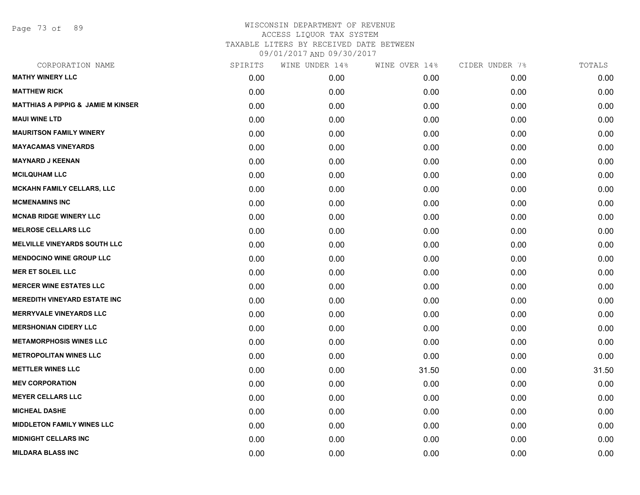Page 73 of 89

| CORPORATION NAME                              | SPIRITS | WINE UNDER 14% | WINE OVER 14% | CIDER UNDER 7% | TOTALS |
|-----------------------------------------------|---------|----------------|---------------|----------------|--------|
| <b>MATHY WINERY LLC</b>                       | 0.00    | 0.00           | 0.00          | 0.00           | 0.00   |
| <b>MATTHEW RICK</b>                           | 0.00    | 0.00           | 0.00          | 0.00           | 0.00   |
| <b>MATTHIAS A PIPPIG &amp; JAMIE M KINSER</b> | 0.00    | 0.00           | 0.00          | 0.00           | 0.00   |
| <b>MAUI WINE LTD</b>                          | 0.00    | 0.00           | 0.00          | 0.00           | 0.00   |
| <b>MAURITSON FAMILY WINERY</b>                | 0.00    | 0.00           | 0.00          | 0.00           | 0.00   |
| <b>MAYACAMAS VINEYARDS</b>                    | 0.00    | 0.00           | 0.00          | 0.00           | 0.00   |
| <b>MAYNARD J KEENAN</b>                       | 0.00    | 0.00           | 0.00          | 0.00           | 0.00   |
| <b>MCILQUHAM LLC</b>                          | 0.00    | 0.00           | 0.00          | 0.00           | 0.00   |
| <b>MCKAHN FAMILY CELLARS, LLC</b>             | 0.00    | 0.00           | 0.00          | 0.00           | 0.00   |
| <b>MCMENAMINS INC</b>                         | 0.00    | 0.00           | 0.00          | 0.00           | 0.00   |
| <b>MCNAB RIDGE WINERY LLC</b>                 | 0.00    | 0.00           | 0.00          | 0.00           | 0.00   |
| <b>MELROSE CELLARS LLC</b>                    | 0.00    | 0.00           | 0.00          | 0.00           | 0.00   |
| <b>MELVILLE VINEYARDS SOUTH LLC</b>           | 0.00    | 0.00           | 0.00          | 0.00           | 0.00   |
| <b>MENDOCINO WINE GROUP LLC</b>               | 0.00    | 0.00           | 0.00          | 0.00           | 0.00   |
| <b>MER ET SOLEIL LLC</b>                      | 0.00    | 0.00           | 0.00          | 0.00           | 0.00   |
| <b>MERCER WINE ESTATES LLC</b>                | 0.00    | 0.00           | 0.00          | 0.00           | 0.00   |
| <b>MEREDITH VINEYARD ESTATE INC</b>           | 0.00    | 0.00           | 0.00          | 0.00           | 0.00   |
| <b>MERRYVALE VINEYARDS LLC</b>                | 0.00    | 0.00           | 0.00          | 0.00           | 0.00   |
| <b>MERSHONIAN CIDERY LLC</b>                  | 0.00    | 0.00           | 0.00          | 0.00           | 0.00   |
| <b>METAMORPHOSIS WINES LLC</b>                | 0.00    | 0.00           | 0.00          | 0.00           | 0.00   |
| <b>METROPOLITAN WINES LLC</b>                 | 0.00    | 0.00           | 0.00          | 0.00           | 0.00   |
| <b>METTLER WINES LLC</b>                      | 0.00    | 0.00           | 31.50         | 0.00           | 31.50  |
| <b>MEV CORPORATION</b>                        | 0.00    | 0.00           | 0.00          | 0.00           | 0.00   |
| <b>MEYER CELLARS LLC</b>                      | 0.00    | 0.00           | 0.00          | 0.00           | 0.00   |
| <b>MICHEAL DASHE</b>                          | 0.00    | 0.00           | 0.00          | 0.00           | 0.00   |
| <b>MIDDLETON FAMILY WINES LLC</b>             | 0.00    | 0.00           | 0.00          | 0.00           | 0.00   |
| <b>MIDNIGHT CELLARS INC</b>                   | 0.00    | 0.00           | 0.00          | 0.00           | 0.00   |
| <b>MILDARA BLASS INC</b>                      | 0.00    | 0.00           | 0.00          | 0.00           | 0.00   |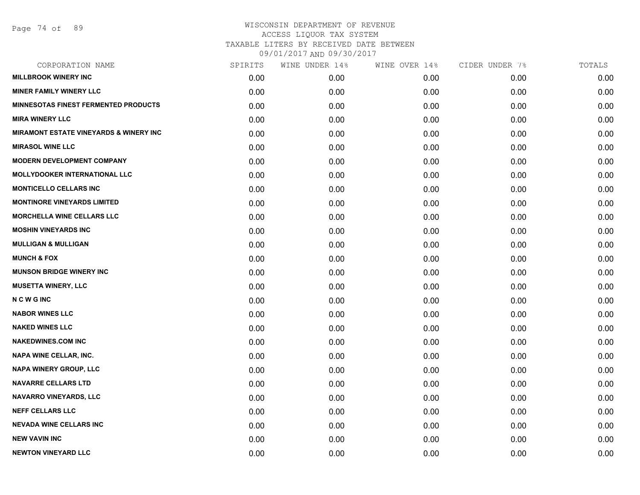Page 74 of 89

| CORPORATION NAME                                  | SPIRITS | WINE UNDER 14% | WINE OVER 14% | CIDER UNDER 7% | TOTALS |
|---------------------------------------------------|---------|----------------|---------------|----------------|--------|
| <b>MILLBROOK WINERY INC</b>                       | 0.00    | 0.00           | 0.00          | 0.00           | 0.00   |
| <b>MINER FAMILY WINERY LLC</b>                    | 0.00    | 0.00           | 0.00          | 0.00           | 0.00   |
| <b>MINNESOTAS FINEST FERMENTED PRODUCTS</b>       | 0.00    | 0.00           | 0.00          | 0.00           | 0.00   |
| <b>MIRA WINERY LLC</b>                            | 0.00    | 0.00           | 0.00          | 0.00           | 0.00   |
| <b>MIRAMONT ESTATE VINEYARDS &amp; WINERY INC</b> | 0.00    | 0.00           | 0.00          | 0.00           | 0.00   |
| <b>MIRASOL WINE LLC</b>                           | 0.00    | 0.00           | 0.00          | 0.00           | 0.00   |
| <b>MODERN DEVELOPMENT COMPANY</b>                 | 0.00    | 0.00           | 0.00          | 0.00           | 0.00   |
| <b>MOLLYDOOKER INTERNATIONAL LLC</b>              | 0.00    | 0.00           | 0.00          | 0.00           | 0.00   |
| <b>MONTICELLO CELLARS INC</b>                     | 0.00    | 0.00           | 0.00          | 0.00           | 0.00   |
| <b>MONTINORE VINEYARDS LIMITED</b>                | 0.00    | 0.00           | 0.00          | 0.00           | 0.00   |
| <b>MORCHELLA WINE CELLARS LLC</b>                 | 0.00    | 0.00           | 0.00          | 0.00           | 0.00   |
| <b>MOSHIN VINEYARDS INC</b>                       | 0.00    | 0.00           | 0.00          | 0.00           | 0.00   |
| <b>MULLIGAN &amp; MULLIGAN</b>                    | 0.00    | 0.00           | 0.00          | 0.00           | 0.00   |
| <b>MUNCH &amp; FOX</b>                            | 0.00    | 0.00           | 0.00          | 0.00           | 0.00   |
| <b>MUNSON BRIDGE WINERY INC</b>                   | 0.00    | 0.00           | 0.00          | 0.00           | 0.00   |
| <b>MUSETTA WINERY, LLC</b>                        | 0.00    | 0.00           | 0.00          | 0.00           | 0.00   |
| <b>NCWGINC</b>                                    | 0.00    | 0.00           | 0.00          | 0.00           | 0.00   |
| <b>NABOR WINES LLC</b>                            | 0.00    | 0.00           | 0.00          | 0.00           | 0.00   |
| <b>NAKED WINES LLC</b>                            | 0.00    | 0.00           | 0.00          | 0.00           | 0.00   |
| <b>NAKEDWINES.COM INC</b>                         | 0.00    | 0.00           | 0.00          | 0.00           | 0.00   |
| NAPA WINE CELLAR, INC.                            | 0.00    | 0.00           | 0.00          | 0.00           | 0.00   |
| NAPA WINERY GROUP, LLC                            | 0.00    | 0.00           | 0.00          | 0.00           | 0.00   |
| <b>NAVARRE CELLARS LTD</b>                        | 0.00    | 0.00           | 0.00          | 0.00           | 0.00   |
| <b>NAVARRO VINEYARDS, LLC</b>                     | 0.00    | 0.00           | 0.00          | 0.00           | 0.00   |
| <b>NEFF CELLARS LLC</b>                           | 0.00    | 0.00           | 0.00          | 0.00           | 0.00   |
| <b>NEVADA WINE CELLARS INC</b>                    | 0.00    | 0.00           | 0.00          | 0.00           | 0.00   |
| <b>NEW VAVIN INC</b>                              | 0.00    | 0.00           | 0.00          | 0.00           | 0.00   |
| <b>NEWTON VINEYARD LLC</b>                        | 0.00    | 0.00           | 0.00          | 0.00           | 0.00   |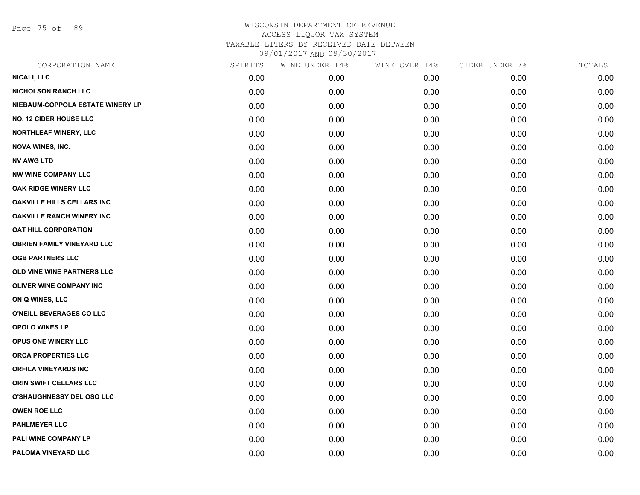Page 75 of 89

| CORPORATION NAME                  | SPIRITS | WINE UNDER 14% | WINE OVER 14% | CIDER UNDER 7% | TOTALS |
|-----------------------------------|---------|----------------|---------------|----------------|--------|
| <b>NICALI, LLC</b>                | 0.00    | 0.00           | 0.00          | 0.00           | 0.00   |
| <b>NICHOLSON RANCH LLC</b>        | 0.00    | 0.00           | 0.00          | 0.00           | 0.00   |
| NIEBAUM-COPPOLA ESTATE WINERY LP  | 0.00    | 0.00           | 0.00          | 0.00           | 0.00   |
| <b>NO. 12 CIDER HOUSE LLC</b>     | 0.00    | 0.00           | 0.00          | 0.00           | 0.00   |
| <b>NORTHLEAF WINERY, LLC</b>      | 0.00    | 0.00           | 0.00          | 0.00           | 0.00   |
| <b>NOVA WINES, INC.</b>           | 0.00    | 0.00           | 0.00          | 0.00           | 0.00   |
| <b>NV AWG LTD</b>                 | 0.00    | 0.00           | 0.00          | 0.00           | 0.00   |
| <b>NW WINE COMPANY LLC</b>        | 0.00    | 0.00           | 0.00          | 0.00           | 0.00   |
| OAK RIDGE WINERY LLC              | 0.00    | 0.00           | 0.00          | 0.00           | 0.00   |
| <b>OAKVILLE HILLS CELLARS INC</b> | 0.00    | 0.00           | 0.00          | 0.00           | 0.00   |
| <b>OAKVILLE RANCH WINERY INC</b>  | 0.00    | 0.00           | 0.00          | 0.00           | 0.00   |
| OAT HILL CORPORATION              | 0.00    | 0.00           | 0.00          | 0.00           | 0.00   |
| <b>OBRIEN FAMILY VINEYARD LLC</b> | 0.00    | 0.00           | 0.00          | 0.00           | 0.00   |
| <b>OGB PARTNERS LLC</b>           | 0.00    | 0.00           | 0.00          | 0.00           | 0.00   |
| OLD VINE WINE PARTNERS LLC        | 0.00    | 0.00           | 0.00          | 0.00           | 0.00   |
| <b>OLIVER WINE COMPANY INC</b>    | 0.00    | 0.00           | 0.00          | 0.00           | 0.00   |
| ON Q WINES, LLC                   | 0.00    | 0.00           | 0.00          | 0.00           | 0.00   |
| O'NEILL BEVERAGES CO LLC          | 0.00    | 0.00           | 0.00          | 0.00           | 0.00   |
| <b>OPOLO WINES LP</b>             | 0.00    | 0.00           | 0.00          | 0.00           | 0.00   |
| OPUS ONE WINERY LLC               | 0.00    | 0.00           | 0.00          | 0.00           | 0.00   |
| <b>ORCA PROPERTIES LLC</b>        | 0.00    | 0.00           | 0.00          | 0.00           | 0.00   |
| <b>ORFILA VINEYARDS INC</b>       | 0.00    | 0.00           | 0.00          | 0.00           | 0.00   |
| ORIN SWIFT CELLARS LLC            | 0.00    | 0.00           | 0.00          | 0.00           | 0.00   |
| O'SHAUGHNESSY DEL OSO LLC         | 0.00    | 0.00           | 0.00          | 0.00           | 0.00   |
| <b>OWEN ROE LLC</b>               | 0.00    | 0.00           | 0.00          | 0.00           | 0.00   |
| <b>PAHLMEYER LLC</b>              | 0.00    | 0.00           | 0.00          | 0.00           | 0.00   |
| PALI WINE COMPANY LP              | 0.00    | 0.00           | 0.00          | 0.00           | 0.00   |
| PALOMA VINEYARD LLC               | 0.00    | 0.00           | 0.00          | 0.00           | 0.00   |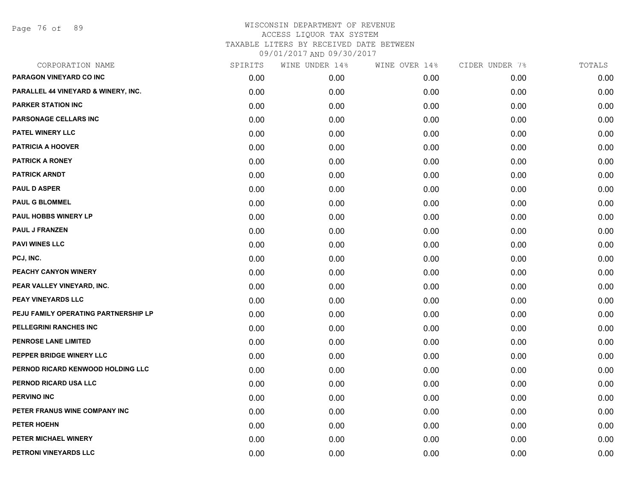Page 76 of 89

| CORPORATION NAME                     | SPIRITS | WINE UNDER 14% | WINE OVER 14% | CIDER UNDER 7% | TOTALS |
|--------------------------------------|---------|----------------|---------------|----------------|--------|
| PARAGON VINEYARD CO INC              | 0.00    | 0.00           | 0.00          | 0.00           | 0.00   |
| PARALLEL 44 VINEYARD & WINERY, INC.  | 0.00    | 0.00           | 0.00          | 0.00           | 0.00   |
| <b>PARKER STATION INC</b>            | 0.00    | 0.00           | 0.00          | 0.00           | 0.00   |
| PARSONAGE CELLARS INC                | 0.00    | 0.00           | 0.00          | 0.00           | 0.00   |
| PATEL WINERY LLC                     | 0.00    | 0.00           | 0.00          | 0.00           | 0.00   |
| <b>PATRICIA A HOOVER</b>             | 0.00    | 0.00           | 0.00          | 0.00           | 0.00   |
| <b>PATRICK A RONEY</b>               | 0.00    | 0.00           | 0.00          | 0.00           | 0.00   |
| <b>PATRICK ARNDT</b>                 | 0.00    | 0.00           | 0.00          | 0.00           | 0.00   |
| <b>PAUL D ASPER</b>                  | 0.00    | 0.00           | 0.00          | 0.00           | 0.00   |
| <b>PAUL G BLOMMEL</b>                | 0.00    | 0.00           | 0.00          | 0.00           | 0.00   |
| PAUL HOBBS WINERY LP                 | 0.00    | 0.00           | 0.00          | 0.00           | 0.00   |
| <b>PAUL J FRANZEN</b>                | 0.00    | 0.00           | 0.00          | 0.00           | 0.00   |
| <b>PAVI WINES LLC</b>                | 0.00    | 0.00           | 0.00          | 0.00           | 0.00   |
| PCJ, INC.                            | 0.00    | 0.00           | 0.00          | 0.00           | 0.00   |
| PEACHY CANYON WINERY                 | 0.00    | 0.00           | 0.00          | 0.00           | 0.00   |
| PEAR VALLEY VINEYARD, INC.           | 0.00    | 0.00           | 0.00          | 0.00           | 0.00   |
| PEAY VINEYARDS LLC                   | 0.00    | 0.00           | 0.00          | 0.00           | 0.00   |
| PEJU FAMILY OPERATING PARTNERSHIP LP | 0.00    | 0.00           | 0.00          | 0.00           | 0.00   |
| PELLEGRINI RANCHES INC               | 0.00    | 0.00           | 0.00          | 0.00           | 0.00   |
| PENROSE LANE LIMITED                 | 0.00    | 0.00           | 0.00          | 0.00           | 0.00   |
| PEPPER BRIDGE WINERY LLC             | 0.00    | 0.00           | 0.00          | 0.00           | 0.00   |
| PERNOD RICARD KENWOOD HOLDING LLC    | 0.00    | 0.00           | 0.00          | 0.00           | 0.00   |
| PERNOD RICARD USA LLC                | 0.00    | 0.00           | 0.00          | 0.00           | 0.00   |
| <b>PERVINO INC</b>                   | 0.00    | 0.00           | 0.00          | 0.00           | 0.00   |
| PETER FRANUS WINE COMPANY INC        | 0.00    | 0.00           | 0.00          | 0.00           | 0.00   |
| <b>PETER HOEHN</b>                   | 0.00    | 0.00           | 0.00          | 0.00           | 0.00   |
| PETER MICHAEL WINERY                 | 0.00    | 0.00           | 0.00          | 0.00           | 0.00   |
| PETRONI VINEYARDS LLC                | 0.00    | 0.00           | 0.00          | 0.00           | 0.00   |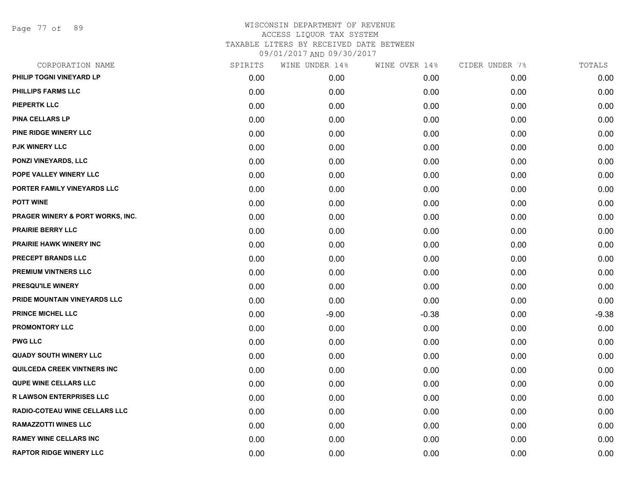Page 77 of 89

| CORPORATION NAME                 | SPIRITS | WINE UNDER 14% | WINE OVER 14% | CIDER UNDER 7% | TOTALS  |
|----------------------------------|---------|----------------|---------------|----------------|---------|
| PHILIP TOGNI VINEYARD LP         | 0.00    | 0.00           | 0.00          | 0.00           | 0.00    |
| PHILLIPS FARMS LLC               | 0.00    | 0.00           | 0.00          | 0.00           | 0.00    |
| PIEPERTK LLC                     | 0.00    | 0.00           | 0.00          | 0.00           | 0.00    |
| <b>PINA CELLARS LP</b>           | 0.00    | 0.00           | 0.00          | 0.00           | 0.00    |
| PINE RIDGE WINERY LLC            | 0.00    | 0.00           | 0.00          | 0.00           | 0.00    |
| <b>PJK WINERY LLC</b>            | 0.00    | 0.00           | 0.00          | 0.00           | 0.00    |
| <b>PONZI VINEYARDS, LLC</b>      | 0.00    | 0.00           | 0.00          | 0.00           | 0.00    |
| POPE VALLEY WINERY LLC           | 0.00    | 0.00           | 0.00          | 0.00           | 0.00    |
| PORTER FAMILY VINEYARDS LLC      | 0.00    | 0.00           | 0.00          | 0.00           | 0.00    |
| <b>POTT WINE</b>                 | 0.00    | 0.00           | 0.00          | 0.00           | 0.00    |
| PRAGER WINERY & PORT WORKS, INC. | 0.00    | 0.00           | 0.00          | 0.00           | 0.00    |
| <b>PRAIRIE BERRY LLC</b>         | 0.00    | 0.00           | 0.00          | 0.00           | 0.00    |
| <b>PRAIRIE HAWK WINERY INC</b>   | 0.00    | 0.00           | 0.00          | 0.00           | 0.00    |
| PRECEPT BRANDS LLC               | 0.00    | 0.00           | 0.00          | 0.00           | 0.00    |
| <b>PREMIUM VINTNERS LLC</b>      | 0.00    | 0.00           | 0.00          | 0.00           | 0.00    |
| PRESQU'ILE WINERY                | 0.00    | 0.00           | 0.00          | 0.00           | 0.00    |
| PRIDE MOUNTAIN VINEYARDS LLC     | 0.00    | 0.00           | 0.00          | 0.00           | 0.00    |
| <b>PRINCE MICHEL LLC</b>         | 0.00    | $-9.00$        | $-0.38$       | 0.00           | $-9.38$ |
| <b>PROMONTORY LLC</b>            | 0.00    | 0.00           | 0.00          | 0.00           | 0.00    |
| <b>PWG LLC</b>                   | 0.00    | 0.00           | 0.00          | 0.00           | 0.00    |
| <b>QUADY SOUTH WINERY LLC</b>    | 0.00    | 0.00           | 0.00          | 0.00           | 0.00    |
| QUILCEDA CREEK VINTNERS INC      | 0.00    | 0.00           | 0.00          | 0.00           | 0.00    |
| <b>QUPE WINE CELLARS LLC</b>     | 0.00    | 0.00           | 0.00          | 0.00           | 0.00    |
| <b>R LAWSON ENTERPRISES LLC</b>  | 0.00    | 0.00           | 0.00          | 0.00           | 0.00    |
| RADIO-COTEAU WINE CELLARS LLC    | 0.00    | 0.00           | 0.00          | 0.00           | 0.00    |
| <b>RAMAZZOTTI WINES LLC</b>      | 0.00    | 0.00           | 0.00          | 0.00           | 0.00    |
| <b>RAMEY WINE CELLARS INC</b>    | 0.00    | 0.00           | 0.00          | 0.00           | 0.00    |
| <b>RAPTOR RIDGE WINERY LLC</b>   | 0.00    | 0.00           | 0.00          | 0.00           | 0.00    |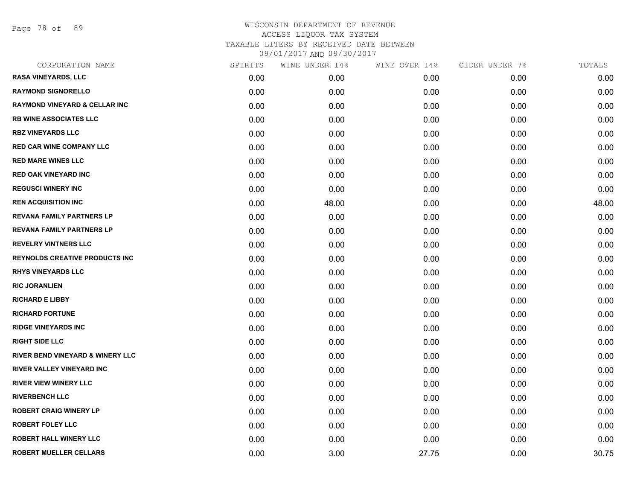Page 78 of 89

| CORPORATION NAME                            | SPIRITS | WINE UNDER 14% | WINE OVER 14% | CIDER UNDER 7% | TOTALS |
|---------------------------------------------|---------|----------------|---------------|----------------|--------|
| <b>RASA VINEYARDS, LLC</b>                  | 0.00    | 0.00           | 0.00          | 0.00           | 0.00   |
| <b>RAYMOND SIGNORELLO</b>                   | 0.00    | 0.00           | 0.00          | 0.00           | 0.00   |
| <b>RAYMOND VINEYARD &amp; CELLAR INC</b>    | 0.00    | 0.00           | 0.00          | 0.00           | 0.00   |
| <b>RB WINE ASSOCIATES LLC</b>               | 0.00    | 0.00           | 0.00          | 0.00           | 0.00   |
| <b>RBZ VINEYARDS LLC</b>                    | 0.00    | 0.00           | 0.00          | 0.00           | 0.00   |
| <b>RED CAR WINE COMPANY LLC</b>             | 0.00    | 0.00           | 0.00          | 0.00           | 0.00   |
| <b>RED MARE WINES LLC</b>                   | 0.00    | 0.00           | 0.00          | 0.00           | 0.00   |
| <b>RED OAK VINEYARD INC</b>                 | 0.00    | 0.00           | 0.00          | 0.00           | 0.00   |
| <b>REGUSCI WINERY INC</b>                   | 0.00    | 0.00           | 0.00          | 0.00           | 0.00   |
| <b>REN ACQUISITION INC</b>                  | 0.00    | 48.00          | 0.00          | 0.00           | 48.00  |
| <b>REVANA FAMILY PARTNERS LP</b>            | 0.00    | 0.00           | 0.00          | 0.00           | 0.00   |
| <b>REVANA FAMILY PARTNERS LP</b>            | 0.00    | 0.00           | 0.00          | 0.00           | 0.00   |
| <b>REVELRY VINTNERS LLC</b>                 | 0.00    | 0.00           | 0.00          | 0.00           | 0.00   |
| <b>REYNOLDS CREATIVE PRODUCTS INC</b>       | 0.00    | 0.00           | 0.00          | 0.00           | 0.00   |
| <b>RHYS VINEYARDS LLC</b>                   | 0.00    | 0.00           | 0.00          | 0.00           | 0.00   |
| <b>RIC JORANLIEN</b>                        | 0.00    | 0.00           | 0.00          | 0.00           | 0.00   |
| <b>RICHARD E LIBBY</b>                      | 0.00    | 0.00           | 0.00          | 0.00           | 0.00   |
| <b>RICHARD FORTUNE</b>                      | 0.00    | 0.00           | 0.00          | 0.00           | 0.00   |
| <b>RIDGE VINEYARDS INC</b>                  | 0.00    | 0.00           | 0.00          | 0.00           | 0.00   |
| <b>RIGHT SIDE LLC</b>                       | 0.00    | 0.00           | 0.00          | 0.00           | 0.00   |
| <b>RIVER BEND VINEYARD &amp; WINERY LLC</b> | 0.00    | 0.00           | 0.00          | 0.00           | 0.00   |
| <b>RIVER VALLEY VINEYARD INC</b>            | 0.00    | 0.00           | 0.00          | 0.00           | 0.00   |
| <b>RIVER VIEW WINERY LLC</b>                | 0.00    | 0.00           | 0.00          | 0.00           | 0.00   |
| <b>RIVERBENCH LLC</b>                       | 0.00    | 0.00           | 0.00          | 0.00           | 0.00   |
| <b>ROBERT CRAIG WINERY LP</b>               | 0.00    | 0.00           | 0.00          | 0.00           | 0.00   |
| <b>ROBERT FOLEY LLC</b>                     | 0.00    | 0.00           | 0.00          | 0.00           | 0.00   |
| <b>ROBERT HALL WINERY LLC</b>               | 0.00    | 0.00           | 0.00          | 0.00           | 0.00   |
| <b>ROBERT MUELLER CELLARS</b>               | 0.00    | 3.00           | 27.75         | 0.00           | 30.75  |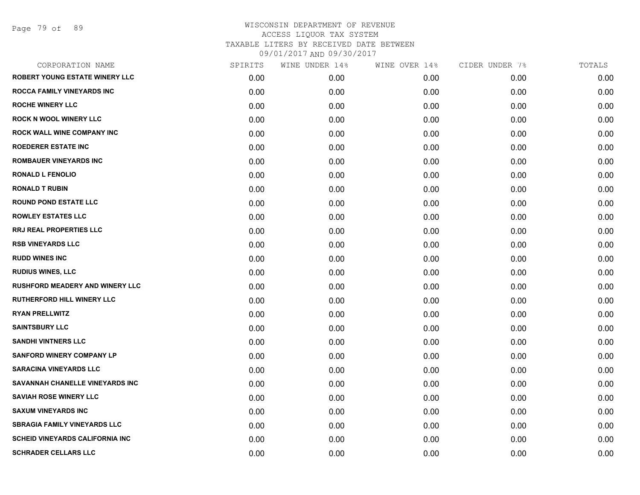Page 79 of 89

| CORPORATION NAME                        | SPIRITS | WINE UNDER 14% | WINE OVER 14% | CIDER UNDER 7% | TOTALS |
|-----------------------------------------|---------|----------------|---------------|----------------|--------|
| <b>ROBERT YOUNG ESTATE WINERY LLC</b>   | 0.00    | 0.00           | 0.00          | 0.00           | 0.00   |
| <b>ROCCA FAMILY VINEYARDS INC</b>       | 0.00    | 0.00           | 0.00          | 0.00           | 0.00   |
| <b>ROCHE WINERY LLC</b>                 | 0.00    | 0.00           | 0.00          | 0.00           | 0.00   |
| <b>ROCK N WOOL WINERY LLC</b>           | 0.00    | 0.00           | 0.00          | 0.00           | 0.00   |
| <b>ROCK WALL WINE COMPANY INC</b>       | 0.00    | 0.00           | 0.00          | 0.00           | 0.00   |
| <b>ROEDERER ESTATE INC</b>              | 0.00    | 0.00           | 0.00          | 0.00           | 0.00   |
| <b>ROMBAUER VINEYARDS INC</b>           | 0.00    | 0.00           | 0.00          | 0.00           | 0.00   |
| <b>RONALD L FENOLIO</b>                 | 0.00    | 0.00           | 0.00          | 0.00           | 0.00   |
| <b>RONALD T RUBIN</b>                   | 0.00    | 0.00           | 0.00          | 0.00           | 0.00   |
| <b>ROUND POND ESTATE LLC</b>            | 0.00    | 0.00           | 0.00          | 0.00           | 0.00   |
| <b>ROWLEY ESTATES LLC</b>               | 0.00    | 0.00           | 0.00          | 0.00           | 0.00   |
| RRJ REAL PROPERTIES LLC                 | 0.00    | 0.00           | 0.00          | 0.00           | 0.00   |
| <b>RSB VINEYARDS LLC</b>                | 0.00    | 0.00           | 0.00          | 0.00           | 0.00   |
| <b>RUDD WINES INC</b>                   | 0.00    | 0.00           | 0.00          | 0.00           | 0.00   |
| <b>RUDIUS WINES, LLC</b>                | 0.00    | 0.00           | 0.00          | 0.00           | 0.00   |
| <b>RUSHFORD MEADERY AND WINERY LLC</b>  | 0.00    | 0.00           | 0.00          | 0.00           | 0.00   |
| <b>RUTHERFORD HILL WINERY LLC</b>       | 0.00    | 0.00           | 0.00          | 0.00           | 0.00   |
| <b>RYAN PRELLWITZ</b>                   | 0.00    | 0.00           | 0.00          | 0.00           | 0.00   |
| <b>SAINTSBURY LLC</b>                   | 0.00    | 0.00           | 0.00          | 0.00           | 0.00   |
| <b>SANDHI VINTNERS LLC</b>              | 0.00    | 0.00           | 0.00          | 0.00           | 0.00   |
| <b>SANFORD WINERY COMPANY LP</b>        | 0.00    | 0.00           | 0.00          | 0.00           | 0.00   |
| <b>SARACINA VINEYARDS LLC</b>           | 0.00    | 0.00           | 0.00          | 0.00           | 0.00   |
| SAVANNAH CHANELLE VINEYARDS INC         | 0.00    | 0.00           | 0.00          | 0.00           | 0.00   |
| <b>SAVIAH ROSE WINERY LLC</b>           | 0.00    | 0.00           | 0.00          | 0.00           | 0.00   |
| <b>SAXUM VINEYARDS INC</b>              | 0.00    | 0.00           | 0.00          | 0.00           | 0.00   |
| <b>SBRAGIA FAMILY VINEYARDS LLC</b>     | 0.00    | 0.00           | 0.00          | 0.00           | 0.00   |
| <b>SCHEID VINEYARDS CALIFORNIA INC.</b> | 0.00    | 0.00           | 0.00          | 0.00           | 0.00   |
| <b>SCHRADER CELLARS LLC</b>             | 0.00    | 0.00           | 0.00          | 0.00           | 0.00   |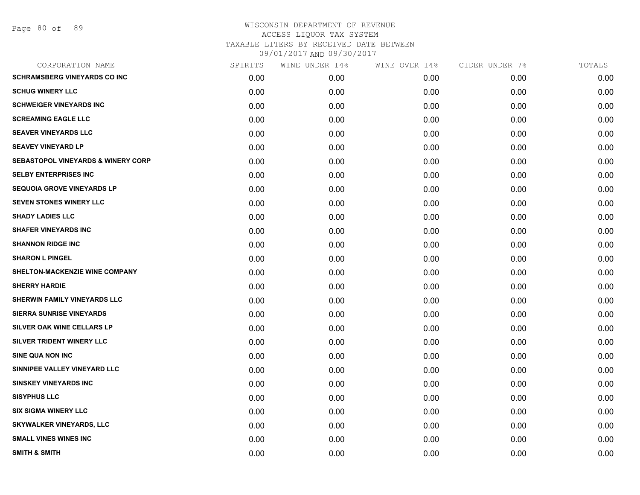| SPIRITS | WINE UNDER 14% | WINE OVER 14% | CIDER UNDER 7% | TOTALS |
|---------|----------------|---------------|----------------|--------|
| 0.00    | 0.00           | 0.00          | 0.00           | 0.00   |
| 0.00    | 0.00           | 0.00          | 0.00           | 0.00   |
| 0.00    | 0.00           | 0.00          | 0.00           | 0.00   |
| 0.00    | 0.00           | 0.00          | 0.00           | 0.00   |
| 0.00    | 0.00           | 0.00          | 0.00           | 0.00   |
| 0.00    | 0.00           | 0.00          | 0.00           | 0.00   |
| 0.00    | 0.00           | 0.00          | 0.00           | 0.00   |
| 0.00    | 0.00           | 0.00          | 0.00           | 0.00   |
| 0.00    | 0.00           | 0.00          | 0.00           | 0.00   |
| 0.00    | 0.00           | 0.00          | 0.00           | 0.00   |
| 0.00    | 0.00           | 0.00          | 0.00           | 0.00   |
| 0.00    | 0.00           | 0.00          | 0.00           | 0.00   |
| 0.00    | 0.00           | 0.00          | 0.00           | 0.00   |
| 0.00    | 0.00           | 0.00          | 0.00           | 0.00   |
| 0.00    | 0.00           | 0.00          | 0.00           | 0.00   |
| 0.00    | 0.00           | 0.00          | 0.00           | 0.00   |
| 0.00    | 0.00           | 0.00          | 0.00           | 0.00   |
| 0.00    | 0.00           | 0.00          | 0.00           | 0.00   |
| 0.00    | 0.00           | 0.00          | 0.00           | 0.00   |
| 0.00    | 0.00           | 0.00          | 0.00           | 0.00   |
| 0.00    | 0.00           | 0.00          | 0.00           | 0.00   |
| 0.00    | 0.00           | 0.00          | 0.00           | 0.00   |
| 0.00    | 0.00           | 0.00          | 0.00           | 0.00   |
| 0.00    | 0.00           | 0.00          | 0.00           | 0.00   |
| 0.00    | 0.00           | 0.00          | 0.00           | 0.00   |
| 0.00    | 0.00           | 0.00          | 0.00           | 0.00   |
| 0.00    | 0.00           | 0.00          | 0.00           | 0.00   |
| 0.00    | 0.00           | 0.00          | 0.00           | 0.00   |
|         |                |               |                |        |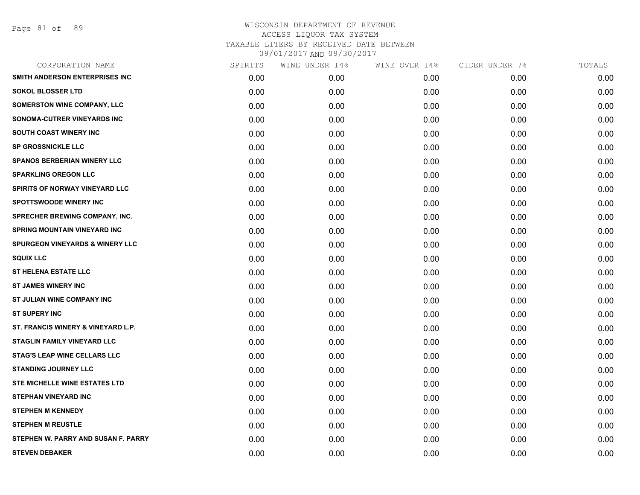| CORPORATION NAME                           | SPIRITS | WINE UNDER 14% | WINE OVER 14% | CIDER UNDER 7% | TOTALS |
|--------------------------------------------|---------|----------------|---------------|----------------|--------|
| SMITH ANDERSON ENTERPRISES INC             | 0.00    | 0.00           | 0.00          | 0.00           | 0.00   |
| <b>SOKOL BLOSSER LTD</b>                   | 0.00    | 0.00           | 0.00          | 0.00           | 0.00   |
| <b>SOMERSTON WINE COMPANY, LLC</b>         | 0.00    | 0.00           | 0.00          | 0.00           | 0.00   |
| SONOMA-CUTRER VINEYARDS INC                | 0.00    | 0.00           | 0.00          | 0.00           | 0.00   |
| <b>SOUTH COAST WINERY INC</b>              | 0.00    | 0.00           | 0.00          | 0.00           | 0.00   |
| <b>SP GROSSNICKLE LLC</b>                  | 0.00    | 0.00           | 0.00          | 0.00           | 0.00   |
| <b>SPANOS BERBERIAN WINERY LLC</b>         | 0.00    | 0.00           | 0.00          | 0.00           | 0.00   |
| <b>SPARKLING OREGON LLC</b>                | 0.00    | 0.00           | 0.00          | 0.00           | 0.00   |
| <b>SPIRITS OF NORWAY VINEYARD LLC</b>      | 0.00    | 0.00           | 0.00          | 0.00           | 0.00   |
| SPOTTSWOODE WINERY INC                     | 0.00    | 0.00           | 0.00          | 0.00           | 0.00   |
| <b>SPRECHER BREWING COMPANY, INC.</b>      | 0.00    | 0.00           | 0.00          | 0.00           | 0.00   |
| <b>SPRING MOUNTAIN VINEYARD INC</b>        | 0.00    | 0.00           | 0.00          | 0.00           | 0.00   |
| <b>SPURGEON VINEYARDS &amp; WINERY LLC</b> | 0.00    | 0.00           | 0.00          | 0.00           | 0.00   |
| <b>SQUIX LLC</b>                           | 0.00    | 0.00           | 0.00          | 0.00           | 0.00   |
| <b>ST HELENA ESTATE LLC</b>                | 0.00    | 0.00           | 0.00          | 0.00           | 0.00   |
| <b>ST JAMES WINERY INC</b>                 | 0.00    | 0.00           | 0.00          | 0.00           | 0.00   |
| ST JULIAN WINE COMPANY INC                 | 0.00    | 0.00           | 0.00          | 0.00           | 0.00   |
| <b>ST SUPERY INC</b>                       | 0.00    | 0.00           | 0.00          | 0.00           | 0.00   |
| ST. FRANCIS WINERY & VINEYARD L.P.         | 0.00    | 0.00           | 0.00          | 0.00           | 0.00   |
| <b>STAGLIN FAMILY VINEYARD LLC</b>         | 0.00    | 0.00           | 0.00          | 0.00           | 0.00   |
| <b>STAG'S LEAP WINE CELLARS LLC</b>        | 0.00    | 0.00           | 0.00          | 0.00           | 0.00   |
| <b>STANDING JOURNEY LLC</b>                | 0.00    | 0.00           | 0.00          | 0.00           | 0.00   |
| STE MICHELLE WINE ESTATES LTD              | 0.00    | 0.00           | 0.00          | 0.00           | 0.00   |
| <b>STEPHAN VINEYARD INC</b>                | 0.00    | 0.00           | 0.00          | 0.00           | 0.00   |
| <b>STEPHEN M KENNEDY</b>                   | 0.00    | 0.00           | 0.00          | 0.00           | 0.00   |
| <b>STEPHEN M REUSTLE</b>                   | 0.00    | 0.00           | 0.00          | 0.00           | 0.00   |
| STEPHEN W. PARRY AND SUSAN F. PARRY        | 0.00    | 0.00           | 0.00          | 0.00           | 0.00   |
| <b>STEVEN DEBAKER</b>                      | 0.00    | 0.00           | 0.00          | 0.00           | 0.00   |
|                                            |         |                |               |                |        |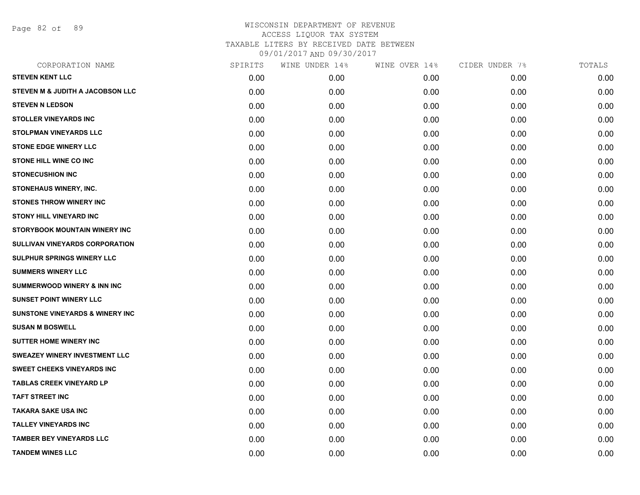Page 82 of 89

| CORPORATION NAME                       | SPIRITS | WINE UNDER 14% | WINE OVER 14% | CIDER UNDER 7% | TOTALS |
|----------------------------------------|---------|----------------|---------------|----------------|--------|
| <b>STEVEN KENT LLC</b>                 | 0.00    | 0.00           | 0.00          | 0.00           | 0.00   |
| STEVEN M & JUDITH A JACOBSON LLC       | 0.00    | 0.00           | 0.00          | 0.00           | 0.00   |
| <b>STEVEN N LEDSON</b>                 | 0.00    | 0.00           | 0.00          | 0.00           | 0.00   |
| <b>STOLLER VINEYARDS INC</b>           | 0.00    | 0.00           | 0.00          | 0.00           | 0.00   |
| <b>STOLPMAN VINEYARDS LLC</b>          | 0.00    | 0.00           | 0.00          | 0.00           | 0.00   |
| <b>STONE EDGE WINERY LLC</b>           | 0.00    | 0.00           | 0.00          | 0.00           | 0.00   |
| <b>STONE HILL WINE CO INC</b>          | 0.00    | 0.00           | 0.00          | 0.00           | 0.00   |
| <b>STONECUSHION INC</b>                | 0.00    | 0.00           | 0.00          | 0.00           | 0.00   |
| STONEHAUS WINERY, INC.                 | 0.00    | 0.00           | 0.00          | 0.00           | 0.00   |
| <b>STONES THROW WINERY INC</b>         | 0.00    | 0.00           | 0.00          | 0.00           | 0.00   |
| <b>STONY HILL VINEYARD INC</b>         | 0.00    | 0.00           | 0.00          | 0.00           | 0.00   |
| <b>STORYBOOK MOUNTAIN WINERY INC</b>   | 0.00    | 0.00           | 0.00          | 0.00           | 0.00   |
| SULLIVAN VINEYARDS CORPORATION         | 0.00    | 0.00           | 0.00          | 0.00           | 0.00   |
| SULPHUR SPRINGS WINERY LLC             | 0.00    | 0.00           | 0.00          | 0.00           | 0.00   |
| <b>SUMMERS WINERY LLC</b>              | 0.00    | 0.00           | 0.00          | 0.00           | 0.00   |
| <b>SUMMERWOOD WINERY &amp; INN INC</b> | 0.00    | 0.00           | 0.00          | 0.00           | 0.00   |
| <b>SUNSET POINT WINERY LLC</b>         | 0.00    | 0.00           | 0.00          | 0.00           | 0.00   |
| SUNSTONE VINEYARDS & WINERY INC        | 0.00    | 0.00           | 0.00          | 0.00           | 0.00   |
| <b>SUSAN M BOSWELL</b>                 | 0.00    | 0.00           | 0.00          | 0.00           | 0.00   |
| <b>SUTTER HOME WINERY INC</b>          | 0.00    | 0.00           | 0.00          | 0.00           | 0.00   |
| <b>SWEAZEY WINERY INVESTMENT LLC</b>   | 0.00    | 0.00           | 0.00          | 0.00           | 0.00   |
| <b>SWEET CHEEKS VINEYARDS INC</b>      | 0.00    | 0.00           | 0.00          | 0.00           | 0.00   |
| <b>TABLAS CREEK VINEYARD LP</b>        | 0.00    | 0.00           | 0.00          | 0.00           | 0.00   |
| <b>TAFT STREET INC</b>                 | 0.00    | 0.00           | 0.00          | 0.00           | 0.00   |
| <b>TAKARA SAKE USA INC</b>             | 0.00    | 0.00           | 0.00          | 0.00           | 0.00   |
| <b>TALLEY VINEYARDS INC</b>            | 0.00    | 0.00           | 0.00          | 0.00           | 0.00   |
| <b>TAMBER BEY VINEYARDS LLC</b>        | 0.00    | 0.00           | 0.00          | 0.00           | 0.00   |
| <b>TANDEM WINES LLC</b>                | 0.00    | 0.00           | 0.00          | 0.00           | 0.00   |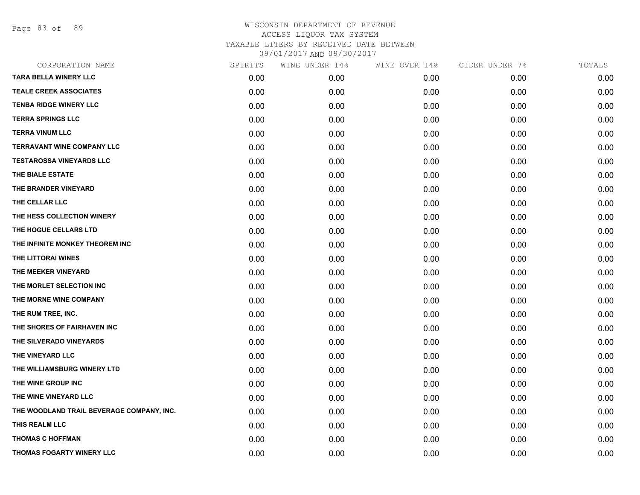Page 83 of 89

| CORPORATION NAME                          | SPIRITS | WINE UNDER 14% | WINE OVER 14% | CIDER UNDER 7% | TOTALS |
|-------------------------------------------|---------|----------------|---------------|----------------|--------|
| <b>TARA BELLA WINERY LLC</b>              | 0.00    | 0.00           | 0.00          | 0.00           | 0.00   |
| <b>TEALE CREEK ASSOCIATES</b>             | 0.00    | 0.00           | 0.00          | 0.00           | 0.00   |
| <b>TENBA RIDGE WINERY LLC</b>             | 0.00    | 0.00           | 0.00          | 0.00           | 0.00   |
| <b>TERRA SPRINGS LLC</b>                  | 0.00    | 0.00           | 0.00          | 0.00           | 0.00   |
| <b>TERRA VINUM LLC</b>                    | 0.00    | 0.00           | 0.00          | 0.00           | 0.00   |
| TERRAVANT WINE COMPANY LLC                | 0.00    | 0.00           | 0.00          | 0.00           | 0.00   |
| <b>TESTAROSSA VINEYARDS LLC</b>           | 0.00    | 0.00           | 0.00          | 0.00           | 0.00   |
| THE BIALE ESTATE                          | 0.00    | 0.00           | 0.00          | 0.00           | 0.00   |
| THE BRANDER VINEYARD                      | 0.00    | 0.00           | 0.00          | 0.00           | 0.00   |
| THE CELLAR LLC                            | 0.00    | 0.00           | 0.00          | 0.00           | 0.00   |
| THE HESS COLLECTION WINERY                | 0.00    | 0.00           | 0.00          | 0.00           | 0.00   |
| THE HOGUE CELLARS LTD                     | 0.00    | 0.00           | 0.00          | 0.00           | 0.00   |
| THE INFINITE MONKEY THEOREM INC           | 0.00    | 0.00           | 0.00          | 0.00           | 0.00   |
| THE LITTORAI WINES                        | 0.00    | 0.00           | 0.00          | 0.00           | 0.00   |
| THE MEEKER VINEYARD                       | 0.00    | 0.00           | 0.00          | 0.00           | 0.00   |
| THE MORLET SELECTION INC                  | 0.00    | 0.00           | 0.00          | 0.00           | 0.00   |
| THE MORNE WINE COMPANY                    | 0.00    | 0.00           | 0.00          | 0.00           | 0.00   |
| THE RUM TREE, INC.                        | 0.00    | 0.00           | 0.00          | 0.00           | 0.00   |
| THE SHORES OF FAIRHAVEN INC               | 0.00    | 0.00           | 0.00          | 0.00           | 0.00   |
| THE SILVERADO VINEYARDS                   | 0.00    | 0.00           | 0.00          | 0.00           | 0.00   |
| THE VINEYARD LLC                          | 0.00    | 0.00           | 0.00          | 0.00           | 0.00   |
| THE WILLIAMSBURG WINERY LTD               | 0.00    | 0.00           | 0.00          | 0.00           | 0.00   |
| THE WINE GROUP INC                        | 0.00    | 0.00           | 0.00          | 0.00           | 0.00   |
| THE WINE VINEYARD LLC                     | 0.00    | 0.00           | 0.00          | 0.00           | 0.00   |
| THE WOODLAND TRAIL BEVERAGE COMPANY, INC. | 0.00    | 0.00           | 0.00          | 0.00           | 0.00   |
| THIS REALM LLC                            | 0.00    | 0.00           | 0.00          | 0.00           | 0.00   |
| <b>THOMAS C HOFFMAN</b>                   | 0.00    | 0.00           | 0.00          | 0.00           | 0.00   |
| THOMAS FOGARTY WINERY LLC                 | 0.00    | 0.00           | 0.00          | 0.00           | 0.00   |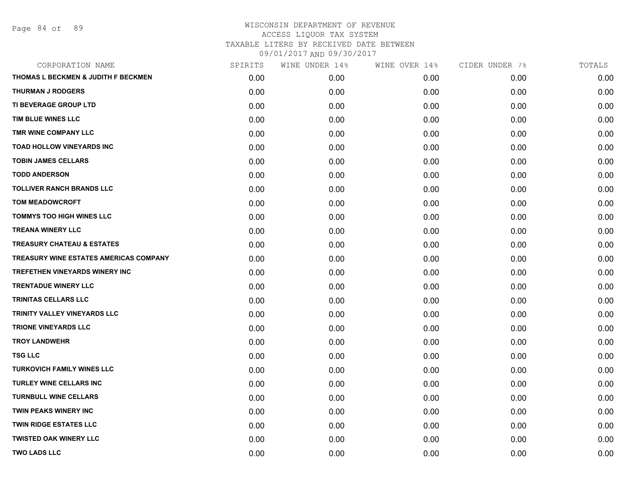Page 84 of 89

| CORPORATION NAME                              | SPIRITS | WINE UNDER 14% | WINE OVER 14% | CIDER UNDER 7% | TOTALS |
|-----------------------------------------------|---------|----------------|---------------|----------------|--------|
| THOMAS L BECKMEN & JUDITH F BECKMEN           | 0.00    | 0.00           | 0.00          | 0.00           | 0.00   |
| <b>THURMAN J RODGERS</b>                      | 0.00    | 0.00           | 0.00          | 0.00           | 0.00   |
| TI BEVERAGE GROUP LTD                         | 0.00    | 0.00           | 0.00          | 0.00           | 0.00   |
| TIM BLUE WINES LLC                            | 0.00    | 0.00           | 0.00          | 0.00           | 0.00   |
| TMR WINE COMPANY LLC                          | 0.00    | 0.00           | 0.00          | 0.00           | 0.00   |
| <b>TOAD HOLLOW VINEYARDS INC</b>              | 0.00    | 0.00           | 0.00          | 0.00           | 0.00   |
| <b>TOBIN JAMES CELLARS</b>                    | 0.00    | 0.00           | 0.00          | 0.00           | 0.00   |
| <b>TODD ANDERSON</b>                          | 0.00    | 0.00           | 0.00          | 0.00           | 0.00   |
| <b>TOLLIVER RANCH BRANDS LLC</b>              | 0.00    | 0.00           | 0.00          | 0.00           | 0.00   |
| <b>TOM MEADOWCROFT</b>                        | 0.00    | 0.00           | 0.00          | 0.00           | 0.00   |
| <b>TOMMYS TOO HIGH WINES LLC</b>              | 0.00    | 0.00           | 0.00          | 0.00           | 0.00   |
| <b>TREANA WINERY LLC</b>                      | 0.00    | 0.00           | 0.00          | 0.00           | 0.00   |
| <b>TREASURY CHATEAU &amp; ESTATES</b>         | 0.00    | 0.00           | 0.00          | 0.00           | 0.00   |
| <b>TREASURY WINE ESTATES AMERICAS COMPANY</b> | 0.00    | 0.00           | 0.00          | 0.00           | 0.00   |
| <b>TREFETHEN VINEYARDS WINERY INC</b>         | 0.00    | 0.00           | 0.00          | 0.00           | 0.00   |
| <b>TRENTADUE WINERY LLC</b>                   | 0.00    | 0.00           | 0.00          | 0.00           | 0.00   |
| <b>TRINITAS CELLARS LLC</b>                   | 0.00    | 0.00           | 0.00          | 0.00           | 0.00   |
| <b>TRINITY VALLEY VINEYARDS LLC</b>           | 0.00    | 0.00           | 0.00          | 0.00           | 0.00   |
| <b>TRIONE VINEYARDS LLC</b>                   | 0.00    | 0.00           | 0.00          | 0.00           | 0.00   |
| <b>TROY LANDWEHR</b>                          | 0.00    | 0.00           | 0.00          | 0.00           | 0.00   |
| <b>TSG LLC</b>                                | 0.00    | 0.00           | 0.00          | 0.00           | 0.00   |
| <b>TURKOVICH FAMILY WINES LLC</b>             | 0.00    | 0.00           | 0.00          | 0.00           | 0.00   |
| <b>TURLEY WINE CELLARS INC</b>                | 0.00    | 0.00           | 0.00          | 0.00           | 0.00   |
| <b>TURNBULL WINE CELLARS</b>                  | 0.00    | 0.00           | 0.00          | 0.00           | 0.00   |
| <b>TWIN PEAKS WINERY INC</b>                  | 0.00    | 0.00           | 0.00          | 0.00           | 0.00   |
| <b>TWIN RIDGE ESTATES LLC</b>                 | 0.00    | 0.00           | 0.00          | 0.00           | 0.00   |
| <b>TWISTED OAK WINERY LLC</b>                 | 0.00    | 0.00           | 0.00          | 0.00           | 0.00   |
| <b>TWO LADS LLC</b>                           | 0.00    | 0.00           | 0.00          | 0.00           | 0.00   |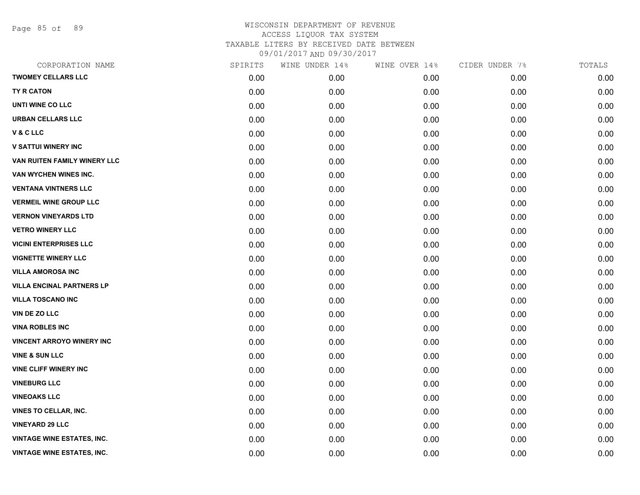Page 85 of 89

| CORPORATION NAME                  | SPIRITS | WINE UNDER 14% | WINE OVER 14% | CIDER UNDER 7% | TOTALS |
|-----------------------------------|---------|----------------|---------------|----------------|--------|
| <b>TWOMEY CELLARS LLC</b>         | 0.00    | 0.00           | 0.00          | 0.00           | 0.00   |
| TY R CATON                        | 0.00    | 0.00           | 0.00          | 0.00           | 0.00   |
| UNTI WINE CO LLC                  | 0.00    | 0.00           | 0.00          | 0.00           | 0.00   |
| <b>URBAN CELLARS LLC</b>          | 0.00    | 0.00           | 0.00          | 0.00           | 0.00   |
| V&CLLC                            | 0.00    | 0.00           | 0.00          | 0.00           | 0.00   |
| <b>V SATTUI WINERY INC</b>        | 0.00    | 0.00           | 0.00          | 0.00           | 0.00   |
| VAN RUITEN FAMILY WINERY LLC      | 0.00    | 0.00           | 0.00          | 0.00           | 0.00   |
| VAN WYCHEN WINES INC.             | 0.00    | 0.00           | 0.00          | 0.00           | 0.00   |
| <b>VENTANA VINTNERS LLC</b>       | 0.00    | 0.00           | 0.00          | 0.00           | 0.00   |
| <b>VERMEIL WINE GROUP LLC</b>     | 0.00    | 0.00           | 0.00          | 0.00           | 0.00   |
| <b>VERNON VINEYARDS LTD</b>       | 0.00    | 0.00           | 0.00          | 0.00           | 0.00   |
| <b>VETRO WINERY LLC</b>           | 0.00    | 0.00           | 0.00          | 0.00           | 0.00   |
| <b>VICINI ENTERPRISES LLC</b>     | 0.00    | 0.00           | 0.00          | 0.00           | 0.00   |
| <b>VIGNETTE WINERY LLC</b>        | 0.00    | 0.00           | 0.00          | 0.00           | 0.00   |
| <b>VILLA AMOROSA INC</b>          | 0.00    | 0.00           | 0.00          | 0.00           | 0.00   |
| <b>VILLA ENCINAL PARTNERS LP</b>  | 0.00    | 0.00           | 0.00          | 0.00           | 0.00   |
| <b>VILLA TOSCANO INC</b>          | 0.00    | 0.00           | 0.00          | 0.00           | 0.00   |
| VIN DE ZO LLC                     | 0.00    | 0.00           | 0.00          | 0.00           | 0.00   |
| <b>VINA ROBLES INC</b>            | 0.00    | 0.00           | 0.00          | 0.00           | 0.00   |
| <b>VINCENT ARROYO WINERY INC</b>  | 0.00    | 0.00           | 0.00          | 0.00           | 0.00   |
| <b>VINE &amp; SUN LLC</b>         | 0.00    | 0.00           | 0.00          | 0.00           | 0.00   |
| <b>VINE CLIFF WINERY INC</b>      | 0.00    | 0.00           | 0.00          | 0.00           | 0.00   |
| <b>VINEBURG LLC</b>               | 0.00    | 0.00           | 0.00          | 0.00           | 0.00   |
| <b>VINEOAKS LLC</b>               | 0.00    | 0.00           | 0.00          | 0.00           | 0.00   |
| <b>VINES TO CELLAR, INC.</b>      | 0.00    | 0.00           | 0.00          | 0.00           | 0.00   |
| <b>VINEYARD 29 LLC</b>            | 0.00    | 0.00           | 0.00          | 0.00           | 0.00   |
| <b>VINTAGE WINE ESTATES, INC.</b> | 0.00    | 0.00           | 0.00          | 0.00           | 0.00   |
| <b>VINTAGE WINE ESTATES, INC.</b> | 0.00    | 0.00           | 0.00          | 0.00           | 0.00   |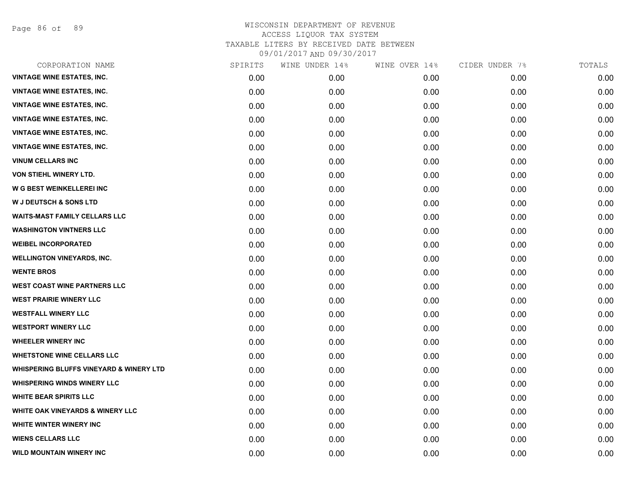Page 86 of 89

| CORPORATION NAME                                   | SPIRITS | WINE UNDER 14% | WINE OVER 14% | CIDER UNDER 7% | TOTALS |
|----------------------------------------------------|---------|----------------|---------------|----------------|--------|
| <b>VINTAGE WINE ESTATES, INC.</b>                  | 0.00    | 0.00           | 0.00          | 0.00           | 0.00   |
| <b>VINTAGE WINE ESTATES, INC.</b>                  | 0.00    | 0.00           | 0.00          | 0.00           | 0.00   |
| <b>VINTAGE WINE ESTATES, INC.</b>                  | 0.00    | 0.00           | 0.00          | 0.00           | 0.00   |
| <b>VINTAGE WINE ESTATES, INC.</b>                  | 0.00    | 0.00           | 0.00          | 0.00           | 0.00   |
| <b>VINTAGE WINE ESTATES, INC.</b>                  | 0.00    | 0.00           | 0.00          | 0.00           | 0.00   |
| <b>VINTAGE WINE ESTATES, INC.</b>                  | 0.00    | 0.00           | 0.00          | 0.00           | 0.00   |
| <b>VINUM CELLARS INC</b>                           | 0.00    | 0.00           | 0.00          | 0.00           | 0.00   |
| VON STIEHL WINERY LTD.                             | 0.00    | 0.00           | 0.00          | 0.00           | 0.00   |
| W G BEST WEINKELLEREI INC                          | 0.00    | 0.00           | 0.00          | 0.00           | 0.00   |
| <b>W J DEUTSCH &amp; SONS LTD</b>                  | 0.00    | 0.00           | 0.00          | 0.00           | 0.00   |
| <b>WAITS-MAST FAMILY CELLARS LLC</b>               | 0.00    | 0.00           | 0.00          | 0.00           | 0.00   |
| <b>WASHINGTON VINTNERS LLC</b>                     | 0.00    | 0.00           | 0.00          | 0.00           | 0.00   |
| <b>WEIBEL INCORPORATED</b>                         | 0.00    | 0.00           | 0.00          | 0.00           | 0.00   |
| <b>WELLINGTON VINEYARDS, INC.</b>                  | 0.00    | 0.00           | 0.00          | 0.00           | 0.00   |
| <b>WENTE BROS</b>                                  | 0.00    | 0.00           | 0.00          | 0.00           | 0.00   |
| <b>WEST COAST WINE PARTNERS LLC</b>                | 0.00    | 0.00           | 0.00          | 0.00           | 0.00   |
| <b>WEST PRAIRIE WINERY LLC</b>                     | 0.00    | 0.00           | 0.00          | 0.00           | 0.00   |
| <b>WESTFALL WINERY LLC</b>                         | 0.00    | 0.00           | 0.00          | 0.00           | 0.00   |
| <b>WESTPORT WINERY LLC</b>                         | 0.00    | 0.00           | 0.00          | 0.00           | 0.00   |
| <b>WHEELER WINERY INC</b>                          | 0.00    | 0.00           | 0.00          | 0.00           | 0.00   |
| <b>WHETSTONE WINE CELLARS LLC</b>                  | 0.00    | 0.00           | 0.00          | 0.00           | 0.00   |
| <b>WHISPERING BLUFFS VINEYARD &amp; WINERY LTD</b> | 0.00    | 0.00           | 0.00          | 0.00           | 0.00   |
| <b>WHISPERING WINDS WINERY LLC</b>                 | 0.00    | 0.00           | 0.00          | 0.00           | 0.00   |
| <b>WHITE BEAR SPIRITS LLC</b>                      | 0.00    | 0.00           | 0.00          | 0.00           | 0.00   |
| <b>WHITE OAK VINEYARDS &amp; WINERY LLC</b>        | 0.00    | 0.00           | 0.00          | 0.00           | 0.00   |
| WHITE WINTER WINERY INC                            | 0.00    | 0.00           | 0.00          | 0.00           | 0.00   |
| <b>WIENS CELLARS LLC</b>                           | 0.00    | 0.00           | 0.00          | 0.00           | 0.00   |
| WILD MOUNTAIN WINERY INC                           | 0.00    | 0.00           | 0.00          | 0.00           | 0.00   |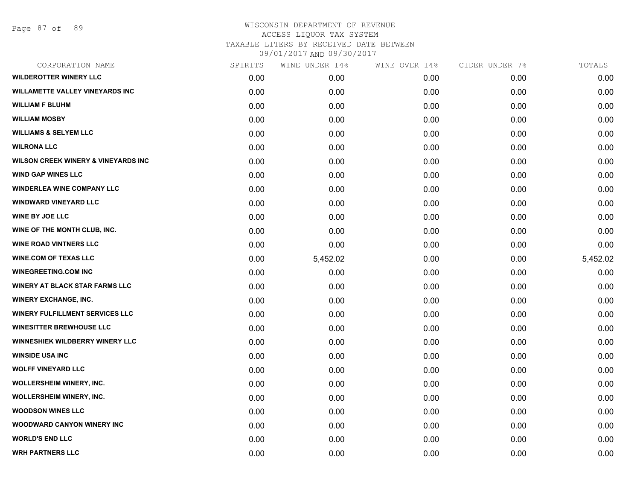Page 87 of 89

| CORPORATION NAME                               | SPIRITS | WINE UNDER 14% | WINE OVER 14% | CIDER UNDER 7% | TOTALS   |
|------------------------------------------------|---------|----------------|---------------|----------------|----------|
| <b>WILDEROTTER WINERY LLC</b>                  | 0.00    | 0.00           | 0.00          | 0.00           | 0.00     |
| <b>WILLAMETTE VALLEY VINEYARDS INC</b>         | 0.00    | 0.00           | 0.00          | 0.00           | 0.00     |
| <b>WILLIAM F BLUHM</b>                         | 0.00    | 0.00           | 0.00          | 0.00           | 0.00     |
| <b>WILLIAM MOSBY</b>                           | 0.00    | 0.00           | 0.00          | 0.00           | 0.00     |
| <b>WILLIAMS &amp; SELYEM LLC</b>               | 0.00    | 0.00           | 0.00          | 0.00           | 0.00     |
| <b>WILRONA LLC</b>                             | 0.00    | 0.00           | 0.00          | 0.00           | 0.00     |
| <b>WILSON CREEK WINERY &amp; VINEYARDS INC</b> | 0.00    | 0.00           | 0.00          | 0.00           | 0.00     |
| <b>WIND GAP WINES LLC</b>                      | 0.00    | 0.00           | 0.00          | 0.00           | 0.00     |
| <b>WINDERLEA WINE COMPANY LLC</b>              | 0.00    | 0.00           | 0.00          | 0.00           | 0.00     |
| <b>WINDWARD VINEYARD LLC</b>                   | 0.00    | 0.00           | 0.00          | 0.00           | 0.00     |
| <b>WINE BY JOE LLC</b>                         | 0.00    | 0.00           | 0.00          | 0.00           | 0.00     |
| WINE OF THE MONTH CLUB, INC.                   | 0.00    | 0.00           | 0.00          | 0.00           | 0.00     |
| <b>WINE ROAD VINTNERS LLC</b>                  | 0.00    | 0.00           | 0.00          | 0.00           | 0.00     |
| <b>WINE.COM OF TEXAS LLC</b>                   | 0.00    | 5,452.02       | 0.00          | 0.00           | 5,452.02 |
| <b>WINEGREETING.COM INC</b>                    | 0.00    | 0.00           | 0.00          | 0.00           | 0.00     |
| <b>WINERY AT BLACK STAR FARMS LLC</b>          | 0.00    | 0.00           | 0.00          | 0.00           | 0.00     |
| <b>WINERY EXCHANGE, INC.</b>                   | 0.00    | 0.00           | 0.00          | 0.00           | 0.00     |
| <b>WINERY FULFILLMENT SERVICES LLC</b>         | 0.00    | 0.00           | 0.00          | 0.00           | 0.00     |
| <b>WINESITTER BREWHOUSE LLC</b>                | 0.00    | 0.00           | 0.00          | 0.00           | 0.00     |
| <b>WINNESHIEK WILDBERRY WINERY LLC</b>         | 0.00    | 0.00           | 0.00          | 0.00           | 0.00     |
| <b>WINSIDE USA INC</b>                         | 0.00    | 0.00           | 0.00          | 0.00           | 0.00     |
| <b>WOLFF VINEYARD LLC</b>                      | 0.00    | 0.00           | 0.00          | 0.00           | 0.00     |
| <b>WOLLERSHEIM WINERY, INC.</b>                | 0.00    | 0.00           | 0.00          | 0.00           | 0.00     |
| <b>WOLLERSHEIM WINERY, INC.</b>                | 0.00    | 0.00           | 0.00          | 0.00           | 0.00     |
| <b>WOODSON WINES LLC</b>                       | 0.00    | 0.00           | 0.00          | 0.00           | 0.00     |
| <b>WOODWARD CANYON WINERY INC</b>              | 0.00    | 0.00           | 0.00          | 0.00           | 0.00     |
| <b>WORLD'S END LLC</b>                         | 0.00    | 0.00           | 0.00          | 0.00           | 0.00     |
| <b>WRH PARTNERS LLC</b>                        | 0.00    | 0.00           | 0.00          | 0.00           | 0.00     |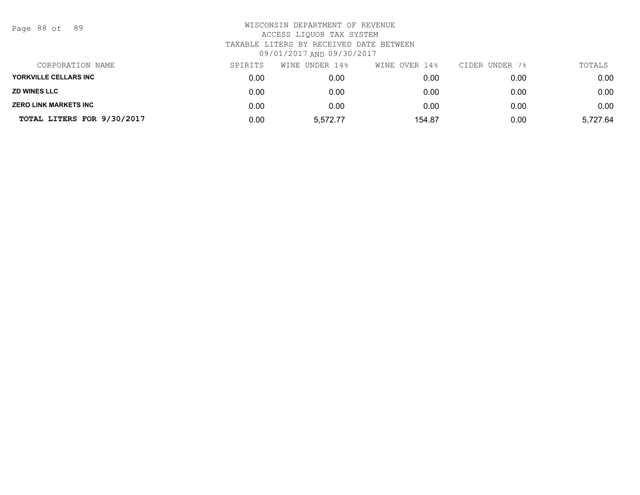Page 88 of 89

| CORPORATION NAME             | SPIRITS | WINE UNDER 14% | WINE OVER 14% | CIDER UNDER 7% | TOTALS   |
|------------------------------|---------|----------------|---------------|----------------|----------|
| YORKVILLE CELLARS INC        | 0.00    | 0.00           | 0.00          | 0.00           | 0.00     |
| <b>ZD WINES LLC</b>          | 0.00    | 0.00           | 0.00          | 0.00           | 0.00     |
| <b>ZERO LINK MARKETS INC</b> | 0.00    | 0.00           | 0.00          | 0.00           | 0.00     |
| TOTAL LITERS FOR 9/30/2017   | 0.00    | 5.572.77       | 154.87        | 0.00           | 5,727.64 |